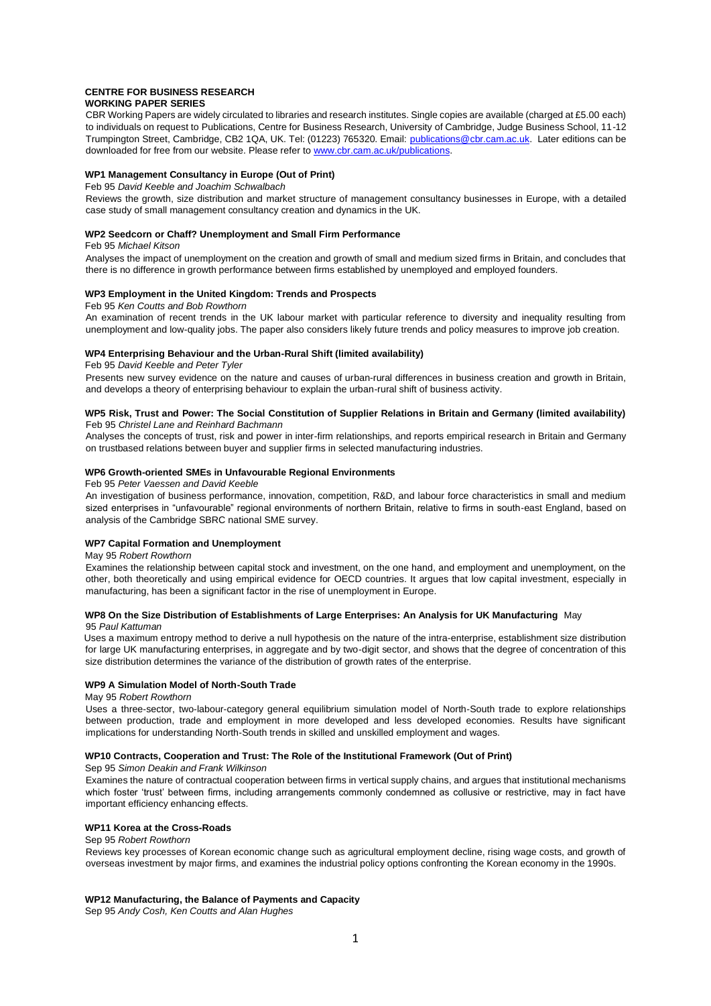#### **CENTRE FOR BUSINESS RESEARCH WORKING PAPER SERIES**

CBR Working Papers are widely circulated to libraries and research institutes. Single copies are available (charged at £5.00 each) to individuals on request to Publications, Centre for Business Research, University of Cambridge, Judge Business School, 11-12 Trumpington Street, Cambridge, CB2 1QA, UK. Tel: (01223) 765320. Email: publications@cbr.cam.ac.uk. Later editions can be downloaded for free from our website. Please refer [to www.cbr.cam.ac.uk/publications.](http://www.cbr.cam.ac.uk/publications)

## **WP1 Management Consultancy in Europe (Out of Print)**

#### Feb 95 *David Keeble and Joachim Schwalbach*

Reviews the growth, size distribution and market structure of management consultancy businesses in Europe, with a detailed case study of small management consultancy creation and dynamics in the UK.

#### **WP2 Seedcorn or Chaff? Unemployment and Small Firm Performance**

## Feb 95 *Michael Kitson*

Analyses the impact of unemployment on the creation and growth of small and medium sized firms in Britain, and concludes that there is no difference in growth performance between firms established by unemployed and employed founders.

#### **WP3 Employment in the United Kingdom: Trends and Prospects**

#### Feb 95 *Ken Coutts and Bob Rowthorn*

An examination of recent trends in the UK labour market with particular reference to diversity and inequality resulting from unemployment and low-quality jobs. The paper also considers likely future trends and policy measures to improve job creation.

#### **WP4 Enterprising Behaviour and the Urban-Rural Shift (limited availability)**

#### Feb 95 *David Keeble and Peter Tyler*

Presents new survey evidence on the nature and causes of urban-rural differences in business creation and growth in Britain, and develops a theory of enterprising behaviour to explain the urban-rural shift of business activity.

#### **WP5 Risk, Trust and Power: The Social Constitution of Supplier Relations in Britain and Germany (limited availability)**  Feb 95 *Christel Lane and Reinhard Bachmann*

Analyses the concepts of trust, risk and power in inter-firm relationships, and reports empirical research in Britain and Germany on trustbased relations between buyer and supplier firms in selected manufacturing industries.

#### **WP6 Growth-oriented SMEs in Unfavourable Regional Environments**

#### Feb 95 *Peter Vaessen and David Keeble*

An investigation of business performance, innovation, competition, R&D, and labour force characteristics in small and medium sized enterprises in "unfavourable" regional environments of northern Britain, relative to firms in south-east England, based on analysis of the Cambridge SBRC national SME survey.

## **WP7 Capital Formation and Unemployment**

May 95 *Robert Rowthorn* 

Examines the relationship between capital stock and investment, on the one hand, and employment and unemployment, on the other, both theoretically and using empirical evidence for OECD countries. It argues that low capital investment, especially in manufacturing, has been a significant factor in the rise of unemployment in Europe.

#### **WP8 On the Size Distribution of Establishments of Large Enterprises: An Analysis for UK Manufacturing** May 95 *Paul Kattuman*

Uses a maximum entropy method to derive a null hypothesis on the nature of the intra-enterprise, establishment size distribution for large UK manufacturing enterprises, in aggregate and by two-digit sector, and shows that the degree of concentration of this size distribution determines the variance of the distribution of growth rates of the enterprise.

### **WP9 A Simulation Model of North-South Trade**

#### May 95 *Robert Rowthorn*

Uses a three-sector, two-labour-category general equilibrium simulation model of North-South trade to explore relationships between production, trade and employment in more developed and less developed economies. Results have significant implications for understanding North-South trends in skilled and unskilled employment and wages.

#### **WP10 Contracts, Cooperation and Trust: The Role of the Institutional Framework (Out of Print)**

#### Sep 95 *Simon Deakin and Frank Wilkinson*

Examines the nature of contractual cooperation between firms in vertical supply chains, and argues that institutional mechanisms which foster 'trust' between firms, including arrangements commonly condemned as collusive or restrictive, may in fact have important efficiency enhancing effects.

## **WP11 Korea at the Cross-Roads**

#### Sep 95 *Robert Rowthorn*

Reviews key processes of Korean economic change such as agricultural employment decline, rising wage costs, and growth of overseas investment by major firms, and examines the industrial policy options confronting the Korean economy in the 1990s.

#### **WP12 Manufacturing, the Balance of Payments and Capacity**

Sep 95 *Andy Cosh, Ken Coutts and Alan Hughes*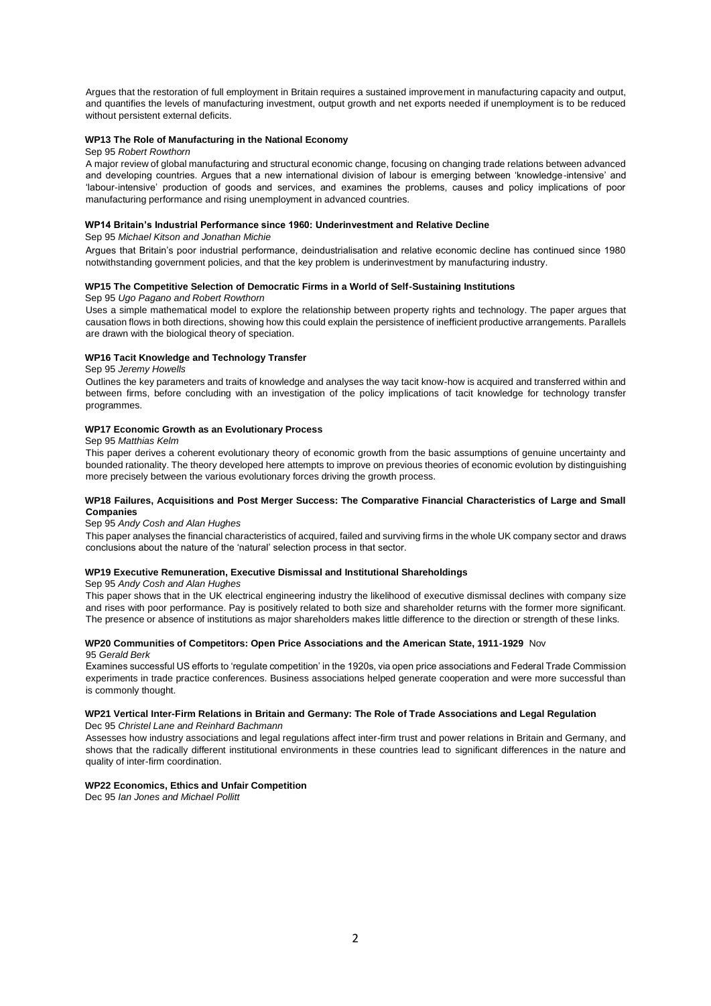Argues that the restoration of full employment in Britain requires a sustained improvement in manufacturing capacity and output, and quantifies the levels of manufacturing investment, output growth and net exports needed if unemployment is to be reduced without persistent external deficits.

#### **WP13 The Role of Manufacturing in the National Economy**

### Sep 95 *Robert Rowthorn*

A major review of global manufacturing and structural economic change, focusing on changing trade relations between advanced and developing countries. Argues that a new international division of labour is emerging between 'knowledge-intensive' and 'labour-intensive' production of goods and services, and examines the problems, causes and policy implications of poor manufacturing performance and rising unemployment in advanced countries.

## **WP14 Britain's Industrial Performance since 1960: Underinvestment and Relative Decline**

#### Sep 95 *Michael Kitson and Jonathan Michie*

Argues that Britain's poor industrial performance, deindustrialisation and relative economic decline has continued since 1980 notwithstanding government policies, and that the key problem is underinvestment by manufacturing industry.

#### **WP15 The Competitive Selection of Democratic Firms in a World of Self-Sustaining Institutions**

#### Sep 95 *Ugo Pagano and Robert Rowthorn*

Uses a simple mathematical model to explore the relationship between property rights and technology. The paper argues that causation flows in both directions, showing how this could explain the persistence of inefficient productive arrangements. Parallels are drawn with the biological theory of speciation.

## **WP16 Tacit Knowledge and Technology Transfer**

#### Sep 95 *Jeremy Howells*

Outlines the key parameters and traits of knowledge and analyses the way tacit know-how is acquired and transferred within and between firms, before concluding with an investigation of the policy implications of tacit knowledge for technology transfer programmes.

#### **WP17 Economic Growth as an Evolutionary Process**

### Sep 95 *Matthias Kelm*

This paper derives a coherent evolutionary theory of economic growth from the basic assumptions of genuine uncertainty and bounded rationality. The theory developed here attempts to improve on previous theories of economic evolution by distinguishing more precisely between the various evolutionary forces driving the growth process.

#### **WP18 Failures, Acquisitions and Post Merger Success: The Comparative Financial Characteristics of Large and Small Companies**

Sep 95 *Andy Cosh and Alan Hughes* 

This paper analyses the financial characteristics of acquired, failed and surviving firms in the whole UK company sector and draws conclusions about the nature of the 'natural' selection process in that sector.

## **WP19 Executive Remuneration, Executive Dismissal and Institutional Shareholdings**

#### Sep 95 *Andy Cosh and Alan Hughes*

This paper shows that in the UK electrical engineering industry the likelihood of executive dismissal declines with company size and rises with poor performance. Pay is positively related to both size and shareholder returns with the former more significant. The presence or absence of institutions as major shareholders makes little difference to the direction or strength of these links.

#### **WP20 Communities of Competitors: Open Price Associations and the American State, 1911-1929** Nov 95 *Gerald Berk*

Examines successful US efforts to 'regulate competition' in the 1920s, via open price associations and Federal Trade Commission experiments in trade practice conferences. Business associations helped generate cooperation and were more successful than is commonly thought.

#### **WP21 Vertical Inter-Firm Relations in Britain and Germany: The Role of Trade Associations and Legal Regulation**  Dec 95 *Christel Lane and Reinhard Bachmann*

Assesses how industry associations and legal regulations affect inter-firm trust and power relations in Britain and Germany, and shows that the radically different institutional environments in these countries lead to significant differences in the nature and quality of inter-firm coordination.

### **WP22 Economics, Ethics and Unfair Competition**

Dec 95 *Ian Jones and Michael Pollitt*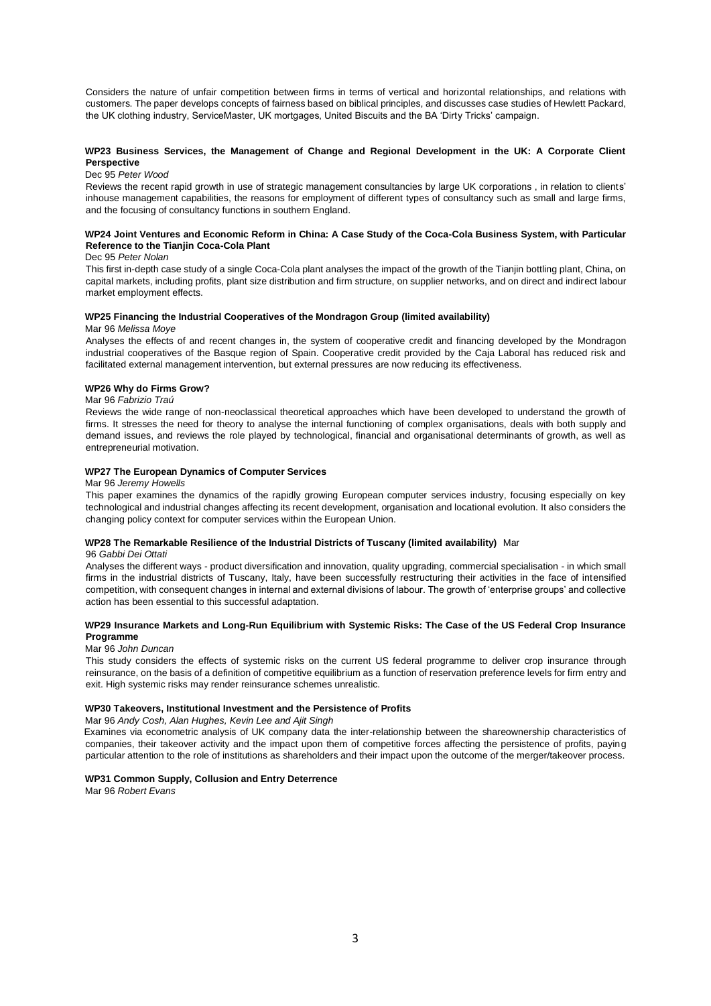Considers the nature of unfair competition between firms in terms of vertical and horizontal relationships, and relations with customers. The paper develops concepts of fairness based on biblical principles, and discusses case studies of Hewlett Packard, the UK clothing industry, ServiceMaster, UK mortgages, United Biscuits and the BA 'Dirty Tricks' campaign.

### **WP23 Business Services, the Management of Change and Regional Development in the UK: A Corporate Client Perspective**

### Dec 95 *Peter Wood*

Reviews the recent rapid growth in use of strategic management consultancies by large UK corporations , in relation to clients' inhouse management capabilities, the reasons for employment of different types of consultancy such as small and large firms, and the focusing of consultancy functions in southern England.

### **WP24 Joint Ventures and Economic Reform in China: A Case Study of the Coca-Cola Business System, with Particular Reference to the Tianjin Coca-Cola Plant**

## Dec 95 *Peter Nolan*

This first in-depth case study of a single Coca-Cola plant analyses the impact of the growth of the Tianjin bottling plant, China, on capital markets, including profits, plant size distribution and firm structure, on supplier networks, and on direct and indirect labour market employment effects.

#### **WP25 Financing the Industrial Cooperatives of the Mondragon Group (limited availability)**

#### Mar 96 *Melissa Moye*

Analyses the effects of and recent changes in, the system of cooperative credit and financing developed by the Mondragon industrial cooperatives of the Basque region of Spain. Cooperative credit provided by the Caja Laboral has reduced risk and facilitated external management intervention, but external pressures are now reducing its effectiveness.

#### **WP26 Why do Firms Grow?**

#### Mar 96 *Fabrizio Traú*

Reviews the wide range of non-neoclassical theoretical approaches which have been developed to understand the growth of firms. It stresses the need for theory to analyse the internal functioning of complex organisations, deals with both supply and demand issues, and reviews the role played by technological, financial and organisational determinants of growth, as well as entrepreneurial motivation.

#### **WP27 The European Dynamics of Computer Services**

#### Mar 96 *Jeremy Howells*

This paper examines the dynamics of the rapidly growing European computer services industry, focusing especially on key technological and industrial changes affecting its recent development, organisation and locational evolution. It also considers the changing policy context for computer services within the European Union.

### **WP28 The Remarkable Resilience of the Industrial Districts of Tuscany (limited availability)** Mar

#### 96 *Gabbi Dei Ottati*

Analyses the different ways - product diversification and innovation, quality upgrading, commercial specialisation - in which small firms in the industrial districts of Tuscany, Italy, have been successfully restructuring their activities in the face of intensified competition, with consequent changes in internal and external divisions of labour. The growth of 'enterprise groups' and collective action has been essential to this successful adaptation.

#### **WP29 Insurance Markets and Long-Run Equilibrium with Systemic Risks: The Case of the US Federal Crop Insurance Programme**

#### Mar 96 *John Duncan*

This study considers the effects of systemic risks on the current US federal programme to deliver crop insurance through reinsurance, on the basis of a definition of competitive equilibrium as a function of reservation preference levels for firm entry and exit. High systemic risks may render reinsurance schemes unrealistic.

#### **WP30 Takeovers, Institutional Investment and the Persistence of Profits**

Mar 96 *Andy Cosh, Alan Hughes, Kevin Lee and Ajit Singh* 

Examines via econometric analysis of UK company data the inter-relationship between the shareownership characteristics of companies, their takeover activity and the impact upon them of competitive forces affecting the persistence of profits, paying particular attention to the role of institutions as shareholders and their impact upon the outcome of the merger/takeover process.

#### **WP31 Common Supply, Collusion and Entry Deterrence**

Mar 96 *Robert Evans*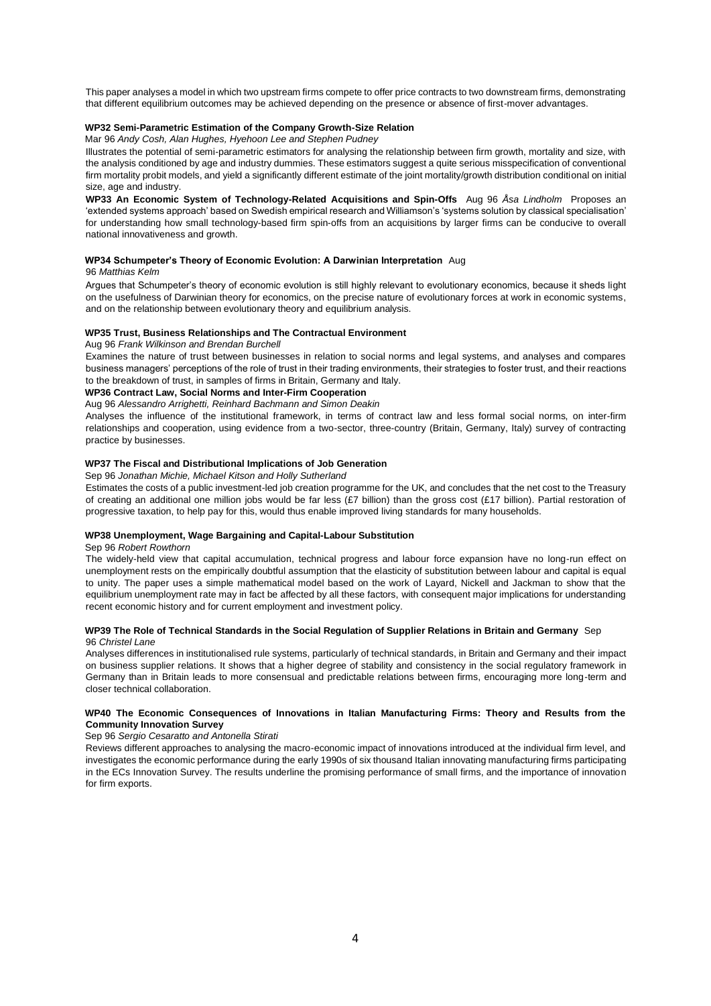This paper analyses a model in which two upstream firms compete to offer price contracts to two downstream firms, demonstrating that different equilibrium outcomes may be achieved depending on the presence or absence of first-mover advantages.

## **WP32 Semi-Parametric Estimation of the Company Growth-Size Relation**

Mar 96 *Andy Cosh, Alan Hughes, Hyehoon Lee and Stephen Pudney* 

Illustrates the potential of semi-parametric estimators for analysing the relationship between firm growth, mortality and size, with the analysis conditioned by age and industry dummies. These estimators suggest a quite serious misspecification of conventional firm mortality probit models, and yield a significantly different estimate of the joint mortality/growth distribution conditional on initial size, age and industry.

**WP33 An Economic System of Technology-Related Acquisitions and Spin-Offs** Aug 96 *Åsa Lindholm* Proposes an 'extended systems approach' based on Swedish empirical research and Williamson's 'systems solution by classical specialisation' for understanding how small technology-based firm spin-offs from an acquisitions by larger firms can be conducive to overall national innovativeness and growth.

#### **WP34 Schumpeter's Theory of Economic Evolution: A Darwinian Interpretation** Aug

## 96 *Matthias Kelm*

Argues that Schumpeter's theory of economic evolution is still highly relevant to evolutionary economics, because it sheds light on the usefulness of Darwinian theory for economics, on the precise nature of evolutionary forces at work in economic systems, and on the relationship between evolutionary theory and equilibrium analysis.

## **WP35 Trust, Business Relationships and The Contractual Environment**

#### Aug 96 *Frank Wilkinson and Brendan Burchell*

Examines the nature of trust between businesses in relation to social norms and legal systems, and analyses and compares business managers' perceptions of the role of trust in their trading environments, their strategies to foster trust, and their reactions to the breakdown of trust, in samples of firms in Britain, Germany and Italy.

## **WP36 Contract Law, Social Norms and Inter-Firm Cooperation**

Aug 96 *Alessandro Arrighetti, Reinhard Bachmann and Simon Deakin* 

Analyses the influence of the institutional framework, in terms of contract law and less formal social norms, on inter-firm relationships and cooperation, using evidence from a two-sector, three-country (Britain, Germany, Italy) survey of contracting practice by businesses.

## **WP37 The Fiscal and Distributional Implications of Job Generation**

Sep 96 *Jonathan Michie, Michael Kitson and Holly Sutherland* 

Estimates the costs of a public investment-led job creation programme for the UK, and concludes that the net cost to the Treasury of creating an additional one million jobs would be far less (£7 billion) than the gross cost (£17 billion). Partial restoration of progressive taxation, to help pay for this, would thus enable improved living standards for many households.

#### **WP38 Unemployment, Wage Bargaining and Capital-Labour Substitution**

### Sep 96 *Robert Rowthorn*

The widely-held view that capital accumulation, technical progress and labour force expansion have no long-run effect on unemployment rests on the empirically doubtful assumption that the elasticity of substitution between labour and capital is equal to unity. The paper uses a simple mathematical model based on the work of Layard, Nickell and Jackman to show that the equilibrium unemployment rate may in fact be affected by all these factors, with consequent major implications for understanding recent economic history and for current employment and investment policy.

#### **WP39 The Role of Technical Standards in the Social Regulation of Supplier Relations in Britain and Germany** Sep 96 *Christel Lane*

Analyses differences in institutionalised rule systems, particularly of technical standards, in Britain and Germany and their impact on business supplier relations. It shows that a higher degree of stability and consistency in the social regulatory framework in Germany than in Britain leads to more consensual and predictable relations between firms, encouraging more long-term and closer technical collaboration.

### **WP40 The Economic Consequences of Innovations in Italian Manufacturing Firms: Theory and Results from the Community Innovation Survey**

### Sep 96 *Sergio Cesaratto and Antonella Stirati*

Reviews different approaches to analysing the macro-economic impact of innovations introduced at the individual firm level, and investigates the economic performance during the early 1990s of six thousand Italian innovating manufacturing firms participating in the ECs Innovation Survey. The results underline the promising performance of small firms, and the importance of innovation for firm exports.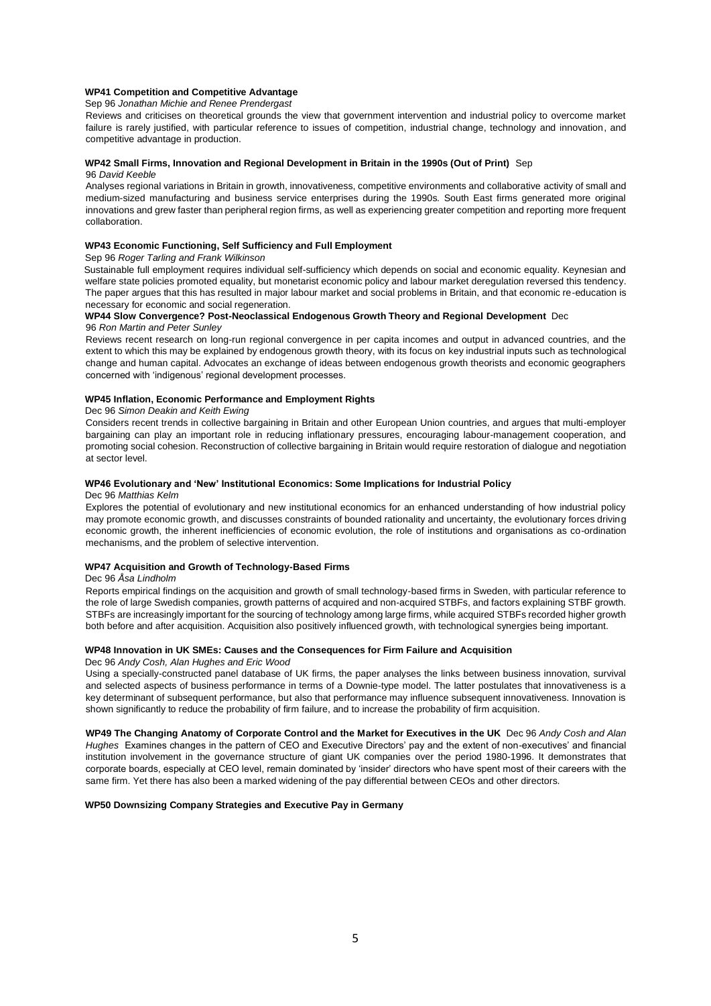### **WP41 Competition and Competitive Advantage**

Sep 96 *Jonathan Michie and Renee Prendergast* 

Reviews and criticises on theoretical grounds the view that government intervention and industrial policy to overcome market failure is rarely justified, with particular reference to issues of competition, industrial change, technology and innovation, and competitive advantage in production.

### **WP42 Small Firms, Innovation and Regional Development in Britain in the 1990s (Out of Print)** Sep

#### 96 *David Keeble*

Analyses regional variations in Britain in growth, innovativeness, competitive environments and collaborative activity of small and medium-sized manufacturing and business service enterprises during the 1990s. South East firms generated more original innovations and grew faster than peripheral region firms, as well as experiencing greater competition and reporting more frequent collaboration.

#### **WP43 Economic Functioning, Self Sufficiency and Full Employment**

#### Sep 96 *Roger Tarling and Frank Wilkinson*

Sustainable full employment requires individual self-sufficiency which depends on social and economic equality. Keynesian and welfare state policies promoted equality, but monetarist economic policy and labour market deregulation reversed this tendency. The paper argues that this has resulted in major labour market and social problems in Britain, and that economic re-education is necessary for economic and social regeneration.

### **WP44 Slow Convergence? Post-Neoclassical Endogenous Growth Theory and Regional Development** Dec 96 *Ron Martin and Peter Sunley*

Reviews recent research on long-run regional convergence in per capita incomes and output in advanced countries, and the extent to which this may be explained by endogenous growth theory, with its focus on key industrial inputs such as technological change and human capital. Advocates an exchange of ideas between endogenous growth theorists and economic geographers concerned with 'indigenous' regional development processes.

## **WP45 Inflation, Economic Performance and Employment Rights**

## Dec 96 *Simon Deakin and Keith Ewing*

Considers recent trends in collective bargaining in Britain and other European Union countries, and argues that multi-employer bargaining can play an important role in reducing inflationary pressures, encouraging labour-management cooperation, and promoting social cohesion. Reconstruction of collective bargaining in Britain would require restoration of dialogue and negotiation at sector level.

## **WP46 Evolutionary and 'New' Institutional Economics: Some Implications for Industrial Policy**

#### Dec 96 *Matthias Kelm*

Explores the potential of evolutionary and new institutional economics for an enhanced understanding of how industrial policy may promote economic growth, and discusses constraints of bounded rationality and uncertainty, the evolutionary forces driving economic growth, the inherent inefficiencies of economic evolution, the role of institutions and organisations as co-ordination mechanisms, and the problem of selective intervention.

### **WP47 Acquisition and Growth of Technology-Based Firms**

### Dec 96 *Åsa Lindholm*

Reports empirical findings on the acquisition and growth of small technology-based firms in Sweden, with particular reference to the role of large Swedish companies, growth patterns of acquired and non-acquired STBFs, and factors explaining STBF growth. STBFs are increasingly important for the sourcing of technology among large firms, while acquired STBFs recorded higher growth both before and after acquisition. Acquisition also positively influenced growth, with technological synergies being important.

## **WP48 Innovation in UK SMEs: Causes and the Consequences for Firm Failure and Acquisition**

### Dec 96 *Andy Cosh, Alan Hughes and Eric Wood*

Using a specially-constructed panel database of UK firms, the paper analyses the links between business innovation, survival and selected aspects of business performance in terms of a Downie-type model. The latter postulates that innovativeness is a key determinant of subsequent performance, but also that performance may influence subsequent innovativeness. Innovation is shown significantly to reduce the probability of firm failure, and to increase the probability of firm acquisition.

**WP49 The Changing Anatomy of Corporate Control and the Market for Executives in the UK** Dec 96 *Andy Cosh and Alan Hughes* Examines changes in the pattern of CEO and Executive Directors' pay and the extent of non-executives' and financial institution involvement in the governance structure of giant UK companies over the period 1980-1996. It demonstrates that corporate boards, especially at CEO level, remain dominated by 'insider' directors who have spent most of their careers with the same firm. Yet there has also been a marked widening of the pay differential between CEOs and other directors.

## **WP50 Downsizing Company Strategies and Executive Pay in Germany**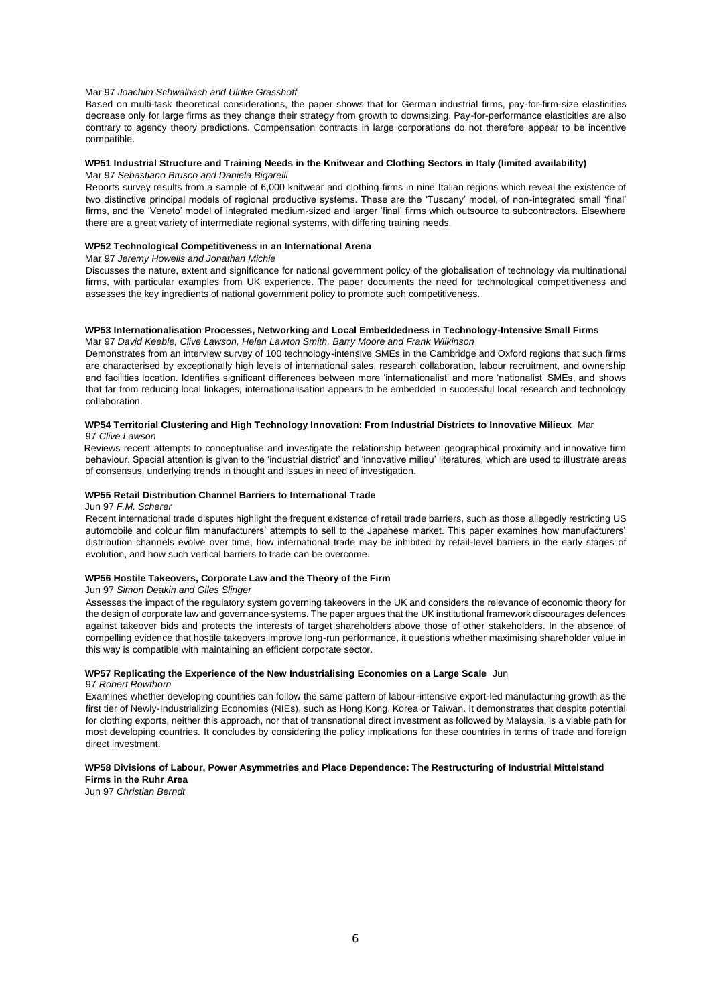## Mar 97 *Joachim Schwalbach and Ulrike Grasshoff*

Based on multi-task theoretical considerations, the paper shows that for German industrial firms, pay-for-firm-size elasticities decrease only for large firms as they change their strategy from growth to downsizing. Pay-for-performance elasticities are also contrary to agency theory predictions. Compensation contracts in large corporations do not therefore appear to be incentive compatible.

## **WP51 Industrial Structure and Training Needs in the Knitwear and Clothing Sectors in Italy (limited availability)**

#### Mar 97 *Sebastiano Brusco and Daniela Bigarelli*

Reports survey results from a sample of 6,000 knitwear and clothing firms in nine Italian regions which reveal the existence of two distinctive principal models of regional productive systems. These are the 'Tuscany' model, of non-integrated small 'final' firms, and the 'Veneto' model of integrated medium-sized and larger 'final' firms which outsource to subcontractors. Elsewhere there are a great variety of intermediate regional systems, with differing training needs.

### **WP52 Technological Competitiveness in an International Arena**

#### Mar 97 *Jeremy Howells and Jonathan Michie*

Discusses the nature, extent and significance for national government policy of the globalisation of technology via multinational firms, with particular examples from UK experience. The paper documents the need for technological competitiveness and assesses the key ingredients of national government policy to promote such competitiveness.

## **WP53 Internationalisation Processes, Networking and Local Embeddedness in Technology-Intensive Small Firms**

Mar 97 *David Keeble, Clive Lawson, Helen Lawton Smith, Barry Moore and Frank Wilkinson* 

Demonstrates from an interview survey of 100 technology-intensive SMEs in the Cambridge and Oxford regions that such firms are characterised by exceptionally high levels of international sales, research collaboration, labour recruitment, and ownership and facilities location. Identifies significant differences between more 'internationalist' and more 'nationalist' SMEs, and shows that far from reducing local linkages, internationalisation appears to be embedded in successful local research and technology collaboration.

### **WP54 Territorial Clustering and High Technology Innovation: From Industrial Districts to Innovative Milieux** Mar 97 *Clive Lawson*

Reviews recent attempts to conceptualise and investigate the relationship between geographical proximity and innovative firm behaviour. Special attention is given to the 'industrial district' and 'innovative milieu' literatures, which are used to illustrate areas of consensus, underlying trends in thought and issues in need of investigation.

### **WP55 Retail Distribution Channel Barriers to International Trade**

## Jun 97 *F.M. Scherer*

Recent international trade disputes highlight the frequent existence of retail trade barriers, such as those allegedly restricting US automobile and colour film manufacturers' attempts to sell to the Japanese market. This paper examines how manufacturers' distribution channels evolve over time, how international trade may be inhibited by retail-level barriers in the early stages of evolution, and how such vertical barriers to trade can be overcome.

#### **WP56 Hostile Takeovers, Corporate Law and the Theory of the Firm**

#### Jun 97 *Simon Deakin and Giles Slinger*

Assesses the impact of the regulatory system governing takeovers in the UK and considers the relevance of economic theory for the design of corporate law and governance systems. The paper argues that the UK institutional framework discourages defences against takeover bids and protects the interests of target shareholders above those of other stakeholders. In the absence of compelling evidence that hostile takeovers improve long-run performance, it questions whether maximising shareholder value in this way is compatible with maintaining an efficient corporate sector.

#### **WP57 Replicating the Experience of the New Industrialising Economies on a Large Scale** Jun

## 97 *Robert Rowthorn*

Examines whether developing countries can follow the same pattern of labour-intensive export-led manufacturing growth as the first tier of Newly-Industrializing Economies (NIEs), such as Hong Kong, Korea or Taiwan. It demonstrates that despite potential for clothing exports, neither this approach, nor that of transnational direct investment as followed by Malaysia, is a viable path for most developing countries. It concludes by considering the policy implications for these countries in terms of trade and foreign direct investment.

#### **WP58 Divisions of Labour, Power Asymmetries and Place Dependence: The Restructuring of Industrial Mittelstand Firms in the Ruhr Area**

Jun 97 *Christian Berndt*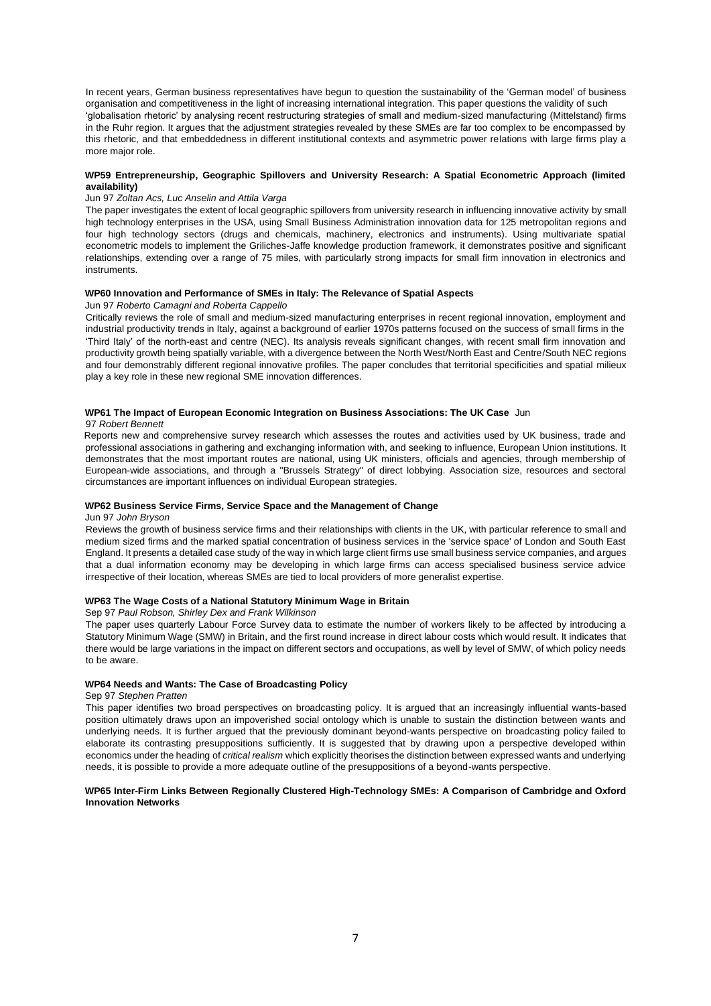In recent years, German business representatives have begun to question the sustainability of the 'German model' of business organisation and competitiveness in the light of increasing international integration. This paper questions the validity of such 'globalisation rhetoric' by analysing recent restructuring strategies of small and medium-sized manufacturing (Mittelstand) firms in the Ruhr region. It argues that the adjustment strategies revealed by these SMEs are far too complex to be encompassed by this rhetoric, and that embeddedness in different institutional contexts and asymmetric power relations with large firms play a more major role.

### **WP59 Entrepreneurship, Geographic Spillovers and University Research: A Spatial Econometric Approach (limited availability)**

### Jun 97 *Zoltan Acs, Luc Anselin and Attila Varga*

The paper investigates the extent of local geographic spillovers from university research in influencing innovative activity by small high technology enterprises in the USA, using Small Business Administration innovation data for 125 metropolitan regions and four high technology sectors (drugs and chemicals, machinery, electronics and instruments). Using multivariate spatial econometric models to implement the Griliches-Jaffe knowledge production framework, it demonstrates positive and significant relationships, extending over a range of 75 miles, with particularly strong impacts for small firm innovation in electronics and instruments.

### **WP60 Innovation and Performance of SMEs in Italy: The Relevance of Spatial Aspects**

#### Jun 97 *Roberto Camagni and Roberta Cappello*

Critically reviews the role of small and medium-sized manufacturing enterprises in recent regional innovation, employment and industrial productivity trends in Italy, against a background of earlier 1970s patterns focused on the success of small firms in the 'Third Italy' of the north-east and centre (NEC). Its analysis reveals significant changes, with recent small firm innovation and productivity growth being spatially variable, with a divergence between the North West/North East and Centre/South NEC regions and four demonstrably different regional innovative profiles. The paper concludes that territorial specificities and spatial milieux play a key role in these new regional SME innovation differences.

#### **WP61 The Impact of European Economic Integration on Business Associations: The UK Case** Jun

## 97 *Robert Bennett*

Reports new and comprehensive survey research which assesses the routes and activities used by UK business, trade and professional associations in gathering and exchanging information with, and seeking to influence, European Union institutions. It demonstrates that the most important routes are national, using UK ministers, officials and agencies, through membership of European-wide associations, and through a "Brussels Strategy" of direct lobbying. Association size, resources and sectoral circumstances are important influences on individual European strategies.

#### **WP62 Business Service Firms, Service Space and the Management of Change**

### Jun 97 *John Bryson*

Reviews the growth of business service firms and their relationships with clients in the UK, with particular reference to small and medium sized firms and the marked spatial concentration of business services in the 'service space' of London and South East England. It presents a detailed case study of the way in which large client firms use small business service companies, and argues that a dual information economy may be developing in which large firms can access specialised business service advice irrespective of their location, whereas SMEs are tied to local providers of more generalist expertise.

#### **WP63 The Wage Costs of a National Statutory Minimum Wage in Britain**

### Sep 97 *Paul Robson, Shirley Dex and Frank Wilkinson*

The paper uses quarterly Labour Force Survey data to estimate the number of workers likely to be affected by introducing a Statutory Minimum Wage (SMW) in Britain, and the first round increase in direct labour costs which would result. It indicates that there would be large variations in the impact on different sectors and occupations, as well by level of SMW, of which policy needs to be aware.

#### **WP64 Needs and Wants: The Case of Broadcasting Policy**

#### Sep 97 *Stephen Pratten*

This paper identifies two broad perspectives on broadcasting policy. It is argued that an increasingly influential wants-based position ultimately draws upon an impoverished social ontology which is unable to sustain the distinction between wants and underlying needs. It is further argued that the previously dominant beyond-wants perspective on broadcasting policy failed to elaborate its contrasting presuppositions sufficiently. It is suggested that by drawing upon a perspective developed within economics under the heading of *critical realism* which explicitly theorises the distinction between expressed wants and underlying needs, it is possible to provide a more adequate outline of the presuppositions of a beyond-wants perspective.

### **WP65 Inter-Firm Links Between Regionally Clustered High-Technology SMEs: A Comparison of Cambridge and Oxford Innovation Networks**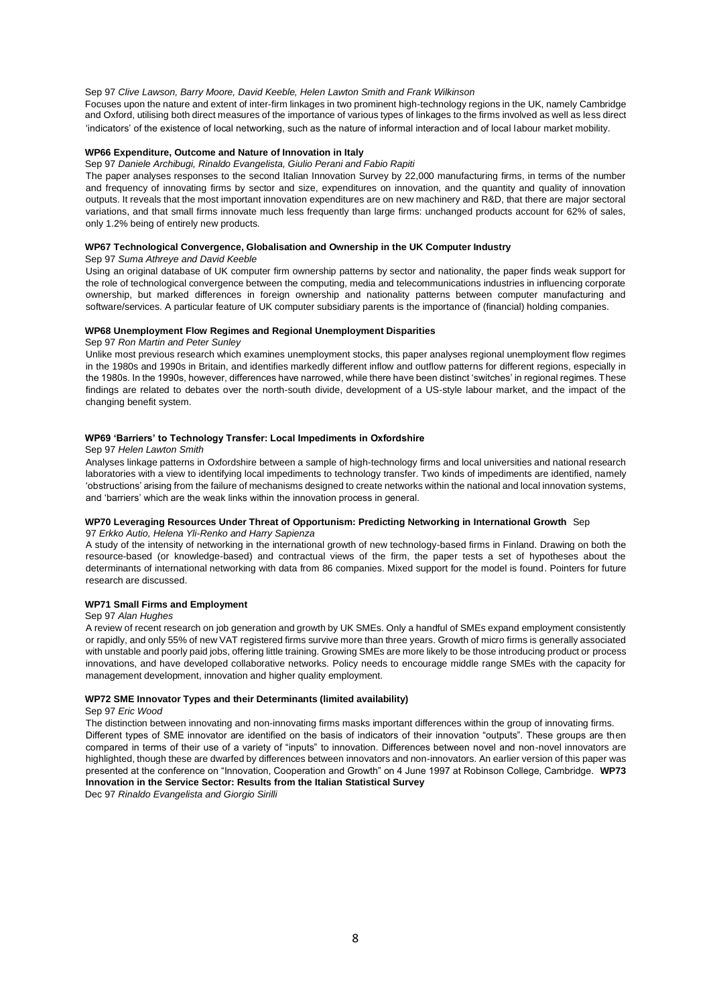#### Sep 97 *Clive Lawson, Barry Moore, David Keeble, Helen Lawton Smith and Frank Wilkinson*

Focuses upon the nature and extent of inter-firm linkages in two prominent high-technology regions in the UK, namely Cambridge and Oxford, utilising both direct measures of the importance of various types of linkages to the firms involved as well as less direct 'indicators' of the existence of local networking, such as the nature of informal interaction and of local labour market mobility.

## **WP66 Expenditure, Outcome and Nature of Innovation in Italy**

#### Sep 97 *Daniele Archibugi, Rinaldo Evangelista, Giulio Perani and Fabio Rapiti*

The paper analyses responses to the second Italian Innovation Survey by 22,000 manufacturing firms, in terms of the number and frequency of innovating firms by sector and size, expenditures on innovation, and the quantity and quality of innovation outputs. It reveals that the most important innovation expenditures are on new machinery and R&D, that there are major sectoral variations, and that small firms innovate much less frequently than large firms: unchanged products account for 62% of sales, only 1.2% being of entirely new products.

#### **WP67 Technological Convergence, Globalisation and Ownership in the UK Computer Industry**

#### Sep 97 *Suma Athreye and David Keeble*

Using an original database of UK computer firm ownership patterns by sector and nationality, the paper finds weak support for the role of technological convergence between the computing, media and telecommunications industries in influencing corporate ownership, but marked differences in foreign ownership and nationality patterns between computer manufacturing and software/services. A particular feature of UK computer subsidiary parents is the importance of (financial) holding companies.

#### **WP68 Unemployment Flow Regimes and Regional Unemployment Disparities**

#### Sep 97 *Ron Martin and Peter Sunley*

Unlike most previous research which examines unemployment stocks, this paper analyses regional unemployment flow regimes in the 1980s and 1990s in Britain, and identifies markedly different inflow and outflow patterns for different regions, especially in the 1980s. In the 1990s, however, differences have narrowed, while there have been distinct 'switches' in regional regimes. These findings are related to debates over the north-south divide, development of a US-style labour market, and the impact of the changing benefit system.

#### **WP69 'Barriers' to Technology Transfer: Local Impediments in Oxfordshire**

#### Sep 97 *Helen Lawton Smith*

Analyses linkage patterns in Oxfordshire between a sample of high-technology firms and local universities and national research laboratories with a view to identifying local impediments to technology transfer. Two kinds of impediments are identified, namely 'obstructions' arising from the failure of mechanisms designed to create networks within the national and local innovation systems, and 'barriers' which are the weak links within the innovation process in general.

## **WP70 Leveraging Resources Under Threat of Opportunism: Predicting Networking in International Growth** Sep

#### 97 *Erkko Autio, Helena Yli-Renko and Harry Sapienza*

A study of the intensity of networking in the international growth of new technology-based firms in Finland. Drawing on both the resource-based (or knowledge-based) and contractual views of the firm, the paper tests a set of hypotheses about the determinants of international networking with data from 86 companies. Mixed support for the model is found. Pointers for future research are discussed.

## **WP71 Small Firms and Employment**

## Sep 97 *Alan Hughes*

A review of recent research on job generation and growth by UK SMEs. Only a handful of SMEs expand employment consistently or rapidly, and only 55% of new VAT registered firms survive more than three years. Growth of micro firms is generally associated with unstable and poorly paid jobs, offering little training. Growing SMEs are more likely to be those introducing product or process innovations, and have developed collaborative networks. Policy needs to encourage middle range SMEs with the capacity for management development, innovation and higher quality employment.

### **WP72 SME Innovator Types and their Determinants (limited availability)**

### Sep 97 *Eric Wood*

The distinction between innovating and non-innovating firms masks important differences within the group of innovating firms. Different types of SME innovator are identified on the basis of indicators of their innovation "outputs". These groups are then compared in terms of their use of a variety of "inputs" to innovation. Differences between novel and non-novel innovators are highlighted, though these are dwarfed by differences between innovators and non-innovators. An earlier version of this paper was presented at the conference on "Innovation, Cooperation and Growth" on 4 June 1997 at Robinson College, Cambridge. **WP73 Innovation in the Service Sector: Results from the Italian Statistical Survey** 

Dec 97 *Rinaldo Evangelista and Giorgio Sirilli*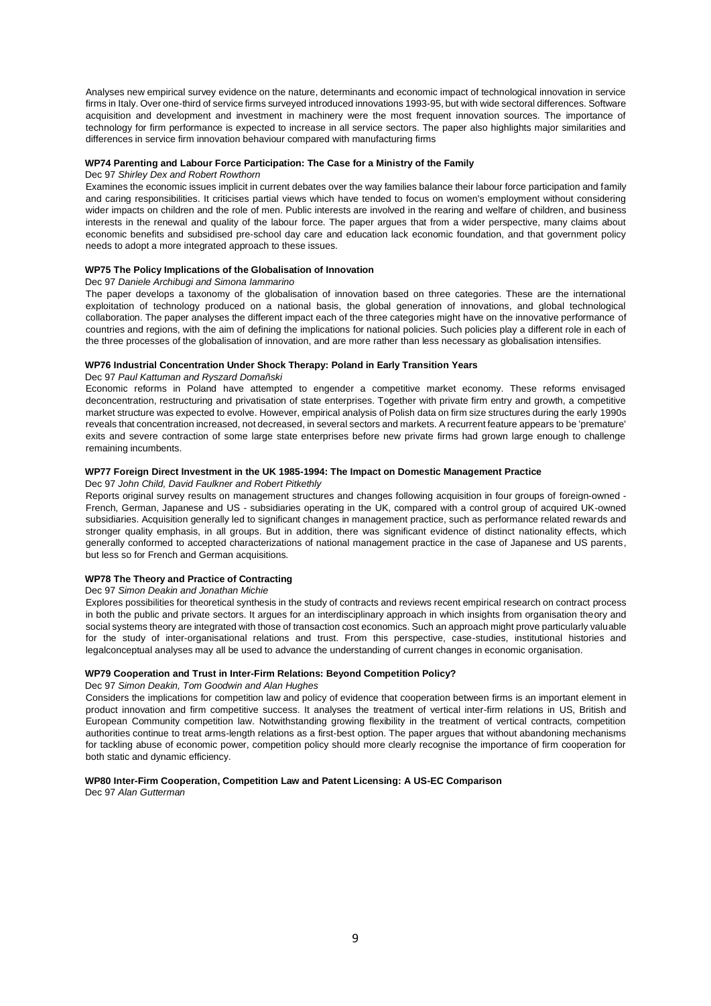Analyses new empirical survey evidence on the nature, determinants and economic impact of technological innovation in service firms in Italy. Over one-third of service firms surveyed introduced innovations 1993-95, but with wide sectoral differences. Software acquisition and development and investment in machinery were the most frequent innovation sources. The importance of technology for firm performance is expected to increase in all service sectors. The paper also highlights major similarities and differences in service firm innovation behaviour compared with manufacturing firms

#### **WP74 Parenting and Labour Force Participation: The Case for a Ministry of the Family**

#### Dec 97 *Shirley Dex and Robert Rowthorn*

Examines the economic issues implicit in current debates over the way families balance their labour force participation and family and caring responsibilities. It criticises partial views which have tended to focus on women's employment without considering wider impacts on children and the role of men. Public interests are involved in the rearing and welfare of children, and business interests in the renewal and quality of the labour force. The paper argues that from a wider perspective, many claims about economic benefits and subsidised pre-school day care and education lack economic foundation, and that government policy needs to adopt a more integrated approach to these issues.

## **WP75 The Policy Implications of the Globalisation of Innovation**

Dec 97 *Daniele Archibugi and Simona Iammarino* 

The paper develops a taxonomy of the globalisation of innovation based on three categories. These are the international exploitation of technology produced on a national basis, the global generation of innovations, and global technological collaboration. The paper analyses the different impact each of the three categories might have on the innovative performance of countries and regions, with the aim of defining the implications for national policies. Such policies play a different role in each of the three processes of the globalisation of innovation, and are more rather than less necessary as globalisation intensifies.

### **WP76 Industrial Concentration Under Shock Therapy: Poland in Early Transition Years**

Dec 97 *Paul Kattuman and Ryszard Domañski* 

Economic reforms in Poland have attempted to engender a competitive market economy. These reforms envisaged deconcentration, restructuring and privatisation of state enterprises. Together with private firm entry and growth, a competitive market structure was expected to evolve. However, empirical analysis of Polish data on firm size structures during the early 1990s reveals that concentration increased, not decreased, in several sectors and markets. A recurrent feature appears to be 'premature' exits and severe contraction of some large state enterprises before new private firms had grown large enough to challenge remaining incumbents.

#### **WP77 Foreign Direct Investment in the UK 1985-1994: The Impact on Domestic Management Practice**

Dec 97 *John Child, David Faulkner and Robert Pitkethly* 

Reports original survey results on management structures and changes following acquisition in four groups of foreign-owned - French, German, Japanese and US - subsidiaries operating in the UK, compared with a control group of acquired UK-owned subsidiaries. Acquisition generally led to significant changes in management practice, such as performance related rewards and stronger quality emphasis, in all groups. But in addition, there was significant evidence of distinct nationality effects, which generally conformed to accepted characterizations of national management practice in the case of Japanese and US parents, but less so for French and German acquisitions.

#### **WP78 The Theory and Practice of Contracting**

#### Dec 97 *Simon Deakin and Jonathan Michie*

Explores possibilities for theoretical synthesis in the study of contracts and reviews recent empirical research on contract process in both the public and private sectors. It argues for an interdisciplinary approach in which insights from organisation theory and social systems theory are integrated with those of transaction cost economics. Such an approach might prove particularly valuable for the study of inter-organisational relations and trust. From this perspective, case-studies, institutional histories and legalconceptual analyses may all be used to advance the understanding of current changes in economic organisation.

### **WP79 Cooperation and Trust in Inter-Firm Relations: Beyond Competition Policy?**

Dec 97 *Simon Deakin, Tom Goodwin and Alan Hughes* 

Considers the implications for competition law and policy of evidence that cooperation between firms is an important element in product innovation and firm competitive success. It analyses the treatment of vertical inter-firm relations in US, British and European Community competition law. Notwithstanding growing flexibility in the treatment of vertical contracts, competition authorities continue to treat arms-length relations as a first-best option. The paper argues that without abandoning mechanisms for tackling abuse of economic power, competition policy should more clearly recognise the importance of firm cooperation for both static and dynamic efficiency.

**WP80 Inter-Firm Cooperation, Competition Law and Patent Licensing: A US-EC Comparison**  Dec 97 *Alan Gutterman*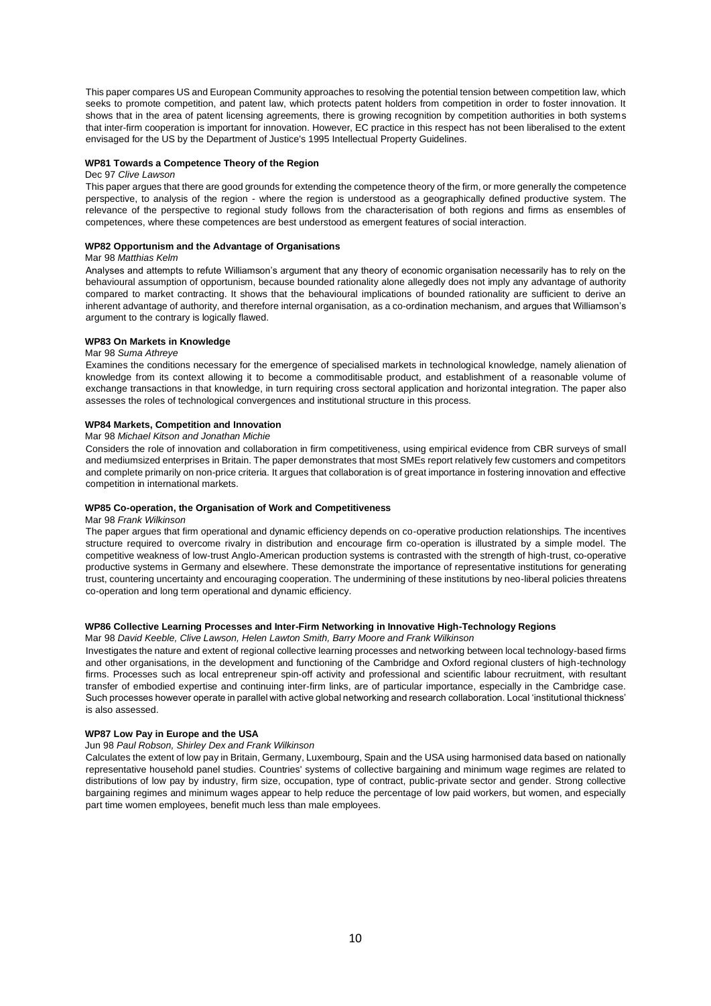This paper compares US and European Community approaches to resolving the potential tension between competition law, which seeks to promote competition, and patent law, which protects patent holders from competition in order to foster innovation. It shows that in the area of patent licensing agreements, there is growing recognition by competition authorities in both systems that inter-firm cooperation is important for innovation. However, EC practice in this respect has not been liberalised to the extent envisaged for the US by the Department of Justice's 1995 Intellectual Property Guidelines.

## **WP81 Towards a Competence Theory of the Region**

## Dec 97 *Clive Lawson*

This paper argues that there are good grounds for extending the competence theory of the firm, or more generally the competence perspective, to analysis of the region - where the region is understood as a geographically defined productive system. The relevance of the perspective to regional study follows from the characterisation of both regions and firms as ensembles of competences, where these competences are best understood as emergent features of social interaction.

#### **WP82 Opportunism and the Advantage of Organisations**

#### Mar 98 *Matthias Kelm*

Analyses and attempts to refute Williamson's argument that any theory of economic organisation necessarily has to rely on the behavioural assumption of opportunism, because bounded rationality alone allegedly does not imply any advantage of authority compared to market contracting. It shows that the behavioural implications of bounded rationality are sufficient to derive an inherent advantage of authority, and therefore internal organisation, as a co-ordination mechanism, and argues that Williamson's argument to the contrary is logically flawed.

#### **WP83 On Markets in Knowledge**

## Mar 98 *Suma Athreye*

Examines the conditions necessary for the emergence of specialised markets in technological knowledge, namely alienation of knowledge from its context allowing it to become a commoditisable product, and establishment of a reasonable volume of exchange transactions in that knowledge, in turn requiring cross sectoral application and horizontal integration. The paper also assesses the roles of technological convergences and institutional structure in this process.

## **WP84 Markets, Competition and Innovation**

## Mar 98 *Michael Kitson and Jonathan Michie*

Considers the role of innovation and collaboration in firm competitiveness, using empirical evidence from CBR surveys of small and mediumsized enterprises in Britain. The paper demonstrates that most SMEs report relatively few customers and competitors and complete primarily on non-price criteria. It argues that collaboration is of great importance in fostering innovation and effective competition in international markets.

#### **WP85 Co-operation, the Organisation of Work and Competitiveness**

#### Mar 98 *Frank Wilkinson*

The paper argues that firm operational and dynamic efficiency depends on co-operative production relationships. The incentives structure required to overcome rivalry in distribution and encourage firm co-operation is illustrated by a simple model. The competitive weakness of low-trust Anglo-American production systems is contrasted with the strength of high-trust, co-operative productive systems in Germany and elsewhere. These demonstrate the importance of representative institutions for generating trust, countering uncertainty and encouraging cooperation. The undermining of these institutions by neo-liberal policies threatens co-operation and long term operational and dynamic efficiency.

#### **WP86 Collective Learning Processes and Inter-Firm Networking in Innovative High-Technology Regions**

Mar 98 *David Keeble, Clive Lawson, Helen Lawton Smith, Barry Moore and Frank Wilkinson* 

Investigates the nature and extent of regional collective learning processes and networking between local technology-based firms and other organisations, in the development and functioning of the Cambridge and Oxford regional clusters of high-technology firms. Processes such as local entrepreneur spin-off activity and professional and scientific labour recruitment, with resultant transfer of embodied expertise and continuing inter-firm links, are of particular importance, especially in the Cambridge case. Such processes however operate in parallel with active global networking and research collaboration. Local 'institutional thickness' is also assessed.

#### **WP87 Low Pay in Europe and the USA**

#### Jun 98 *Paul Robson, Shirley Dex and Frank Wilkinson*

Calculates the extent of low pay in Britain, Germany, Luxembourg, Spain and the USA using harmonised data based on nationally representative household panel studies. Countries' systems of collective bargaining and minimum wage regimes are related to distributions of low pay by industry, firm size, occupation, type of contract, public-private sector and gender. Strong collective bargaining regimes and minimum wages appear to help reduce the percentage of low paid workers, but women, and especially part time women employees, benefit much less than male employees.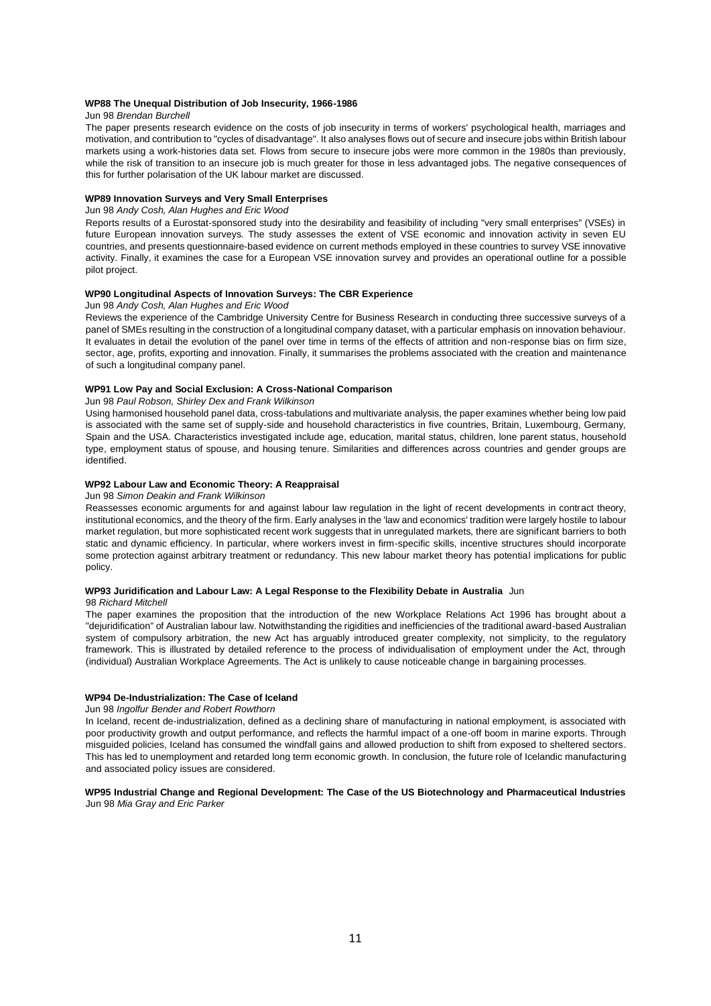#### **WP88 The Unequal Distribution of Job Insecurity, 1966-1986**

#### Jun 98 *Brendan Burchell*

The paper presents research evidence on the costs of job insecurity in terms of workers' psychological health, marriages and motivation, and contribution to "cycles of disadvantage". It also analyses flows out of secure and insecure jobs within British labour markets using a work-histories data set. Flows from secure to insecure jobs were more common in the 1980s than previously, while the risk of transition to an insecure job is much greater for those in less advantaged jobs. The negative consequences of this for further polarisation of the UK labour market are discussed.

### **WP89 Innovation Surveys and Very Small Enterprises**

#### Jun 98 *Andy Cosh, Alan Hughes and Eric Wood*

Reports results of a Eurostat-sponsored study into the desirability and feasibility of including "very small enterprises" (VSEs) in future European innovation surveys. The study assesses the extent of VSE economic and innovation activity in seven EU countries, and presents questionnaire-based evidence on current methods employed in these countries to survey VSE innovative activity. Finally, it examines the case for a European VSE innovation survey and provides an operational outline for a possible pilot project.

#### **WP90 Longitudinal Aspects of Innovation Surveys: The CBR Experience**

Jun 98 *Andy Cosh, Alan Hughes and Eric Wood* 

Reviews the experience of the Cambridge University Centre for Business Research in conducting three successive surveys of a panel of SMEs resulting in the construction of a longitudinal company dataset, with a particular emphasis on innovation behaviour. It evaluates in detail the evolution of the panel over time in terms of the effects of attrition and non-response bias on firm size, sector, age, profits, exporting and innovation. Finally, it summarises the problems associated with the creation and maintenance of such a longitudinal company panel.

## **WP91 Low Pay and Social Exclusion: A Cross-National Comparison**

Jun 98 *Paul Robson, Shirley Dex and Frank Wilkinson* 

Using harmonised household panel data, cross-tabulations and multivariate analysis, the paper examines whether being low paid is associated with the same set of supply-side and household characteristics in five countries, Britain, Luxembourg, Germany, Spain and the USA. Characteristics investigated include age, education, marital status, children, lone parent status, household type, employment status of spouse, and housing tenure. Similarities and differences across countries and gender groups are identified.

#### **WP92 Labour Law and Economic Theory: A Reappraisal**

### Jun 98 *Simon Deakin and Frank Wilkinson*

Reassesses economic arguments for and against labour law regulation in the light of recent developments in contract theory, institutional economics, and the theory of the firm. Early analyses in the 'law and economics' tradition were largely hostile to labour market regulation, but more sophisticated recent work suggests that in unregulated markets, there are significant barriers to both static and dynamic efficiency. In particular, where workers invest in firm-specific skills, incentive structures should incorporate some protection against arbitrary treatment or redundancy. This new labour market theory has potential implications for public policy.

#### **WP93 Juridification and Labour Law: A Legal Response to the Flexibility Debate in Australia** Jun 98 *Richard Mitchell*

The paper examines the proposition that the introduction of the new Workplace Relations Act 1996 has brought about a "dejuridification" of Australian labour law. Notwithstanding the rigidities and inefficiencies of the traditional award-based Australian system of compulsory arbitration, the new Act has arguably introduced greater complexity, not simplicity, to the regulatory framework. This is illustrated by detailed reference to the process of individualisation of employment under the Act, through (individual) Australian Workplace Agreements. The Act is unlikely to cause noticeable change in bargaining processes.

## **WP94 De-Industrialization: The Case of Iceland**

Jun 98 *Ingolfur Bender and Robert Rowthorn* 

In Iceland, recent de-industrialization, defined as a declining share of manufacturing in national employment, is associated with poor productivity growth and output performance, and reflects the harmful impact of a one-off boom in marine exports. Through misguided policies, Iceland has consumed the windfall gains and allowed production to shift from exposed to sheltered sectors. This has led to unemployment and retarded long term economic growth. In conclusion, the future role of Icelandic manufacturing and associated policy issues are considered.

## **WP95 Industrial Change and Regional Development: The Case of the US Biotechnology and Pharmaceutical Industries**  Jun 98 *Mia Gray and Eric Parker*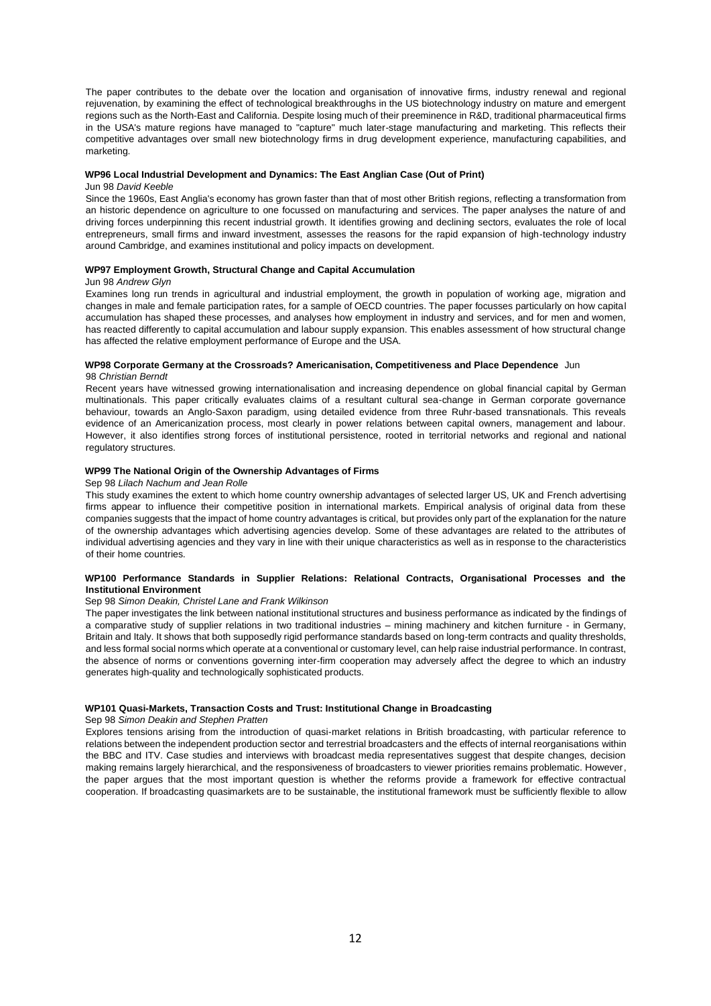The paper contributes to the debate over the location and organisation of innovative firms, industry renewal and regional rejuvenation, by examining the effect of technological breakthroughs in the US biotechnology industry on mature and emergent regions such as the North-East and California. Despite losing much of their preeminence in R&D, traditional pharmaceutical firms in the USA's mature regions have managed to "capture" much later-stage manufacturing and marketing. This reflects their competitive advantages over small new biotechnology firms in drug development experience, manufacturing capabilities, and marketing.

#### **WP96 Local Industrial Development and Dynamics: The East Anglian Case (Out of Print)**

#### Jun 98 *David Keeble*

Since the 1960s, East Anglia's economy has grown faster than that of most other British regions, reflecting a transformation from an historic dependence on agriculture to one focussed on manufacturing and services. The paper analyses the nature of and driving forces underpinning this recent industrial growth. It identifies growing and declining sectors, evaluates the role of local entrepreneurs, small firms and inward investment, assesses the reasons for the rapid expansion of high-technology industry around Cambridge, and examines institutional and policy impacts on development.

## **WP97 Employment Growth, Structural Change and Capital Accumulation**

#### Jun 98 *Andrew Glyn*

Examines long run trends in agricultural and industrial employment, the growth in population of working age, migration and changes in male and female participation rates, for a sample of OECD countries. The paper focusses particularly on how capital accumulation has shaped these processes, and analyses how employment in industry and services, and for men and women, has reacted differently to capital accumulation and labour supply expansion. This enables assessment of how structural change has affected the relative employment performance of Europe and the USA.

#### **WP98 Corporate Germany at the Crossroads? Americanisation, Competitiveness and Place Dependence** Jun 98 *Christian Berndt*

Recent years have witnessed growing internationalisation and increasing dependence on global financial capital by German multinationals. This paper critically evaluates claims of a resultant cultural sea-change in German corporate governance behaviour, towards an Anglo-Saxon paradigm, using detailed evidence from three Ruhr-based transnationals. This reveals evidence of an Americanization process, most clearly in power relations between capital owners, management and labour. However, it also identifies strong forces of institutional persistence, rooted in territorial networks and regional and national regulatory structures.

#### **WP99 The National Origin of the Ownership Advantages of Firms**

#### Sep 98 *Lilach Nachum and Jean Rolle*

This study examines the extent to which home country ownership advantages of selected larger US, UK and French advertising firms appear to influence their competitive position in international markets. Empirical analysis of original data from these companies suggests that the impact of home country advantages is critical, but provides only part of the explanation for the nature of the ownership advantages which advertising agencies develop. Some of these advantages are related to the attributes of individual advertising agencies and they vary in line with their unique characteristics as well as in response to the characteristics of their home countries.

### **WP100 Performance Standards in Supplier Relations: Relational Contracts, Organisational Processes and the Institutional Environment**

## Sep 98 *Simon Deakin, Christel Lane and Frank Wilkinson*

The paper investigates the link between national institutional structures and business performance as indicated by the findings of a comparative study of supplier relations in two traditional industries – mining machinery and kitchen furniture - in Germany, Britain and Italy. It shows that both supposedly rigid performance standards based on long-term contracts and quality thresholds, and less formal social norms which operate at a conventional or customary level, can help raise industrial performance. In contrast, the absence of norms or conventions governing inter-firm cooperation may adversely affect the degree to which an industry generates high-quality and technologically sophisticated products.

## **WP101 Quasi-Markets, Transaction Costs and Trust: Institutional Change in Broadcasting**

#### Sep 98 *Simon Deakin and Stephen Pratten*

Explores tensions arising from the introduction of quasi-market relations in British broadcasting, with particular reference to relations between the independent production sector and terrestrial broadcasters and the effects of internal reorganisations within the BBC and ITV. Case studies and interviews with broadcast media representatives suggest that despite changes, decision making remains largely hierarchical, and the responsiveness of broadcasters to viewer priorities remains problematic. However, the paper argues that the most important question is whether the reforms provide a framework for effective contractual cooperation. If broadcasting quasimarkets are to be sustainable, the institutional framework must be sufficiently flexible to allow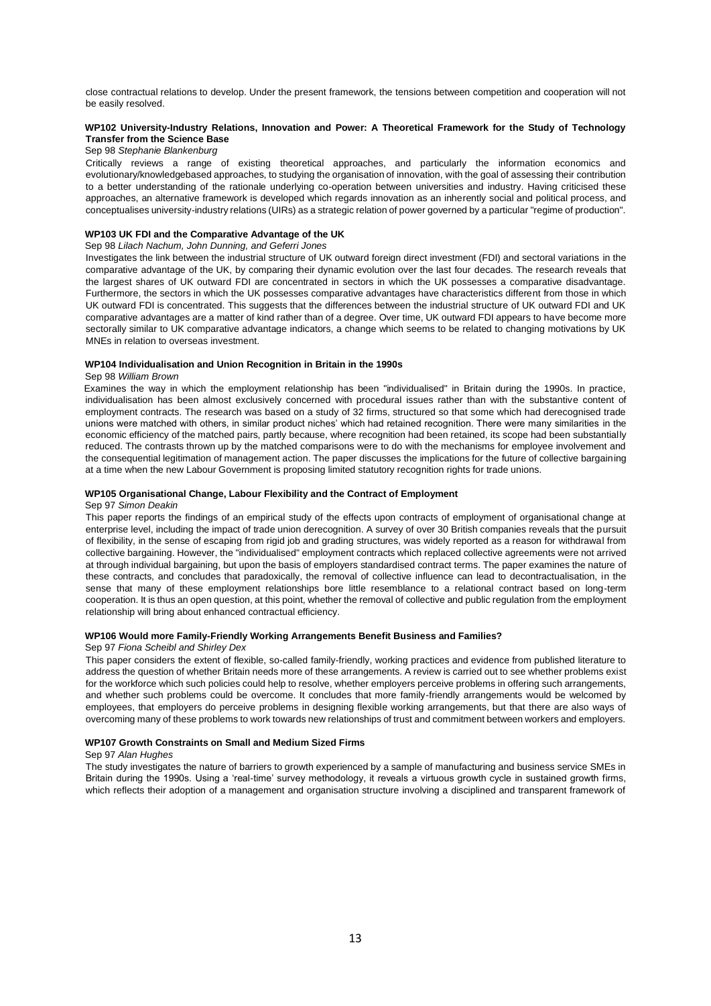close contractual relations to develop. Under the present framework, the tensions between competition and cooperation will not be easily resolved.

## **WP102 University-Industry Relations, Innovation and Power: A Theoretical Framework for the Study of Technology Transfer from the Science Base**

## Sep 98 *Stephanie Blankenburg*

Critically reviews a range of existing theoretical approaches, and particularly the information economics and evolutionary/knowledgebased approaches, to studying the organisation of innovation, with the goal of assessing their contribution to a better understanding of the rationale underlying co-operation between universities and industry. Having criticised these approaches, an alternative framework is developed which regards innovation as an inherently social and political process, and conceptualises university-industry relations (UIRs) as a strategic relation of power governed by a particular "regime of production".

### **WP103 UK FDI and the Comparative Advantage of the UK**

## Sep 98 *Lilach Nachum, John Dunning, and Geferri Jones*

Investigates the link between the industrial structure of UK outward foreign direct investment (FDI) and sectoral variations in the comparative advantage of the UK, by comparing their dynamic evolution over the last four decades. The research reveals that the largest shares of UK outward FDI are concentrated in sectors in which the UK possesses a comparative disadvantage. Furthermore, the sectors in which the UK possesses comparative advantages have characteristics different from those in which UK outward FDI is concentrated. This suggests that the differences between the industrial structure of UK outward FDI and UK comparative advantages are a matter of kind rather than of a degree. Over time, UK outward FDI appears to have become more sectorally similar to UK comparative advantage indicators, a change which seems to be related to changing motivations by UK MNEs in relation to overseas investment.

#### **WP104 Individualisation and Union Recognition in Britain in the 1990s**

## Sep 98 *William Brown*

Examines the way in which the employment relationship has been "individualised" in Britain during the 1990s. In practice, individualisation has been almost exclusively concerned with procedural issues rather than with the substantive content of employment contracts. The research was based on a study of 32 firms, structured so that some which had derecognised trade unions were matched with others, in similar product niches' which had retained recognition. There were many similarities in the economic efficiency of the matched pairs, partly because, where recognition had been retained, its scope had been substantially reduced. The contrasts thrown up by the matched comparisons were to do with the mechanisms for employee involvement and the consequential legitimation of management action. The paper discusses the implications for the future of collective bargaining at a time when the new Labour Government is proposing limited statutory recognition rights for trade unions.

#### **WP105 Organisational Change, Labour Flexibility and the Contract of Employment**

#### Sep 97 *Simon Deakin*

This paper reports the findings of an empirical study of the effects upon contracts of employment of organisational change at enterprise level, including the impact of trade union derecognition. A survey of over 30 British companies reveals that the pursuit of flexibility, in the sense of escaping from rigid job and grading structures, was widely reported as a reason for withdrawal from collective bargaining. However, the "individualised" employment contracts which replaced collective agreements were not arrived at through individual bargaining, but upon the basis of employers standardised contract terms. The paper examines the nature of these contracts, and concludes that paradoxically, the removal of collective influence can lead to decontractualisation, in the sense that many of these employment relationships bore little resemblance to a relational contract based on long-term cooperation. It is thus an open question, at this point, whether the removal of collective and public regulation from the employment relationship will bring about enhanced contractual efficiency.

#### **WP106 Would more Family-Friendly Working Arrangements Benefit Business and Families?**

#### Sep 97 *Fiona Scheibl and Shirley Dex*

This paper considers the extent of flexible, so-called family-friendly, working practices and evidence from published literature to address the question of whether Britain needs more of these arrangements. A review is carried out to see whether problems exist for the workforce which such policies could help to resolve, whether employers perceive problems in offering such arrangements, and whether such problems could be overcome. It concludes that more family-friendly arrangements would be welcomed by employees, that employers do perceive problems in designing flexible working arrangements, but that there are also ways of overcoming many of these problems to work towards new relationships of trust and commitment between workers and employers.

#### **WP107 Growth Constraints on Small and Medium Sized Firms**

#### Sep 97 *Alan Hughes*

The study investigates the nature of barriers to growth experienced by a sample of manufacturing and business service SMEs in Britain during the 1990s. Using a 'real-time' survey methodology, it reveals a virtuous growth cycle in sustained growth firms, which reflects their adoption of a management and organisation structure involving a disciplined and transparent framework of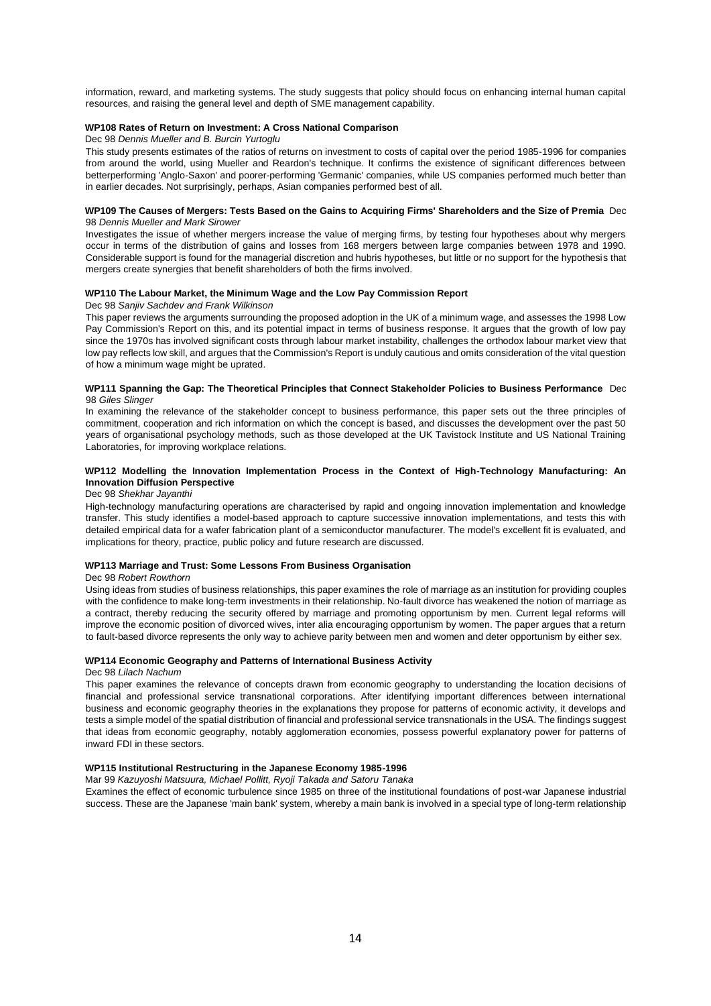information, reward, and marketing systems. The study suggests that policy should focus on enhancing internal human capital resources, and raising the general level and depth of SME management capability.

#### **WP108 Rates of Return on Investment: A Cross National Comparison**

Dec 98 *Dennis Mueller and B. Burcin Yurtoglu* 

This study presents estimates of the ratios of returns on investment to costs of capital over the period 1985-1996 for companies from around the world, using Mueller and Reardon's technique. It confirms the existence of significant differences between betterperforming 'Anglo-Saxon' and poorer-performing 'Germanic' companies, while US companies performed much better than in earlier decades. Not surprisingly, perhaps, Asian companies performed best of all.

#### **WP109 The Causes of Mergers: Tests Based on the Gains to Acquiring Firms' Shareholders and the Size of Premia** Dec 98 *Dennis Mueller and Mark Sirower*

Investigates the issue of whether mergers increase the value of merging firms, by testing four hypotheses about why mergers occur in terms of the distribution of gains and losses from 168 mergers between large companies between 1978 and 1990. Considerable support is found for the managerial discretion and hubris hypotheses, but little or no support for the hypothesis that mergers create synergies that benefit shareholders of both the firms involved.

### **WP110 The Labour Market, the Minimum Wage and the Low Pay Commission Report**

#### Dec 98 *Sanjiv Sachdev and Frank Wilkinson*

This paper reviews the arguments surrounding the proposed adoption in the UK of a minimum wage, and assesses the 1998 Low Pay Commission's Report on this, and its potential impact in terms of business response. It argues that the growth of low pay since the 1970s has involved significant costs through labour market instability, challenges the orthodox labour market view that low pay reflects low skill, and argues that the Commission's Report is unduly cautious and omits consideration of the vital question of how a minimum wage might be uprated.

#### **WP111 Spanning the Gap: The Theoretical Principles that Connect Stakeholder Policies to Business Performance** Dec 98 *Giles Slinger*

In examining the relevance of the stakeholder concept to business performance, this paper sets out the three principles of commitment, cooperation and rich information on which the concept is based, and discusses the development over the past 50 years of organisational psychology methods, such as those developed at the UK Tavistock Institute and US National Training Laboratories, for improving workplace relations.

## **WP112 Modelling the Innovation Implementation Process in the Context of High-Technology Manufacturing: An Innovation Diffusion Perspective**

## Dec 98 *Shekhar Jayanthi*

High-technology manufacturing operations are characterised by rapid and ongoing innovation implementation and knowledge transfer. This study identifies a model-based approach to capture successive innovation implementations, and tests this with detailed empirical data for a wafer fabrication plant of a semiconductor manufacturer. The model's excellent fit is evaluated, and implications for theory, practice, public policy and future research are discussed.

#### **WP113 Marriage and Trust: Some Lessons From Business Organisation**

#### Dec 98 *Robert Rowthorn*

Using ideas from studies of business relationships, this paper examines the role of marriage as an institution for providing couples with the confidence to make long-term investments in their relationship. No-fault divorce has weakened the notion of marriage as a contract, thereby reducing the security offered by marriage and promoting opportunism by men. Current legal reforms will improve the economic position of divorced wives, inter alia encouraging opportunism by women. The paper argues that a return to fault-based divorce represents the only way to achieve parity between men and women and deter opportunism by either sex.

#### **WP114 Economic Geography and Patterns of International Business Activity**

## Dec 98 *Lilach Nachum*

This paper examines the relevance of concepts drawn from economic geography to understanding the location decisions of financial and professional service transnational corporations. After identifying important differences between international business and economic geography theories in the explanations they propose for patterns of economic activity, it develops and tests a simple model of the spatial distribution of financial and professional service transnationals in the USA. The findings suggest that ideas from economic geography, notably agglomeration economies, possess powerful explanatory power for patterns of inward FDI in these sectors.

#### **WP115 Institutional Restructuring in the Japanese Economy 1985-1996**

Mar 99 *Kazuyoshi Matsuura, Michael Pollitt, Ryoji Takada and Satoru Tanaka* 

Examines the effect of economic turbulence since 1985 on three of the institutional foundations of post-war Japanese industrial success. These are the Japanese 'main bank' system, whereby a main bank is involved in a special type of long-term relationship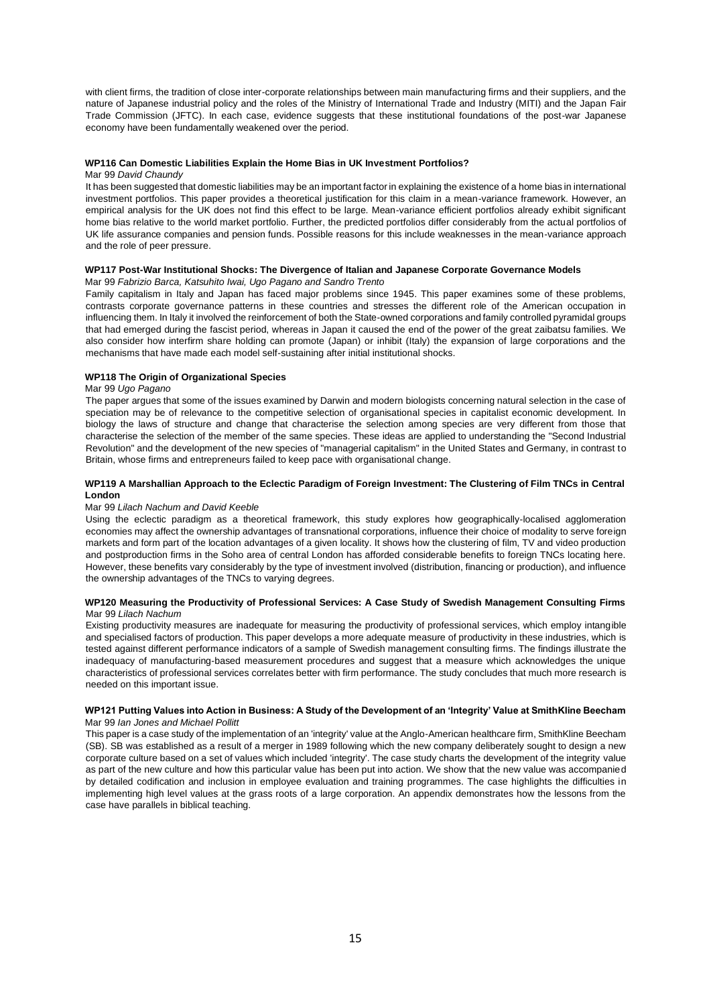with client firms, the tradition of close inter-corporate relationships between main manufacturing firms and their suppliers, and the nature of Japanese industrial policy and the roles of the Ministry of International Trade and Industry (MITI) and the Japan Fair Trade Commission (JFTC). In each case, evidence suggests that these institutional foundations of the post-war Japanese economy have been fundamentally weakened over the period.

### **WP116 Can Domestic Liabilities Explain the Home Bias in UK Investment Portfolios?**

#### Mar 99 *David Chaundy*

It has been suggested that domestic liabilities may be an important factor in explaining the existence of a home bias in international investment portfolios. This paper provides a theoretical justification for this claim in a mean-variance framework. However, an empirical analysis for the UK does not find this effect to be large. Mean-variance efficient portfolios already exhibit significant home bias relative to the world market portfolio. Further, the predicted portfolios differ considerably from the actual portfolios of UK life assurance companies and pension funds. Possible reasons for this include weaknesses in the mean-variance approach and the role of peer pressure.

## **WP117 Post-War Institutional Shocks: The Divergence of Italian and Japanese Corporate Governance Models**

Mar 99 *Fabrizio Barca, Katsuhito Iwai, Ugo Pagano and Sandro Trento* 

Family capitalism in Italy and Japan has faced major problems since 1945. This paper examines some of these problems, contrasts corporate governance patterns in these countries and stresses the different role of the American occupation in influencing them. In Italy it involved the reinforcement of both the State-owned corporations and family controlled pyramidal groups that had emerged during the fascist period, whereas in Japan it caused the end of the power of the great zaibatsu families. We also consider how interfirm share holding can promote (Japan) or inhibit (Italy) the expansion of large corporations and the mechanisms that have made each model self-sustaining after initial institutional shocks.

## **WP118 The Origin of Organizational Species**

## Mar 99 *Ugo Pagano*

The paper argues that some of the issues examined by Darwin and modern biologists concerning natural selection in the case of speciation may be of relevance to the competitive selection of organisational species in capitalist economic development. In biology the laws of structure and change that characterise the selection among species are very different from those that characterise the selection of the member of the same species. These ideas are applied to understanding the "Second Industrial Revolution" and the development of the new species of "managerial capitalism" in the United States and Germany, in contrast to Britain, whose firms and entrepreneurs failed to keep pace with organisational change.

## **WP119 A Marshallian Approach to the Eclectic Paradigm of Foreign Investment: The Clustering of Film TNCs in Central London**

## Mar 99 *Lilach Nachum and David Keeble*

Using the eclectic paradigm as a theoretical framework, this study explores how geographically-localised agglomeration economies may affect the ownership advantages of transnational corporations, influence their choice of modality to serve foreign markets and form part of the location advantages of a given locality. It shows how the clustering of film, TV and video production and postproduction firms in the Soho area of central London has afforded considerable benefits to foreign TNCs locating here. However, these benefits vary considerably by the type of investment involved (distribution, financing or production), and influence the ownership advantages of the TNCs to varying degrees.

## **WP120 Measuring the Productivity of Professional Services: A Case Study of Swedish Management Consulting Firms**  Mar 99 *Lilach Nachum*

Existing productivity measures are inadequate for measuring the productivity of professional services, which employ intangible and specialised factors of production. This paper develops a more adequate measure of productivity in these industries, which is tested against different performance indicators of a sample of Swedish management consulting firms. The findings illustrate the inadequacy of manufacturing-based measurement procedures and suggest that a measure which acknowledges the unique characteristics of professional services correlates better with firm performance. The study concludes that much more research is needed on this important issue.

## **WP121 Putting Values into Action in Business: A Study of the Development of an 'Integrity' Value at SmithKline Beecham**  Mar 99 *Ian Jones and Michael Pollitt*

This paper is a case study of the implementation of an 'integrity' value at the Anglo-American healthcare firm, SmithKline Beecham (SB). SB was established as a result of a merger in 1989 following which the new company deliberately sought to design a new corporate culture based on a set of values which included 'integrity'. The case study charts the development of the integrity value as part of the new culture and how this particular value has been put into action. We show that the new value was accompanied by detailed codification and inclusion in employee evaluation and training programmes. The case highlights the difficulties in implementing high level values at the grass roots of a large corporation. An appendix demonstrates how the lessons from the case have parallels in biblical teaching.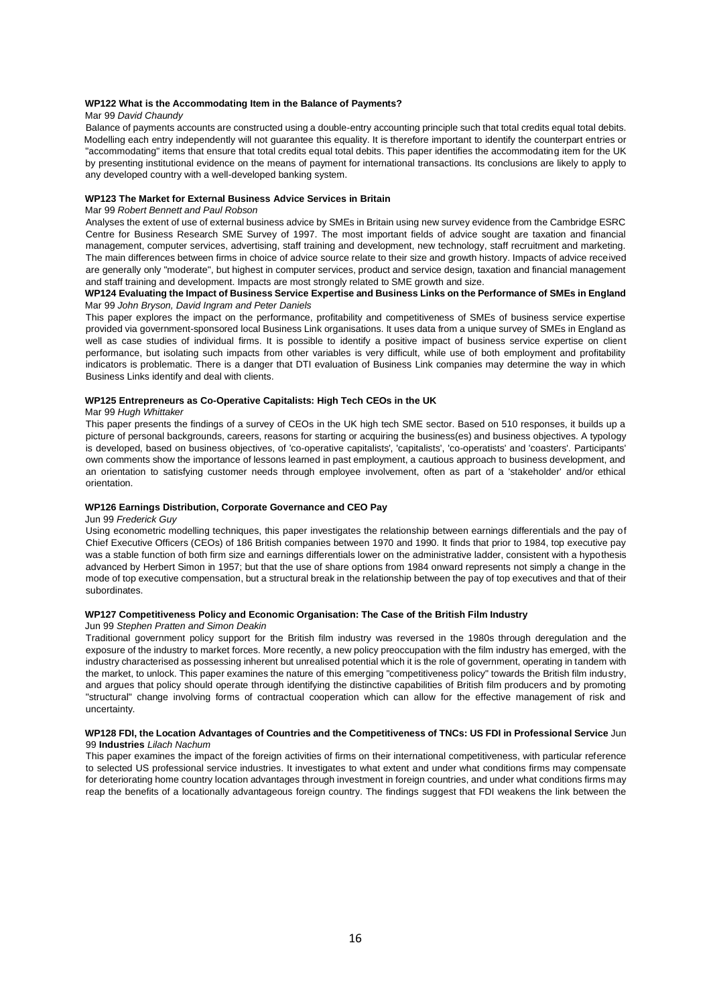### **WP122 What is the Accommodating Item in the Balance of Payments?**

## Mar 99 *David Chaundy*

Balance of payments accounts are constructed using a double-entry accounting principle such that total credits equal total debits. Modelling each entry independently will not guarantee this equality. It is therefore important to identify the counterpart entries or "accommodating" items that ensure that total credits equal total debits. This paper identifies the accommodating item for the UK by presenting institutional evidence on the means of payment for international transactions. Its conclusions are likely to apply to any developed country with a well-developed banking system.

### **WP123 The Market for External Business Advice Services in Britain**

#### Mar 99 *Robert Bennett and Paul Robson*

Analyses the extent of use of external business advice by SMEs in Britain using new survey evidence from the Cambridge ESRC Centre for Business Research SME Survey of 1997. The most important fields of advice sought are taxation and financial management, computer services, advertising, staff training and development, new technology, staff recruitment and marketing. The main differences between firms in choice of advice source relate to their size and growth history. Impacts of advice received are generally only "moderate", but highest in computer services, product and service design, taxation and financial management and staff training and development. Impacts are most strongly related to SME growth and size.

#### **WP124 Evaluating the Impact of Business Service Expertise and Business Links on the Performance of SMEs in England**  Mar 99 *John Bryson, David Ingram and Peter Daniels*

This paper explores the impact on the performance, profitability and competitiveness of SMEs of business service expertise provided via government-sponsored local Business Link organisations. It uses data from a unique survey of SMEs in England as well as case studies of individual firms. It is possible to identify a positive impact of business service expertise on client performance, but isolating such impacts from other variables is very difficult, while use of both employment and profitability indicators is problematic. There is a danger that DTI evaluation of Business Link companies may determine the way in which Business Links identify and deal with clients.

## **WP125 Entrepreneurs as Co-Operative Capitalists: High Tech CEOs in the UK**

## Mar 99 *Hugh Whittaker*

This paper presents the findings of a survey of CEOs in the UK high tech SME sector. Based on 510 responses, it builds up a picture of personal backgrounds, careers, reasons for starting or acquiring the business(es) and business objectives. A typology is developed, based on business objectives, of 'co-operative capitalists', 'capitalists', 'co-operatists' and 'coasters'. Participants' own comments show the importance of lessons learned in past employment, a cautious approach to business development, and an orientation to satisfying customer needs through employee involvement, often as part of a 'stakeholder' and/or ethical orientation.

## **WP126 Earnings Distribution, Corporate Governance and CEO Pay**

#### Jun 99 *Frederick Guy*

Using econometric modelling techniques, this paper investigates the relationship between earnings differentials and the pay of Chief Executive Officers (CEOs) of 186 British companies between 1970 and 1990. It finds that prior to 1984, top executive pay was a stable function of both firm size and earnings differentials lower on the administrative ladder, consistent with a hypothesis advanced by Herbert Simon in 1957; but that the use of share options from 1984 onward represents not simply a change in the mode of top executive compensation, but a structural break in the relationship between the pay of top executives and that of their subordinates.

## **WP127 Competitiveness Policy and Economic Organisation: The Case of the British Film Industry**

#### Jun 99 *Stephen Pratten and Simon Deakin*

Traditional government policy support for the British film industry was reversed in the 1980s through deregulation and the exposure of the industry to market forces. More recently, a new policy preoccupation with the film industry has emerged, with the industry characterised as possessing inherent but unrealised potential which it is the role of government, operating in tandem with the market, to unlock. This paper examines the nature of this emerging "competitiveness policy" towards the British film industry, and argues that policy should operate through identifying the distinctive capabilities of British film producers and by promoting "structural" change involving forms of contractual cooperation which can allow for the effective management of risk and uncertainty.

#### **WP128 FDI, the Location Advantages of Countries and the Competitiveness of TNCs: US FDI in Professional Service** Jun 99 **Industries** *Lilach Nachum*

This paper examines the impact of the foreign activities of firms on their international competitiveness, with particular reference to selected US professional service industries. It investigates to what extent and under what conditions firms may compensate for deteriorating home country location advantages through investment in foreign countries, and under what conditions firms may reap the benefits of a locationally advantageous foreign country. The findings suggest that FDI weakens the link between the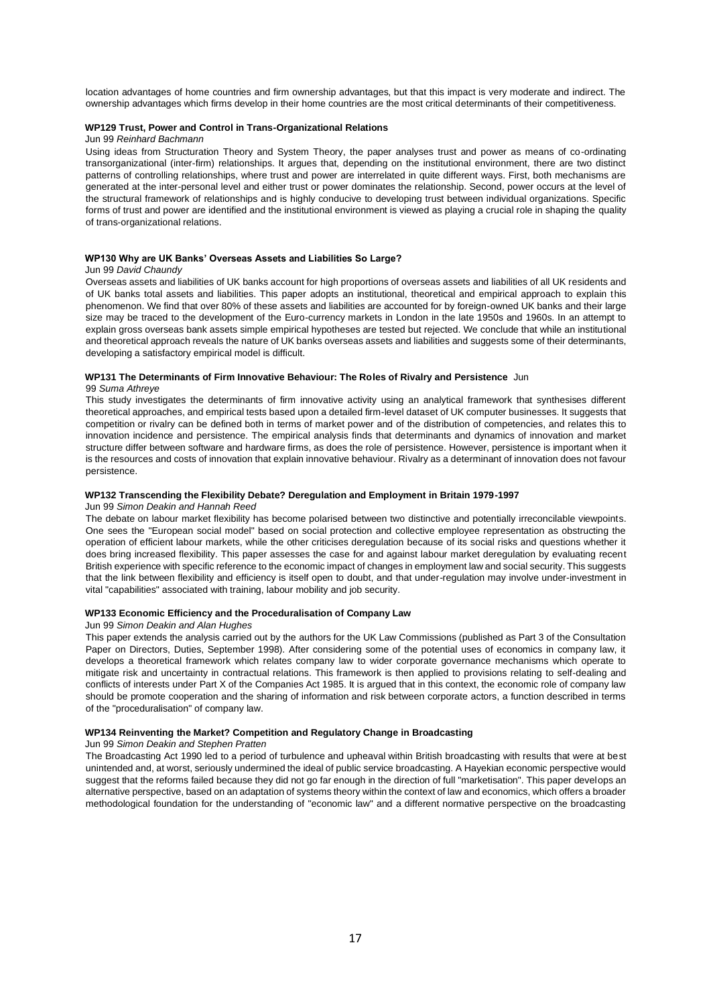location advantages of home countries and firm ownership advantages, but that this impact is very moderate and indirect. The ownership advantages which firms develop in their home countries are the most critical determinants of their competitiveness.

#### **WP129 Trust, Power and Control in Trans-Organizational Relations**

#### Jun 99 *Reinhard Bachmann*

Using ideas from Structuration Theory and System Theory, the paper analyses trust and power as means of co-ordinating transorganizational (inter-firm) relationships. It argues that, depending on the institutional environment, there are two distinct patterns of controlling relationships, where trust and power are interrelated in quite different ways. First, both mechanisms are generated at the inter-personal level and either trust or power dominates the relationship. Second, power occurs at the level of the structural framework of relationships and is highly conducive to developing trust between individual organizations. Specific forms of trust and power are identified and the institutional environment is viewed as playing a crucial role in shaping the quality of trans-organizational relations.

## **WP130 Why are UK Banks' Overseas Assets and Liabilities So Large?**

## Jun 99 *David Chaundy*

Overseas assets and liabilities of UK banks account for high proportions of overseas assets and liabilities of all UK residents and of UK banks total assets and liabilities. This paper adopts an institutional, theoretical and empirical approach to explain this phenomenon. We find that over 80% of these assets and liabilities are accounted for by foreign-owned UK banks and their large size may be traced to the development of the Euro-currency markets in London in the late 1950s and 1960s. In an attempt to explain gross overseas bank assets simple empirical hypotheses are tested but rejected. We conclude that while an institutional and theoretical approach reveals the nature of UK banks overseas assets and liabilities and suggests some of their determinants, developing a satisfactory empirical model is difficult.

## **WP131 The Determinants of Firm Innovative Behaviour: The Roles of Rivalry and Persistence** Jun

## 99 *Suma Athreye*

This study investigates the determinants of firm innovative activity using an analytical framework that synthesises different theoretical approaches, and empirical tests based upon a detailed firm-level dataset of UK computer businesses. It suggests that competition or rivalry can be defined both in terms of market power and of the distribution of competencies, and relates this to innovation incidence and persistence. The empirical analysis finds that determinants and dynamics of innovation and market structure differ between software and hardware firms, as does the role of persistence. However, persistence is important when it is the resources and costs of innovation that explain innovative behaviour. Rivalry as a determinant of innovation does not favour persistence.

#### **WP132 Transcending the Flexibility Debate? Deregulation and Employment in Britain 1979-1997**

## Jun 99 *Simon Deakin and Hannah Reed*

The debate on labour market flexibility has become polarised between two distinctive and potentially irreconcilable viewpoints. One sees the "European social model" based on social protection and collective employee representation as obstructing the operation of efficient labour markets, while the other criticises deregulation because of its social risks and questions whether it does bring increased flexibility. This paper assesses the case for and against labour market deregulation by evaluating recent British experience with specific reference to the economic impact of changes in employment law and social security. This suggests that the link between flexibility and efficiency is itself open to doubt, and that under-regulation may involve under-investment in vital "capabilities" associated with training, labour mobility and job security.

### **WP133 Economic Efficiency and the Proceduralisation of Company Law**

## Jun 99 *Simon Deakin and Alan Hughes*

This paper extends the analysis carried out by the authors for the UK Law Commissions (published as Part 3 of the Consultation Paper on Directors, Duties, September 1998). After considering some of the potential uses of economics in company law, it develops a theoretical framework which relates company law to wider corporate governance mechanisms which operate to mitigate risk and uncertainty in contractual relations. This framework is then applied to provisions relating to self-dealing and conflicts of interests under Part X of the Companies Act 1985. It is argued that in this context, the economic role of company law should be promote cooperation and the sharing of information and risk between corporate actors, a function described in terms of the "proceduralisation" of company law.

## **WP134 Reinventing the Market? Competition and Regulatory Change in Broadcasting**

### Jun 99 *Simon Deakin and Stephen Pratten*

The Broadcasting Act 1990 led to a period of turbulence and upheaval within British broadcasting with results that were at best unintended and, at worst, seriously undermined the ideal of public service broadcasting. A Hayekian economic perspective would suggest that the reforms failed because they did not go far enough in the direction of full "marketisation". This paper develops an alternative perspective, based on an adaptation of systems theory within the context of law and economics, which offers a broader methodological foundation for the understanding of "economic law" and a different normative perspective on the broadcasting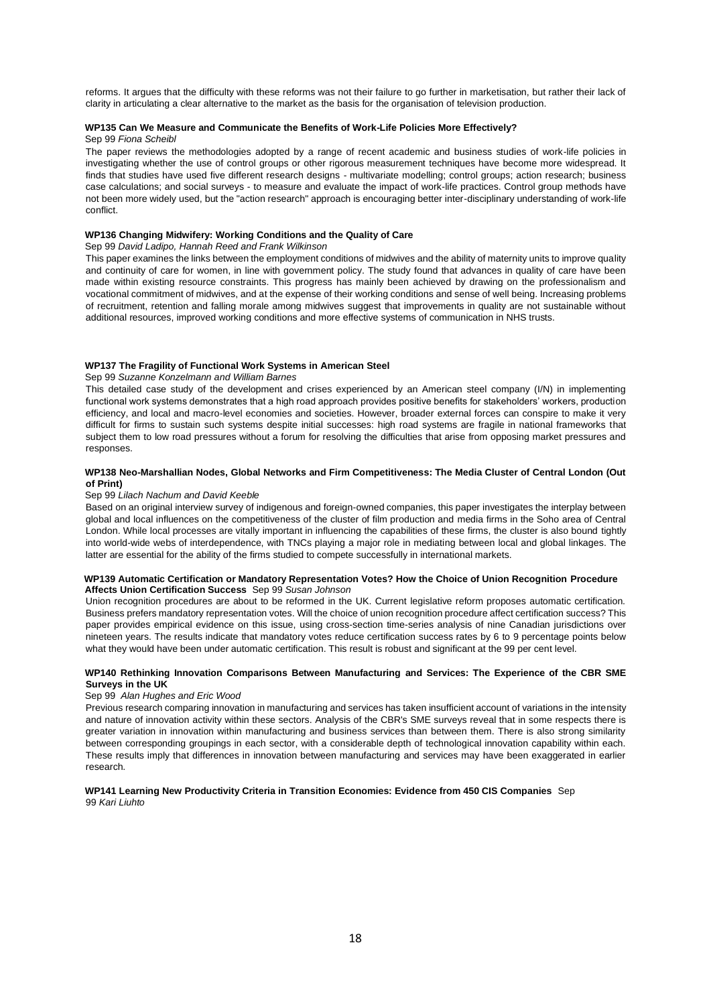reforms. It argues that the difficulty with these reforms was not their failure to go further in marketisation, but rather their lack of clarity in articulating a clear alternative to the market as the basis for the organisation of television production.

## **WP135 Can We Measure and Communicate the Benefits of Work-Life Policies More Effectively?**

## Sep 99 *Fiona Scheibl*

The paper reviews the methodologies adopted by a range of recent academic and business studies of work-life policies in investigating whether the use of control groups or other rigorous measurement techniques have become more widespread. It finds that studies have used five different research designs - multivariate modelling; control groups; action research; business case calculations; and social surveys - to measure and evaluate the impact of work-life practices. Control group methods have not been more widely used, but the "action research" approach is encouraging better inter-disciplinary understanding of work-life conflict.

## **WP136 Changing Midwifery: Working Conditions and the Quality of Care**

### Sep 99 *David Ladipo, Hannah Reed and Frank Wilkinson*

This paper examines the links between the employment conditions of midwives and the ability of maternity units to improve quality and continuity of care for women, in line with government policy. The study found that advances in quality of care have been made within existing resource constraints. This progress has mainly been achieved by drawing on the professionalism and vocational commitment of midwives, and at the expense of their working conditions and sense of well being. Increasing problems of recruitment, retention and falling morale among midwives suggest that improvements in quality are not sustainable without additional resources, improved working conditions and more effective systems of communication in NHS trusts.

## **WP137 The Fragility of Functional Work Systems in American Steel**

Sep 99 *Suzanne Konzelmann and William Barnes* 

This detailed case study of the development and crises experienced by an American steel company (I/N) in implementing functional work systems demonstrates that a high road approach provides positive benefits for stakeholders' workers, production efficiency, and local and macro-level economies and societies. However, broader external forces can conspire to make it very difficult for firms to sustain such systems despite initial successes: high road systems are fragile in national frameworks that subject them to low road pressures without a forum for resolving the difficulties that arise from opposing market pressures and responses.

#### **WP138 Neo-Marshallian Nodes, Global Networks and Firm Competitiveness: The Media Cluster of Central London (Out of Print)**

#### Sep 99 *Lilach Nachum and David Keeble*

Based on an original interview survey of indigenous and foreign-owned companies, this paper investigates the interplay between global and local influences on the competitiveness of the cluster of film production and media firms in the Soho area of Central London. While local processes are vitally important in influencing the capabilities of these firms, the cluster is also bound tightly into world-wide webs of interdependence, with TNCs playing a major role in mediating between local and global linkages. The latter are essential for the ability of the firms studied to compete successfully in international markets.

#### **WP139 Automatic Certification or Mandatory Representation Votes? How the Choice of Union Recognition Procedure Affects Union Certification Success** Sep 99 *Susan Johnson*

Union recognition procedures are about to be reformed in the UK. Current legislative reform proposes automatic certification. Business prefers mandatory representation votes. Will the choice of union recognition procedure affect certification success? This paper provides empirical evidence on this issue, using cross-section time-series analysis of nine Canadian jurisdictions over nineteen years. The results indicate that mandatory votes reduce certification success rates by 6 to 9 percentage points below what they would have been under automatic certification. This result is robust and significant at the 99 per cent level.

#### **WP140 Rethinking Innovation Comparisons Between Manufacturing and Services: The Experience of the CBR SME Surveys in the UK**

#### Sep 99 *Alan Hughes and Eric Wood*

Previous research comparing innovation in manufacturing and services has taken insufficient account of variations in the intensity and nature of innovation activity within these sectors. Analysis of the CBR's SME surveys reveal that in some respects there is greater variation in innovation within manufacturing and business services than between them. There is also strong similarity between corresponding groupings in each sector, with a considerable depth of technological innovation capability within each. These results imply that differences in innovation between manufacturing and services may have been exaggerated in earlier research.

#### **WP141 Learning New Productivity Criteria in Transition Economies: Evidence from 450 CIS Companies** Sep 99 *Kari Liuhto*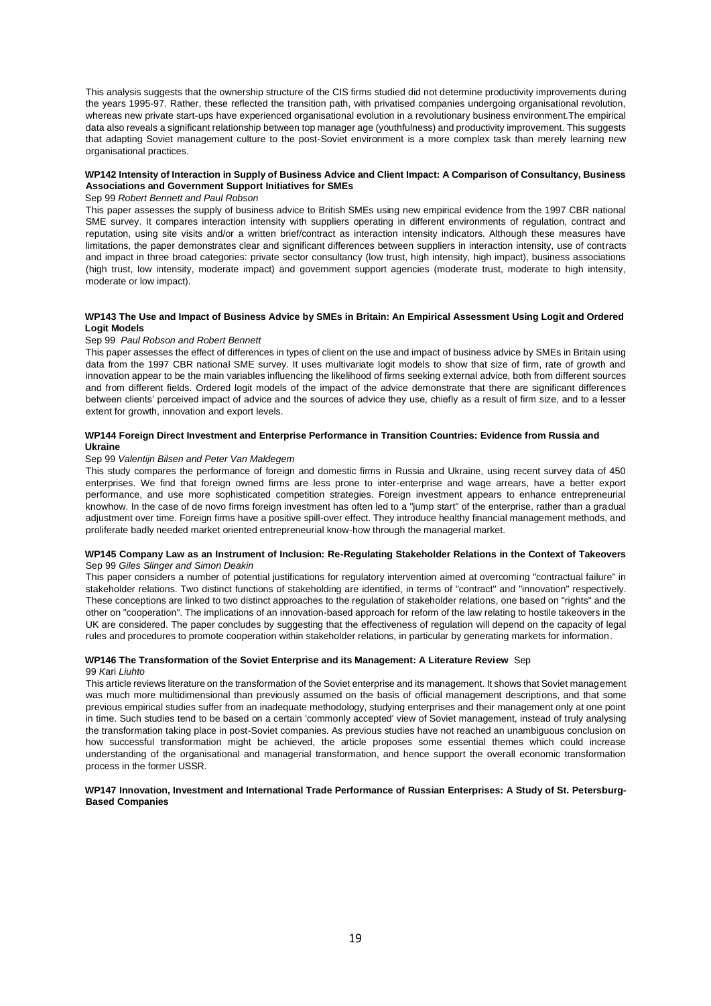This analysis suggests that the ownership structure of the CIS firms studied did not determine productivity improvements during the years 1995-97. Rather, these reflected the transition path, with privatised companies undergoing organisational revolution, whereas new private start-ups have experienced organisational evolution in a revolutionary business environment.The empirical data also reveals a significant relationship between top manager age (youthfulness) and productivity improvement. This suggests that adapting Soviet management culture to the post-Soviet environment is a more complex task than merely learning new organisational practices.

## **WP142 Intensity of Interaction in Supply of Business Advice and Client Impact: A Comparison of Consultancy, Business Associations and Government Support Initiatives for SMEs**

### Sep 99 *Robert Bennett and Paul Robson*

This paper assesses the supply of business advice to British SMEs using new empirical evidence from the 1997 CBR national SME survey. It compares interaction intensity with suppliers operating in different environments of regulation, contract and reputation, using site visits and/or a written brief/contract as interaction intensity indicators. Although these measures have limitations, the paper demonstrates clear and significant differences between suppliers in interaction intensity, use of contracts and impact in three broad categories: private sector consultancy (low trust, high intensity, high impact), business associations (high trust, low intensity, moderate impact) and government support agencies (moderate trust, moderate to high intensity, moderate or low impact).

### **WP143 The Use and Impact of Business Advice by SMEs in Britain: An Empirical Assessment Using Logit and Ordered Logit Models**

#### Sep 99 *Paul Robson and Robert Bennett*

This paper assesses the effect of differences in types of client on the use and impact of business advice by SMEs in Britain using data from the 1997 CBR national SME survey. It uses multivariate logit models to show that size of firm, rate of growth and innovation appear to be the main variables influencing the likelihood of firms seeking external advice, both from different sources and from different fields. Ordered logit models of the impact of the advice demonstrate that there are significant differences between clients' perceived impact of advice and the sources of advice they use, chiefly as a result of firm size, and to a lesser extent for growth, innovation and export levels.

#### **WP144 Foreign Direct Investment and Enterprise Performance in Transition Countries: Evidence from Russia and Ukraine**

#### Sep 99 *Valentijn Bilsen and Peter Van Maldegem*

This study compares the performance of foreign and domestic firms in Russia and Ukraine, using recent survey data of 450 enterprises. We find that foreign owned firms are less prone to inter-enterprise and wage arrears, have a better export performance, and use more sophisticated competition strategies. Foreign investment appears to enhance entrepreneurial knowhow. In the case of de novo firms foreign investment has often led to a "jump start" of the enterprise, rather than a gradual adjustment over time. Foreign firms have a positive spill-over effect. They introduce healthy financial management methods, and proliferate badly needed market oriented entrepreneurial know-how through the managerial market.

#### **WP145 Company Law as an Instrument of Inclusion: Re-Regulating Stakeholder Relations in the Context of Takeovers**  Sep 99 *Giles Slinger and Simon Deakin*

This paper considers a number of potential justifications for regulatory intervention aimed at overcoming "contractual failure" in stakeholder relations. Two distinct functions of stakeholding are identified, in terms of "contract" and "innovation" respectively. These conceptions are linked to two distinct approaches to the regulation of stakeholder relations, one based on "rights" and the other on "cooperation". The implications of an innovation-based approach for reform of the law relating to hostile takeovers in the UK are considered. The paper concludes by suggesting that the effectiveness of regulation will depend on the capacity of legal rules and procedures to promote cooperation within stakeholder relations, in particular by generating markets for information.

### **WP146 The Transformation of the Soviet Enterprise and its Management: A Literature Review** Sep 99 *K*ari *Liuhto*

This article reviews literature on the transformation of the Soviet enterprise and its management. It shows that Soviet management was much more multidimensional than previously assumed on the basis of official management descriptions, and that some previous empirical studies suffer from an inadequate methodology, studying enterprises and their management only at one point in time. Such studies tend to be based on a certain 'commonly accepted' view of Soviet management, instead of truly analysing the transformation taking place in post-Soviet companies. As previous studies have not reached an unambiguous conclusion on how successful transformation might be achieved, the article proposes some essential themes which could increase understanding of the organisational and managerial transformation, and hence support the overall economic transformation process in the former USSR.

#### **WP147 Innovation, Investment and International Trade Performance of Russian Enterprises: A Study of St. Petersburg-Based Companies**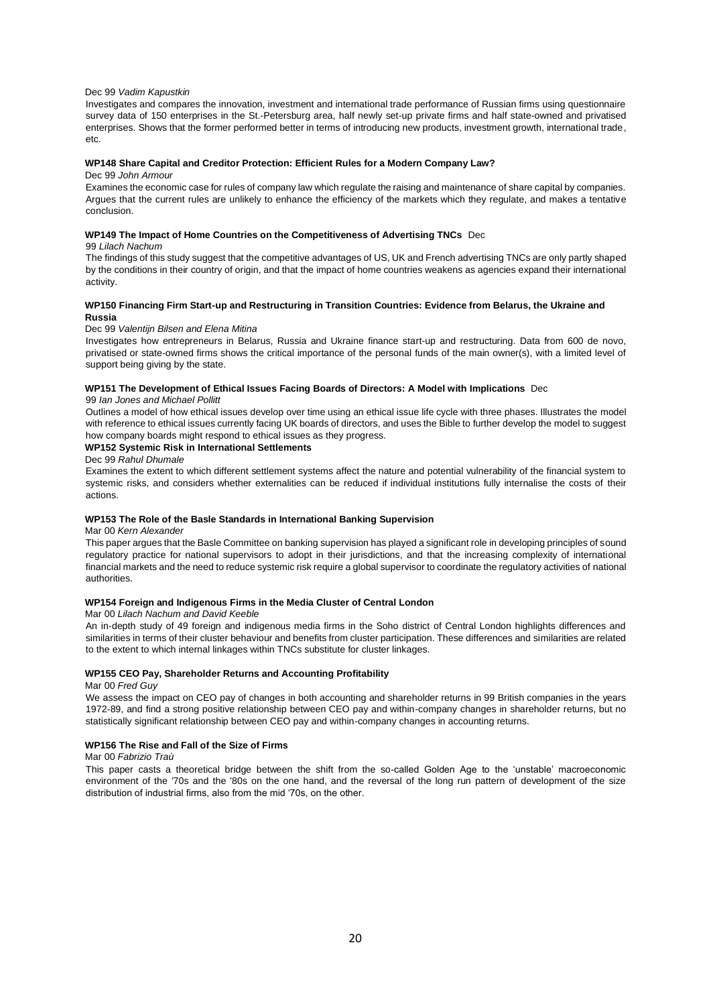#### Dec 99 *Vadim Kapustkin*

Investigates and compares the innovation, investment and international trade performance of Russian firms using questionnaire survey data of 150 enterprises in the St.-Petersburg area, half newly set-up private firms and half state-owned and privatised enterprises. Shows that the former performed better in terms of introducing new products, investment growth, international trade, etc.

#### **WP148 Share Capital and Creditor Protection: Efficient Rules for a Modern Company Law?**

### Dec 99 *John Armour*

Examines the economic case for rules of company law which regulate the raising and maintenance of share capital by companies. Argues that the current rules are unlikely to enhance the efficiency of the markets which they regulate, and makes a tentative conclusion.

## **WP149 The Impact of Home Countries on the Competitiveness of Advertising TNCs** Dec

99 *Lilach Nachum* 

The findings of this study suggest that the competitive advantages of US, UK and French advertising TNCs are only partly shaped by the conditions in their country of origin, and that the impact of home countries weakens as agencies expand their international activity.

### **WP150 Financing Firm Start-up and Restructuring in Transition Countries: Evidence from Belarus, the Ukraine and Russia**

#### Dec 99 *Valentijn Bilsen and Elena Mitina*

Investigates how entrepreneurs in Belarus, Russia and Ukraine finance start-up and restructuring. Data from 600 de novo, privatised or state-owned firms shows the critical importance of the personal funds of the main owner(s), with a limited level of support being giving by the state.

## **WP151 The Development of Ethical Issues Facing Boards of Directors: A Model with Implications** Dec

99 *Ian Jones and Michael Pollitt* 

Outlines a model of how ethical issues develop over time using an ethical issue life cycle with three phases. Illustrates the model with reference to ethical issues currently facing UK boards of directors, and uses the Bible to further develop the model to suggest how company boards might respond to ethical issues as they progress.

## **WP152 Systemic Risk in International Settlements**

Dec 99 *Rahul Dhumale* 

Examines the extent to which different settlement systems affect the nature and potential vulnerability of the financial system to systemic risks, and considers whether externalities can be reduced if individual institutions fully internalise the costs of their actions.

#### **WP153 The Role of the Basle Standards in International Banking Supervision**

Mar 00 *Kern Alexander* 

This paper argues that the Basle Committee on banking supervision has played a significant role in developing principles of sound regulatory practice for national supervisors to adopt in their jurisdictions, and that the increasing complexity of international financial markets and the need to reduce systemic risk require a global supervisor to coordinate the regulatory activities of national authorities.

#### **WP154 Foreign and Indigenous Firms in the Media Cluster of Central London**

Mar 00 *Lilach Nachum and David Keeble* 

An in-depth study of 49 foreign and indigenous media firms in the Soho district of Central London highlights differences and similarities in terms of their cluster behaviour and benefits from cluster participation. These differences and similarities are related to the extent to which internal linkages within TNCs substitute for cluster linkages.

### **WP155 CEO Pay, Shareholder Returns and Accounting Profitability**

#### Mar 00 *Fred Guy*

We assess the impact on CEO pay of changes in both accounting and shareholder returns in 99 British companies in the years 1972-89, and find a strong positive relationship between CEO pay and within-company changes in shareholder returns, but no statistically significant relationship between CEO pay and within-company changes in accounting returns.

## **WP156 The Rise and Fall of the Size of Firms**

Mar 00 *Fabrizio Traù* 

This paper casts a theoretical bridge between the shift from the so-called Golden Age to the 'unstable' macroeconomic environment of the '70s and the '80s on the one hand, and the reversal of the long run pattern of development of the size distribution of industrial firms, also from the mid '70s, on the other.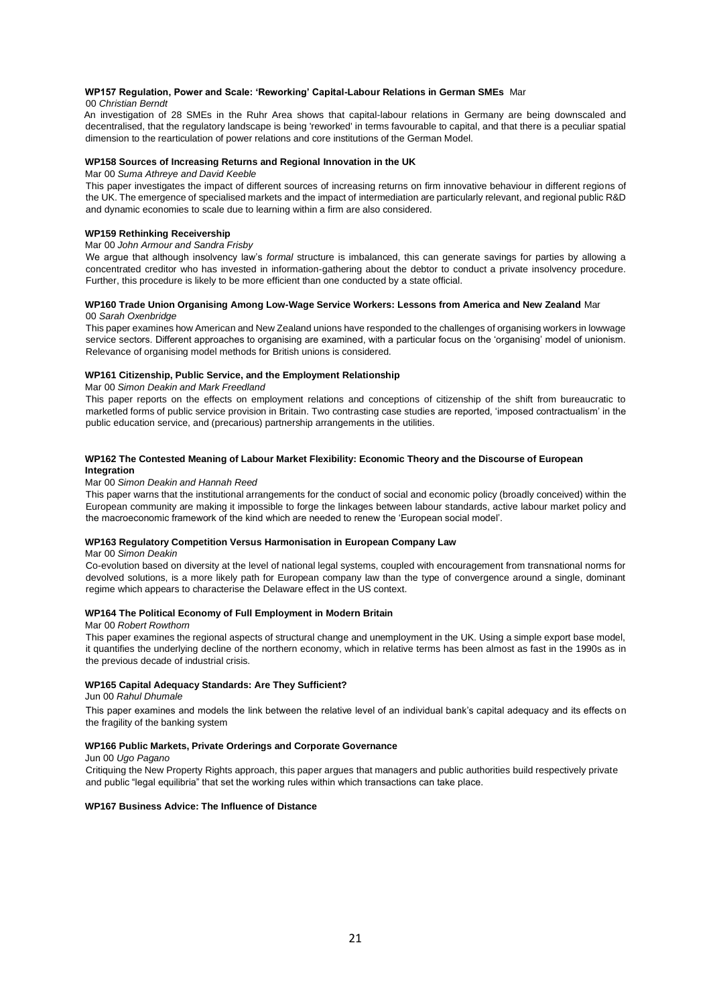### **WP157 Regulation, Power and Scale: 'Reworking' Capital-Labour Relations in German SMEs** Mar

#### 00 *Christian Berndt*

An investigation of 28 SMEs in the Ruhr Area shows that capital-labour relations in Germany are being downscaled and decentralised, that the regulatory landscape is being 'reworked' in terms favourable to capital, and that there is a peculiar spatial dimension to the rearticulation of power relations and core institutions of the German Model.

#### **WP158 Sources of Increasing Returns and Regional Innovation in the UK**

#### Mar 00 *Suma Athreye and David Keeble*

This paper investigates the impact of different sources of increasing returns on firm innovative behaviour in different regions of the UK. The emergence of specialised markets and the impact of intermediation are particularly relevant, and regional public R&D and dynamic economies to scale due to learning within a firm are also considered.

#### **WP159 Rethinking Receivership**

### Mar 00 *John Armour and Sandra Frisby*

We argue that although insolvency law's *formal* structure is imbalanced, this can generate savings for parties by allowing a concentrated creditor who has invested in information-gathering about the debtor to conduct a private insolvency procedure. Further, this procedure is likely to be more efficient than one conducted by a state official.

#### **WP160 Trade Union Organising Among Low-Wage Service Workers: Lessons from America and New Zealand** Mar 00 *Sarah Oxenbridge*

This paper examines how American and New Zealand unions have responded to the challenges of organising workers in lowwage service sectors. Different approaches to organising are examined, with a particular focus on the 'organising' model of unionism. Relevance of organising model methods for British unions is considered.

## **WP161 Citizenship, Public Service, and the Employment Relationship**

Mar 00 *Simon Deakin and Mark Freedland* 

This paper reports on the effects on employment relations and conceptions of citizenship of the shift from bureaucratic to marketled forms of public service provision in Britain. Two contrasting case studies are reported, 'imposed contractualism' in the public education service, and (precarious) partnership arrangements in the utilities.

## **WP162 The Contested Meaning of Labour Market Flexibility: Economic Theory and the Discourse of European Integration**

#### Mar 00 *Simon Deakin and Hannah Reed*

This paper warns that the institutional arrangements for the conduct of social and economic policy (broadly conceived) within the European community are making it impossible to forge the linkages between labour standards, active labour market policy and the macroeconomic framework of the kind which are needed to renew the 'European social model'.

#### **WP163 Regulatory Competition Versus Harmonisation in European Company Law**

#### Mar 00 *Simon Deakin*

Co-evolution based on diversity at the level of national legal systems, coupled with encouragement from transnational norms for devolved solutions, is a more likely path for European company law than the type of convergence around a single, dominant regime which appears to characterise the Delaware effect in the US context.

#### **WP164 The Political Economy of Full Employment in Modern Britain**

#### Mar 00 *Robert Rowthorn*

This paper examines the regional aspects of structural change and unemployment in the UK. Using a simple export base model, it quantifies the underlying decline of the northern economy, which in relative terms has been almost as fast in the 1990s as in the previous decade of industrial crisis.

#### **WP165 Capital Adequacy Standards: Are They Sufficient?**

#### Jun 00 *Rahul Dhumale*

This paper examines and models the link between the relative level of an individual bank's capital adequacy and its effects on the fragility of the banking system

#### **WP166 Public Markets, Private Orderings and Corporate Governance**

#### Jun 00 *Ugo Pagano*

Critiquing the New Property Rights approach, this paper argues that managers and public authorities build respectively private and public "legal equilibria" that set the working rules within which transactions can take place.

#### **WP167 Business Advice: The Influence of Distance**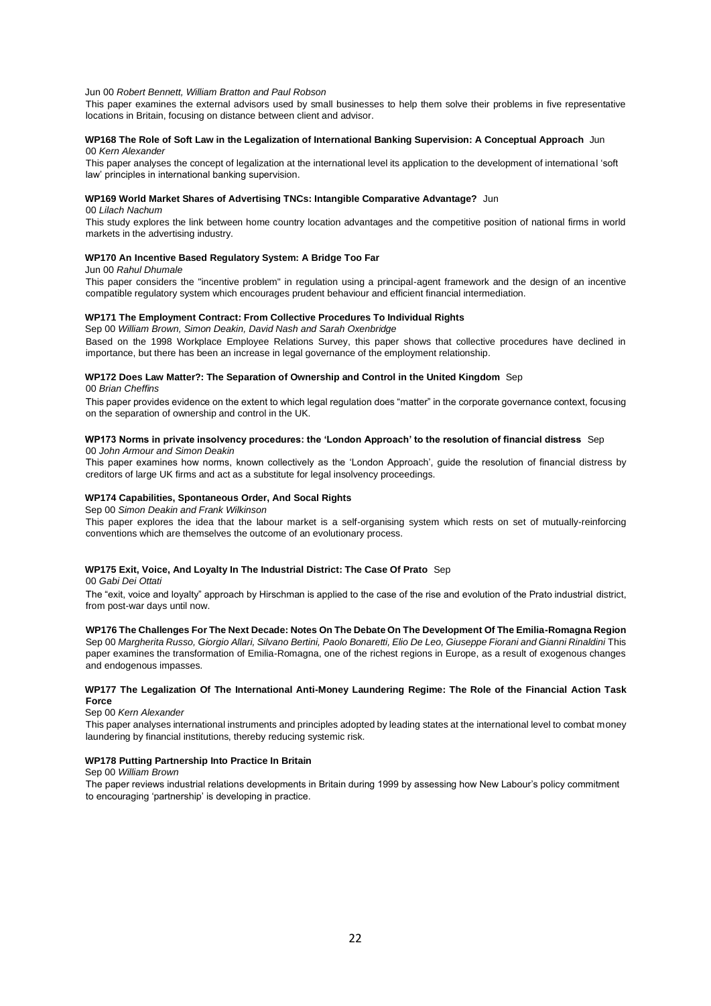### Jun 00 *Robert Bennett, William Bratton and Paul Robson*

This paper examines the external advisors used by small businesses to help them solve their problems in five representative locations in Britain, focusing on distance between client and advisor.

#### **WP168 The Role of Soft Law in the Legalization of International Banking Supervision: A Conceptual Approach** Jun 00 *Kern Alexander*

This paper analyses the concept of legalization at the international level its application to the development of international 'soft law' principles in international banking supervision.

### **WP169 World Market Shares of Advertising TNCs: Intangible Comparative Advantage?** Jun

#### 00 *Lilach Nachum*

This study explores the link between home country location advantages and the competitive position of national firms in world markets in the advertising industry.

#### **WP170 An Incentive Based Regulatory System: A Bridge Too Far**

Jun 00 *Rahul Dhumale* 

This paper considers the "incentive problem" in regulation using a principal-agent framework and the design of an incentive compatible regulatory system which encourages prudent behaviour and efficient financial intermediation.

#### **WP171 The Employment Contract: From Collective Procedures To Individual Rights**

Sep 00 *William Brown, Simon Deakin, David Nash and Sarah Oxenbridge* 

Based on the 1998 Workplace Employee Relations Survey, this paper shows that collective procedures have declined in importance, but there has been an increase in legal governance of the employment relationship.

#### **WP172 Does Law Matter?: The Separation of Ownership and Control in the United Kingdom** Sep

00 *Brian Cheffins* 

This paper provides evidence on the extent to which legal regulation does "matter" in the corporate governance context, focusing on the separation of ownership and control in the UK.

# **WP173 Norms in private insolvency procedures: the 'London Approach' to the resolution of financial distress** Sep

00 *John Armour and Simon Deakin* 

This paper examines how norms, known collectively as the 'London Approach', guide the resolution of financial distress by creditors of large UK firms and act as a substitute for legal insolvency proceedings.

#### **WP174 Capabilities, Spontaneous Order, And Socal Rights**

Sep 00 *Simon Deakin and Frank Wilkinson* 

This paper explores the idea that the labour market is a self-organising system which rests on set of mutually-reinforcing conventions which are themselves the outcome of an evolutionary process.

## **WP175 Exit, Voice, And Loyalty In The Industrial District: The Case Of Prato** Sep

00 *Gabi Dei Ottati* 

The "exit, voice and loyalty" approach by Hirschman is applied to the case of the rise and evolution of the Prato industrial district, from post-war days until now.

#### **WP176 The Challenges For The Next Decade: Notes On The Debate On The Development Of The Emilia-Romagna Region**

Sep 00 *Margherita Russo, Giorgio Allari, Silvano Bertini, Paolo Bonaretti, Elio De Leo, Giuseppe Fiorani and Gianni Rinaldini This* paper examines the transformation of Emilia-Romagna, one of the richest regions in Europe, as a result of exogenous changes and endogenous impasses.

### **WP177 The Legalization Of The International Anti-Money Laundering Regime: The Role of the Financial Action Task Force**

Sep 00 *Kern Alexander* 

This paper analyses international instruments and principles adopted by leading states at the international level to combat money laundering by financial institutions, thereby reducing systemic risk.

#### **WP178 Putting Partnership Into Practice In Britain**

Sep 00 *William Brown* 

The paper reviews industrial relations developments in Britain during 1999 by assessing how New Labour's policy commitment to encouraging 'partnership' is developing in practice.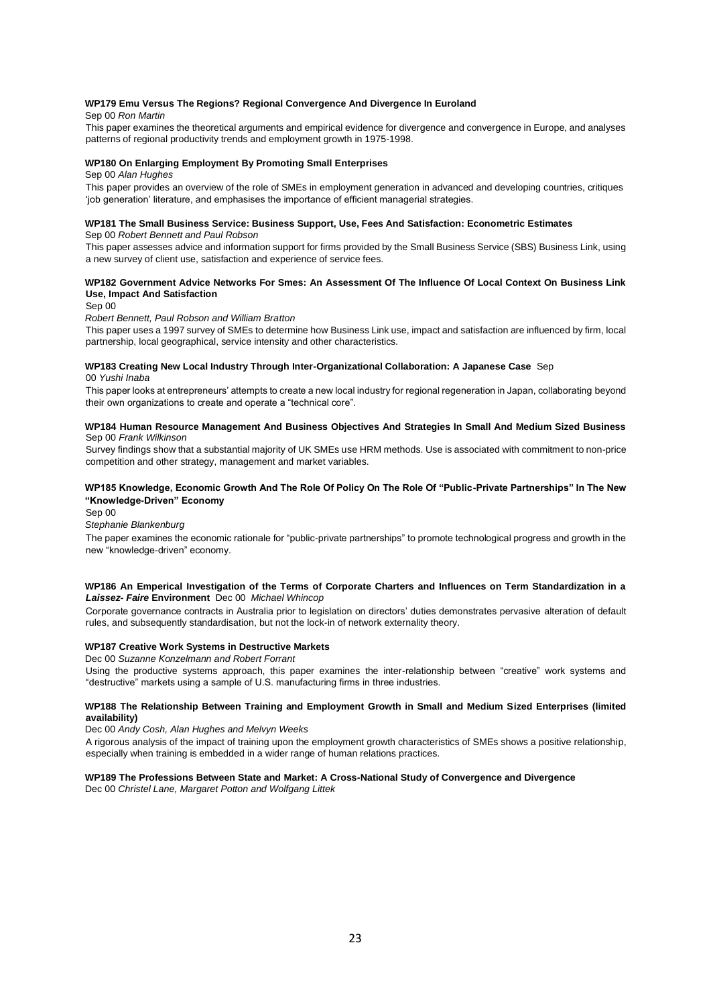## **WP179 Emu Versus The Regions? Regional Convergence And Divergence In Euroland**

## Sep 00 *Ron Martin*

This paper examines the theoretical arguments and empirical evidence for divergence and convergence in Europe, and analyses patterns of regional productivity trends and employment growth in 1975-1998.

### **WP180 On Enlarging Employment By Promoting Small Enterprises**

## Sep 00 *Alan Hughes*

This paper provides an overview of the role of SMEs in employment generation in advanced and developing countries, critiques 'job generation' literature, and emphasises the importance of efficient managerial strategies.

## **WP181 The Small Business Service: Business Support, Use, Fees And Satisfaction: Econometric Estimates**

Sep 00 *Robert Bennett and Paul Robson* 

This paper assesses advice and information support for firms provided by the Small Business Service (SBS) Business Link, using a new survey of client use, satisfaction and experience of service fees.

## **WP182 Government Advice Networks For Smes: An Assessment Of The Influence Of Local Context On Business Link Use, Impact And Satisfaction**

Sep 00

*Robert Bennett, Paul Robson and William Bratton* 

This paper uses a 1997 survey of SMEs to determine how Business Link use, impact and satisfaction are influenced by firm, local partnership, local geographical, service intensity and other characteristics.

#### **WP183 Creating New Local Industry Through Inter-Organizational Collaboration: A Japanese Case** Sep 00 *Yushi Inaba*

This paper looks at entrepreneurs' attempts to create a new local industry for regional regeneration in Japan, collaborating beyond their own organizations to create and operate a "technical core".

### **WP184 Human Resource Management And Business Objectives And Strategies In Small And Medium Sized Business**  Sep 00 *Frank Wilkinson*

Survey findings show that a substantial majority of UK SMEs use HRM methods. Use is associated with commitment to non-price competition and other strategy, management and market variables.

## **WP185 Knowledge, Economic Growth And The Role Of Policy On The Role Of "Public-Private Partnerships" In The New "Knowledge-Driven" Economy**

Sep 00

*Stephanie Blankenburg* 

The paper examines the economic rationale for "public-private partnerships" to promote technological progress and growth in the new "knowledge-driven" economy.

#### **WP186 An Emperical Investigation of the Terms of Corporate Charters and Influences on Term Standardization in a**  *Laissez- Faire* **Environment** Dec 00 *Michael Whincop*

Corporate governance contracts in Australia prior to legislation on directors' duties demonstrates pervasive alteration of default rules, and subsequently standardisation, but not the lock-in of network externality theory.

## **WP187 Creative Work Systems in Destructive Markets**

Dec 00 *Suzanne Konzelmann and Robert Forrant* 

Using the productive systems approach, this paper examines the inter-relationship between "creative" work systems and "destructive" markets using a sample of U.S. manufacturing firms in three industries.

## **WP188 The Relationship Between Training and Employment Growth in Small and Medium Sized Enterprises (limited availability)**

Dec 00 *Andy Cosh, Alan Hughes and Melvyn Weeks* 

A rigorous analysis of the impact of training upon the employment growth characteristics of SMEs shows a positive relationship, especially when training is embedded in a wider range of human relations practices.

## **WP189 The Professions Between State and Market: A Cross-National Study of Convergence and Divergence**

Dec 00 *Christel Lane, Margaret Potton and Wolfgang Littek*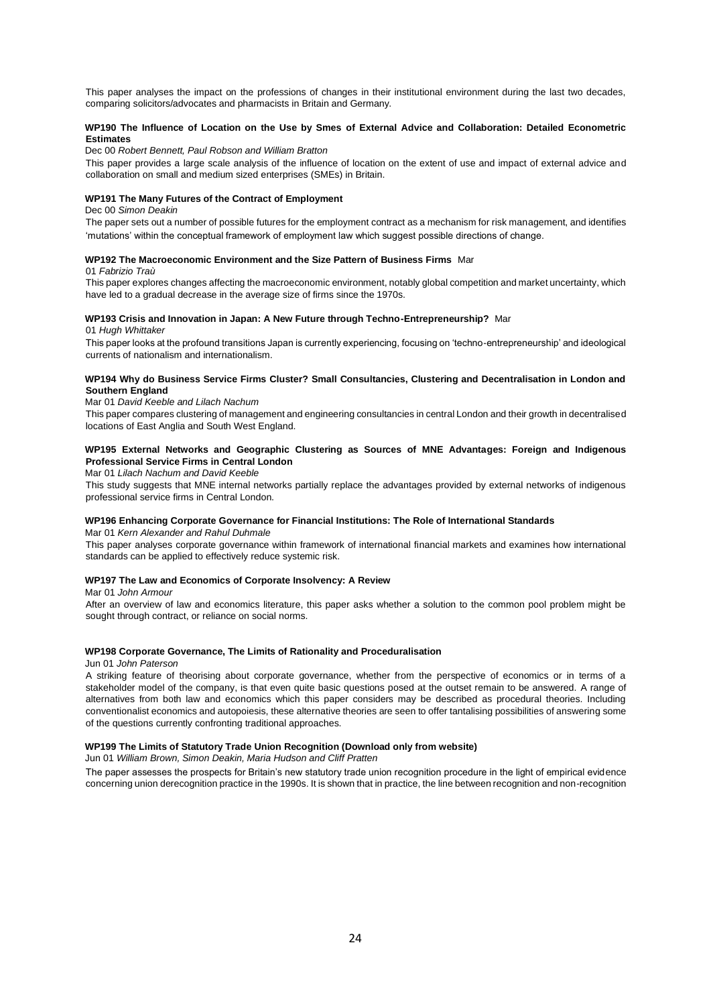This paper analyses the impact on the professions of changes in their institutional environment during the last two decades, comparing solicitors/advocates and pharmacists in Britain and Germany.

## **WP190 The Influence of Location on the Use by Smes of External Advice and Collaboration: Detailed Econometric Estimates**

Dec 00 *Robert Bennett, Paul Robson and William Bratton* 

This paper provides a large scale analysis of the influence of location on the extent of use and impact of external advice and collaboration on small and medium sized enterprises (SMEs) in Britain.

#### **WP191 The Many Futures of the Contract of Employment**

#### Dec 00 *Simon Deakin*

The paper sets out a number of possible futures for the employment contract as a mechanism for risk management, and identifies 'mutations' within the conceptual framework of employment law which suggest possible directions of change.

#### **WP192 The Macroeconomic Environment and the Size Pattern of Business Firms** Mar

#### 01 *Fabrizio Traù*

This paper explores changes affecting the macroeconomic environment, notably global competition and market uncertainty, which have led to a gradual decrease in the average size of firms since the 1970s.

#### **WP193 Crisis and Innovation in Japan: A New Future through Techno-Entrepreneurship?** Mar 01 *Hugh Whittaker*

This paper looks at the profound transitions Japan is currently experiencing, focusing on 'techno-entrepreneurship' and ideological currents of nationalism and internationalism.

### **WP194 Why do Business Service Firms Cluster? Small Consultancies, Clustering and Decentralisation in London and Southern England**

#### Mar 01 *David Keeble and Lilach Nachum*

This paper compares clustering of management and engineering consultancies in central London and their growth in decentralised locations of East Anglia and South West England.

## **WP195 External Networks and Geographic Clustering as Sources of MNE Advantages: Foreign and Indigenous Professional Service Firms in Central London**

Mar 01 *Lilach Nachum and David Keeble* 

This study suggests that MNE internal networks partially replace the advantages provided by external networks of indigenous professional service firms in Central London.

## **WP196 Enhancing Corporate Governance for Financial Institutions: The Role of International Standards**

Mar 01 *Kern Alexander and Rahul Duhmale* 

This paper analyses corporate governance within framework of international financial markets and examines how international standards can be applied to effectively reduce systemic risk.

## **WP197 The Law and Economics of Corporate Insolvency: A Review**

Mar 01 *John Armour* 

After an overview of law and economics literature, this paper asks whether a solution to the common pool problem might be sought through contract, or reliance on social norms.

## **WP198 Corporate Governance, The Limits of Rationality and Proceduralisation**

#### Jun 01 *John Paterson*

A striking feature of theorising about corporate governance, whether from the perspective of economics or in terms of a stakeholder model of the company, is that even quite basic questions posed at the outset remain to be answered. A range of alternatives from both law and economics which this paper considers may be described as procedural theories. Including conventionalist economics and autopoiesis, these alternative theories are seen to offer tantalising possibilities of answering some of the questions currently confronting traditional approaches.

#### **WP199 The Limits of Statutory Trade Union Recognition (Download only from website)**

Jun 01 *William Brown, Simon Deakin, Maria Hudson and Cliff Pratten* 

The paper assesses the prospects for Britain's new statutory trade union recognition procedure in the light of empirical evidence concerning union derecognition practice in the 1990s. It is shown that in practice, the line between recognition and non-recognition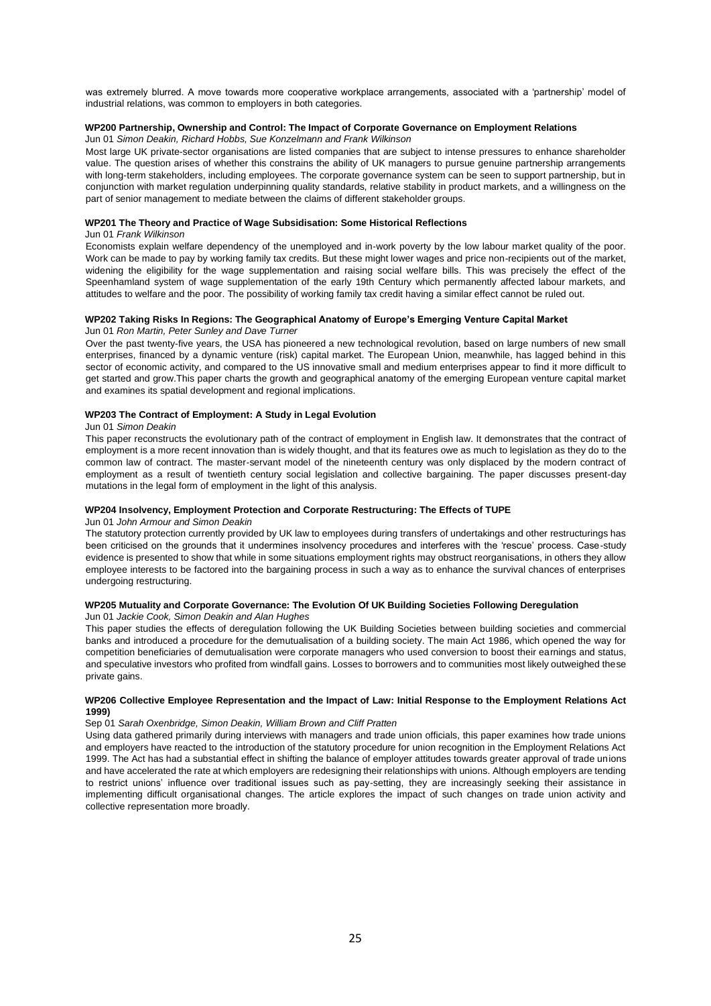was extremely blurred. A move towards more cooperative workplace arrangements, associated with a 'partnership' model of industrial relations, was common to employers in both categories.

## **WP200 Partnership, Ownership and Control: The Impact of Corporate Governance on Employment Relations**

Jun 01 *Simon Deakin, Richard Hobbs, Sue Konzelmann and Frank Wilkinson* 

Most large UK private-sector organisations are listed companies that are subject to intense pressures to enhance shareholder value. The question arises of whether this constrains the ability of UK managers to pursue genuine partnership arrangements with long-term stakeholders, including employees. The corporate governance system can be seen to support partnership, but in conjunction with market regulation underpinning quality standards, relative stability in product markets, and a willingness on the part of senior management to mediate between the claims of different stakeholder groups.

## **WP201 The Theory and Practice of Wage Subsidisation: Some Historical Reflections**

## Jun 01 *Frank Wilkinson*

Economists explain welfare dependency of the unemployed and in-work poverty by the low labour market quality of the poor. Work can be made to pay by working family tax credits. But these might lower wages and price non-recipients out of the market, widening the eligibility for the wage supplementation and raising social welfare bills. This was precisely the effect of the Speenhamland system of wage supplementation of the early 19th Century which permanently affected labour markets, and attitudes to welfare and the poor. The possibility of working family tax credit having a similar effect cannot be ruled out.

## **WP202 Taking Risks In Regions: The Geographical Anatomy of Europe's Emerging Venture Capital Market**

## Jun 01 *Ron Martin, Peter Sunley and Dave Turner*

Over the past twenty-five years, the USA has pioneered a new technological revolution, based on large numbers of new small enterprises, financed by a dynamic venture (risk) capital market. The European Union, meanwhile, has lagged behind in this sector of economic activity, and compared to the US innovative small and medium enterprises appear to find it more difficult to get started and grow.This paper charts the growth and geographical anatomy of the emerging European venture capital market and examines its spatial development and regional implications.

## **WP203 The Contract of Employment: A Study in Legal Evolution**

## Jun 01 *Simon Deakin*

This paper reconstructs the evolutionary path of the contract of employment in English law. It demonstrates that the contract of employment is a more recent innovation than is widely thought, and that its features owe as much to legislation as they do to the common law of contract. The master-servant model of the nineteenth century was only displaced by the modern contract of employment as a result of twentieth century social legislation and collective bargaining. The paper discusses present-day mutations in the legal form of employment in the light of this analysis.

## **WP204 Insolvency, Employment Protection and Corporate Restructuring: The Effects of TUPE**

#### Jun 01 *John Armour and Simon Deakin*

The statutory protection currently provided by UK law to employees during transfers of undertakings and other restructurings has been criticised on the grounds that it undermines insolvency procedures and interferes with the 'rescue' process. Case-study evidence is presented to show that while in some situations employment rights may obstruct reorganisations, in others they allow employee interests to be factored into the bargaining process in such a way as to enhance the survival chances of enterprises undergoing restructuring.

## **WP205 Mutuality and Corporate Governance: The Evolution Of UK Building Societies Following Deregulation**

Jun 01 *Jackie Cook, Simon Deakin and Alan Hughes* 

This paper studies the effects of deregulation following the UK Building Societies between building societies and commercial banks and introduced a procedure for the demutualisation of a building society. The main Act 1986, which opened the way for competition beneficiaries of demutualisation were corporate managers who used conversion to boost their earnings and status, and speculative investors who profited from windfall gains. Losses to borrowers and to communities most likely outweighed these private gains.

### **WP206 Collective Employee Representation and the Impact of Law: Initial Response to the Employment Relations Act 1999)**

#### Sep 01 *Sarah Oxenbridge, Simon Deakin, William Brown and Cliff Pratten*

Using data gathered primarily during interviews with managers and trade union officials, this paper examines how trade unions and employers have reacted to the introduction of the statutory procedure for union recognition in the Employment Relations Act 1999. The Act has had a substantial effect in shifting the balance of employer attitudes towards greater approval of trade unions and have accelerated the rate at which employers are redesigning their relationships with unions. Although employers are tending to restrict unions' influence over traditional issues such as pay-setting, they are increasingly seeking their assistance in implementing difficult organisational changes. The article explores the impact of such changes on trade union activity and collective representation more broadly.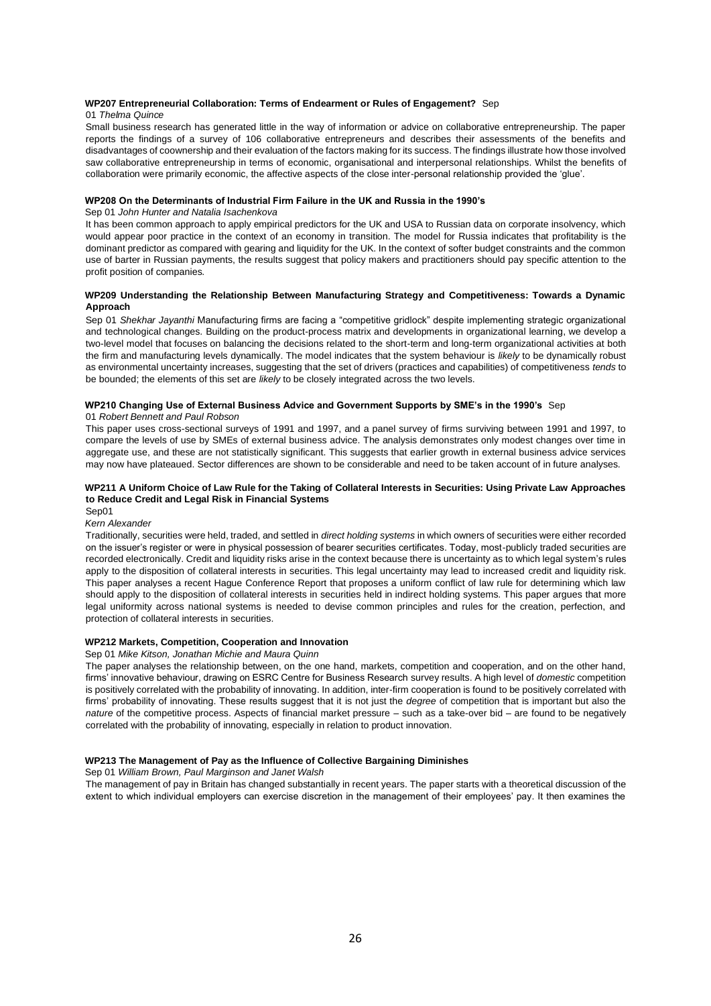## **WP207 Entrepreneurial Collaboration: Terms of Endearment or Rules of Engagement?** Sep

## 01 *Thelma Quince*

Small business research has generated little in the way of information or advice on collaborative entrepreneurship. The paper reports the findings of a survey of 106 collaborative entrepreneurs and describes their assessments of the benefits and disadvantages of coownership and their evaluation of the factors making for its success. The findings illustrate how those involved saw collaborative entrepreneurship in terms of economic, organisational and interpersonal relationships. Whilst the benefits of collaboration were primarily economic, the affective aspects of the close inter-personal relationship provided the 'glue'.

#### **WP208 On the Determinants of Industrial Firm Failure in the UK and Russia in the 1990's**

#### Sep 01 *John Hunter and Natalia Isachenkova*

It has been common approach to apply empirical predictors for the UK and USA to Russian data on corporate insolvency, which would appear poor practice in the context of an economy in transition. The model for Russia indicates that profitability is the dominant predictor as compared with gearing and liquidity for the UK. In the context of softer budget constraints and the common use of barter in Russian payments, the results suggest that policy makers and practitioners should pay specific attention to the profit position of companies.

### **WP209 Understanding the Relationship Between Manufacturing Strategy and Competitiveness: Towards a Dynamic Approach**

Sep 01 *Shekhar Jayanthi* Manufacturing firms are facing a "competitive gridlock" despite implementing strategic organizational and technological changes. Building on the product-process matrix and developments in organizational learning, we develop a two-level model that focuses on balancing the decisions related to the short-term and long-term organizational activities at both the firm and manufacturing levels dynamically. The model indicates that the system behaviour is *likely* to be dynamically robust as environmental uncertainty increases, suggesting that the set of drivers (practices and capabilities) of competitiveness *tends* to be bounded; the elements of this set are *likely* to be closely integrated across the two levels.

## **WP210 Changing Use of External Business Advice and Government Supports by SME's in the 1990's** Sep

#### 01 *Robert Bennett and Paul Robson*

This paper uses cross-sectional surveys of 1991 and 1997, and a panel survey of firms surviving between 1991 and 1997, to compare the levels of use by SMEs of external business advice. The analysis demonstrates only modest changes over time in aggregate use, and these are not statistically significant. This suggests that earlier growth in external business advice services may now have plateaued. Sector differences are shown to be considerable and need to be taken account of in future analyses.

## **WP211 A Uniform Choice of Law Rule for the Taking of Collateral Interests in Securities: Using Private Law Approaches to Reduce Credit and Legal Risk in Financial Systems**

## Sep01

#### *Kern Alexander*

Traditionally, securities were held, traded, and settled in *direct holding systems* in which owners of securities were either recorded on the issuer's register or were in physical possession of bearer securities certificates. Today, most-publicly traded securities are recorded electronically. Credit and liquidity risks arise in the context because there is uncertainty as to which legal system's rules apply to the disposition of collateral interests in securities. This legal uncertainty may lead to increased credit and liquidity risk. This paper analyses a recent Hague Conference Report that proposes a uniform conflict of law rule for determining which law should apply to the disposition of collateral interests in securities held in indirect holding systems. This paper argues that more legal uniformity across national systems is needed to devise common principles and rules for the creation, perfection, and protection of collateral interests in securities.

#### **WP212 Markets, Competition, Cooperation and Innovation**

### Sep 01 *Mike Kitson, Jonathan Michie and Maura Quinn*

The paper analyses the relationship between, on the one hand, markets, competition and cooperation, and on the other hand, firms' innovative behaviour, drawing on ESRC Centre for Business Research survey results. A high level of *domestic* competition is positively correlated with the probability of innovating. In addition, inter-firm cooperation is found to be positively correlated with firms' probability of innovating. These results suggest that it is not just the *degree* of competition that is important but also the *nature* of the competitive process. Aspects of financial market pressure – such as a take-over bid – are found to be negatively correlated with the probability of innovating, especially in relation to product innovation.

#### **WP213 The Management of Pay as the Influence of Collective Bargaining Diminishes**

#### Sep 01 *William Brown, Paul Marginson and Janet Walsh*

The management of pay in Britain has changed substantially in recent years. The paper starts with a theoretical discussion of the extent to which individual employers can exercise discretion in the management of their employees' pay. It then examines the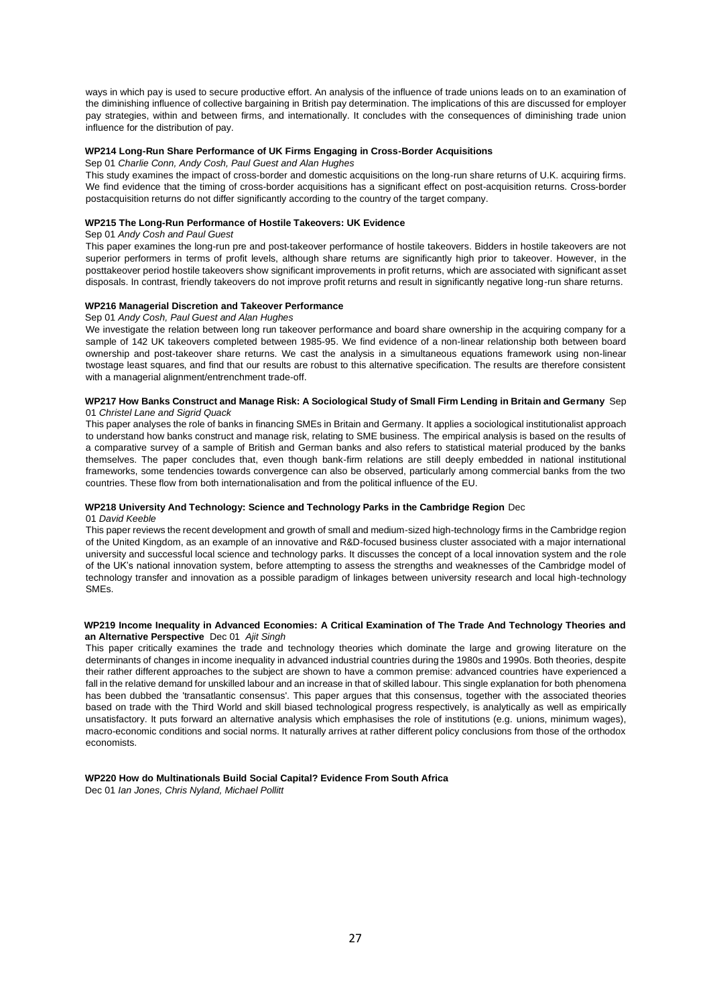ways in which pay is used to secure productive effort. An analysis of the influence of trade unions leads on to an examination of the diminishing influence of collective bargaining in British pay determination. The implications of this are discussed for employer pay strategies, within and between firms, and internationally. It concludes with the consequences of diminishing trade union influence for the distribution of pay.

### **WP214 Long-Run Share Performance of UK Firms Engaging in Cross-Border Acquisitions**

Sep 01 *Charlie Conn, Andy Cosh, Paul Guest and Alan Hughes* 

This study examines the impact of cross-border and domestic acquisitions on the long-run share returns of U.K. acquiring firms. We find evidence that the timing of cross-border acquisitions has a significant effect on post-acquisition returns. Cross-border postacquisition returns do not differ significantly according to the country of the target company.

### **WP215 The Long-Run Performance of Hostile Takeovers: UK Evidence**

#### Sep 01 *Andy Cosh and Paul Guest*

This paper examines the long-run pre and post-takeover performance of hostile takeovers. Bidders in hostile takeovers are not superior performers in terms of profit levels, although share returns are significantly high prior to takeover. However, in the posttakeover period hostile takeovers show significant improvements in profit returns, which are associated with significant asset disposals. In contrast, friendly takeovers do not improve profit returns and result in significantly negative long-run share returns.

## **WP216 Managerial Discretion and Takeover Performance**

#### Sep 01 *Andy Cosh, Paul Guest and Alan Hughes*

We investigate the relation between long run takeover performance and board share ownership in the acquiring company for a sample of 142 UK takeovers completed between 1985-95. We find evidence of a non-linear relationship both between board ownership and post-takeover share returns. We cast the analysis in a simultaneous equations framework using non-linear twostage least squares, and find that our results are robust to this alternative specification. The results are therefore consistent with a managerial alignment/entrenchment trade-off.

#### **WP217 How Banks Construct and Manage Risk: A Sociological Study of Small Firm Lending in Britain and Germany** Sep 01 *Christel Lane and Sigrid Quack*

This paper analyses the role of banks in financing SMEs in Britain and Germany. It applies a sociological institutionalist approach to understand how banks construct and manage risk, relating to SME business. The empirical analysis is based on the results of a comparative survey of a sample of British and German banks and also refers to statistical material produced by the banks themselves. The paper concludes that, even though bank-firm relations are still deeply embedded in national institutional frameworks, some tendencies towards convergence can also be observed, particularly among commercial banks from the two countries. These flow from both internationalisation and from the political influence of the EU.

## **WP218 University And Technology: Science and Technology Parks in the Cambridge Region** Dec

#### 01 *David Keeble*

This paper reviews the recent development and growth of small and medium-sized high-technology firms in the Cambridge region of the United Kingdom, as an example of an innovative and R&D-focused business cluster associated with a major international university and successful local science and technology parks. It discusses the concept of a local innovation system and the role of the UK's national innovation system, before attempting to assess the strengths and weaknesses of the Cambridge model of technology transfer and innovation as a possible paradigm of linkages between university research and local high-technology SMEs.

#### **WP219 Income Inequality in Advanced Economies: A Critical Examination of The Trade And Technology Theories and an Alternative Perspective** Dec 01 *Ajit Singh*

This paper critically examines the trade and technology theories which dominate the large and growing literature on the determinants of changes in income inequality in advanced industrial countries during the 1980s and 1990s. Both theories, despite their rather different approaches to the subject are shown to have a common premise: advanced countries have experienced a fall in the relative demand for unskilled labour and an increase in that of skilled labour. This single explanation for both phenomena has been dubbed the 'transatlantic consensus'. This paper argues that this consensus, together with the associated theories based on trade with the Third World and skill biased technological progress respectively, is analytically as well as empirically unsatisfactory. It puts forward an alternative analysis which emphasises the role of institutions (e.g. unions, minimum wages), macro-economic conditions and social norms. It naturally arrives at rather different policy conclusions from those of the orthodox economists.

# **WP220 How do Multinationals Build Social Capital? Evidence From South Africa**

Dec 01 *Ian Jones, Chris Nyland, Michael Pollitt*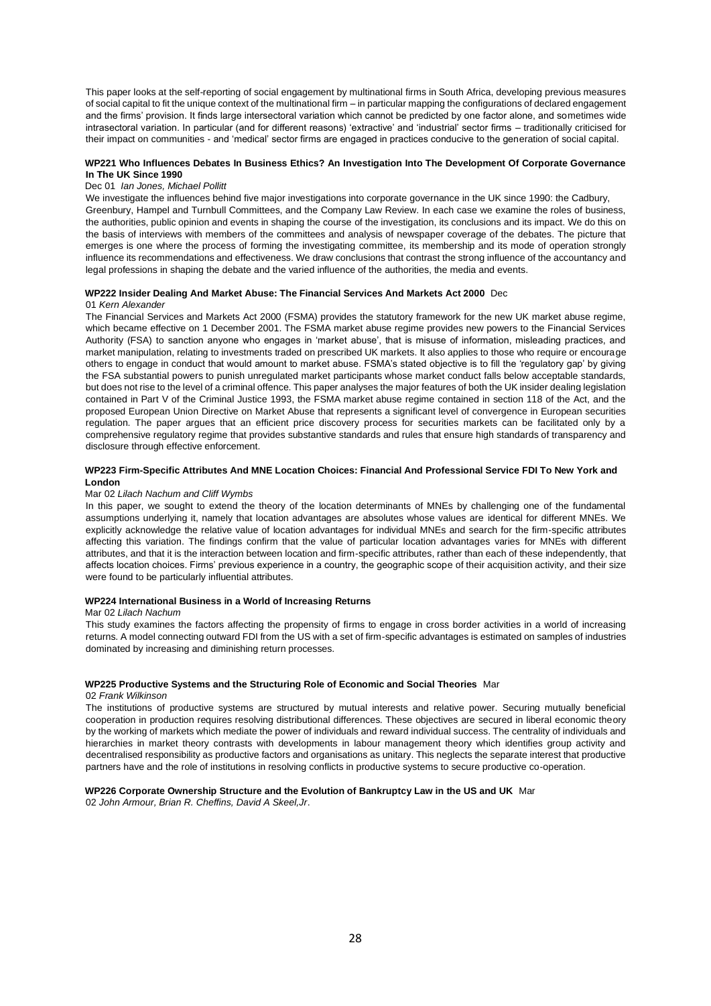This paper looks at the self-reporting of social engagement by multinational firms in South Africa, developing previous measures of social capital to fit the unique context of the multinational firm – in particular mapping the configurations of declared engagement and the firms' provision. It finds large intersectoral variation which cannot be predicted by one factor alone, and sometimes wide intrasectoral variation. In particular (and for different reasons) 'extractive' and 'industrial' sector firms – traditionally criticised for their impact on communities - and 'medical' sector firms are engaged in practices conducive to the generation of social capital.

### **WP221 Who Influences Debates In Business Ethics? An Investigation Into The Development Of Corporate Governance In The UK Since 1990**

### Dec 01 *Ian Jones, Michael Pollitt*

We investigate the influences behind five major investigations into corporate governance in the UK since 1990: the Cadbury, Greenbury, Hampel and Turnbull Committees, and the Company Law Review. In each case we examine the roles of business, the authorities, public opinion and events in shaping the course of the investigation, its conclusions and its impact. We do this on the basis of interviews with members of the committees and analysis of newspaper coverage of the debates. The picture that emerges is one where the process of forming the investigating committee, its membership and its mode of operation strongly influence its recommendations and effectiveness. We draw conclusions that contrast the strong influence of the accountancy and legal professions in shaping the debate and the varied influence of the authorities, the media and events.

## **WP222 Insider Dealing And Market Abuse: The Financial Services And Markets Act 2000** Dec

## 01 *Kern Alexander*

The Financial Services and Markets Act 2000 (FSMA) provides the statutory framework for the new UK market abuse regime, which became effective on 1 December 2001. The FSMA market abuse regime provides new powers to the Financial Services Authority (FSA) to sanction anyone who engages in 'market abuse', that is misuse of information, misleading practices, and market manipulation, relating to investments traded on prescribed UK markets. It also applies to those who require or encourage others to engage in conduct that would amount to market abuse. FSMA's stated objective is to fill the 'regulatory gap' by giving the FSA substantial powers to punish unregulated market participants whose market conduct falls below acceptable standards, but does not rise to the level of a criminal offence. This paper analyses the major features of both the UK insider dealing legislation contained in Part V of the Criminal Justice 1993, the FSMA market abuse regime contained in section 118 of the Act, and the proposed European Union Directive on Market Abuse that represents a significant level of convergence in European securities regulation. The paper argues that an efficient price discovery process for securities markets can be facilitated only by a comprehensive regulatory regime that provides substantive standards and rules that ensure high standards of transparency and disclosure through effective enforcement.

### **WP223 Firm-Specific Attributes And MNE Location Choices: Financial And Professional Service FDI To New York and London**

## Mar 02 *Lilach Nachum and Cliff Wymbs*

In this paper, we sought to extend the theory of the location determinants of MNEs by challenging one of the fundamental assumptions underlying it, namely that location advantages are absolutes whose values are identical for different MNEs. We explicitly acknowledge the relative value of location advantages for individual MNEs and search for the firm-specific attributes affecting this variation. The findings confirm that the value of particular location advantages varies for MNEs with different attributes, and that it is the interaction between location and firm-specific attributes, rather than each of these independently, that affects location choices. Firms' previous experience in a country, the geographic scope of their acquisition activity, and their size were found to be particularly influential attributes.

## **WP224 International Business in a World of Increasing Returns**

#### Mar 02 *Lilach Nachum*

This study examines the factors affecting the propensity of firms to engage in cross border activities in a world of increasing returns. A model connecting outward FDI from the US with a set of firm-specific advantages is estimated on samples of industries dominated by increasing and diminishing return processes.

#### **WP225 Productive Systems and the Structuring Role of Economic and Social Theories** Mar

#### 02 *Frank Wilkinson*

The institutions of productive systems are structured by mutual interests and relative power. Securing mutually beneficial cooperation in production requires resolving distributional differences. These objectives are secured in liberal economic theory by the working of markets which mediate the power of individuals and reward individual success. The centrality of individuals and hierarchies in market theory contrasts with developments in labour management theory which identifies group activity and decentralised responsibility as productive factors and organisations as unitary. This neglects the separate interest that productive partners have and the role of institutions in resolving conflicts in productive systems to secure productive co-operation.

### **WP226 Corporate Ownership Structure and the Evolution of Bankruptcy Law in the US and UK** Mar

02 *John Armour, Brian R. Cheffins, David A Skeel,Jr*.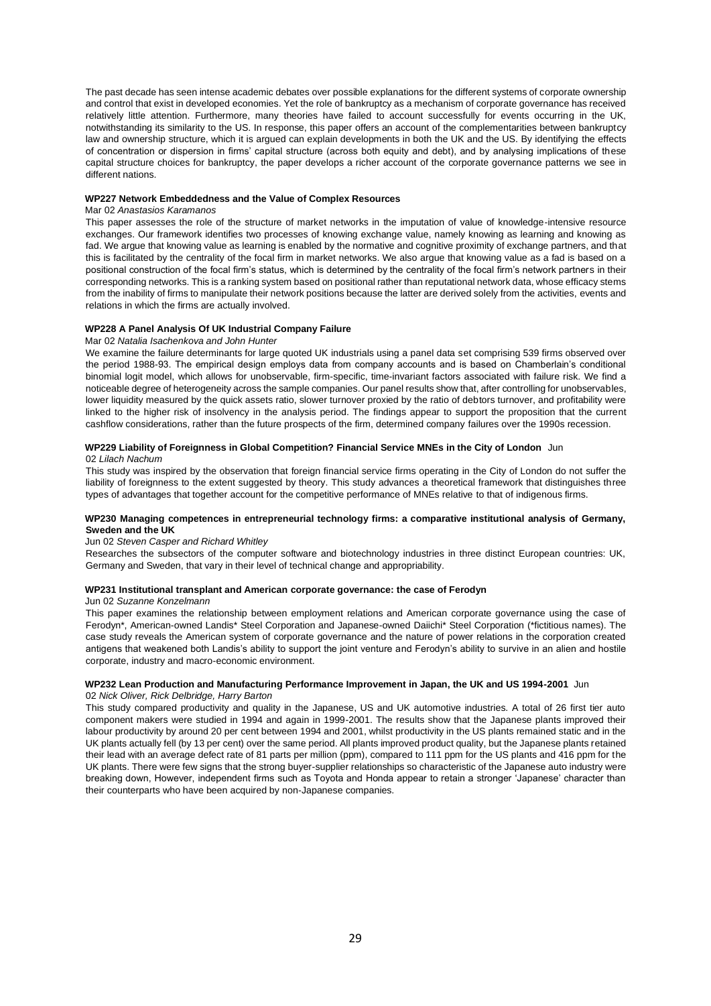The past decade has seen intense academic debates over possible explanations for the different systems of corporate ownership and control that exist in developed economies. Yet the role of bankruptcy as a mechanism of corporate governance has received relatively little attention. Furthermore, many theories have failed to account successfully for events occurring in the UK, notwithstanding its similarity to the US. In response, this paper offers an account of the complementarities between bankruptcy law and ownership structure, which it is argued can explain developments in both the UK and the US. By identifying the effects of concentration or dispersion in firms' capital structure (across both equity and debt), and by analysing implications of these capital structure choices for bankruptcy, the paper develops a richer account of the corporate governance patterns we see in different nations.

### **WP227 Network Embeddedness and the Value of Complex Resources**

## Mar 02 *Anastasios Karamanos*

This paper assesses the role of the structure of market networks in the imputation of value of knowledge-intensive resource exchanges. Our framework identifies two processes of knowing exchange value, namely knowing as learning and knowing as fad. We argue that knowing value as learning is enabled by the normative and cognitive proximity of exchange partners, and that this is facilitated by the centrality of the focal firm in market networks. We also argue that knowing value as a fad is based on a positional construction of the focal firm's status, which is determined by the centrality of the focal firm's network partners in their corresponding networks. This is a ranking system based on positional rather than reputational network data, whose efficacy stems from the inability of firms to manipulate their network positions because the latter are derived solely from the activities, events and relations in which the firms are actually involved.

### **WP228 A Panel Analysis Of UK Industrial Company Failure**

#### Mar 02 *Natalia Isachenkova and John Hunter*

We examine the failure determinants for large quoted UK industrials using a panel data set comprising 539 firms observed over the period 1988-93. The empirical design employs data from company accounts and is based on Chamberlain's conditional binomial logit model, which allows for unobservable, firm-specific, time-invariant factors associated with failure risk. We find a noticeable degree of heterogeneity across the sample companies. Our panel results show that, after controlling for unobservables, lower liquidity measured by the quick assets ratio, slower turnover proxied by the ratio of debtors turnover, and profitability were linked to the higher risk of insolvency in the analysis period. The findings appear to support the proposition that the current cashflow considerations, rather than the future prospects of the firm, determined company failures over the 1990s recession.

#### **WP229 Liability of Foreignness in Global Competition? Financial Service MNEs in the City of London** Jun 02 *Lilach Nachum*

This study was inspired by the observation that foreign financial service firms operating in the City of London do not suffer the liability of foreignness to the extent suggested by theory. This study advances a theoretical framework that distinguishes three types of advantages that together account for the competitive performance of MNEs relative to that of indigenous firms.

### **WP230 Managing competences in entrepreneurial technology firms: a comparative institutional analysis of Germany, Sweden and the UK**

### Jun 02 *Steven Casper and Richard Whitley*

Researches the subsectors of the computer software and biotechnology industries in three distinct European countries: UK, Germany and Sweden, that vary in their level of technical change and appropriability.

#### **WP231 Institutional transplant and American corporate governance: the case of Ferodyn**

Jun 02 *Suzanne Konzelmann* 

This paper examines the relationship between employment relations and American corporate governance using the case of Ferodyn\*, American-owned Landis\* Steel Corporation and Japanese-owned Daiichi\* Steel Corporation (\*fictitious names). The case study reveals the American system of corporate governance and the nature of power relations in the corporation created antigens that weakened both Landis's ability to support the joint venture and Ferodyn's ability to survive in an alien and hostile corporate, industry and macro-economic environment.

## **WP232 Lean Production and Manufacturing Performance Improvement in Japan, the UK and US 1994-2001** Jun

#### 02 *Nick Oliver, Rick Delbridge, Harry Barton*

This study compared productivity and quality in the Japanese, US and UK automotive industries. A total of 26 first tier auto component makers were studied in 1994 and again in 1999-2001. The results show that the Japanese plants improved their labour productivity by around 20 per cent between 1994 and 2001, whilst productivity in the US plants remained static and in the UK plants actually fell (by 13 per cent) over the same period. All plants improved product quality, but the Japanese plants retained their lead with an average defect rate of 81 parts per million (ppm), compared to 111 ppm for the US plants and 416 ppm for the UK plants. There were few signs that the strong buyer-supplier relationships so characteristic of the Japanese auto industry were breaking down, However, independent firms such as Toyota and Honda appear to retain a stronger 'Japanese' character than their counterparts who have been acquired by non-Japanese companies.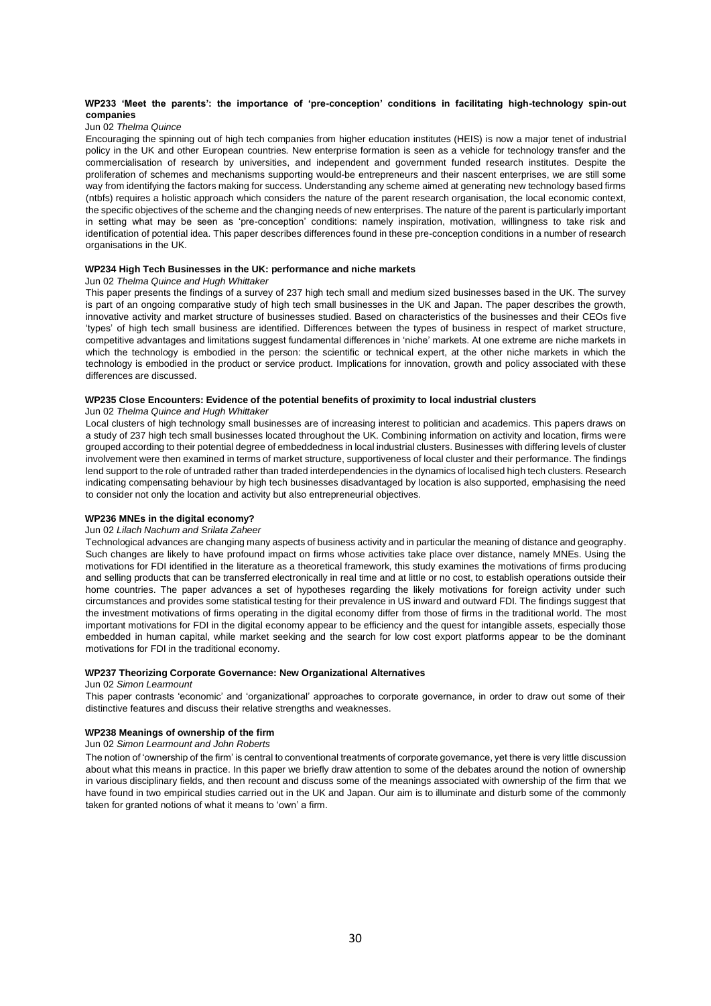## **WP233 'Meet the parents': the importance of 'pre-conception' conditions in facilitating high-technology spin-out companies**

#### Jun 02 *Thelma Quince*

Encouraging the spinning out of high tech companies from higher education institutes (HEIS) is now a major tenet of industrial policy in the UK and other European countries. New enterprise formation is seen as a vehicle for technology transfer and the commercialisation of research by universities, and independent and government funded research institutes. Despite the proliferation of schemes and mechanisms supporting would-be entrepreneurs and their nascent enterprises, we are still some way from identifying the factors making for success. Understanding any scheme aimed at generating new technology based firms (ntbfs) requires a holistic approach which considers the nature of the parent research organisation, the local economic context, the specific objectives of the scheme and the changing needs of new enterprises. The nature of the parent is particularly important in setting what may be seen as 'pre-conception' conditions: namely inspiration, motivation, willingness to take risk and identification of potential idea. This paper describes differences found in these pre-conception conditions in a number of research organisations in the UK.

## **WP234 High Tech Businesses in the UK: performance and niche markets**

#### Jun 02 *Thelma Quince and Hugh Whittaker*

This paper presents the findings of a survey of 237 high tech small and medium sized businesses based in the UK. The survey is part of an ongoing comparative study of high tech small businesses in the UK and Japan. The paper describes the growth, innovative activity and market structure of businesses studied. Based on characteristics of the businesses and their CEOs five 'types' of high tech small business are identified. Differences between the types of business in respect of market structure, competitive advantages and limitations suggest fundamental differences in 'niche' markets. At one extreme are niche markets in which the technology is embodied in the person: the scientific or technical expert, at the other niche markets in which the technology is embodied in the product or service product. Implications for innovation, growth and policy associated with these differences are discussed.

## **WP235 Close Encounters: Evidence of the potential benefits of proximity to local industrial clusters**

## Jun 02 *Thelma Quince and Hugh Whittaker*

Local clusters of high technology small businesses are of increasing interest to politician and academics. This papers draws on a study of 237 high tech small businesses located throughout the UK. Combining information on activity and location, firms were grouped according to their potential degree of embeddedness in local industrial clusters. Businesses with differing levels of cluster involvement were then examined in terms of market structure, supportiveness of local cluster and their performance. The findings lend support to the role of untraded rather than traded interdependencies in the dynamics of localised high tech clusters. Research indicating compensating behaviour by high tech businesses disadvantaged by location is also supported, emphasising the need to consider not only the location and activity but also entrepreneurial objectives.

#### **WP236 MNEs in the digital economy?**

#### Jun 02 *Lilach Nachum and Srilata Zaheer*

Technological advances are changing many aspects of business activity and in particular the meaning of distance and geography. Such changes are likely to have profound impact on firms whose activities take place over distance, namely MNEs. Using the motivations for FDI identified in the literature as a theoretical framework, this study examines the motivations of firms producing and selling products that can be transferred electronically in real time and at little or no cost, to establish operations outside their home countries. The paper advances a set of hypotheses regarding the likely motivations for foreign activity under such circumstances and provides some statistical testing for their prevalence in US inward and outward FDI. The findings suggest that the investment motivations of firms operating in the digital economy differ from those of firms in the traditional world. The most important motivations for FDI in the digital economy appear to be efficiency and the quest for intangible assets, especially those embedded in human capital, while market seeking and the search for low cost export platforms appear to be the dominant motivations for FDI in the traditional economy.

#### **WP237 Theorizing Corporate Governance: New Organizational Alternatives**

#### Jun 02 *Simon Learmount*

This paper contrasts 'economic' and 'organizational' approaches to corporate governance, in order to draw out some of their distinctive features and discuss their relative strengths and weaknesses.

#### **WP238 Meanings of ownership of the firm**

#### Jun 02 *Simon Learmount and John Roberts*

The notion of 'ownership of the firm' is central to conventional treatments of corporate governance, yet there is very little discussion about what this means in practice. In this paper we briefly draw attention to some of the debates around the notion of ownership in various disciplinary fields, and then recount and discuss some of the meanings associated with ownership of the firm that we have found in two empirical studies carried out in the UK and Japan. Our aim is to illuminate and disturb some of the commonly taken for granted notions of what it means to 'own' a firm.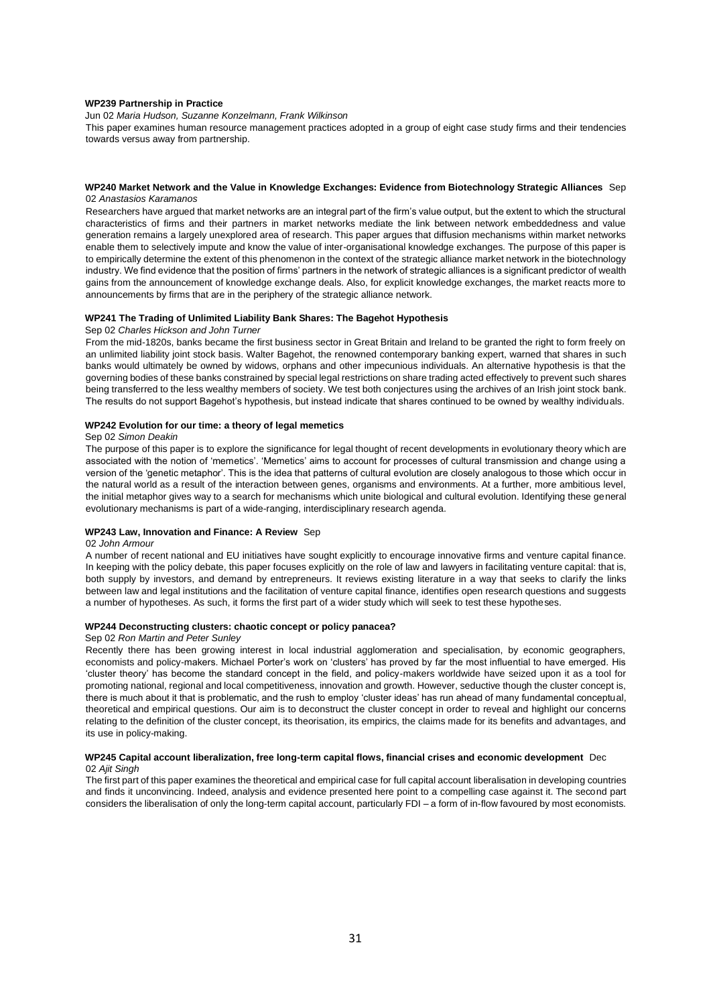## **WP239 Partnership in Practice**

Jun 02 *Maria Hudson, Suzanne Konzelmann, Frank Wilkinson* 

This paper examines human resource management practices adopted in a group of eight case study firms and their tendencies towards versus away from partnership.

#### **WP240 Market Network and the Value in Knowledge Exchanges: Evidence from Biotechnology Strategic Alliances** Sep 02 *Anastasios Karamanos*

Researchers have argued that market networks are an integral part of the firm's value output, but the extent to which the structural characteristics of firms and their partners in market networks mediate the link between network embeddedness and value generation remains a largely unexplored area of research. This paper argues that diffusion mechanisms within market networks enable them to selectively impute and know the value of inter-organisational knowledge exchanges. The purpose of this paper is to empirically determine the extent of this phenomenon in the context of the strategic alliance market network in the biotechnology industry. We find evidence that the position of firms' partners in the network of strategic alliances is a significant predictor of wealth gains from the announcement of knowledge exchange deals. Also, for explicit knowledge exchanges, the market reacts more to announcements by firms that are in the periphery of the strategic alliance network.

#### **WP241 The Trading of Unlimited Liability Bank Shares: The Bagehot Hypothesis**

#### Sep 02 *Charles Hickson and John Turner*

From the mid-1820s, banks became the first business sector in Great Britain and Ireland to be granted the right to form freely on an unlimited liability joint stock basis. Walter Bagehot, the renowned contemporary banking expert, warned that shares in such banks would ultimately be owned by widows, orphans and other impecunious individuals. An alternative hypothesis is that the governing bodies of these banks constrained by special legal restrictions on share trading acted effectively to prevent such shares being transferred to the less wealthy members of society. We test both conjectures using the archives of an Irish joint stock bank. The results do not support Bagehot's hypothesis, but instead indicate that shares continued to be owned by wealthy individuals.

## **WP242 Evolution for our time: a theory of legal memetics**

#### Sep 02 *Simon Deakin*

The purpose of this paper is to explore the significance for legal thought of recent developments in evolutionary theory which are associated with the notion of 'memetics'. 'Memetics' aims to account for processes of cultural transmission and change using a version of the 'genetic metaphor'. This is the idea that patterns of cultural evolution are closely analogous to those which occur in the natural world as a result of the interaction between genes, organisms and environments. At a further, more ambitious level, the initial metaphor gives way to a search for mechanisms which unite biological and cultural evolution. Identifying these general evolutionary mechanisms is part of a wide-ranging, interdisciplinary research agenda.

#### **WP243 Law, Innovation and Finance: A Review** Sep

## 02 *John Armour*

A number of recent national and EU initiatives have sought explicitly to encourage innovative firms and venture capital finance. In keeping with the policy debate, this paper focuses explicitly on the role of law and lawyers in facilitating venture capital: that is, both supply by investors, and demand by entrepreneurs. It reviews existing literature in a way that seeks to clarify the links between law and legal institutions and the facilitation of venture capital finance, identifies open research questions and suggests a number of hypotheses. As such, it forms the first part of a wider study which will seek to test these hypotheses.

#### **WP244 Deconstructing clusters: chaotic concept or policy panacea?**

#### Sep 02 *Ron Martin and Peter Sunley*

Recently there has been growing interest in local industrial agglomeration and specialisation, by economic geographers, economists and policy-makers. Michael Porter's work on 'clusters' has proved by far the most influential to have emerged. His 'cluster theory' has become the standard concept in the field, and policy-makers worldwide have seized upon it as a tool for promoting national, regional and local competitiveness, innovation and growth. However, seductive though the cluster concept is, there is much about it that is problematic, and the rush to employ 'cluster ideas' has run ahead of many fundamental conceptual, theoretical and empirical questions. Our aim is to deconstruct the cluster concept in order to reveal and highlight our concerns relating to the definition of the cluster concept, its theorisation, its empirics, the claims made for its benefits and advantages, and its use in policy-making.

#### **WP245 Capital account liberalization, free long-term capital flows, financial crises and economic development** Dec 02 *Ajit Singh*

The first part of this paper examines the theoretical and empirical case for full capital account liberalisation in developing countries and finds it unconvincing. Indeed, analysis and evidence presented here point to a compelling case against it. The second part considers the liberalisation of only the long-term capital account, particularly FDI – a form of in-flow favoured by most economists.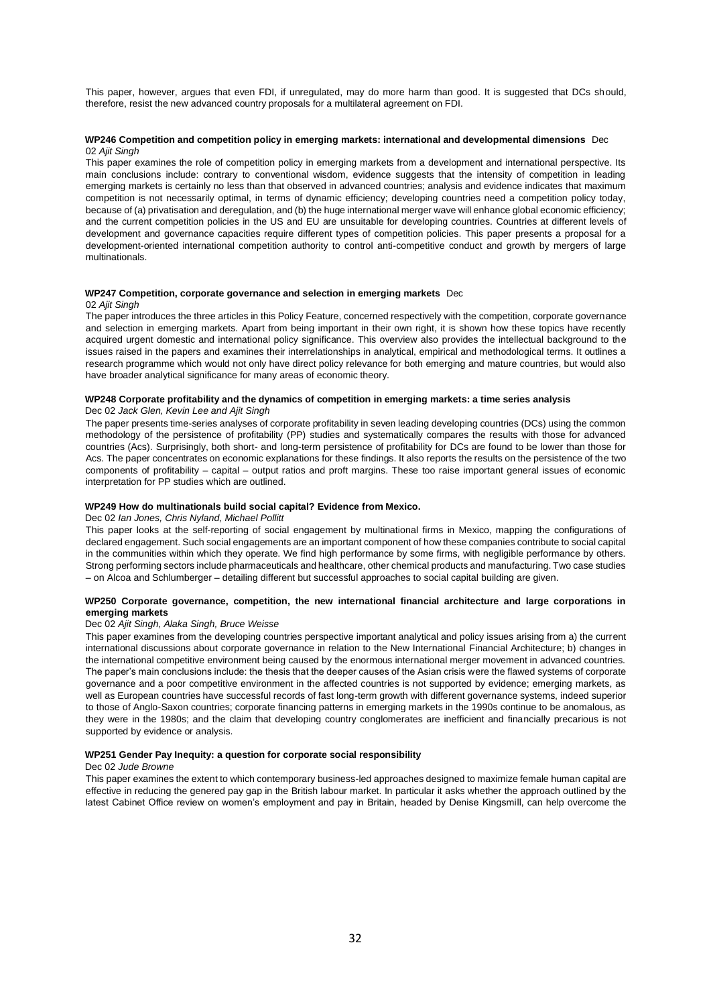This paper, however, argues that even FDI, if unregulated, may do more harm than good. It is suggested that DCs should, therefore, resist the new advanced country proposals for a multilateral agreement on FDI.

### **WP246 Competition and competition policy in emerging markets: international and developmental dimensions** Dec 02 *Ajit Singh*

This paper examines the role of competition policy in emerging markets from a development and international perspective. Its main conclusions include: contrary to conventional wisdom, evidence suggests that the intensity of competition in leading emerging markets is certainly no less than that observed in advanced countries; analysis and evidence indicates that maximum competition is not necessarily optimal, in terms of dynamic efficiency; developing countries need a competition policy today, because of (a) privatisation and deregulation, and (b) the huge international merger wave will enhance global economic efficiency; and the current competition policies in the US and EU are unsuitable for developing countries. Countries at different levels of development and governance capacities require different types of competition policies. This paper presents a proposal for a development-oriented international competition authority to control anti-competitive conduct and growth by mergers of large multinationals.

#### **WP247 Competition, corporate governance and selection in emerging markets** Dec

#### 02 *Ajit Singh*

The paper introduces the three articles in this Policy Feature, concerned respectively with the competition, corporate governance and selection in emerging markets. Apart from being important in their own right, it is shown how these topics have recently acquired urgent domestic and international policy significance. This overview also provides the intellectual background to the issues raised in the papers and examines their interrelationships in analytical, empirical and methodological terms. It outlines a research programme which would not only have direct policy relevance for both emerging and mature countries, but would also have broader analytical significance for many areas of economic theory.

## **WP248 Corporate profitability and the dynamics of competition in emerging markets: a time series analysis**

### Dec 02 *Jack Glen, Kevin Lee and Ajit Singh*

The paper presents time-series analyses of corporate profitability in seven leading developing countries (DCs) using the common methodology of the persistence of profitability (PP) studies and systematically compares the results with those for advanced countries (Acs). Surprisingly, both short- and long-term persistence of profitability for DCs are found to be lower than those for Acs. The paper concentrates on economic explanations for these findings. It also reports the results on the persistence of the two components of profitability – capital – output ratios and proft margins. These too raise important general issues of economic interpretation for PP studies which are outlined.

### **WP249 How do multinationals build social capital? Evidence from Mexico.**

### Dec 02 *Ian Jones, Chris Nyland, Michael Pollitt*

This paper looks at the self-reporting of social engagement by multinational firms in Mexico, mapping the configurations of declared engagement. Such social engagements are an important component of how these companies contribute to social capital in the communities within which they operate. We find high performance by some firms, with negligible performance by others. Strong performing sectors include pharmaceuticals and healthcare, other chemical products and manufacturing. Two case studies – on Alcoa and Schlumberger – detailing different but successful approaches to social capital building are given.

### **WP250 Corporate governance, competition, the new international financial architecture and large corporations in emerging markets**

### Dec 02 *Ajit Singh, Alaka Singh, Bruce Weisse*

This paper examines from the developing countries perspective important analytical and policy issues arising from a) the current international discussions about corporate governance in relation to the New International Financial Architecture; b) changes in the international competitive environment being caused by the enormous international merger movement in advanced countries. The paper's main conclusions include: the thesis that the deeper causes of the Asian crisis were the flawed systems of corporate governance and a poor competitive environment in the affected countries is not supported by evidence; emerging markets, as well as European countries have successful records of fast long-term growth with different governance systems, indeed superior to those of Anglo-Saxon countries; corporate financing patterns in emerging markets in the 1990s continue to be anomalous, as they were in the 1980s; and the claim that developing country conglomerates are inefficient and financially precarious is not supported by evidence or analysis.

## **WP251 Gender Pay Inequity: a question for corporate social responsibility**

## Dec 02 *Jude Browne*

This paper examines the extent to which contemporary business-led approaches designed to maximize female human capital are effective in reducing the genered pay gap in the British labour market. In particular it asks whether the approach outlined by the latest Cabinet Office review on women's employment and pay in Britain, headed by Denise Kingsmill, can help overcome the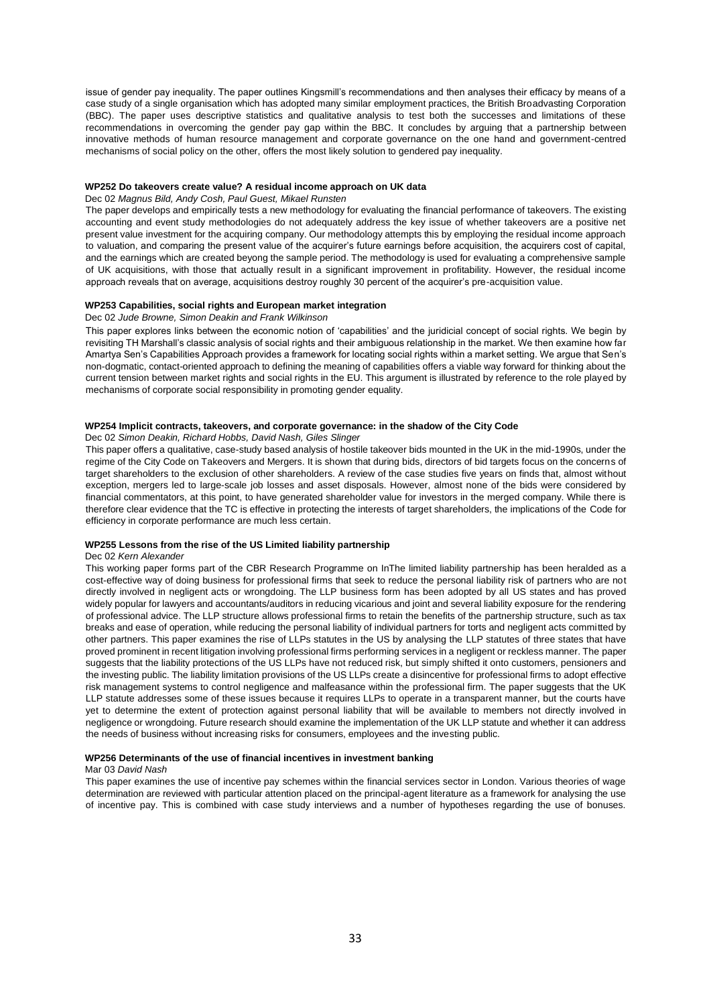issue of gender pay inequality. The paper outlines Kingsmill's recommendations and then analyses their efficacy by means of a case study of a single organisation which has adopted many similar employment practices, the British Broadvasting Corporation (BBC). The paper uses descriptive statistics and qualitative analysis to test both the successes and limitations of these recommendations in overcoming the gender pay gap within the BBC. It concludes by arguing that a partnership between innovative methods of human resource management and corporate governance on the one hand and government-centred mechanisms of social policy on the other, offers the most likely solution to gendered pay inequality.

#### **WP252 Do takeovers create value? A residual income approach on UK data**

### Dec 02 *Magnus Bild, Andy Cosh, Paul Guest, Mikael Runsten*

The paper develops and empirically tests a new methodology for evaluating the financial performance of takeovers. The existing accounting and event study methodologies do not adequately address the key issue of whether takeovers are a positive net present value investment for the acquiring company. Our methodology attempts this by employing the residual income approach to valuation, and comparing the present value of the acquirer's future earnings before acquisition, the acquirers cost of capital, and the earnings which are created beyong the sample period. The methodology is used for evaluating a comprehensive sample of UK acquisitions, with those that actually result in a significant improvement in profitability. However, the residual income approach reveals that on average, acquisitions destroy roughly 30 percent of the acquirer's pre-acquisition value.

## **WP253 Capabilities, social rights and European market integration**

#### Dec 02 *Jude Browne, Simon Deakin and Frank Wilkinson*

This paper explores links between the economic notion of 'capabilities' and the juridicial concept of social rights. We begin by revisiting TH Marshall's classic analysis of social rights and their ambiguous relationship in the market. We then examine how far Amartya Sen's Capabilities Approach provides a framework for locating social rights within a market setting. We argue that Sen's non-dogmatic, contact-oriented approach to defining the meaning of capabilities offers a viable way forward for thinking about the current tension between market rights and social rights in the EU. This argument is illustrated by reference to the role played by mechanisms of corporate social responsibility in promoting gender equality.

### **WP254 Implicit contracts, takeovers, and corporate governance: in the shadow of the City Code**

Dec 02 *Simon Deakin, Richard Hobbs, David Nash, Giles Slinger* 

This paper offers a qualitative, case-study based analysis of hostile takeover bids mounted in the UK in the mid-1990s, under the regime of the City Code on Takeovers and Mergers. It is shown that during bids, directors of bid targets focus on the concerns of target shareholders to the exclusion of other shareholders. A review of the case studies five years on finds that, almost without exception, mergers led to large-scale job losses and asset disposals. However, almost none of the bids were considered by financial commentators, at this point, to have generated shareholder value for investors in the merged company. While there is therefore clear evidence that the TC is effective in protecting the interests of target shareholders, the implications of the Code for efficiency in corporate performance are much less certain.

#### **WP255 Lessons from the rise of the US Limited liability partnership**

#### Dec 02 *Kern Alexander*

This working paper forms part of the CBR Research Programme on InThe limited liability partnership has been heralded as a cost-effective way of doing business for professional firms that seek to reduce the personal liability risk of partners who are not directly involved in negligent acts or wrongdoing. The LLP business form has been adopted by all US states and has proved widely popular for lawyers and accountants/auditors in reducing vicarious and joint and several liability exposure for the rendering of professional advice. The LLP structure allows professional firms to retain the benefits of the partnership structure, such as tax breaks and ease of operation, while reducing the personal liability of individual partners for torts and negligent acts committed by other partners. This paper examines the rise of LLPs statutes in the US by analysing the LLP statutes of three states that have proved prominent in recent litigation involving professional firms performing services in a negligent or reckless manner. The paper suggests that the liability protections of the US LLPs have not reduced risk, but simply shifted it onto customers, pensioners and the investing public. The liability limitation provisions of the US LLPs create a disincentive for professional firms to adopt effective risk management systems to control negligence and malfeasance within the professional firm. The paper suggests that the UK LLP statute addresses some of these issues because it requires LLPs to operate in a transparent manner, but the courts have yet to determine the extent of protection against personal liability that will be available to members not directly involved in negligence or wrongdoing. Future research should examine the implementation of the UK LLP statute and whether it can address the needs of business without increasing risks for consumers, employees and the investing public.

## **WP256 Determinants of the use of financial incentives in investment banking**

### Mar 03 *David Nash*

This paper examines the use of incentive pay schemes within the financial services sector in London. Various theories of wage determination are reviewed with particular attention placed on the principal-agent literature as a framework for analysing the use of incentive pay. This is combined with case study interviews and a number of hypotheses regarding the use of bonuses.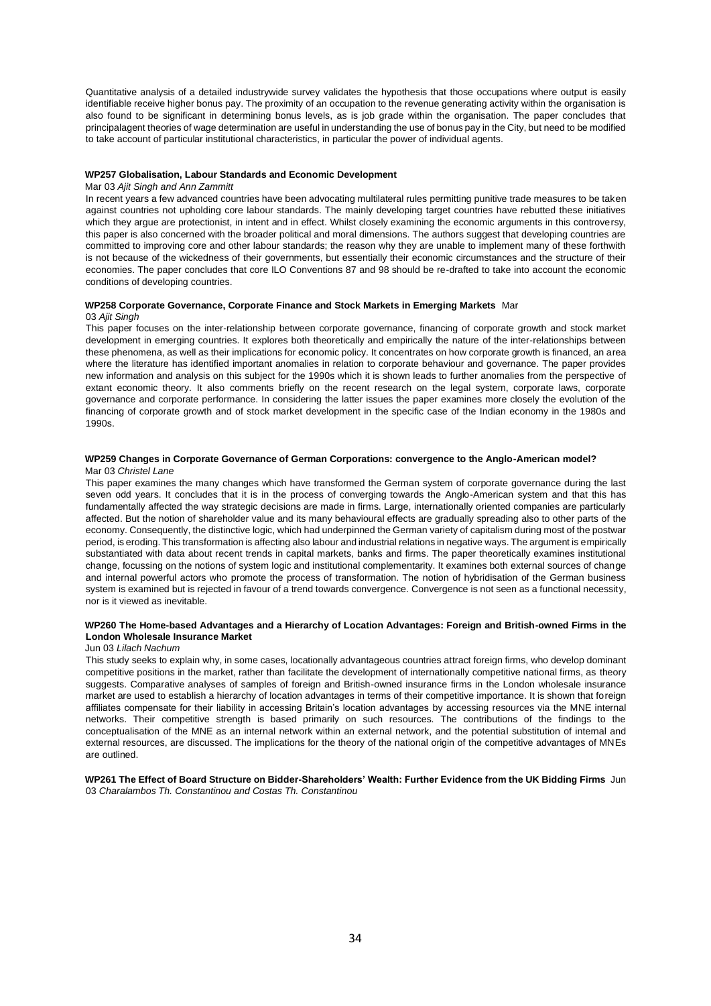Quantitative analysis of a detailed industrywide survey validates the hypothesis that those occupations where output is easily identifiable receive higher bonus pay. The proximity of an occupation to the revenue generating activity within the organisation is also found to be significant in determining bonus levels, as is job grade within the organisation. The paper concludes that principalagent theories of wage determination are useful in understanding the use of bonus pay in the City, but need to be modified to take account of particular institutional characteristics, in particular the power of individual agents.

#### **WP257 Globalisation, Labour Standards and Economic Development**

#### Mar 03 *Ajit Singh and Ann Zammitt*

In recent years a few advanced countries have been advocating multilateral rules permitting punitive trade measures to be taken against countries not upholding core labour standards. The mainly developing target countries have rebutted these initiatives which they arque are protectionist, in intent and in effect. Whilst closely examining the economic arguments in this controversy, this paper is also concerned with the broader political and moral dimensions. The authors suggest that developing countries are committed to improving core and other labour standards; the reason why they are unable to implement many of these forthwith is not because of the wickedness of their governments, but essentially their economic circumstances and the structure of their economies. The paper concludes that core ILO Conventions 87 and 98 should be re-drafted to take into account the economic conditions of developing countries.

## **WP258 Corporate Governance, Corporate Finance and Stock Markets in Emerging Markets** Mar

#### 03 *Ajit Singh*

This paper focuses on the inter-relationship between corporate governance, financing of corporate growth and stock market development in emerging countries. It explores both theoretically and empirically the nature of the inter-relationships between these phenomena, as well as their implications for economic policy. It concentrates on how corporate growth is financed, an area where the literature has identified important anomalies in relation to corporate behaviour and governance. The paper provides new information and analysis on this subject for the 1990s which it is shown leads to further anomalies from the perspective of extant economic theory. It also comments briefly on the recent research on the legal system, corporate laws, corporate governance and corporate performance. In considering the latter issues the paper examines more closely the evolution of the financing of corporate growth and of stock market development in the specific case of the Indian economy in the 1980s and 1990s.

#### **WP259 Changes in Corporate Governance of German Corporations: convergence to the Anglo-American model?**  Mar 03 *Christel Lane*

This paper examines the many changes which have transformed the German system of corporate governance during the last seven odd years. It concludes that it is in the process of converging towards the Anglo-American system and that this has fundamentally affected the way strategic decisions are made in firms. Large, internationally oriented companies are particularly affected. But the notion of shareholder value and its many behavioural effects are gradually spreading also to other parts of the economy. Consequently, the distinctive logic, which had underpinned the German variety of capitalism during most of the postwar period, is eroding. This transformation is affecting also labour and industrial relations in negative ways. The argument is empirically substantiated with data about recent trends in capital markets, banks and firms. The paper theoretically examines institutional change, focussing on the notions of system logic and institutional complementarity. It examines both external sources of change and internal powerful actors who promote the process of transformation. The notion of hybridisation of the German business system is examined but is rejected in favour of a trend towards convergence. Convergence is not seen as a functional necessity, nor is it viewed as inevitable.

### **WP260 The Home-based Advantages and a Hierarchy of Location Advantages: Foreign and British-owned Firms in the London Wholesale Insurance Market**

## Jun 03 *Lilach Nachum*

This study seeks to explain why, in some cases, locationally advantageous countries attract foreign firms, who develop dominant competitive positions in the market, rather than facilitate the development of internationally competitive national firms, as theory suggests. Comparative analyses of samples of foreign and British-owned insurance firms in the London wholesale insurance market are used to establish a hierarchy of location advantages in terms of their competitive importance. It is shown that foreign affiliates compensate for their liability in accessing Britain's location advantages by accessing resources via the MNE internal networks. Their competitive strength is based primarily on such resources. The contributions of the findings to the conceptualisation of the MNE as an internal network within an external network, and the potential substitution of internal and external resources, are discussed. The implications for the theory of the national origin of the competitive advantages of MNEs are outlined.

### **WP261 The Effect of Board Structure on Bidder-Shareholders' Wealth: Further Evidence from the UK Bidding Firms** Jun 03 *Charalambos Th. Constantinou and Costas Th. Constantinou*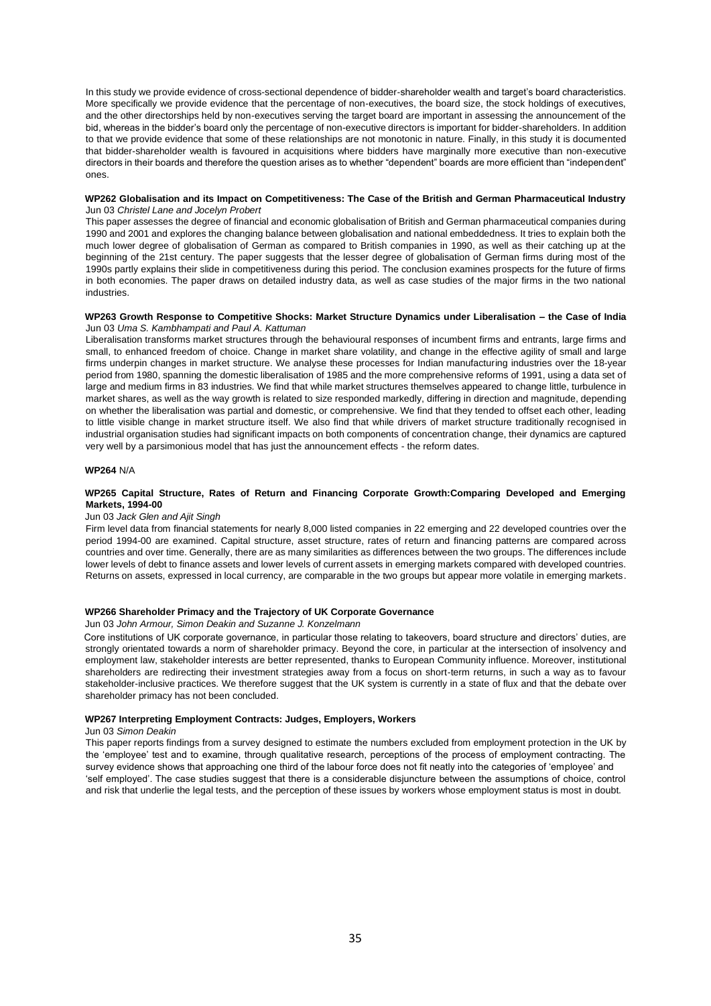In this study we provide evidence of cross-sectional dependence of bidder-shareholder wealth and target's board characteristics. More specifically we provide evidence that the percentage of non-executives, the board size, the stock holdings of executives, and the other directorships held by non-executives serving the target board are important in assessing the announcement of the bid, whereas in the bidder's board only the percentage of non-executive directors is important for bidder-shareholders. In addition to that we provide evidence that some of these relationships are not monotonic in nature. Finally, in this study it is documented that bidder-shareholder wealth is favoured in acquisitions where bidders have marginally more executive than non-executive directors in their boards and therefore the question arises as to whether "dependent" boards are more efficient than "independent" ones.

#### **WP262 Globalisation and its Impact on Competitiveness: The Case of the British and German Pharmaceutical Industry**  Jun 03 *Christel Lane and Jocelyn Probert*

This paper assesses the degree of financial and economic globalisation of British and German pharmaceutical companies during 1990 and 2001 and explores the changing balance between globalisation and national embeddedness. It tries to explain both the much lower degree of globalisation of German as compared to British companies in 1990, as well as their catching up at the beginning of the 21st century. The paper suggests that the lesser degree of globalisation of German firms during most of the 1990s partly explains their slide in competitiveness during this period. The conclusion examines prospects for the future of firms in both economies. The paper draws on detailed industry data, as well as case studies of the major firms in the two national industries.

#### **WP263 Growth Response to Competitive Shocks: Market Structure Dynamics under Liberalisation – the Case of India**  Jun 03 *Uma S. Kambhampati and Paul A. Kattuman*

Liberalisation transforms market structures through the behavioural responses of incumbent firms and entrants, large firms and small, to enhanced freedom of choice. Change in market share volatility, and change in the effective agility of small and large firms underpin changes in market structure. We analyse these processes for Indian manufacturing industries over the 18-year period from 1980, spanning the domestic liberalisation of 1985 and the more comprehensive reforms of 1991, using a data set of large and medium firms in 83 industries. We find that while market structures themselves appeared to change little, turbulence in market shares, as well as the way growth is related to size responded markedly, differing in direction and magnitude, depending on whether the liberalisation was partial and domestic, or comprehensive. We find that they tended to offset each other, leading to little visible change in market structure itself. We also find that while drivers of market structure traditionally recognised in industrial organisation studies had significant impacts on both components of concentration change, their dynamics are captured very well by a parsimonious model that has just the announcement effects - the reform dates.

## **WP264** N/A

#### **WP265 Capital Structure, Rates of Return and Financing Corporate Growth:Comparing Developed and Emerging Markets, 1994-00**

### Jun 03 *Jack Glen and Ajit Singh*

Firm level data from financial statements for nearly 8,000 listed companies in 22 emerging and 22 developed countries over the period 1994-00 are examined. Capital structure, asset structure, rates of return and financing patterns are compared across countries and over time. Generally, there are as many similarities as differences between the two groups. The differences include lower levels of debt to finance assets and lower levels of current assets in emerging markets compared with developed countries. Returns on assets, expressed in local currency, are comparable in the two groups but appear more volatile in emerging markets.

## **WP266 Shareholder Primacy and the Trajectory of UK Corporate Governance**

## Jun 03 *John Armour, Simon Deakin and Suzanne J. Konzelmann*

Core institutions of UK corporate governance, in particular those relating to takeovers, board structure and directors' duties, are strongly orientated towards a norm of shareholder primacy. Beyond the core, in particular at the intersection of insolvency and employment law, stakeholder interests are better represented, thanks to European Community influence. Moreover, institutional shareholders are redirecting their investment strategies away from a focus on short-term returns, in such a way as to favour stakeholder-inclusive practices. We therefore suggest that the UK system is currently in a state of flux and that the debate over shareholder primacy has not been concluded.

#### **WP267 Interpreting Employment Contracts: Judges, Employers, Workers**

### Jun 03 *Simon Deakin*

This paper reports findings from a survey designed to estimate the numbers excluded from employment protection in the UK by the 'employee' test and to examine, through qualitative research, perceptions of the process of employment contracting. The survey evidence shows that approaching one third of the labour force does not fit neatly into the categories of 'employee' and 'self employed'. The case studies suggest that there is a considerable disjuncture between the assumptions of choice, control and risk that underlie the legal tests, and the perception of these issues by workers whose employment status is most in doubt.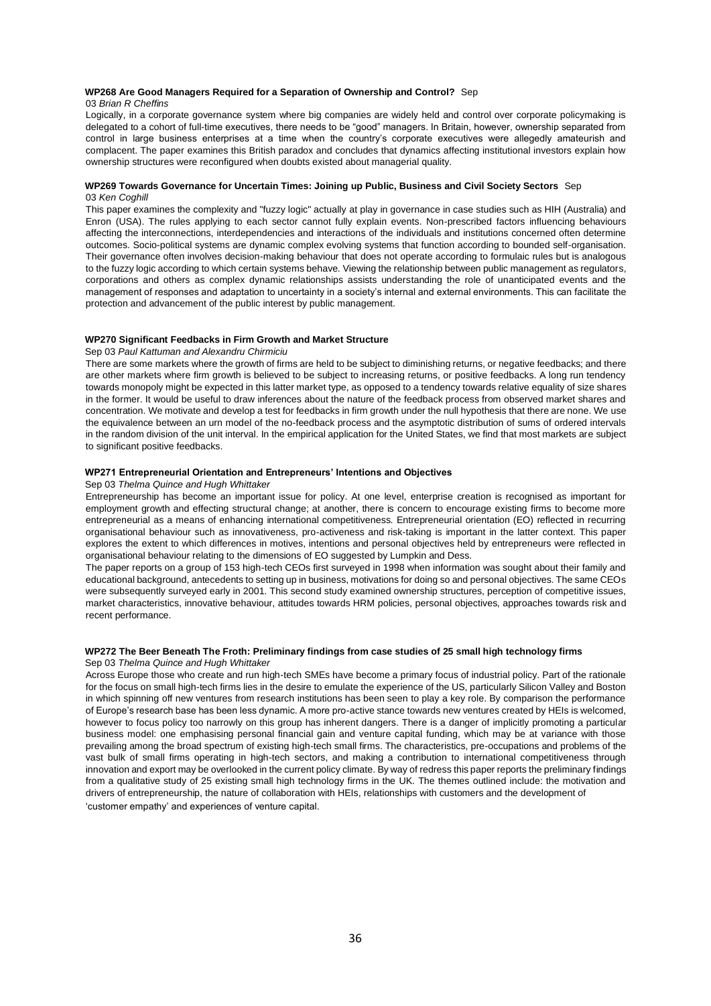#### **WP268 Are Good Managers Required for a Separation of Ownership and Control?** Sep

#### 03 *Brian R Cheffins*

Logically, in a corporate governance system where big companies are widely held and control over corporate policymaking is delegated to a cohort of full-time executives, there needs to be "good" managers. In Britain, however, ownership separated from control in large business enterprises at a time when the country's corporate executives were allegedly amateurish and complacent. The paper examines this British paradox and concludes that dynamics affecting institutional investors explain how ownership structures were reconfigured when doubts existed about managerial quality.

#### **WP269 Towards Governance for Uncertain Times: Joining up Public, Business and Civil Society Sectors** Sep 03 *Ken Coghill*

This paper examines the complexity and "fuzzy logic" actually at play in governance in case studies such as HIH (Australia) and Enron (USA). The rules applying to each sector cannot fully explain events. Non-prescribed factors influencing behaviours affecting the interconnections, interdependencies and interactions of the individuals and institutions concerned often determine outcomes. Socio-political systems are dynamic complex evolving systems that function according to bounded self-organisation. Their governance often involves decision-making behaviour that does not operate according to formulaic rules but is analogous to the fuzzy logic according to which certain systems behave. Viewing the relationship between public management as regulators, corporations and others as complex dynamic relationships assists understanding the role of unanticipated events and the management of responses and adaptation to uncertainty in a society's internal and external environments. This can facilitate the protection and advancement of the public interest by public management.

## **WP270 Significant Feedbacks in Firm Growth and Market Structure**

#### Sep 03 *Paul Kattuman and Alexandru Chirmiciu*

There are some markets where the growth of firms are held to be subject to diminishing returns, or negative feedbacks; and there are other markets where firm growth is believed to be subject to increasing returns, or positive feedbacks. A long run tendency towards monopoly might be expected in this latter market type, as opposed to a tendency towards relative equality of size shares in the former. It would be useful to draw inferences about the nature of the feedback process from observed market shares and concentration. We motivate and develop a test for feedbacks in firm growth under the null hypothesis that there are none. We use the equivalence between an urn model of the no-feedback process and the asymptotic distribution of sums of ordered intervals in the random division of the unit interval. In the empirical application for the United States, we find that most markets are subject to significant positive feedbacks.

#### **WP271 Entrepreneurial Orientation and Entrepreneurs' Intentions and Objectives**

#### Sep 03 *Thelma Quince and Hugh Whittaker*

Entrepreneurship has become an important issue for policy. At one level, enterprise creation is recognised as important for employment growth and effecting structural change; at another, there is concern to encourage existing firms to become more entrepreneurial as a means of enhancing international competitiveness. Entrepreneurial orientation (EO) reflected in recurring organisational behaviour such as innovativeness, pro-activeness and risk-taking is important in the latter context. This paper explores the extent to which differences in motives, intentions and personal objectives held by entrepreneurs were reflected in organisational behaviour relating to the dimensions of EO suggested by Lumpkin and Dess.

The paper reports on a group of 153 high-tech CEOs first surveyed in 1998 when information was sought about their family and educational background, antecedents to setting up in business, motivations for doing so and personal objectives. The same CEOs were subsequently surveyed early in 2001. This second study examined ownership structures, perception of competitive issues, market characteristics, innovative behaviour, attitudes towards HRM policies, personal objectives, approaches towards risk and recent performance.

#### **WP272 The Beer Beneath The Froth: Preliminary findings from case studies of 25 small high technology firms**  Sep 03 *Thelma Quince and Hugh Whittaker*

Across Europe those who create and run high-tech SMEs have become a primary focus of industrial policy. Part of the rationale for the focus on small high-tech firms lies in the desire to emulate the experience of the US, particularly Silicon Valley and Boston in which spinning off new ventures from research institutions has been seen to play a key role. By comparison the performance of Europe's research base has been less dynamic. A more pro-active stance towards new ventures created by HEIs is welcomed, however to focus policy too narrowly on this group has inherent dangers. There is a danger of implicitly promoting a particular business model: one emphasising personal financial gain and venture capital funding, which may be at variance with those prevailing among the broad spectrum of existing high-tech small firms. The characteristics, pre-occupations and problems of the vast bulk of small firms operating in high-tech sectors, and making a contribution to international competitiveness through innovation and export may be overlooked in the current policy climate. By way of redress this paper reports the preliminary findings from a qualitative study of 25 existing small high technology firms in the UK. The themes outlined include: the motivation and drivers of entrepreneurship, the nature of collaboration with HEIs, relationships with customers and the development of 'customer empathy' and experiences of venture capital.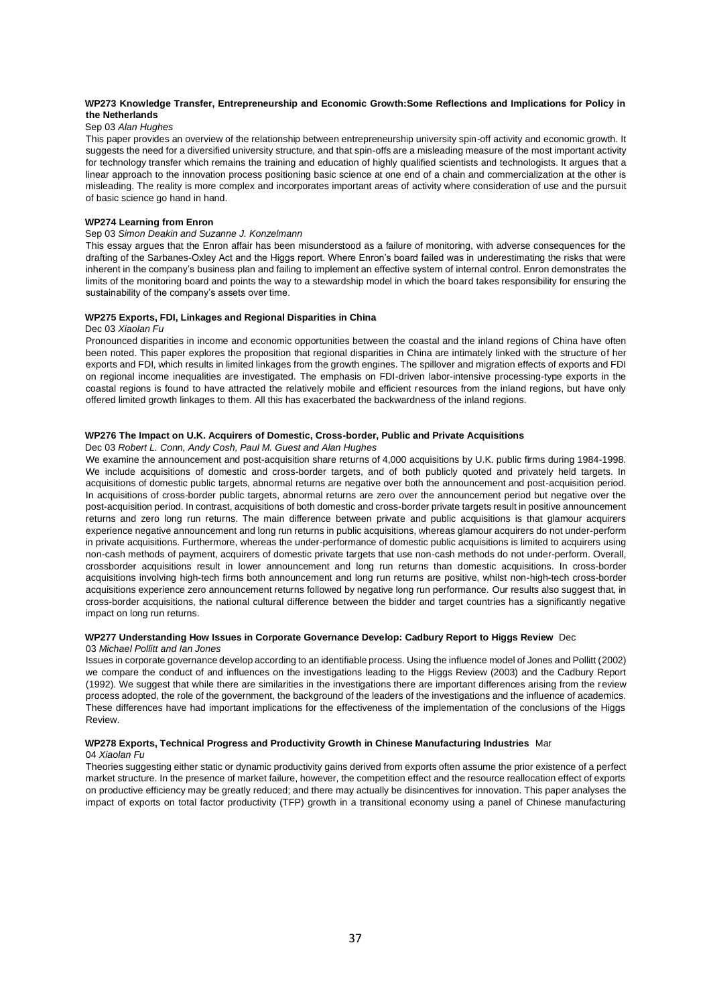## **WP273 Knowledge Transfer, Entrepreneurship and Economic Growth:Some Reflections and Implications for Policy in the Netherlands**

#### Sep 03 *Alan Hughes*

This paper provides an overview of the relationship between entrepreneurship university spin-off activity and economic growth. It suggests the need for a diversified university structure, and that spin-offs are a misleading measure of the most important activity for technology transfer which remains the training and education of highly qualified scientists and technologists. It argues that a linear approach to the innovation process positioning basic science at one end of a chain and commercialization at the other is misleading. The reality is more complex and incorporates important areas of activity where consideration of use and the pursuit of basic science go hand in hand.

#### **WP274 Learning from Enron**

#### Sep 03 *Simon Deakin and Suzanne J. Konzelmann*

This essay argues that the Enron affair has been misunderstood as a failure of monitoring, with adverse consequences for the drafting of the Sarbanes-Oxley Act and the Higgs report. Where Enron's board failed was in underestimating the risks that were inherent in the company's business plan and failing to implement an effective system of internal control. Enron demonstrates the limits of the monitoring board and points the way to a stewardship model in which the board takes responsibility for ensuring the sustainability of the company's assets over time.

#### **WP275 Exports, FDI, Linkages and Regional Disparities in China**

#### Dec 03 *Xiaolan Fu*

Pronounced disparities in income and economic opportunities between the coastal and the inland regions of China have often been noted. This paper explores the proposition that regional disparities in China are intimately linked with the structure of her exports and FDI, which results in limited linkages from the growth engines. The spillover and migration effects of exports and FDI on regional income inequalities are investigated. The emphasis on FDI-driven labor-intensive processing-type exports in the coastal regions is found to have attracted the relatively mobile and efficient resources from the inland regions, but have only offered limited growth linkages to them. All this has exacerbated the backwardness of the inland regions.

#### **WP276 The Impact on U.K. Acquirers of Domestic, Cross-border, Public and Private Acquisitions**

#### Dec 03 *Robert L. Conn, Andy Cosh, Paul M. Guest and Alan Hughes*

We examine the announcement and post-acquisition share returns of 4,000 acquisitions by U.K. public firms during 1984-1998. We include acquisitions of domestic and cross-border targets, and of both publicly quoted and privately held targets. In acquisitions of domestic public targets, abnormal returns are negative over both the announcement and post-acquisition period. In acquisitions of cross-border public targets, abnormal returns are zero over the announcement period but negative over the post-acquisition period. In contrast, acquisitions of both domestic and cross-border private targets result in positive announcement returns and zero long run returns. The main difference between private and public acquisitions is that glamour acquirers experience negative announcement and long run returns in public acquisitions, whereas glamour acquirers do not under-perform in private acquisitions. Furthermore, whereas the under-performance of domestic public acquisitions is limited to acquirers using non-cash methods of payment, acquirers of domestic private targets that use non-cash methods do not under-perform. Overall, crossborder acquisitions result in lower announcement and long run returns than domestic acquisitions. In cross-border acquisitions involving high-tech firms both announcement and long run returns are positive, whilst non-high-tech cross-border acquisitions experience zero announcement returns followed by negative long run performance. Our results also suggest that, in cross-border acquisitions, the national cultural difference between the bidder and target countries has a significantly negative impact on long run returns.

### **WP277 Understanding How Issues in Corporate Governance Develop: Cadbury Report to Higgs Review** Dec 03 *Michael Pollitt and Ian Jones*

Issues in corporate governance develop according to an identifiable process. Using the influence model of Jones and Pollitt (2002) we compare the conduct of and influences on the investigations leading to the Higgs Review (2003) and the Cadbury Report (1992). We suggest that while there are similarities in the investigations there are important differences arising from the review process adopted, the role of the government, the background of the leaders of the investigations and the influence of academics. These differences have had important implications for the effectiveness of the implementation of the conclusions of the Higgs Review.

#### **WP278 Exports, Technical Progress and Productivity Growth in Chinese Manufacturing Industries** Mar 04 *Xiaolan Fu*

Theories suggesting either static or dynamic productivity gains derived from exports often assume the prior existence of a perfect market structure. In the presence of market failure, however, the competition effect and the resource reallocation effect of exports on productive efficiency may be greatly reduced; and there may actually be disincentives for innovation. This paper analyses the impact of exports on total factor productivity (TFP) growth in a transitional economy using a panel of Chinese manufacturing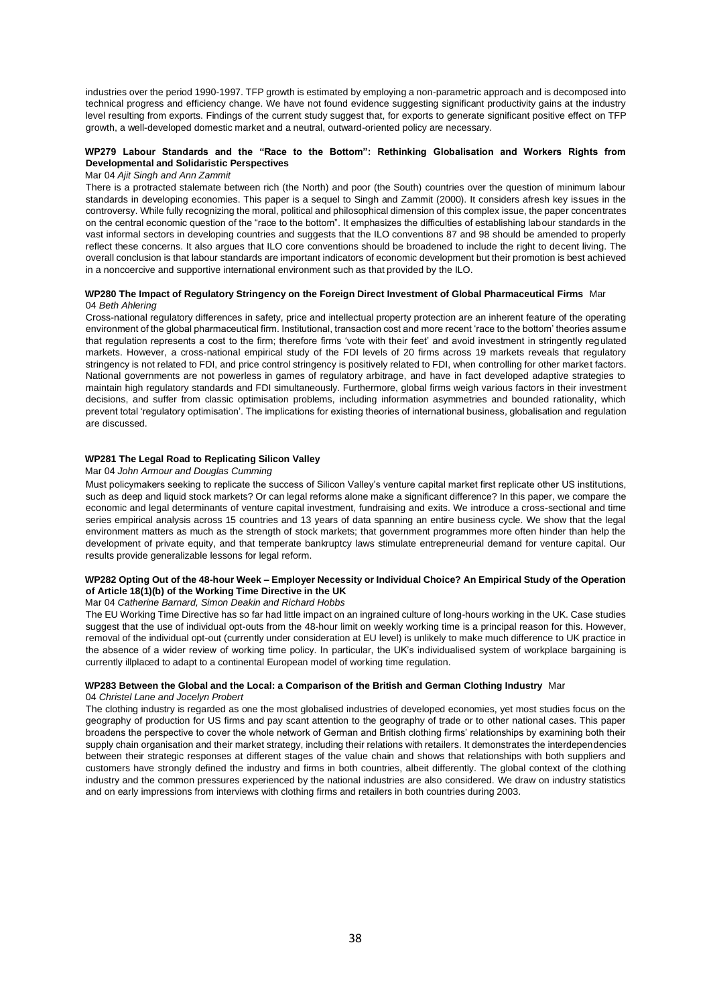industries over the period 1990-1997. TFP growth is estimated by employing a non-parametric approach and is decomposed into technical progress and efficiency change. We have not found evidence suggesting significant productivity gains at the industry level resulting from exports. Findings of the current study suggest that, for exports to generate significant positive effect on TFP growth, a well-developed domestic market and a neutral, outward-oriented policy are necessary.

# **WP279 Labour Standards and the "Race to the Bottom": Rethinking Globalisation and Workers Rights from Developmental and Solidaristic Perspectives**

# Mar 04 *Ajit Singh and Ann Zammit*

There is a protracted stalemate between rich (the North) and poor (the South) countries over the question of minimum labour standards in developing economies. This paper is a sequel to Singh and Zammit (2000). It considers afresh key issues in the controversy. While fully recognizing the moral, political and philosophical dimension of this complex issue, the paper concentrates on the central economic question of the "race to the bottom". It emphasizes the difficulties of establishing labour standards in the vast informal sectors in developing countries and suggests that the ILO conventions 87 and 98 should be amended to properly reflect these concerns. It also argues that ILO core conventions should be broadened to include the right to decent living. The overall conclusion is that labour standards are important indicators of economic development but their promotion is best achieved in a noncoercive and supportive international environment such as that provided by the ILO.

#### **WP280 The Impact of Regulatory Stringency on the Foreign Direct Investment of Global Pharmaceutical Firms** Mar 04 *Beth Ahlering*

Cross-national regulatory differences in safety, price and intellectual property protection are an inherent feature of the operating environment of the global pharmaceutical firm. Institutional, transaction cost and more recent 'race to the bottom' theories assume that regulation represents a cost to the firm; therefore firms 'vote with their feet' and avoid investment in stringently regulated markets. However, a cross-national empirical study of the FDI levels of 20 firms across 19 markets reveals that regulatory stringency is not related to FDI, and price control stringency is positively related to FDI, when controlling for other market factors. National governments are not powerless in games of regulatory arbitrage, and have in fact developed adaptive strategies to maintain high regulatory standards and FDI simultaneously. Furthermore, global firms weigh various factors in their investment decisions, and suffer from classic optimisation problems, including information asymmetries and bounded rationality, which prevent total 'regulatory optimisation'. The implications for existing theories of international business, globalisation and regulation are discussed.

#### **WP281 The Legal Road to Replicating Silicon Valley**

#### Mar 04 *John Armour and Douglas Cumming*

Must policymakers seeking to replicate the success of Silicon Valley's venture capital market first replicate other US institutions, such as deep and liquid stock markets? Or can legal reforms alone make a significant difference? In this paper, we compare the economic and legal determinants of venture capital investment, fundraising and exits. We introduce a cross-sectional and time series empirical analysis across 15 countries and 13 years of data spanning an entire business cycle. We show that the legal environment matters as much as the strength of stock markets; that government programmes more often hinder than help the development of private equity, and that temperate bankruptcy laws stimulate entrepreneurial demand for venture capital. Our results provide generalizable lessons for legal reform.

# **WP282 Opting Out of the 48-hour Week – Employer Necessity or Individual Choice? An Empirical Study of the Operation of Article 18(1)(b) of the Working Time Directive in the UK**

### Mar 04 *Catherine Barnard, Simon Deakin and Richard Hobbs*

The EU Working Time Directive has so far had little impact on an ingrained culture of long-hours working in the UK. Case studies suggest that the use of individual opt-outs from the 48-hour limit on weekly working time is a principal reason for this. However, removal of the individual opt-out (currently under consideration at EU level) is unlikely to make much difference to UK practice in the absence of a wider review of working time policy. In particular, the UK's individualised system of workplace bargaining is currently illplaced to adapt to a continental European model of working time regulation.

# **WP283 Between the Global and the Local: a Comparison of the British and German Clothing Industry** Mar

# 04 *Christel Lane and Jocelyn Probert*

The clothing industry is regarded as one the most globalised industries of developed economies, yet most studies focus on the geography of production for US firms and pay scant attention to the geography of trade or to other national cases. This paper broadens the perspective to cover the whole network of German and British clothing firms' relationships by examining both their supply chain organisation and their market strategy, including their relations with retailers. It demonstrates the interdependencies between their strategic responses at different stages of the value chain and shows that relationships with both suppliers and customers have strongly defined the industry and firms in both countries, albeit differently. The global context of the clothing industry and the common pressures experienced by the national industries are also considered. We draw on industry statistics and on early impressions from interviews with clothing firms and retailers in both countries during 2003.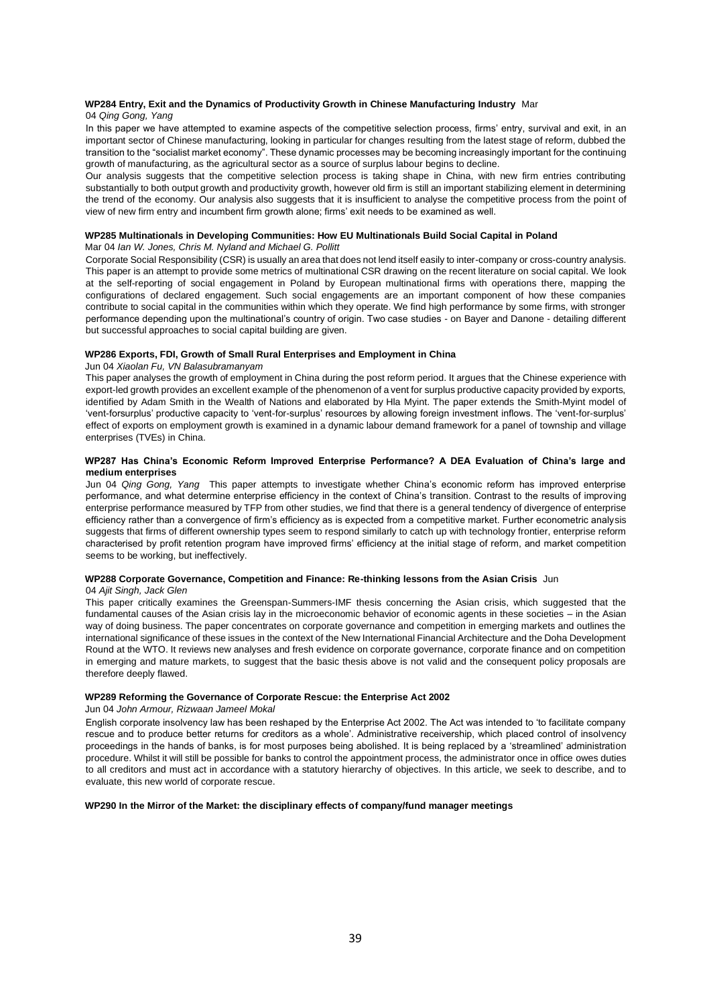# **WP284 Entry, Exit and the Dynamics of Productivity Growth in Chinese Manufacturing Industry** Mar

### 04 *Qing Gong, Yang*

In this paper we have attempted to examine aspects of the competitive selection process, firms' entry, survival and exit, in an important sector of Chinese manufacturing, looking in particular for changes resulting from the latest stage of reform, dubbed the transition to the "socialist market economy". These dynamic processes may be becoming increasingly important for the continuing growth of manufacturing, as the agricultural sector as a source of surplus labour begins to decline.

Our analysis suggests that the competitive selection process is taking shape in China, with new firm entries contributing substantially to both output growth and productivity growth, however old firm is still an important stabilizing element in determining the trend of the economy. Our analysis also suggests that it is insufficient to analyse the competitive process from the point of view of new firm entry and incumbent firm growth alone; firms' exit needs to be examined as well.

# **WP285 Multinationals in Developing Communities: How EU Multinationals Build Social Capital in Poland**

### Mar 04 *Ian W. Jones, Chris M. Nyland and Michael G. Pollitt*

Corporate Social Responsibility (CSR) is usually an area that does not lend itself easily to inter-company or cross-country analysis. This paper is an attempt to provide some metrics of multinational CSR drawing on the recent literature on social capital. We look at the self-reporting of social engagement in Poland by European multinational firms with operations there, mapping the configurations of declared engagement. Such social engagements are an important component of how these companies contribute to social capital in the communities within which they operate. We find high performance by some firms, with stronger performance depending upon the multinational's country of origin. Two case studies - on Bayer and Danone - detailing different but successful approaches to social capital building are given.

# **WP286 Exports, FDI, Growth of Small Rural Enterprises and Employment in China**

### Jun 04 *Xiaolan Fu, VN Balasubramanyam*

This paper analyses the growth of employment in China during the post reform period. It argues that the Chinese experience with export-led growth provides an excellent example of the phenomenon of a vent for surplus productive capacity provided by exports, identified by Adam Smith in the Wealth of Nations and elaborated by Hla Myint. The paper extends the Smith-Myint model of 'vent-forsurplus' productive capacity to 'vent-for-surplus' resources by allowing foreign investment inflows. The 'vent-for-surplus' effect of exports on employment growth is examined in a dynamic labour demand framework for a panel of township and village enterprises (TVEs) in China.

### **WP287 Has China's Economic Reform Improved Enterprise Performance? A DEA Evaluation of China's large and medium enterprises**

Jun 04 *Qing Gong, Yang* This paper attempts to investigate whether China's economic reform has improved enterprise performance, and what determine enterprise efficiency in the context of China's transition. Contrast to the results of improving enterprise performance measured by TFP from other studies, we find that there is a general tendency of divergence of enterprise efficiency rather than a convergence of firm's efficiency as is expected from a competitive market. Further econometric analysis suggests that firms of different ownership types seem to respond similarly to catch up with technology frontier, enterprise reform characterised by profit retention program have improved firms' efficiency at the initial stage of reform, and market competition seems to be working, but ineffectively.

# **WP288 Corporate Governance, Competition and Finance: Re-thinking lessons from the Asian Crisis** Jun

## 04 *Ajit Singh, Jack Glen*

This paper critically examines the Greenspan-Summers-IMF thesis concerning the Asian crisis, which suggested that the fundamental causes of the Asian crisis lay in the microeconomic behavior of economic agents in these societies – in the Asian way of doing business. The paper concentrates on corporate governance and competition in emerging markets and outlines the international significance of these issues in the context of the New International Financial Architecture and the Doha Development Round at the WTO. It reviews new analyses and fresh evidence on corporate governance, corporate finance and on competition in emerging and mature markets, to suggest that the basic thesis above is not valid and the consequent policy proposals are therefore deeply flawed.

# **WP289 Reforming the Governance of Corporate Rescue: the Enterprise Act 2002**

### Jun 04 *John Armour, Rizwaan Jameel Mokal*

English corporate insolvency law has been reshaped by the Enterprise Act 2002. The Act was intended to 'to facilitate company rescue and to produce better returns for creditors as a whole'. Administrative receivership, which placed control of insolvency proceedings in the hands of banks, is for most purposes being abolished. It is being replaced by a 'streamlined' administration procedure. Whilst it will still be possible for banks to control the appointment process, the administrator once in office owes duties to all creditors and must act in accordance with a statutory hierarchy of objectives. In this article, we seek to describe, and to evaluate, this new world of corporate rescue.

**WP290 In the Mirror of the Market: the disciplinary effects of company/fund manager meetings**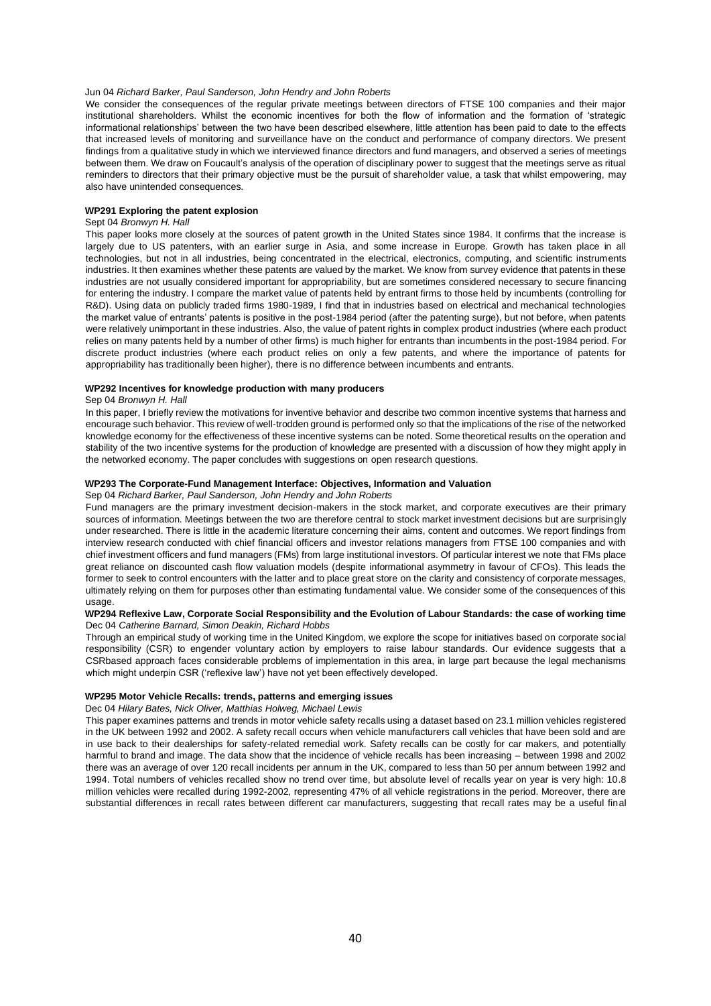### Jun 04 *Richard Barker, Paul Sanderson, John Hendry and John Roberts*

We consider the consequences of the regular private meetings between directors of FTSE 100 companies and their major institutional shareholders. Whilst the economic incentives for both the flow of information and the formation of 'strategic informational relationships' between the two have been described elsewhere, little attention has been paid to date to the effects that increased levels of monitoring and surveillance have on the conduct and performance of company directors. We present findings from a qualitative study in which we interviewed finance directors and fund managers, and observed a series of meetings between them. We draw on Foucault's analysis of the operation of disciplinary power to suggest that the meetings serve as ritual reminders to directors that their primary objective must be the pursuit of shareholder value, a task that whilst empowering, may also have unintended consequences.

#### **WP291 Exploring the patent explosion**

### Sept 04 *Bronwyn H. Hall*

This paper looks more closely at the sources of patent growth in the United States since 1984. It confirms that the increase is largely due to US patenters, with an earlier surge in Asia, and some increase in Europe. Growth has taken place in all technologies, but not in all industries, being concentrated in the electrical, electronics, computing, and scientific instruments industries. It then examines whether these patents are valued by the market. We know from survey evidence that patents in these industries are not usually considered important for appropriability, but are sometimes considered necessary to secure financing for entering the industry. I compare the market value of patents held by entrant firms to those held by incumbents (controlling for R&D). Using data on publicly traded firms 1980-1989, I find that in industries based on electrical and mechanical technologies the market value of entrants' patents is positive in the post-1984 period (after the patenting surge), but not before, when patents were relatively unimportant in these industries. Also, the value of patent rights in complex product industries (where each product relies on many patents held by a number of other firms) is much higher for entrants than incumbents in the post-1984 period. For discrete product industries (where each product relies on only a few patents, and where the importance of patents for appropriability has traditionally been higher), there is no difference between incumbents and entrants.

#### **WP292 Incentives for knowledge production with many producers**

#### Sep 04 *Bronwyn H. Hall*

In this paper, I briefly review the motivations for inventive behavior and describe two common incentive systems that harness and encourage such behavior. This review of well-trodden ground is performed only so that the implications of the rise of the networked knowledge economy for the effectiveness of these incentive systems can be noted. Some theoretical results on the operation and stability of the two incentive systems for the production of knowledge are presented with a discussion of how they might apply in the networked economy. The paper concludes with suggestions on open research questions.

#### **WP293 The Corporate-Fund Management Interface: Objectives, Information and Valuation**

#### Sep 04 *Richard Barker, Paul Sanderson, John Hendry and John Roberts*

Fund managers are the primary investment decision-makers in the stock market, and corporate executives are their primary sources of information. Meetings between the two are therefore central to stock market investment decisions but are surprisingly under researched. There is little in the academic literature concerning their aims, content and outcomes. We report findings from interview research conducted with chief financial officers and investor relations managers from FTSE 100 companies and with chief investment officers and fund managers (FMs) from large institutional investors. Of particular interest we note that FMs place great reliance on discounted cash flow valuation models (despite informational asymmetry in favour of CFOs). This leads the former to seek to control encounters with the latter and to place great store on the clarity and consistency of corporate messages, ultimately relying on them for purposes other than estimating fundamental value. We consider some of the consequences of this usage.

#### **WP294 Reflexive Law, Corporate Social Responsibility and the Evolution of Labour Standards: the case of working time**  Dec 04 *Catherine Barnard, Simon Deakin, Richard Hobbs*

Through an empirical study of working time in the United Kingdom, we explore the scope for initiatives based on corporate social responsibility (CSR) to engender voluntary action by employers to raise labour standards. Our evidence suggests that a CSRbased approach faces considerable problems of implementation in this area, in large part because the legal mechanisms which might underpin CSR ('reflexive law') have not yet been effectively developed.

#### **WP295 Motor Vehicle Recalls: trends, patterns and emerging issues**

# Dec 04 *Hilary Bates, Nick Oliver, Matthias Holweg, Michael Lewis*

This paper examines patterns and trends in motor vehicle safety recalls using a dataset based on 23.1 million vehicles registered in the UK between 1992 and 2002. A safety recall occurs when vehicle manufacturers call vehicles that have been sold and are in use back to their dealerships for safety-related remedial work. Safety recalls can be costly for car makers, and potentially harmful to brand and image. The data show that the incidence of vehicle recalls has been increasing – between 1998 and 2002 there was an average of over 120 recall incidents per annum in the UK, compared to less than 50 per annum between 1992 and 1994. Total numbers of vehicles recalled show no trend over time, but absolute level of recalls year on year is very high: 10.8 million vehicles were recalled during 1992-2002, representing 47% of all vehicle registrations in the period. Moreover, there are substantial differences in recall rates between different car manufacturers, suggesting that recall rates may be a useful final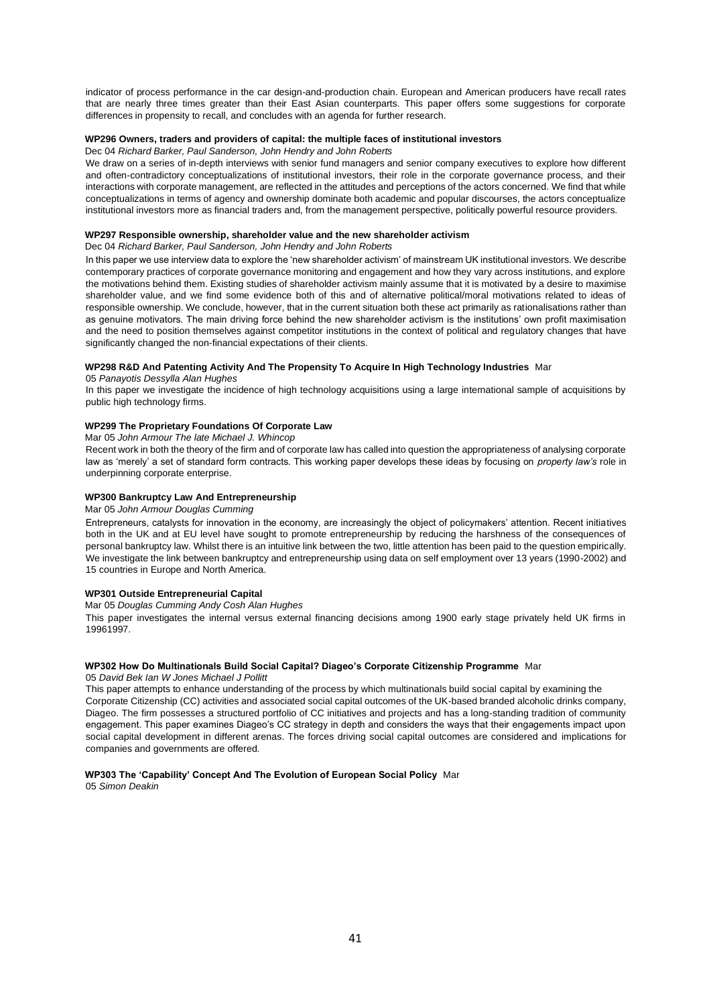indicator of process performance in the car design-and-production chain. European and American producers have recall rates that are nearly three times greater than their East Asian counterparts. This paper offers some suggestions for corporate differences in propensity to recall, and concludes with an agenda for further research.

## **WP296 Owners, traders and providers of capital: the multiple faces of institutional investors**

#### Dec 04 *Richard Barker, Paul Sanderson, John Hendry and John Roberts*

We draw on a series of in-depth interviews with senior fund managers and senior company executives to explore how different and often-contradictory conceptualizations of institutional investors, their role in the corporate governance process, and their interactions with corporate management, are reflected in the attitudes and perceptions of the actors concerned. We find that while conceptualizations in terms of agency and ownership dominate both academic and popular discourses, the actors conceptualize institutional investors more as financial traders and, from the management perspective, politically powerful resource providers.

### **WP297 Responsible ownership, shareholder value and the new shareholder activism**

### Dec 04 *Richard Barker, Paul Sanderson, John Hendry and John Roberts*

In this paper we use interview data to explore the 'new shareholder activism' of mainstream UK institutional investors. We describe contemporary practices of corporate governance monitoring and engagement and how they vary across institutions, and explore the motivations behind them. Existing studies of shareholder activism mainly assume that it is motivated by a desire to maximise shareholder value, and we find some evidence both of this and of alternative political/moral motivations related to ideas of responsible ownership. We conclude, however, that in the current situation both these act primarily as rationalisations rather than as genuine motivators. The main driving force behind the new shareholder activism is the institutions' own profit maximisation and the need to position themselves against competitor institutions in the context of political and regulatory changes that have significantly changed the non-financial expectations of their clients.

## **WP298 R&D And Patenting Activity And The Propensity To Acquire In High Technology Industries** Mar

05 *Panayotis Dessylla Alan Hughes* 

In this paper we investigate the incidence of high technology acquisitions using a large international sample of acquisitions by public high technology firms.

# **WP299 The Proprietary Foundations Of Corporate Law**

Mar 05 *John Armour The late Michael J. Whincop* 

Recent work in both the theory of the firm and of corporate law has called into question the appropriateness of analysing corporate law as 'merely' a set of standard form contracts. This working paper develops these ideas by focusing on *property law's* role in underpinning corporate enterprise.

### **WP300 Bankruptcy Law And Entrepreneurship**

# Mar 05 *John Armour Douglas Cumming*

Entrepreneurs, catalysts for innovation in the economy, are increasingly the object of policymakers' attention. Recent initiatives both in the UK and at EU level have sought to promote entrepreneurship by reducing the harshness of the consequences of personal bankruptcy law. Whilst there is an intuitive link between the two, little attention has been paid to the question empirically. We investigate the link between bankruptcy and entrepreneurship using data on self employment over 13 years (1990-2002) and 15 countries in Europe and North America.

### **WP301 Outside Entrepreneurial Capital**

Mar 05 *Douglas Cumming Andy Cosh Alan Hughes* 

This paper investigates the internal versus external financing decisions among 1900 early stage privately held UK firms in 19961997.

# **WP302 How Do Multinationals Build Social Capital? Diageo's Corporate Citizenship Programme** Mar

05 *David Bek Ian W Jones Michael J Pollitt* 

This paper attempts to enhance understanding of the process by which multinationals build social capital by examining the Corporate Citizenship (CC) activities and associated social capital outcomes of the UK-based branded alcoholic drinks company, Diageo. The firm possesses a structured portfolio of CC initiatives and projects and has a long-standing tradition of community engagement. This paper examines Diageo's CC strategy in depth and considers the ways that their engagements impact upon social capital development in different arenas. The forces driving social capital outcomes are considered and implications for companies and governments are offered.

# **WP303 The 'Capability' Concept And The Evolution of European Social Policy** Mar

05 *Simon Deakin*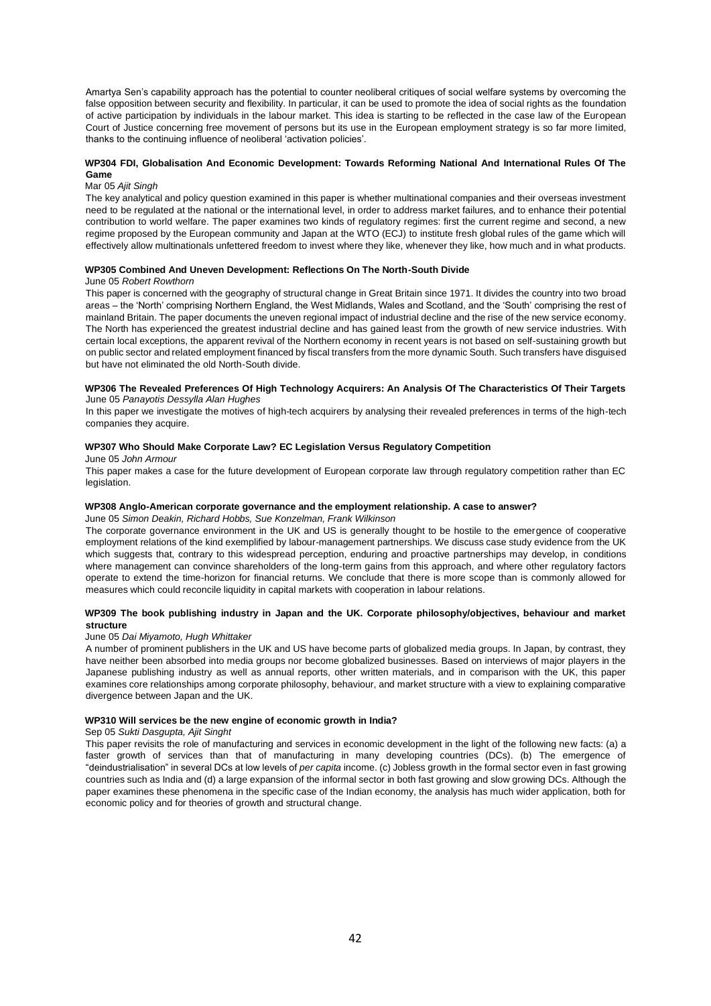Amartya Sen's capability approach has the potential to counter neoliberal critiques of social welfare systems by overcoming the false opposition between security and flexibility. In particular, it can be used to promote the idea of social rights as the foundation of active participation by individuals in the labour market. This idea is starting to be reflected in the case law of the European Court of Justice concerning free movement of persons but its use in the European employment strategy is so far more limited, thanks to the continuing influence of neoliberal 'activation policies'.

### **WP304 FDI, Globalisation And Economic Development: Towards Reforming National And International Rules Of The Game**

### Mar 05 *Ajit Singh*

The key analytical and policy question examined in this paper is whether multinational companies and their overseas investment need to be regulated at the national or the international level, in order to address market failures, and to enhance their potential contribution to world welfare. The paper examines two kinds of regulatory regimes: first the current regime and second, a new regime proposed by the European community and Japan at the WTO (ECJ) to institute fresh global rules of the game which will effectively allow multinationals unfettered freedom to invest where they like, whenever they like, how much and in what products.

# **WP305 Combined And Uneven Development: Reflections On The North-South Divide**

#### June 05 *Robert Rowthorn*

This paper is concerned with the geography of structural change in Great Britain since 1971. It divides the country into two broad areas – the 'North' comprising Northern England, the West Midlands, Wales and Scotland, and the 'South' comprising the rest of mainland Britain. The paper documents the uneven regional impact of industrial decline and the rise of the new service economy. The North has experienced the greatest industrial decline and has gained least from the growth of new service industries. With certain local exceptions, the apparent revival of the Northern economy in recent years is not based on self-sustaining growth but on public sector and related employment financed by fiscal transfers from the more dynamic South. Such transfers have disguised but have not eliminated the old North-South divide.

### **WP306 The Revealed Preferences Of High Technology Acquirers: An Analysis Of The Characteristics Of Their Targets**  June 05 *Panayotis Dessylla Alan Hughes*

In this paper we investigate the motives of high-tech acquirers by analysing their revealed preferences in terms of the high-tech companies they acquire.

# **WP307 Who Should Make Corporate Law? EC Legislation Versus Regulatory Competition**

June 05 *John Armour* 

This paper makes a case for the future development of European corporate law through regulatory competition rather than EC legislation.

### **WP308 Anglo-American corporate governance and the employment relationship. A case to answer?**

June 05 *Simon Deakin, Richard Hobbs, Sue Konzelman, Frank Wilkinson* 

The corporate governance environment in the UK and US is generally thought to be hostile to the emergence of cooperative employment relations of the kind exemplified by labour-management partnerships. We discuss case study evidence from the UK which suggests that, contrary to this widespread perception, enduring and proactive partnerships may develop, in conditions where management can convince shareholders of the long-term gains from this approach, and where other regulatory factors operate to extend the time-horizon for financial returns. We conclude that there is more scope than is commonly allowed for measures which could reconcile liquidity in capital markets with cooperation in labour relations.

# **WP309 The book publishing industry in Japan and the UK. Corporate philosophy/objectives, behaviour and market structure**

## June 05 *Dai Miyamoto, Hugh Whittaker*

A number of prominent publishers in the UK and US have become parts of globalized media groups. In Japan, by contrast, they have neither been absorbed into media groups nor become globalized businesses. Based on interviews of major players in the Japanese publishing industry as well as annual reports, other written materials, and in comparison with the UK, this paper examines core relationships among corporate philosophy, behaviour, and market structure with a view to explaining comparative divergence between Japan and the UK.

#### **WP310 Will services be the new engine of economic growth in India?**

Sep 05 *Sukti Dasgupta, Ajit Singht* 

This paper revisits the role of manufacturing and services in economic development in the light of the following new facts: (a) a faster growth of services than that of manufacturing in many developing countries (DCs). (b) The emergence of "deindustrialisation" in several DCs at low levels of *per capita* income. (c) Jobless growth in the formal sector even in fast growing countries such as India and (d) a large expansion of the informal sector in both fast growing and slow growing DCs. Although the paper examines these phenomena in the specific case of the Indian economy, the analysis has much wider application, both for economic policy and for theories of growth and structural change.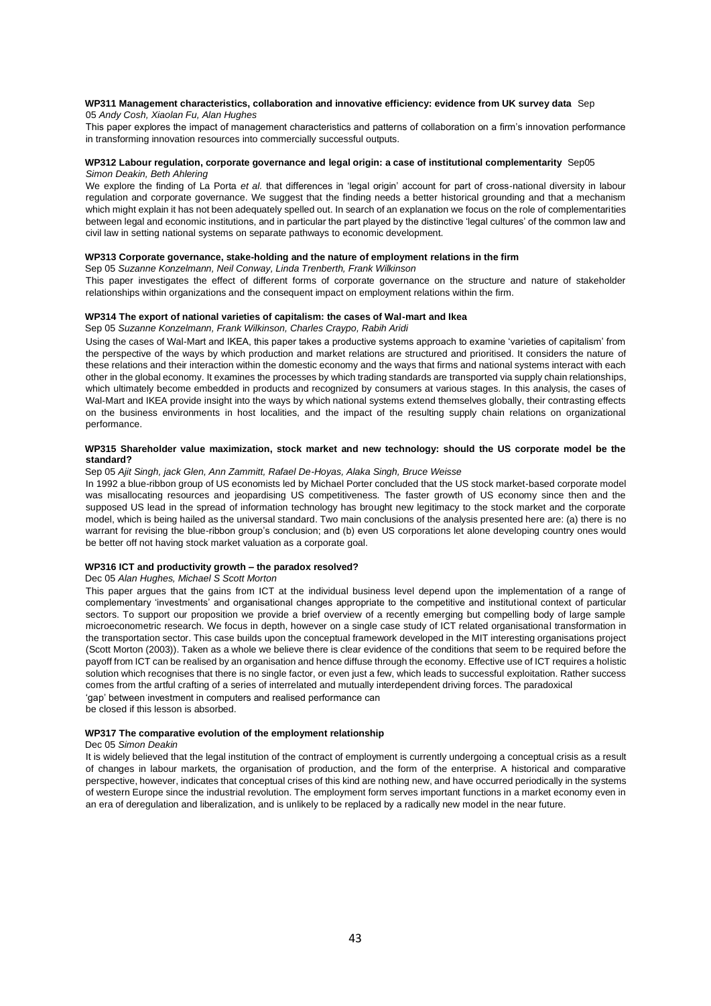#### **WP311 Management characteristics, collaboration and innovative efficiency: evidence from UK survey data** Sep 05 *Andy Cosh, Xiaolan Fu, Alan Hughes*

This paper explores the impact of management characteristics and patterns of collaboration on a firm's innovation performance in transforming innovation resources into commercially successful outputs.

#### **WP312 Labour regulation, corporate governance and legal origin: a case of institutional complementarity** Sep05 *Simon Deakin, Beth Ahlering*

We explore the finding of La Porta *et al.* that differences in 'legal origin' account for part of cross-national diversity in labour regulation and corporate governance. We suggest that the finding needs a better historical grounding and that a mechanism which might explain it has not been adequately spelled out. In search of an explanation we focus on the role of complementarities between legal and economic institutions, and in particular the part played by the distinctive 'legal cultures' of the common law and civil law in setting national systems on separate pathways to economic development.

### **WP313 Corporate governance, stake-holding and the nature of employment relations in the firm**

Sep 05 *Suzanne Konzelmann, Neil Conway, Linda Trenberth, Frank Wilkinson* 

This paper investigates the effect of different forms of corporate governance on the structure and nature of stakeholder relationships within organizations and the consequent impact on employment relations within the firm.

# **WP314 The export of national varieties of capitalism: the cases of Wal-mart and Ikea**

Sep 05 *Suzanne Konzelmann, Frank Wilkinson, Charles Craypo, Rabih Aridi* 

Using the cases of Wal-Mart and IKEA, this paper takes a productive systems approach to examine 'varieties of capitalism' from the perspective of the ways by which production and market relations are structured and prioritised. It considers the nature of these relations and their interaction within the domestic economy and the ways that firms and national systems interact with each other in the global economy. It examines the processes by which trading standards are transported via supply chain relationships, which ultimately become embedded in products and recognized by consumers at various stages. In this analysis, the cases of Wal-Mart and IKEA provide insight into the ways by which national systems extend themselves globally, their contrasting effects on the business environments in host localities, and the impact of the resulting supply chain relations on organizational performance.

#### **WP315 Shareholder value maximization, stock market and new technology: should the US corporate model be the standard?**

#### Sep 05 *Ajit Singh, jack Glen, Ann Zammitt, Rafael De-Hoyas, Alaka Singh, Bruce Weisse*

In 1992 a blue-ribbon group of US economists led by Michael Porter concluded that the US stock market-based corporate model was misallocating resources and jeopardising US competitiveness. The faster growth of US economy since then and the supposed US lead in the spread of information technology has brought new legitimacy to the stock market and the corporate model, which is being hailed as the universal standard. Two main conclusions of the analysis presented here are: (a) there is no warrant for revising the blue-ribbon group's conclusion; and (b) even US corporations let alone developing country ones would be better off not having stock market valuation as a corporate goal.

# **WP316 ICT and productivity growth – the paradox resolved?**

#### Dec 05 *Alan Hughes, Michael S Scott Morton*

This paper argues that the gains from ICT at the individual business level depend upon the implementation of a range of complementary 'investments' and organisational changes appropriate to the competitive and institutional context of particular sectors. To support our proposition we provide a brief overview of a recently emerging but compelling body of large sample microeconometric research. We focus in depth, however on a single case study of ICT related organisational transformation in the transportation sector. This case builds upon the conceptual framework developed in the MIT interesting organisations project (Scott Morton (2003)). Taken as a whole we believe there is clear evidence of the conditions that seem to be required before the payoff from ICT can be realised by an organisation and hence diffuse through the economy. Effective use of ICT requires a holistic solution which recognises that there is no single factor, or even just a few, which leads to successful exploitation. Rather success comes from the artful crafting of a series of interrelated and mutually interdependent driving forces. The paradoxical 'gap' between investment in computers and realised performance can

be closed if this lesson is absorbed.

### **WP317 The comparative evolution of the employment relationship**

#### Dec 05 *Simon Deakin*

It is widely believed that the legal institution of the contract of employment is currently undergoing a conceptual crisis as a result of changes in labour markets, the organisation of production, and the form of the enterprise. A historical and comparative perspective, however, indicates that conceptual crises of this kind are nothing new, and have occurred periodically in the systems of western Europe since the industrial revolution. The employment form serves important functions in a market economy even in an era of deregulation and liberalization, and is unlikely to be replaced by a radically new model in the near future.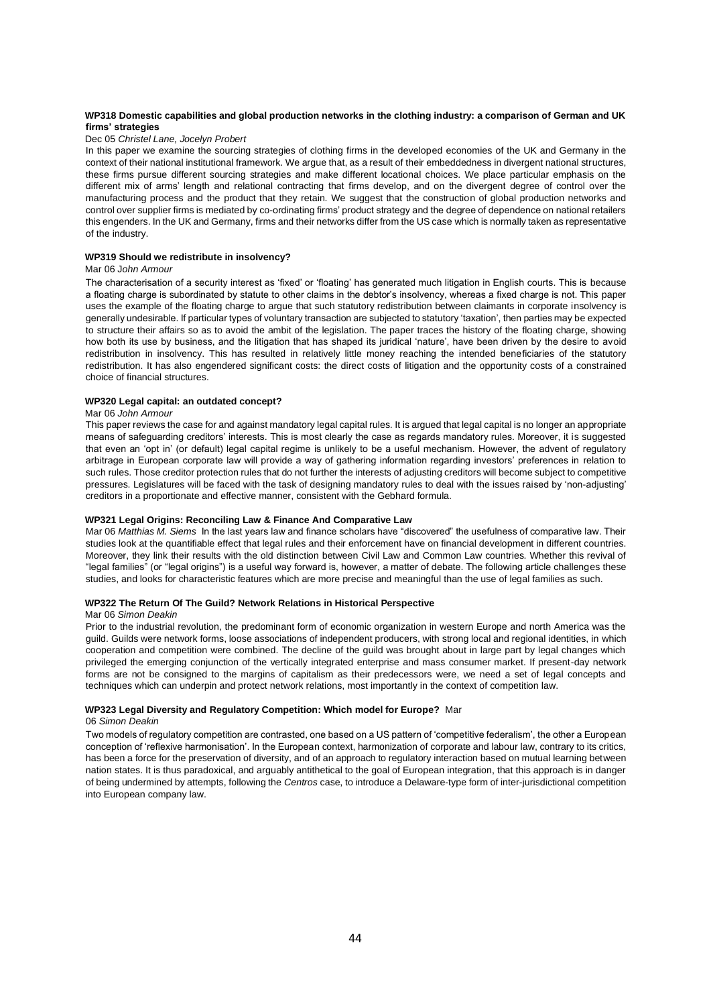#### **WP318 Domestic capabilities and global production networks in the clothing industry: a comparison of German and UK firms' strategies**

# Dec 05 *Christel Lane, Jocelyn Probert*

In this paper we examine the sourcing strategies of clothing firms in the developed economies of the UK and Germany in the context of their national institutional framework. We argue that, as a result of their embeddedness in divergent national structures, these firms pursue different sourcing strategies and make different locational choices. We place particular emphasis on the different mix of arms' length and relational contracting that firms develop, and on the divergent degree of control over the manufacturing process and the product that they retain. We suggest that the construction of global production networks and control over supplier firms is mediated by co-ordinating firms' product strategy and the degree of dependence on national retailers this engenders. In the UK and Germany, firms and their networks differ from the US case which is normally taken as representative of the industry.

### **WP319 Should we redistribute in insolvency?**

### Mar 06 J*ohn Armour*

The characterisation of a security interest as 'fixed' or 'floating' has generated much litigation in English courts. This is because a floating charge is subordinated by statute to other claims in the debtor's insolvency, whereas a fixed charge is not. This paper uses the example of the floating charge to argue that such statutory redistribution between claimants in corporate insolvency is generally undesirable. If particular types of voluntary transaction are subjected to statutory 'taxation', then parties may be expected to structure their affairs so as to avoid the ambit of the legislation. The paper traces the history of the floating charge, showing how both its use by business, and the litigation that has shaped its juridical 'nature', have been driven by the desire to avoid redistribution in insolvency. This has resulted in relatively little money reaching the intended beneficiaries of the statutory redistribution. It has also engendered significant costs: the direct costs of litigation and the opportunity costs of a constrained choice of financial structures.

#### **WP320 Legal capital: an outdated concept?**

## Mar 06 *John Armour*

This paper reviews the case for and against mandatory legal capital rules. It is argued that legal capital is no longer an appropriate means of safeguarding creditors' interests. This is most clearly the case as regards mandatory rules. Moreover, it is suggested that even an 'opt in' (or default) legal capital regime is unlikely to be a useful mechanism. However, the advent of regulatory arbitrage in European corporate law will provide a way of gathering information regarding investors' preferences in relation to such rules. Those creditor protection rules that do not further the interests of adjusting creditors will become subject to competitive pressures. Legislatures will be faced with the task of designing mandatory rules to deal with the issues raised by 'non-adjusting' creditors in a proportionate and effective manner, consistent with the Gebhard formula.

# **WP321 Legal Origins: Reconciling Law & Finance And Comparative Law**

Mar 06 *Matthias M. Siems* In the last years law and finance scholars have "discovered" the usefulness of comparative law. Their studies look at the quantifiable effect that legal rules and their enforcement have on financial development in different countries. Moreover, they link their results with the old distinction between Civil Law and Common Law countries. Whether this revival of "legal families" (or "legal origins") is a useful way forward is, however, a matter of debate. The following article challenges these studies, and looks for characteristic features which are more precise and meaningful than the use of legal families as such.

#### **WP322 The Return Of The Guild? Network Relations in Historical Perspective**

#### Mar 06 *Simon Deakin*

Prior to the industrial revolution, the predominant form of economic organization in western Europe and north America was the guild. Guilds were network forms, loose associations of independent producers, with strong local and regional identities, in which cooperation and competition were combined. The decline of the guild was brought about in large part by legal changes which privileged the emerging conjunction of the vertically integrated enterprise and mass consumer market. If present-day network forms are not be consigned to the margins of capitalism as their predecessors were, we need a set of legal concepts and techniques which can underpin and protect network relations, most importantly in the context of competition law.

### **WP323 Legal Diversity and Regulatory Competition: Which model for Europe?** Mar

#### 06 *Simon Deakin*

Two models of regulatory competition are contrasted, one based on a US pattern of 'competitive federalism', the other a European conception of 'reflexive harmonisation'. In the European context, harmonization of corporate and labour law, contrary to its critics, has been a force for the preservation of diversity, and of an approach to regulatory interaction based on mutual learning between nation states. It is thus paradoxical, and arguably antithetical to the goal of European integration, that this approach is in danger of being undermined by attempts, following the *Centros* case, to introduce a Delaware-type form of inter-jurisdictional competition into European company law.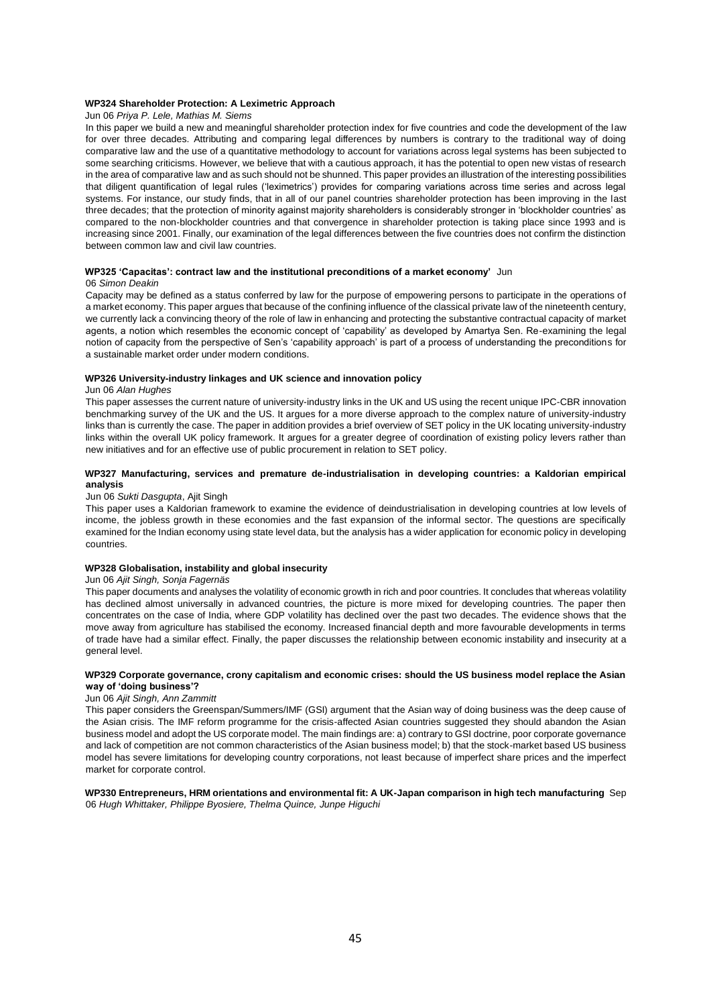### **WP324 Shareholder Protection: A Leximetric Approach**

# Jun 06 *Priya P. Lele, Mathias M. Siems*

In this paper we build a new and meaningful shareholder protection index for five countries and code the development of the law for over three decades. Attributing and comparing legal differences by numbers is contrary to the traditional way of doing comparative law and the use of a quantitative methodology to account for variations across legal systems has been subjected to some searching criticisms. However, we believe that with a cautious approach, it has the potential to open new vistas of research in the area of comparative law and as such should not be shunned. This paper provides an illustration of the interesting possibilities that diligent quantification of legal rules ('leximetrics') provides for comparing variations across time series and across legal systems. For instance, our study finds, that in all of our panel countries shareholder protection has been improving in the last three decades; that the protection of minority against majority shareholders is considerably stronger in 'blockholder countries' as compared to the non-blockholder countries and that convergence in shareholder protection is taking place since 1993 and is increasing since 2001. Finally, our examination of the legal differences between the five countries does not confirm the distinction between common law and civil law countries.

# **WP325 'Capacitas': contract law and the institutional preconditions of a market economy'** Jun

# 06 *Simon Deakin*

Capacity may be defined as a status conferred by law for the purpose of empowering persons to participate in the operations of a market economy. This paper argues that because of the confining influence of the classical private law of the nineteenth century, we currently lack a convincing theory of the role of law in enhancing and protecting the substantive contractual capacity of market agents, a notion which resembles the economic concept of 'capability' as developed by Amartya Sen. Re-examining the legal notion of capacity from the perspective of Sen's 'capability approach' is part of a process of understanding the preconditions for a sustainable market order under modern conditions.

#### **WP326 University-industry linkages and UK science and innovation policy**

# Jun 06 *Alan Hughes*

This paper assesses the current nature of university-industry links in the UK and US using the recent unique IPC-CBR innovation benchmarking survey of the UK and the US. It argues for a more diverse approach to the complex nature of university-industry links than is currently the case. The paper in addition provides a brief overview of SET policy in the UK locating university-industry links within the overall UK policy framework. It argues for a greater degree of coordination of existing policy levers rather than new initiatives and for an effective use of public procurement in relation to SET policy.

#### **WP327 Manufacturing, services and premature de-industrialisation in developing countries: a Kaldorian empirical analysis**

#### Jun 06 *Sukti Dasgupta*, Ajit Singh

This paper uses a Kaldorian framework to examine the evidence of deindustrialisation in developing countries at low levels of income, the jobless growth in these economies and the fast expansion of the informal sector. The questions are specifically examined for the Indian economy using state level data, but the analysis has a wider application for economic policy in developing countries.

### **WP328 Globalisation, instability and global insecurity**

### Jun 06 *Ajit Singh, Sonja Fagernäs*

This paper documents and analyses the volatility of economic growth in rich and poor countries. It concludes that whereas volatility has declined almost universally in advanced countries, the picture is more mixed for developing countries. The paper then concentrates on the case of India, where GDP volatility has declined over the past two decades. The evidence shows that the move away from agriculture has stabilised the economy. Increased financial depth and more favourable developments in terms of trade have had a similar effect. Finally, the paper discusses the relationship between economic instability and insecurity at a general level.

# **WP329 Corporate governance, crony capitalism and economic crises: should the US business model replace the Asian way of 'doing business'?**

### Jun 06 *Ajit Singh, Ann Zammitt*

This paper considers the Greenspan/Summers/IMF (GSI) argument that the Asian way of doing business was the deep cause of the Asian crisis. The IMF reform programme for the crisis-affected Asian countries suggested they should abandon the Asian business model and adopt the US corporate model. The main findings are: a) contrary to GSI doctrine, poor corporate governance and lack of competition are not common characteristics of the Asian business model; b) that the stock-market based US business model has severe limitations for developing country corporations, not least because of imperfect share prices and the imperfect market for corporate control.

### **WP330 Entrepreneurs, HRM orientations and environmental fit: A UK-Japan comparison in high tech manufacturing** Sep 06 *Hugh Whittaker, Philippe Byosiere, Thelma Quince, Junpe Higuchi*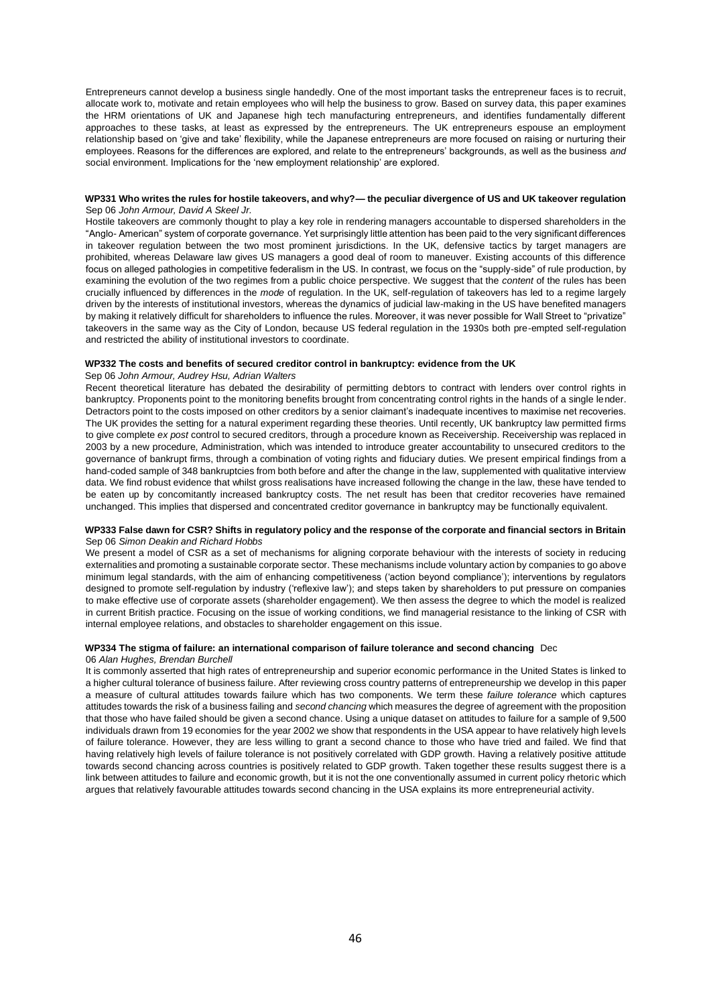Entrepreneurs cannot develop a business single handedly. One of the most important tasks the entrepreneur faces is to recruit, allocate work to, motivate and retain employees who will help the business to grow. Based on survey data, this paper examines the HRM orientations of UK and Japanese high tech manufacturing entrepreneurs, and identifies fundamentally different approaches to these tasks, at least as expressed by the entrepreneurs. The UK entrepreneurs espouse an employment relationship based on 'give and take' flexibility, while the Japanese entrepreneurs are more focused on raising or nurturing their employees. Reasons for the differences are explored, and relate to the entrepreneurs' backgrounds, as well as the business *and*  social environment. Implications for the 'new employment relationship' are explored.

#### **WP331 Who writes the rules for hostile takeovers, and why?— the peculiar divergence of US and UK takeover regulation**  Sep 06 *John Armour, David A Skeel Jr.*

Hostile takeovers are commonly thought to play a key role in rendering managers accountable to dispersed shareholders in the "Anglo- American" system of corporate governance. Yet surprisingly little attention has been paid to the very significant differences in takeover regulation between the two most prominent jurisdictions. In the UK, defensive tactics by target managers are prohibited, whereas Delaware law gives US managers a good deal of room to maneuver. Existing accounts of this difference focus on alleged pathologies in competitive federalism in the US. In contrast, we focus on the "supply-side" of rule production, by examining the evolution of the two regimes from a public choice perspective. We suggest that the *content* of the rules has been crucially influenced by differences in the *mode* of regulation. In the UK, self-regulation of takeovers has led to a regime largely driven by the interests of institutional investors, whereas the dynamics of judicial law-making in the US have benefited managers by making it relatively difficult for shareholders to influence the rules. Moreover, it was never possible for Wall Street to "privatize" takeovers in the same way as the City of London, because US federal regulation in the 1930s both pre-empted self-regulation and restricted the ability of institutional investors to coordinate.

#### **WP332 The costs and benefits of secured creditor control in bankruptcy: evidence from the UK**

Sep 06 *John Armour, Audrey Hsu, Adrian Walters* 

Recent theoretical literature has debated the desirability of permitting debtors to contract with lenders over control rights in bankruptcy. Proponents point to the monitoring benefits brought from concentrating control rights in the hands of a single lender. Detractors point to the costs imposed on other creditors by a senior claimant's inadequate incentives to maximise net recoveries. The UK provides the setting for a natural experiment regarding these theories. Until recently, UK bankruptcy law permitted firms to give complete *ex post* control to secured creditors, through a procedure known as Receivership. Receivership was replaced in 2003 by a new procedure, Administration, which was intended to introduce greater accountability to unsecured creditors to the governance of bankrupt firms, through a combination of voting rights and fiduciary duties. We present empirical findings from a hand-coded sample of 348 bankruptcies from both before and after the change in the law, supplemented with qualitative interview data. We find robust evidence that whilst gross realisations have increased following the change in the law, these have tended to be eaten up by concomitantly increased bankruptcy costs. The net result has been that creditor recoveries have remained unchanged. This implies that dispersed and concentrated creditor governance in bankruptcy may be functionally equivalent.

#### **WP333 False dawn for CSR? Shifts in regulatory policy and the response of the corporate and financial sectors in Britain**  Sep 06 *Simon Deakin and Richard Hobbs*

We present a model of CSR as a set of mechanisms for aligning corporate behaviour with the interests of society in reducing externalities and promoting a sustainable corporate sector. These mechanisms include voluntary action by companies to go above minimum legal standards, with the aim of enhancing competitiveness ('action beyond compliance'); interventions by regulators designed to promote self-regulation by industry ('reflexive law'); and steps taken by shareholders to put pressure on companies to make effective use of corporate assets (shareholder engagement). We then assess the degree to which the model is realized in current British practice. Focusing on the issue of working conditions, we find managerial resistance to the linking of CSR with internal employee relations, and obstacles to shareholder engagement on this issue.

### **WP334 The stigma of failure: an international comparison of failure tolerance and second chancing** Dec 06 *Alan Hughes, Brendan Burchell*

It is commonly asserted that high rates of entrepreneurship and superior economic performance in the United States is linked to a higher cultural tolerance of business failure. After reviewing cross country patterns of entrepreneurship we develop in this paper a measure of cultural attitudes towards failure which has two components. We term these *failure tolerance* which captures attitudes towards the risk of a business failing and *second chancing* which measures the degree of agreement with the proposition that those who have failed should be given a second chance. Using a unique dataset on attitudes to failure for a sample of 9,500 individuals drawn from 19 economies for the year 2002 we show that respondents in the USA appear to have relatively high levels of failure tolerance. However, they are less willing to grant a second chance to those who have tried and failed. We find that having relatively high levels of failure tolerance is not positively correlated with GDP growth. Having a relatively positive attitude towards second chancing across countries is positively related to GDP growth. Taken together these results suggest there is a link between attitudes to failure and economic growth, but it is not the one conventionally assumed in current policy rhetoric which argues that relatively favourable attitudes towards second chancing in the USA explains its more entrepreneurial activity.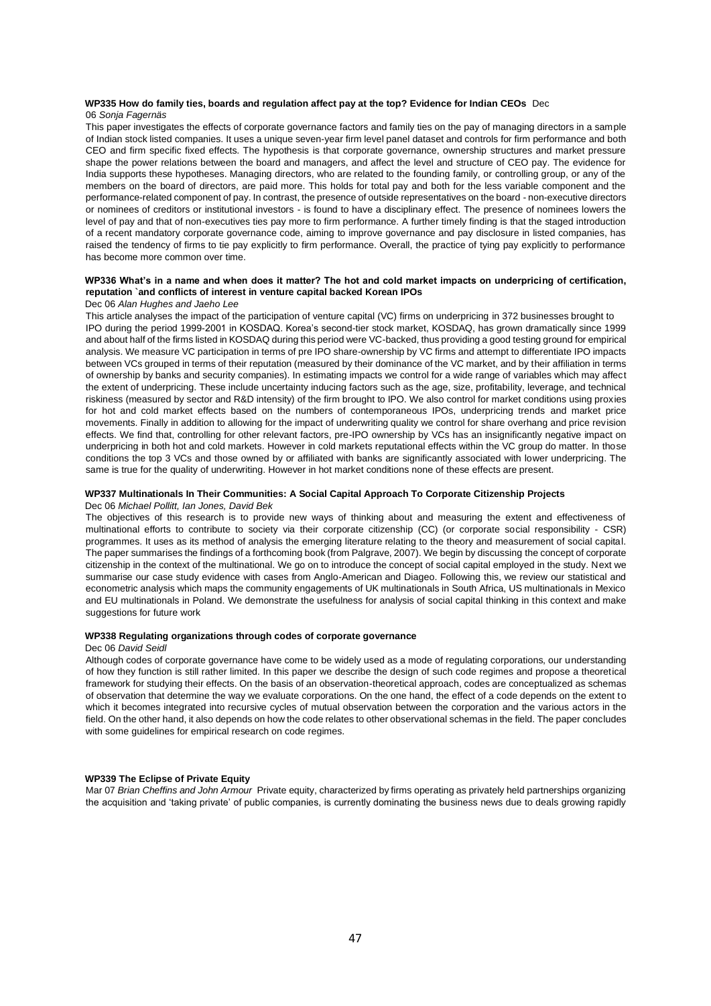#### **WP335 How do family ties, boards and regulation affect pay at the top? Evidence for Indian CEOs** Dec 06 *Sonja Fagernäs*

This paper investigates the effects of corporate governance factors and family ties on the pay of managing directors in a sample of Indian stock listed companies. It uses a unique seven-year firm level panel dataset and controls for firm performance and both CEO and firm specific fixed effects. The hypothesis is that corporate governance, ownership structures and market pressure shape the power relations between the board and managers, and affect the level and structure of CEO pay. The evidence for India supports these hypotheses. Managing directors, who are related to the founding family, or controlling group, or any of the members on the board of directors, are paid more. This holds for total pay and both for the less variable component and the performance-related component of pay. In contrast, the presence of outside representatives on the board - non-executive directors or nominees of creditors or institutional investors - is found to have a disciplinary effect. The presence of nominees lowers the level of pay and that of non-executives ties pay more to firm performance. A further timely finding is that the staged introduction of a recent mandatory corporate governance code, aiming to improve governance and pay disclosure in listed companies, has raised the tendency of firms to tie pay explicitly to firm performance. Overall, the practice of tying pay explicitly to performance has become more common over time.

# **WP336 What's in a name and when does it matter? The hot and cold market impacts on underpricing of certification, reputation `and conflicts of interest in venture capital backed Korean IPOs**

#### Dec 06 *Alan Hughes and Jaeho Lee*

This article analyses the impact of the participation of venture capital (VC) firms on underpricing in 372 businesses brought to IPO during the period 1999-2001 in KOSDAQ. Korea's second-tier stock market, KOSDAQ, has grown dramatically since 1999 and about half of the firms listed in KOSDAQ during this period were VC-backed, thus providing a good testing ground for empirical analysis. We measure VC participation in terms of pre IPO share-ownership by VC firms and attempt to differentiate IPO impacts between VCs grouped in terms of their reputation (measured by their dominance of the VC market, and by their affiliation in terms of ownership by banks and security companies). In estimating impacts we control for a wide range of variables which may affect the extent of underpricing. These include uncertainty inducing factors such as the age, size, profitability, leverage, and technical riskiness (measured by sector and R&D intensity) of the firm brought to IPO. We also control for market conditions using proxies for hot and cold market effects based on the numbers of contemporaneous IPOs, underpricing trends and market price movements. Finally in addition to allowing for the impact of underwriting quality we control for share overhang and price revision effects. We find that, controlling for other relevant factors, pre-IPO ownership by VCs has an insignificantly negative impact on underpricing in both hot and cold markets. However in cold markets reputational effects within the VC group do matter. In those conditions the top 3 VCs and those owned by or affiliated with banks are significantly associated with lower underpricing. The same is true for the quality of underwriting. However in hot market conditions none of these effects are present.

#### **WP337 Multinationals In Their Communities: A Social Capital Approach To Corporate Citizenship Projects**

#### Dec 06 *Michael Pollitt, Ian Jones, David Bek*

The objectives of this research is to provide new ways of thinking about and measuring the extent and effectiveness of multinational efforts to contribute to society via their corporate citizenship (CC) (or corporate social responsibility - CSR) programmes. It uses as its method of analysis the emerging literature relating to the theory and measurement of social capital. The paper summarises the findings of a forthcoming book (from Palgrave, 2007). We begin by discussing the concept of corporate citizenship in the context of the multinational. We go on to introduce the concept of social capital employed in the study. Next we summarise our case study evidence with cases from Anglo-American and Diageo. Following this, we review our statistical and econometric analysis which maps the community engagements of UK multinationals in South Africa, US multinationals in Mexico and EU multinationals in Poland. We demonstrate the usefulness for analysis of social capital thinking in this context and make suggestions for future work

# **WP338 Regulating organizations through codes of corporate governance**

# Dec 06 *David Seidl*

Although codes of corporate governance have come to be widely used as a mode of regulating corporations, our understanding of how they function is still rather limited. In this paper we describe the design of such code regimes and propose a theoretical framework for studying their effects. On the basis of an observation-theoretical approach, codes are conceptualized as schemas of observation that determine the way we evaluate corporations. On the one hand, the effect of a code depends on the extent to which it becomes integrated into recursive cycles of mutual observation between the corporation and the various actors in the field. On the other hand, it also depends on how the code relates to other observational schemas in the field. The paper concludes with some guidelines for empirical research on code regimes.

### **WP339 The Eclipse of Private Equity**

Mar 07 *Brian Cheffins and John Armour* Private equity, characterized by firms operating as privately held partnerships organizing the acquisition and 'taking private' of public companies, is currently dominating the business news due to deals growing rapidly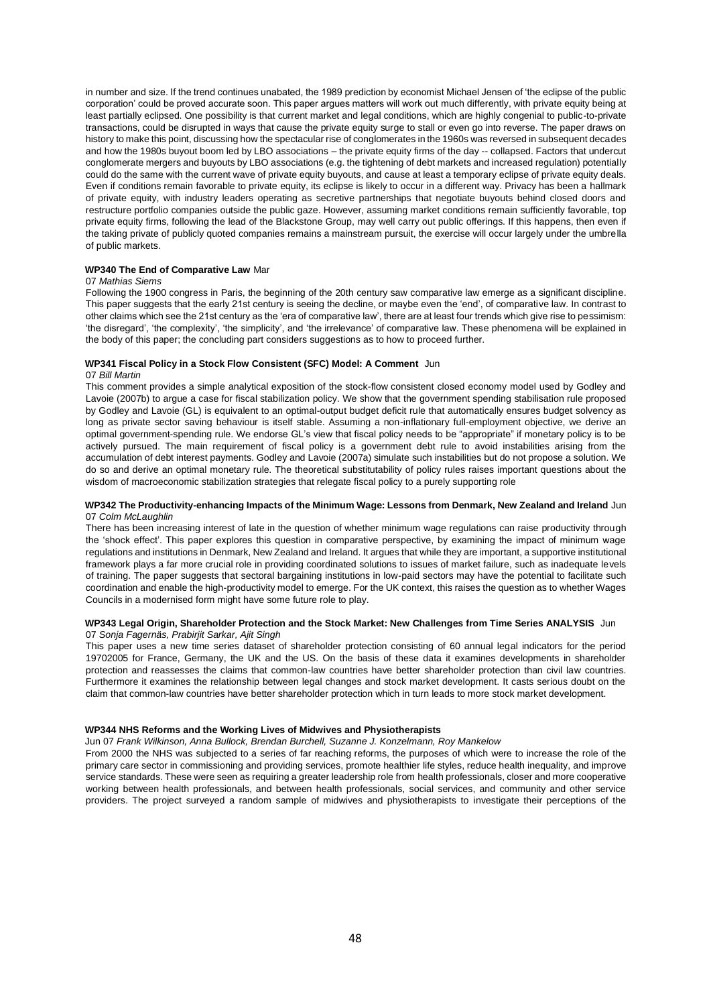in number and size. If the trend continues unabated, the 1989 prediction by economist Michael Jensen of 'the eclipse of the public corporation' could be proved accurate soon. This paper argues matters will work out much differently, with private equity being at least partially eclipsed. One possibility is that current market and legal conditions, which are highly congenial to public-to-private transactions, could be disrupted in ways that cause the private equity surge to stall or even go into reverse. The paper draws on history to make this point, discussing how the spectacular rise of conglomerates in the 1960s was reversed in subsequent decades and how the 1980s buyout boom led by LBO associations – the private equity firms of the day -- collapsed. Factors that undercut conglomerate mergers and buyouts by LBO associations (e.g. the tightening of debt markets and increased regulation) potentially could do the same with the current wave of private equity buyouts, and cause at least a temporary eclipse of private equity deals. Even if conditions remain favorable to private equity, its eclipse is likely to occur in a different way. Privacy has been a hallmark of private equity, with industry leaders operating as secretive partnerships that negotiate buyouts behind closed doors and restructure portfolio companies outside the public gaze. However, assuming market conditions remain sufficiently favorable, top private equity firms, following the lead of the Blackstone Group, may well carry out public offerings. If this happens, then even if the taking private of publicly quoted companies remains a mainstream pursuit, the exercise will occur largely under the umbrella of public markets.

### **WP340 The End of Comparative Law** Mar

#### 07 *Mathias Siems*

Following the 1900 congress in Paris, the beginning of the 20th century saw comparative law emerge as a significant discipline. This paper suggests that the early 21st century is seeing the decline, or maybe even the 'end', of comparative law. In contrast to other claims which see the 21st century as the 'era of comparative law', there are at least four trends which give rise to pessimism: 'the disregard', 'the complexity', 'the simplicity', and 'the irrelevance' of comparative law. These phenomena will be explained in the body of this paper; the concluding part considers suggestions as to how to proceed further.

#### **WP341 Fiscal Policy in a Stock Flow Consistent (SFC) Model: A Comment** Jun

#### 07 *Bill Martin*

This comment provides a simple analytical exposition of the stock-flow consistent closed economy model used by Godley and Lavoie (2007b) to argue a case for fiscal stabilization policy. We show that the government spending stabilisation rule proposed by Godley and Lavoie (GL) is equivalent to an optimal-output budget deficit rule that automatically ensures budget solvency as long as private sector saving behaviour is itself stable. Assuming a non-inflationary full-employment objective, we derive an optimal government-spending rule. We endorse GL's view that fiscal policy needs to be "appropriate" if monetary policy is to be actively pursued. The main requirement of fiscal policy is a government debt rule to avoid instabilities arising from the accumulation of debt interest payments. Godley and Lavoie (2007a) simulate such instabilities but do not propose a solution. We do so and derive an optimal monetary rule. The theoretical substitutability of policy rules raises important questions about the wisdom of macroeconomic stabilization strategies that relegate fiscal policy to a purely supporting role

#### **WP342 The Productivity-enhancing Impacts of the Minimum Wage: Lessons from Denmark, New Zealand and Ireland** Jun 07 *Colm McLaughlin*

There has been increasing interest of late in the question of whether minimum wage regulations can raise productivity through the 'shock effect'. This paper explores this question in comparative perspective, by examining the impact of minimum wage regulations and institutions in Denmark, New Zealand and Ireland. It argues that while they are important, a supportive institutional framework plays a far more crucial role in providing coordinated solutions to issues of market failure, such as inadequate levels of training. The paper suggests that sectoral bargaining institutions in low-paid sectors may have the potential to facilitate such coordination and enable the high-productivity model to emerge. For the UK context, this raises the question as to whether Wages Councils in a modernised form might have some future role to play.

### **WP343 Legal Origin, Shareholder Protection and the Stock Market: New Challenges from Time Series ANALYSIS** Jun 07 *Sonja Fagernäs, Prabirjit Sarkar, Ajit Singh*

This paper uses a new time series dataset of shareholder protection consisting of 60 annual legal indicators for the period 19702005 for France, Germany, the UK and the US. On the basis of these data it examines developments in shareholder protection and reassesses the claims that common-law countries have better shareholder protection than civil law countries. Furthermore it examines the relationship between legal changes and stock market development. It casts serious doubt on the claim that common-law countries have better shareholder protection which in turn leads to more stock market development.

### **WP344 NHS Reforms and the Working Lives of Midwives and Physiotherapists**

### Jun 07 *Frank Wilkinson, Anna Bullock, Brendan Burchell, Suzanne J. Konzelmann, Roy Mankelow*

From 2000 the NHS was subjected to a series of far reaching reforms, the purposes of which were to increase the role of the primary care sector in commissioning and providing services, promote healthier life styles, reduce health inequality, and improve service standards. These were seen as requiring a greater leadership role from health professionals, closer and more cooperative working between health professionals, and between health professionals, social services, and community and other service providers. The project surveyed a random sample of midwives and physiotherapists to investigate their perceptions of the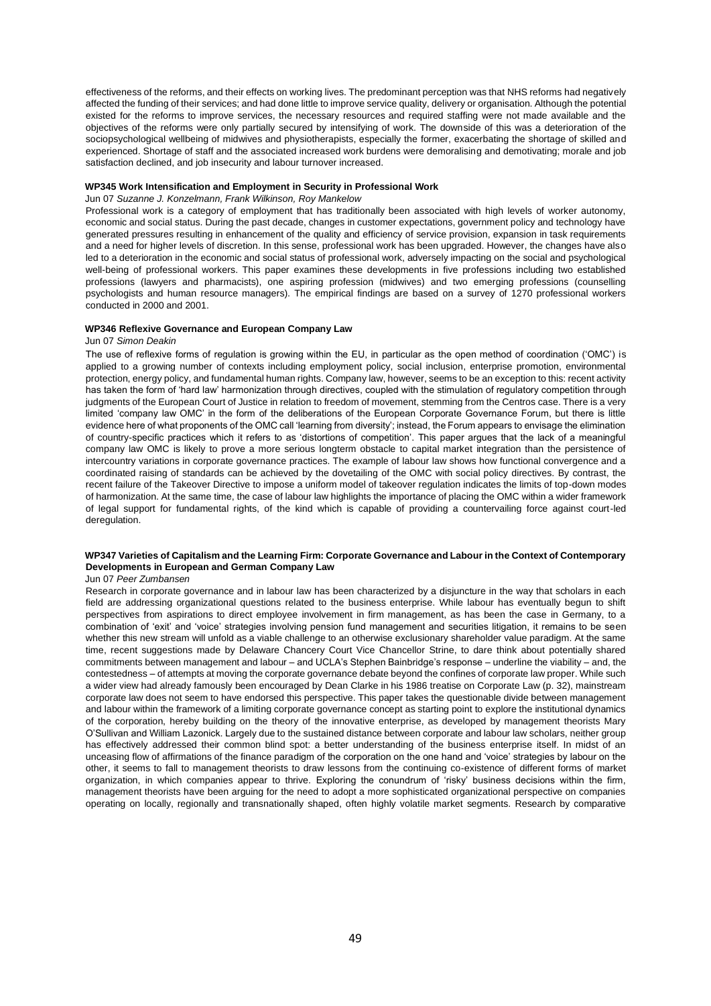effectiveness of the reforms, and their effects on working lives. The predominant perception was that NHS reforms had negatively affected the funding of their services; and had done little to improve service quality, delivery or organisation. Although the potential existed for the reforms to improve services, the necessary resources and required staffing were not made available and the objectives of the reforms were only partially secured by intensifying of work. The downside of this was a deterioration of the sociopsychological wellbeing of midwives and physiotherapists, especially the former, exacerbating the shortage of skilled and experienced. Shortage of staff and the associated increased work burdens were demoralising and demotivating; morale and job satisfaction declined, and job insecurity and labour turnover increased.

#### **WP345 Work Intensification and Employment in Security in Professional Work**

### Jun 07 *Suzanne J. Konzelmann, Frank Wilkinson, Roy Mankelow*

Professional work is a category of employment that has traditionally been associated with high levels of worker autonomy, economic and social status. During the past decade, changes in customer expectations, government policy and technology have generated pressures resulting in enhancement of the quality and efficiency of service provision, expansion in task requirements and a need for higher levels of discretion. In this sense, professional work has been upgraded. However, the changes have also led to a deterioration in the economic and social status of professional work, adversely impacting on the social and psychological well-being of professional workers. This paper examines these developments in five professions including two established professions (lawyers and pharmacists), one aspiring profession (midwives) and two emerging professions (counselling psychologists and human resource managers). The empirical findings are based on a survey of 1270 professional workers conducted in 2000 and 2001.

### **WP346 Reflexive Governance and European Company Law**

#### Jun 07 *Simon Deakin*

The use of reflexive forms of regulation is growing within the EU, in particular as the open method of coordination ('OMC') is applied to a growing number of contexts including employment policy, social inclusion, enterprise promotion, environmental protection, energy policy, and fundamental human rights. Company law, however, seems to be an exception to this: recent activity has taken the form of 'hard law' harmonization through directives, coupled with the stimulation of regulatory competition through judgments of the European Court of Justice in relation to freedom of movement, stemming from the Centros case. There is a very limited 'company law OMC' in the form of the deliberations of the European Corporate Governance Forum, but there is little evidence here of what proponents of the OMC call 'learning from diversity'; instead, the Forum appears to envisage the elimination of country-specific practices which it refers to as 'distortions of competition'. This paper argues that the lack of a meaningful company law OMC is likely to prove a more serious longterm obstacle to capital market integration than the persistence of intercountry variations in corporate governance practices. The example of labour law shows how functional convergence and a coordinated raising of standards can be achieved by the dovetailing of the OMC with social policy directives. By contrast, the recent failure of the Takeover Directive to impose a uniform model of takeover regulation indicates the limits of top-down modes of harmonization. At the same time, the case of labour law highlights the importance of placing the OMC within a wider framework of legal support for fundamental rights, of the kind which is capable of providing a countervailing force against court-led deregulation.

# **WP347 Varieties of Capitalism and the Learning Firm: Corporate Governance and Labour in the Context of Contemporary Developments in European and German Company Law**

#### Jun 07 *Peer Zumbansen*

Research in corporate governance and in labour law has been characterized by a disjuncture in the way that scholars in each field are addressing organizational questions related to the business enterprise. While labour has eventually begun to shift perspectives from aspirations to direct employee involvement in firm management, as has been the case in Germany, to a combination of 'exit' and 'voice' strategies involving pension fund management and securities litigation, it remains to be seen whether this new stream will unfold as a viable challenge to an otherwise exclusionary shareholder value paradigm. At the same time, recent suggestions made by Delaware Chancery Court Vice Chancellor Strine, to dare think about potentially shared commitments between management and labour – and UCLA's Stephen Bainbridge's response – underline the viability – and, the contestedness – of attempts at moving the corporate governance debate beyond the confines of corporate law proper. While such a wider view had already famously been encouraged by Dean Clarke in his 1986 treatise on Corporate Law (p. 32), mainstream corporate law does not seem to have endorsed this perspective. This paper takes the questionable divide between management and labour within the framework of a limiting corporate governance concept as starting point to explore the institutional dynamics of the corporation, hereby building on the theory of the innovative enterprise, as developed by management theorists Mary O'Sullivan and William Lazonick. Largely due to the sustained distance between corporate and labour law scholars, neither group has effectively addressed their common blind spot: a better understanding of the business enterprise itself. In midst of an unceasing flow of affirmations of the finance paradigm of the corporation on the one hand and 'voice' strategies by labour on the other, it seems to fall to management theorists to draw lessons from the continuing co-existence of different forms of market organization, in which companies appear to thrive. Exploring the conundrum of 'risky' business decisions within the firm, management theorists have been arguing for the need to adopt a more sophisticated organizational perspective on companies operating on locally, regionally and transnationally shaped, often highly volatile market segments. Research by comparative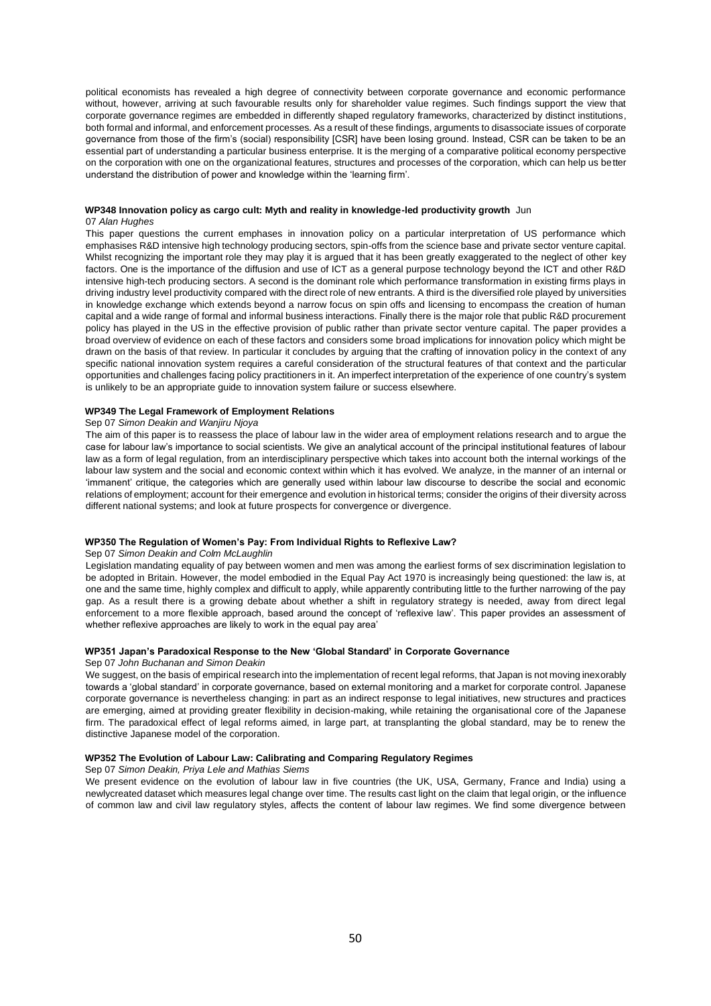political economists has revealed a high degree of connectivity between corporate governance and economic performance without, however, arriving at such favourable results only for shareholder value regimes. Such findings support the view that corporate governance regimes are embedded in differently shaped regulatory frameworks, characterized by distinct institutions, both formal and informal, and enforcement processes. As a result of these findings, arguments to disassociate issues of corporate governance from those of the firm's (social) responsibility [CSR] have been losing ground. Instead, CSR can be taken to be an essential part of understanding a particular business enterprise. It is the merging of a comparative political economy perspective on the corporation with one on the organizational features, structures and processes of the corporation, which can help us better understand the distribution of power and knowledge within the 'learning firm'.

#### **WP348 Innovation policy as cargo cult: Myth and reality in knowledge-led productivity growth** Jun 07 *Alan Hughes*

This paper questions the current emphases in innovation policy on a particular interpretation of US performance which emphasises R&D intensive high technology producing sectors, spin-offs from the science base and private sector venture capital. Whilst recognizing the important role they may play it is argued that it has been greatly exaggerated to the neglect of other key factors. One is the importance of the diffusion and use of ICT as a general purpose technology beyond the ICT and other R&D intensive high-tech producing sectors. A second is the dominant role which performance transformation in existing firms plays in driving industry level productivity compared with the direct role of new entrants. A third is the diversified role played by universities in knowledge exchange which extends beyond a narrow focus on spin offs and licensing to encompass the creation of human capital and a wide range of formal and informal business interactions. Finally there is the major role that public R&D procurement policy has played in the US in the effective provision of public rather than private sector venture capital. The paper provides a broad overview of evidence on each of these factors and considers some broad implications for innovation policy which might be drawn on the basis of that review. In particular it concludes by arguing that the crafting of innovation policy in the context of any specific national innovation system requires a careful consideration of the structural features of that context and the particular opportunities and challenges facing policy practitioners in it. An imperfect interpretation of the experience of one country's system is unlikely to be an appropriate guide to innovation system failure or success elsewhere.

## **WP349 The Legal Framework of Employment Relations**

### Sep 07 *Simon Deakin and Wanjiru Njoya*

The aim of this paper is to reassess the place of labour law in the wider area of employment relations research and to argue the case for labour law's importance to social scientists. We give an analytical account of the principal institutional features of labour law as a form of legal regulation, from an interdisciplinary perspective which takes into account both the internal workings of the labour law system and the social and economic context within which it has evolved. We analyze, in the manner of an internal or 'immanent' critique, the categories which are generally used within labour law discourse to describe the social and economic relations of employment; account for their emergence and evolution in historical terms; consider the origins of their diversity across different national systems; and look at future prospects for convergence or divergence.

# **WP350 The Regulation of Women's Pay: From Individual Rights to Reflexive Law?**

#### Sep 07 *Simon Deakin and Colm McLaughlin*

Legislation mandating equality of pay between women and men was among the earliest forms of sex discrimination legislation to be adopted in Britain. However, the model embodied in the Equal Pay Act 1970 is increasingly being questioned: the law is, at one and the same time, highly complex and difficult to apply, while apparently contributing little to the further narrowing of the pay gap. As a result there is a growing debate about whether a shift in regulatory strategy is needed, away from direct legal enforcement to a more flexible approach, based around the concept of 'reflexive law'. This paper provides an assessment of whether reflexive approaches are likely to work in the equal pay area'

### **WP351 Japan's Paradoxical Response to the New 'Global Standard' in Corporate Governance**

#### Sep 07 *John Buchanan and Simon Deakin*

We suggest, on the basis of empirical research into the implementation of recent legal reforms, that Japan is not moving inexorably towards a 'global standard' in corporate governance, based on external monitoring and a market for corporate control. Japanese corporate governance is nevertheless changing: in part as an indirect response to legal initiatives, new structures and practices are emerging, aimed at providing greater flexibility in decision-making, while retaining the organisational core of the Japanese firm. The paradoxical effect of legal reforms aimed, in large part, at transplanting the global standard, may be to renew the distinctive Japanese model of the corporation.

### **WP352 The Evolution of Labour Law: Calibrating and Comparing Regulatory Regimes**

#### Sep 07 *Simon Deakin, Priya Lele and Mathias Siems*

We present evidence on the evolution of labour law in five countries (the UK, USA, Germany, France and India) using a newlycreated dataset which measures legal change over time. The results cast light on the claim that legal origin, or the influence of common law and civil law regulatory styles, affects the content of labour law regimes. We find some divergence between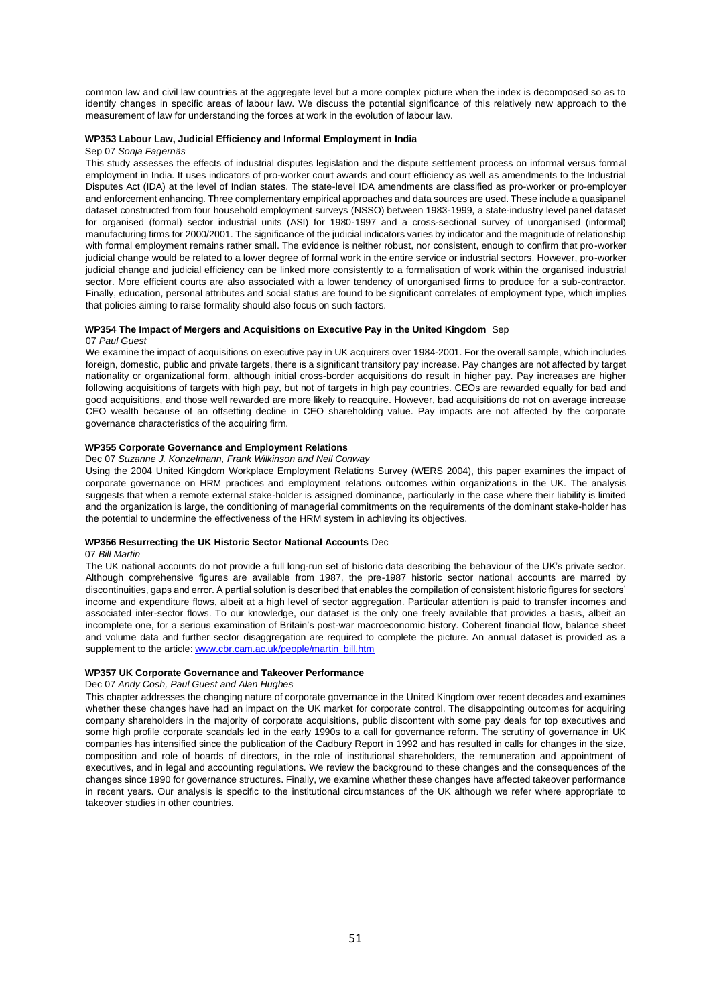common law and civil law countries at the aggregate level but a more complex picture when the index is decomposed so as to identify changes in specific areas of labour law. We discuss the potential significance of this relatively new approach to the measurement of law for understanding the forces at work in the evolution of labour law.

### **WP353 Labour Law, Judicial Efficiency and Informal Employment in India**

### Sep 07 *Sonja Fagernäs*

This study assesses the effects of industrial disputes legislation and the dispute settlement process on informal versus formal employment in India. It uses indicators of pro-worker court awards and court efficiency as well as amendments to the Industrial Disputes Act (IDA) at the level of Indian states. The state-level IDA amendments are classified as pro-worker or pro-employer and enforcement enhancing. Three complementary empirical approaches and data sources are used. These include a quasipanel dataset constructed from four household employment surveys (NSSO) between 1983-1999, a state-industry level panel dataset for organised (formal) sector industrial units (ASI) for 1980-1997 and a cross-sectional survey of unorganised (informal) manufacturing firms for 2000/2001. The significance of the judicial indicators varies by indicator and the magnitude of relationship with formal employment remains rather small. The evidence is neither robust, nor consistent, enough to confirm that pro-worker judicial change would be related to a lower degree of formal work in the entire service or industrial sectors. However, pro-worker judicial change and judicial efficiency can be linked more consistently to a formalisation of work within the organised industrial sector. More efficient courts are also associated with a lower tendency of unorganised firms to produce for a sub-contractor. Finally, education, personal attributes and social status are found to be significant correlates of employment type, which implies that policies aiming to raise formality should also focus on such factors.

# **WP354 The Impact of Mergers and Acquisitions on Executive Pay in the United Kingdom** Sep

#### 07 *Paul Guest*

We examine the impact of acquisitions on executive pay in UK acquirers over 1984-2001. For the overall sample, which includes foreign, domestic, public and private targets, there is a significant transitory pay increase. Pay changes are not affected by target nationality or organizational form, although initial cross-border acquisitions do result in higher pay. Pay increases are higher following acquisitions of targets with high pay, but not of targets in high pay countries. CEOs are rewarded equally for bad and good acquisitions, and those well rewarded are more likely to reacquire. However, bad acquisitions do not on average increase CEO wealth because of an offsetting decline in CEO shareholding value. Pay impacts are not affected by the corporate governance characteristics of the acquiring firm.

# **WP355 Corporate Governance and Employment Relations**

### Dec 07 *Suzanne J. Konzelmann, Frank Wilkinson and Neil Conway*

Using the 2004 United Kingdom Workplace Employment Relations Survey (WERS 2004), this paper examines the impact of corporate governance on HRM practices and employment relations outcomes within organizations in the UK. The analysis suggests that when a remote external stake-holder is assigned dominance, particularly in the case where their liability is limited and the organization is large, the conditioning of managerial commitments on the requirements of the dominant stake-holder has the potential to undermine the effectiveness of the HRM system in achieving its objectives.

# **WP356 Resurrecting the UK Historic Sector National Accounts** Dec

# 07 *Bill Martin*

The UK national accounts do not provide a full long-run set of historic data describing the behaviour of the UK's private sector. Although comprehensive figures are available from 1987, the pre-1987 historic sector national accounts are marred by discontinuities, gaps and error. A partial solution is described that enables the compilation of consistent historic figures for sectors' income and expenditure flows, albeit at a high level of sector aggregation. Particular attention is paid to transfer incomes and associated inter-sector flows. To our knowledge, our dataset is the only one freely available that provides a basis, albeit an incomplete one, for a serious examination of Britain's post-war macroeconomic history. Coherent financial flow, balance sheet and volume data and further sector disaggregation are required to complete the picture. An annual dataset is provided as a supplement to the articl[e: www.cbr.cam.ac.uk/people/martin\\_bill.htm](http://www.cbr.cam.ac.uk/people/martin_bill.htm)

# **WP357 UK Corporate Governance and Takeover Performance**

# Dec 07 *Andy Cosh, Paul Guest and Alan Hughes*

This chapter addresses the changing nature of corporate governance in the United Kingdom over recent decades and examines whether these changes have had an impact on the UK market for corporate control. The disappointing outcomes for acquiring company shareholders in the majority of corporate acquisitions, public discontent with some pay deals for top executives and some high profile corporate scandals led in the early 1990s to a call for governance reform. The scrutiny of governance in UK companies has intensified since the publication of the Cadbury Report in 1992 and has resulted in calls for changes in the size, composition and role of boards of directors, in the role of institutional shareholders, the remuneration and appointment of executives, and in legal and accounting regulations. We review the background to these changes and the consequences of the changes since 1990 for governance structures. Finally, we examine whether these changes have affected takeover performance in recent years. Our analysis is specific to the institutional circumstances of the UK although we refer where appropriate to takeover studies in other countries.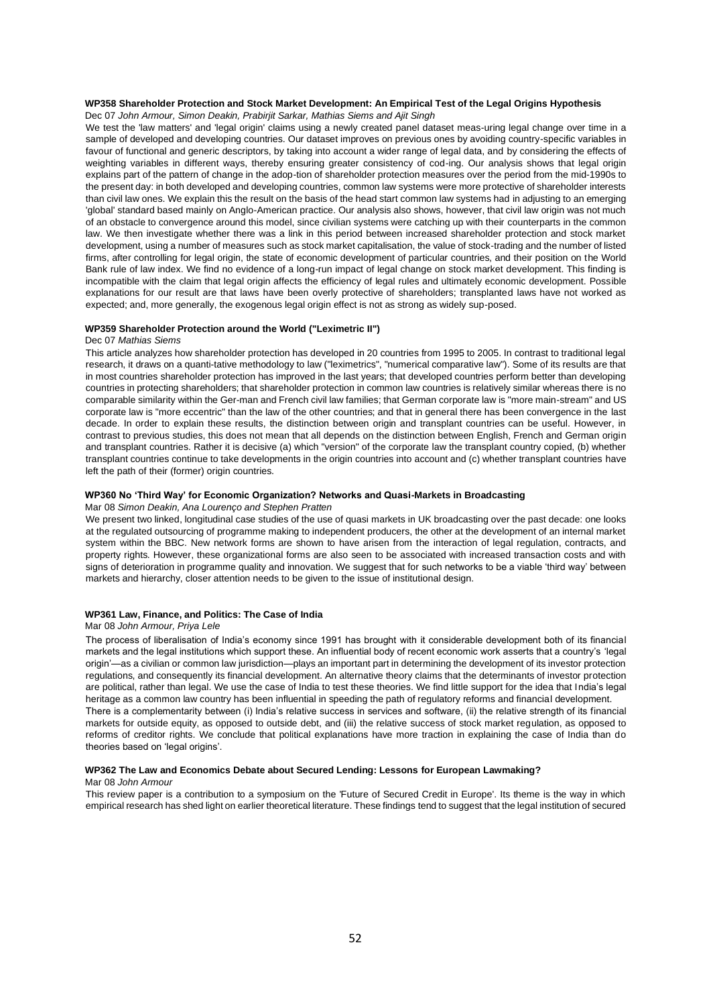#### **WP358 Shareholder Protection and Stock Market Development: An Empirical Test of the Legal Origins Hypothesis**  Dec 07 *John Armour, Simon Deakin, Prabirjit Sarkar, Mathias Siems and Ajit Singh*

We test the 'law matters' and 'legal origin' claims using a newly created panel dataset meas-uring legal change over time in a sample of developed and developing countries. Our dataset improves on previous ones by avoiding country-specific variables in favour of functional and generic descriptors, by taking into account a wider range of legal data, and by considering the effects of weighting variables in different ways, thereby ensuring greater consistency of cod-ing. Our analysis shows that legal origin explains part of the pattern of change in the adop-tion of shareholder protection measures over the period from the mid-1990s to the present day: in both developed and developing countries, common law systems were more protective of shareholder interests than civil law ones. We explain this the result on the basis of the head start common law systems had in adjusting to an emerging 'global' standard based mainly on Anglo-American practice. Our analysis also shows, however, that civil law origin was not much of an obstacle to convergence around this model, since civilian systems were catching up with their counterparts in the common law. We then investigate whether there was a link in this period between increased shareholder protection and stock market development, using a number of measures such as stock market capitalisation, the value of stock-trading and the number of listed firms, after controlling for legal origin, the state of economic development of particular countries, and their position on the World Bank rule of law index. We find no evidence of a long-run impact of legal change on stock market development. This finding is incompatible with the claim that legal origin affects the efficiency of legal rules and ultimately economic development. Possible explanations for our result are that laws have been overly protective of shareholders; transplanted laws have not worked as expected; and, more generally, the exogenous legal origin effect is not as strong as widely sup-posed.

## **WP359 Shareholder Protection around the World ("Leximetric II")**

## Dec 07 *Mathias Siems*

This article analyzes how shareholder protection has developed in 20 countries from 1995 to 2005. In contrast to traditional legal research, it draws on a quanti-tative methodology to law ("leximetrics", "numerical comparative law"). Some of its results are that in most countries shareholder protection has improved in the last years; that developed countries perform better than developing countries in protecting shareholders; that shareholder protection in common law countries is relatively similar whereas there is no comparable similarity within the Ger-man and French civil law families; that German corporate law is "more main-stream" and US corporate law is "more eccentric" than the law of the other countries; and that in general there has been convergence in the last decade. In order to explain these results, the distinction between origin and transplant countries can be useful. However, in contrast to previous studies, this does not mean that all depends on the distinction between English, French and German origin and transplant countries. Rather it is decisive (a) which "version" of the corporate law the transplant country copied, (b) whether transplant countries continue to take developments in the origin countries into account and (c) whether transplant countries have left the path of their (former) origin countries.

## **WP360 No 'Third Way' for Economic Organization? Networks and Quasi-Markets in Broadcasting**

# Mar 08 *Simon Deakin, Ana Lourenço and Stephen Pratten*

We present two linked, longitudinal case studies of the use of quasi markets in UK broadcasting over the past decade: one looks at the regulated outsourcing of programme making to independent producers, the other at the development of an internal market system within the BBC. New network forms are shown to have arisen from the interaction of legal regulation, contracts, and property rights. However, these organizational forms are also seen to be associated with increased transaction costs and with signs of deterioration in programme quality and innovation. We suggest that for such networks to be a viable 'third way' between markets and hierarchy, closer attention needs to be given to the issue of institutional design.

### **WP361 Law, Finance, and Politics: The Case of India**

### Mar 08 *John Armour, Priya Lele*

The process of liberalisation of India's economy since 1991 has brought with it considerable development both of its financial markets and the legal institutions which support these. An influential body of recent economic work asserts that a country's 'legal origin'—as a civilian or common law jurisdiction—plays an important part in determining the development of its investor protection regulations, and consequently its financial development. An alternative theory claims that the determinants of investor protection are political, rather than legal. We use the case of India to test these theories. We find little support for the idea that India's legal heritage as a common law country has been influential in speeding the path of regulatory reforms and financial development. There is a complementarity between (i) India's relative success in services and software, (ii) the relative strength of its financial markets for outside equity, as opposed to outside debt, and (iii) the relative success of stock market regulation, as opposed to reforms of creditor rights. We conclude that political explanations have more traction in explaining the case of India than do theories based on 'legal origins'.

#### **WP362 The Law and Economics Debate about Secured Lending: Lessons for European Lawmaking?**

# Mar 08 *John Armour*

This review paper is a contribution to a symposium on the 'Future of Secured Credit in Europe'. Its theme is the way in which empirical research has shed light on earlier theoretical literature. These findings tend to suggest that the legal institution of secured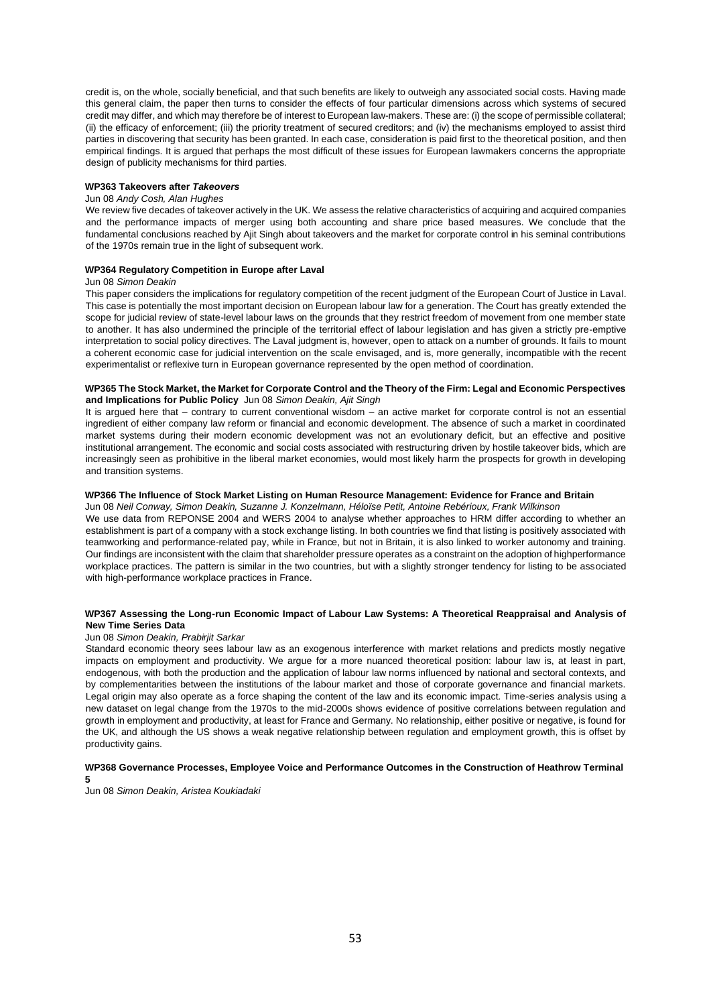credit is, on the whole, socially beneficial, and that such benefits are likely to outweigh any associated social costs. Having made this general claim, the paper then turns to consider the effects of four particular dimensions across which systems of secured credit may differ, and which may therefore be of interest to European law-makers. These are: (i) the scope of permissible collateral; (ii) the efficacy of enforcement; (iii) the priority treatment of secured creditors; and (iv) the mechanisms employed to assist third parties in discovering that security has been granted. In each case, consideration is paid first to the theoretical position, and then empirical findings. It is argued that perhaps the most difficult of these issues for European lawmakers concerns the appropriate design of publicity mechanisms for third parties.

# **WP363 Takeovers after** *Takeovers*

## Jun 08 *Andy Cosh, Alan Hughes*

We review five decades of takeover actively in the UK. We assess the relative characteristics of acquiring and acquired companies and the performance impacts of merger using both accounting and share price based measures. We conclude that the fundamental conclusions reached by Ajit Singh about takeovers and the market for corporate control in his seminal contributions of the 1970s remain true in the light of subsequent work.

### **WP364 Regulatory Competition in Europe after Laval**

#### Jun 08 *Simon Deakin*

This paper considers the implications for regulatory competition of the recent judgment of the European Court of Justice in Laval. This case is potentially the most important decision on European labour law for a generation. The Court has greatly extended the scope for judicial review of state-level labour laws on the grounds that they restrict freedom of movement from one member state to another. It has also undermined the principle of the territorial effect of labour legislation and has given a strictly pre-emptive interpretation to social policy directives. The Laval judgment is, however, open to attack on a number of grounds. It fails to mount a coherent economic case for judicial intervention on the scale envisaged, and is, more generally, incompatible with the recent experimentalist or reflexive turn in European governance represented by the open method of coordination.

#### **WP365 The Stock Market, the Market for Corporate Control and the Theory of the Firm: Legal and Economic Perspectives and Implications for Public Policy** Jun 08 *Simon Deakin, Ajit Singh*

It is argued here that – contrary to current conventional wisdom – an active market for corporate control is not an essential ingredient of either company law reform or financial and economic development. The absence of such a market in coordinated market systems during their modern economic development was not an evolutionary deficit, but an effective and positive institutional arrangement. The economic and social costs associated with restructuring driven by hostile takeover bids, which are increasingly seen as prohibitive in the liberal market economies, would most likely harm the prospects for growth in developing and transition systems.

### **WP366 The Influence of Stock Market Listing on Human Resource Management: Evidence for France and Britain**

Jun 08 *Neil Conway, Simon Deakin, Suzanne J. Konzelmann, Héloïse Petit, Antoine Rebérioux, Frank Wilkinson*  We use data from REPONSE 2004 and WERS 2004 to analyse whether approaches to HRM differ according to whether an establishment is part of a company with a stock exchange listing. In both countries we find that listing is positively associated with teamworking and performance-related pay, while in France, but not in Britain, it is also linked to worker autonomy and training. Our findings are inconsistent with the claim that shareholder pressure operates as a constraint on the adoption of highperformance workplace practices. The pattern is similar in the two countries, but with a slightly stronger tendency for listing to be associated with high-performance workplace practices in France.

### **WP367 Assessing the Long-run Economic Impact of Labour Law Systems: A Theoretical Reappraisal and Analysis of New Time Series Data**

#### Jun 08 *Simon Deakin, Prabirjit Sarkar*

Standard economic theory sees labour law as an exogenous interference with market relations and predicts mostly negative impacts on employment and productivity. We argue for a more nuanced theoretical position: labour law is, at least in part, endogenous, with both the production and the application of labour law norms influenced by national and sectoral contexts, and by complementarities between the institutions of the labour market and those of corporate governance and financial markets. Legal origin may also operate as a force shaping the content of the law and its economic impact. Time-series analysis using a new dataset on legal change from the 1970s to the mid-2000s shows evidence of positive correlations between regulation and growth in employment and productivity, at least for France and Germany. No relationship, either positive or negative, is found for the UK, and although the US shows a weak negative relationship between regulation and employment growth, this is offset by productivity gains.

#### **WP368 Governance Processes, Employee Voice and Performance Outcomes in the Construction of Heathrow Terminal 5**

Jun 08 *Simon Deakin, Aristea Koukiadaki*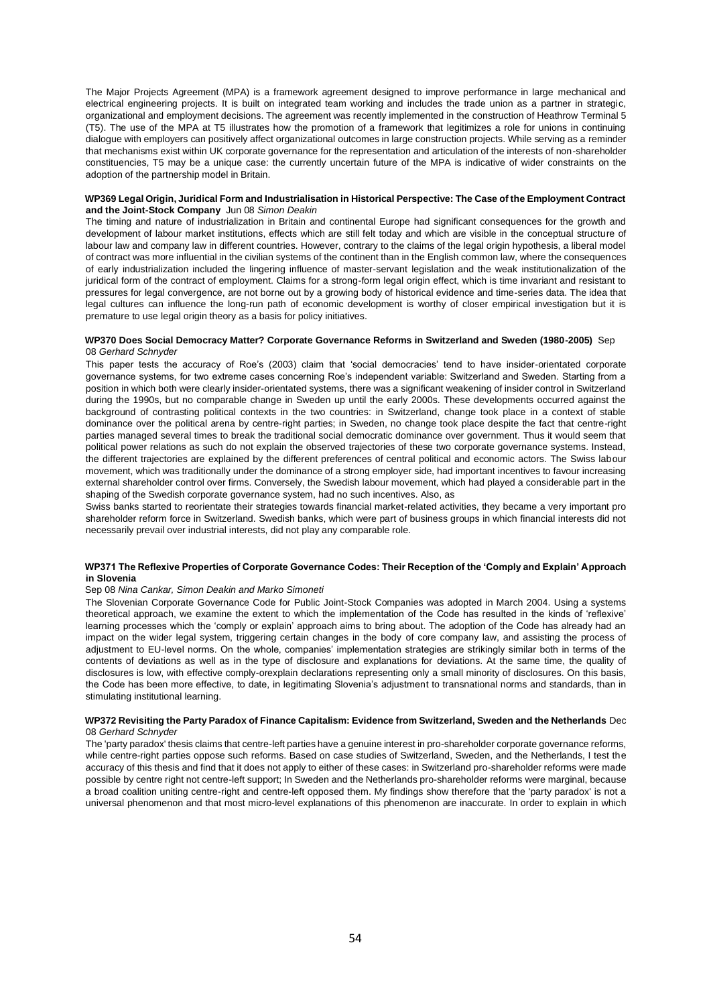The Major Projects Agreement (MPA) is a framework agreement designed to improve performance in large mechanical and electrical engineering projects. It is built on integrated team working and includes the trade union as a partner in strategic, organizational and employment decisions. The agreement was recently implemented in the construction of Heathrow Terminal 5 (T5). The use of the MPA at T5 illustrates how the promotion of a framework that legitimizes a role for unions in continuing dialogue with employers can positively affect organizational outcomes in large construction projects. While serving as a reminder that mechanisms exist within UK corporate governance for the representation and articulation of the interests of non-shareholder constituencies, T5 may be a unique case: the currently uncertain future of the MPA is indicative of wider constraints on the adoption of the partnership model in Britain.

#### **WP369 Legal Origin, Juridical Form and Industrialisation in Historical Perspective: The Case of the Employment Contract and the Joint-Stock Company** Jun 08 *Simon Deakin*

The timing and nature of industrialization in Britain and continental Europe had significant consequences for the growth and development of labour market institutions, effects which are still felt today and which are visible in the conceptual structure of labour law and company law in different countries. However, contrary to the claims of the legal origin hypothesis, a liberal model of contract was more influential in the civilian systems of the continent than in the English common law, where the consequences of early industrialization included the lingering influence of master-servant legislation and the weak institutionalization of the juridical form of the contract of employment. Claims for a strong-form legal origin effect, which is time invariant and resistant to pressures for legal convergence, are not borne out by a growing body of historical evidence and time-series data. The idea that legal cultures can influence the long-run path of economic development is worthy of closer empirical investigation but it is premature to use legal origin theory as a basis for policy initiatives.

#### **WP370 Does Social Democracy Matter? Corporate Governance Reforms in Switzerland and Sweden (1980-2005)** Sep 08 *Gerhard Schnyder*

This paper tests the accuracy of Roe's (2003) claim that 'social democracies' tend to have insider-orientated corporate governance systems, for two extreme cases concerning Roe's independent variable: Switzerland and Sweden. Starting from a position in which both were clearly insider-orientated systems, there was a significant weakening of insider control in Switzerland during the 1990s, but no comparable change in Sweden up until the early 2000s. These developments occurred against the background of contrasting political contexts in the two countries: in Switzerland, change took place in a context of stable dominance over the political arena by centre-right parties; in Sweden, no change took place despite the fact that centre-right parties managed several times to break the traditional social democratic dominance over government. Thus it would seem that political power relations as such do not explain the observed trajectories of these two corporate governance systems. Instead, the different trajectories are explained by the different preferences of central political and economic actors. The Swiss labour movement, which was traditionally under the dominance of a strong employer side, had important incentives to favour increasing external shareholder control over firms. Conversely, the Swedish labour movement, which had played a considerable part in the shaping of the Swedish corporate governance system, had no such incentives. Also, as

Swiss banks started to reorientate their strategies towards financial market-related activities, they became a very important pro shareholder reform force in Switzerland. Swedish banks, which were part of business groups in which financial interests did not necessarily prevail over industrial interests, did not play any comparable role.

### **WP371 The Reflexive Properties of Corporate Governance Codes: Their Reception of the 'Comply and Explain' Approach in Slovenia**

#### Sep 08 *Nina Cankar, Simon Deakin and Marko Simoneti*

The Slovenian Corporate Governance Code for Public Joint-Stock Companies was adopted in March 2004. Using a systems theoretical approach, we examine the extent to which the implementation of the Code has resulted in the kinds of 'reflexive' learning processes which the 'comply or explain' approach aims to bring about. The adoption of the Code has already had an impact on the wider legal system, triggering certain changes in the body of core company law, and assisting the process of adjustment to EU-level norms. On the whole, companies' implementation strategies are strikingly similar both in terms of the contents of deviations as well as in the type of disclosure and explanations for deviations. At the same time, the quality of disclosures is low, with effective comply-orexplain declarations representing only a small minority of disclosures. On this basis, the Code has been more effective, to date, in legitimating Slovenia's adjustment to transnational norms and standards, than in stimulating institutional learning.

#### **WP372 Revisiting the Party Paradox of Finance Capitalism: Evidence from Switzerland, Sweden and the Netherlands** Dec 08 *Gerhard Schnyder*

The 'party paradox' thesis claims that centre-left parties have a genuine interest in pro-shareholder corporate governance reforms, while centre-right parties oppose such reforms. Based on case studies of Switzerland, Sweden, and the Netherlands, I test the accuracy of this thesis and find that it does not apply to either of these cases: in Switzerland pro-shareholder reforms were made possible by centre right not centre-left support; In Sweden and the Netherlands pro-shareholder reforms were marginal, because a broad coalition uniting centre-right and centre-left opposed them. My findings show therefore that the 'party paradox' is not a universal phenomenon and that most micro-level explanations of this phenomenon are inaccurate. In order to explain in which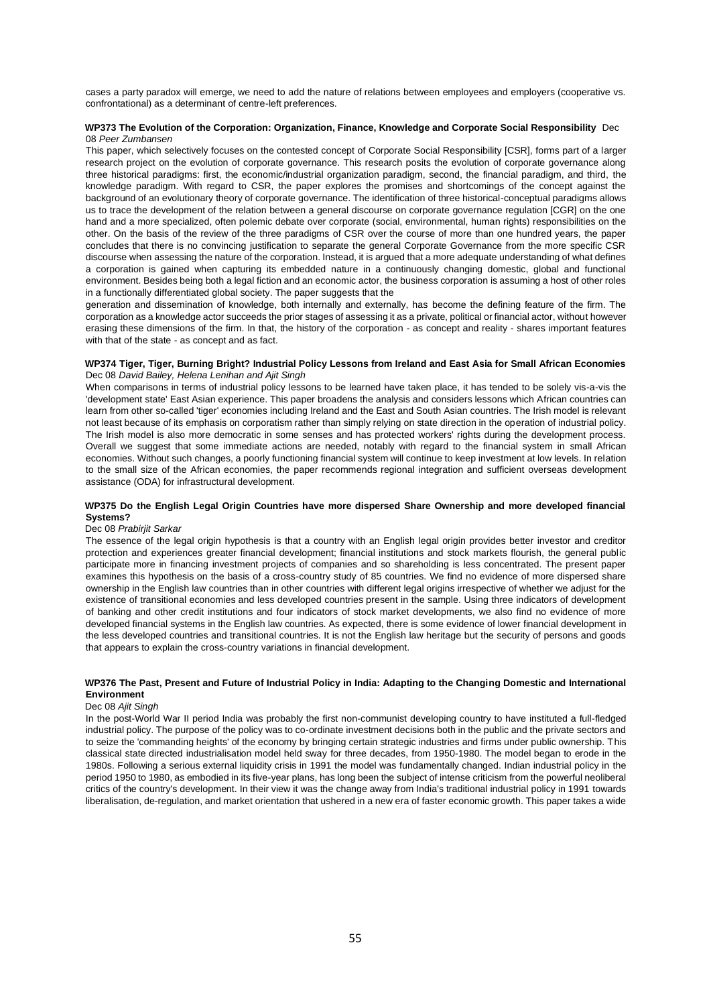cases a party paradox will emerge, we need to add the nature of relations between employees and employers (cooperative vs. confrontational) as a determinant of centre-left preferences.

#### **WP373 The Evolution of the Corporation: Organization, Finance, Knowledge and Corporate Social Responsibility** Dec 08 *Peer Zumbansen*

This paper, which selectively focuses on the contested concept of Corporate Social Responsibility [CSR], forms part of a larger research project on the evolution of corporate governance. This research posits the evolution of corporate governance along three historical paradigms: first, the economic/industrial organization paradigm, second, the financial paradigm, and third, the knowledge paradigm. With regard to CSR, the paper explores the promises and shortcomings of the concept against the background of an evolutionary theory of corporate governance. The identification of three historical-conceptual paradigms allows us to trace the development of the relation between a general discourse on corporate governance regulation [CGR] on the one hand and a more specialized, often polemic debate over corporate (social, environmental, human rights) responsibilities on the other. On the basis of the review of the three paradigms of CSR over the course of more than one hundred years, the paper concludes that there is no convincing justification to separate the general Corporate Governance from the more specific CSR discourse when assessing the nature of the corporation. Instead, it is argued that a more adequate understanding of what defines a corporation is gained when capturing its embedded nature in a continuously changing domestic, global and functional environment. Besides being both a legal fiction and an economic actor, the business corporation is assuming a host of other roles in a functionally differentiated global society. The paper suggests that the

generation and dissemination of knowledge, both internally and externally, has become the defining feature of the firm. The corporation as a knowledge actor succeeds the prior stages of assessing it as a private, political or financial actor, without however erasing these dimensions of the firm. In that, the history of the corporation - as concept and reality - shares important features with that of the state - as concept and as fact.

#### **WP374 Tiger, Tiger, Burning Bright? Industrial Policy Lessons from Ireland and East Asia for Small African Economies**  Dec 08 *David Bailey, Helena Lenihan and Ajit Singh*

When comparisons in terms of industrial policy lessons to be learned have taken place, it has tended to be solely vis-a-vis the 'development state' East Asian experience. This paper broadens the analysis and considers lessons which African countries can learn from other so-called 'tiger' economies including Ireland and the East and South Asian countries. The Irish model is relevant not least because of its emphasis on corporatism rather than simply relying on state direction in the operation of industrial policy. The Irish model is also more democratic in some senses and has protected workers' rights during the development process. Overall we suggest that some immediate actions are needed, notably with regard to the financial system in small African economies. Without such changes, a poorly functioning financial system will continue to keep investment at low levels. In relation to the small size of the African economies, the paper recommends regional integration and sufficient overseas development assistance (ODA) for infrastructural development.

## **WP375 Do the English Legal Origin Countries have more dispersed Share Ownership and more developed financial Systems?**

#### Dec 08 *Prabirjit Sarkar*

The essence of the legal origin hypothesis is that a country with an English legal origin provides better investor and creditor protection and experiences greater financial development; financial institutions and stock markets flourish, the general public participate more in financing investment projects of companies and so shareholding is less concentrated. The present paper examines this hypothesis on the basis of a cross-country study of 85 countries. We find no evidence of more dispersed share ownership in the English law countries than in other countries with different legal origins irrespective of whether we adjust for the existence of transitional economies and less developed countries present in the sample. Using three indicators of development of banking and other credit institutions and four indicators of stock market developments, we also find no evidence of more developed financial systems in the English law countries. As expected, there is some evidence of lower financial development in the less developed countries and transitional countries. It is not the English law heritage but the security of persons and goods that appears to explain the cross-country variations in financial development.

## **WP376 The Past, Present and Future of Industrial Policy in India: Adapting to the Changing Domestic and International Environment**

#### Dec 08 *Ajit Singh*

In the post-World War II period India was probably the first non-communist developing country to have instituted a full-fledged industrial policy. The purpose of the policy was to co-ordinate investment decisions both in the public and the private sectors and to seize the 'commanding heights' of the economy by bringing certain strategic industries and firms under public ownership. This classical state directed industrialisation model held sway for three decades, from 1950-1980. The model began to erode in the 1980s. Following a serious external liquidity crisis in 1991 the model was fundamentally changed. Indian industrial policy in the period 1950 to 1980, as embodied in its five-year plans, has long been the subject of intense criticism from the powerful neoliberal critics of the country's development. In their view it was the change away from India's traditional industrial policy in 1991 towards liberalisation, de-regulation, and market orientation that ushered in a new era of faster economic growth. This paper takes a wide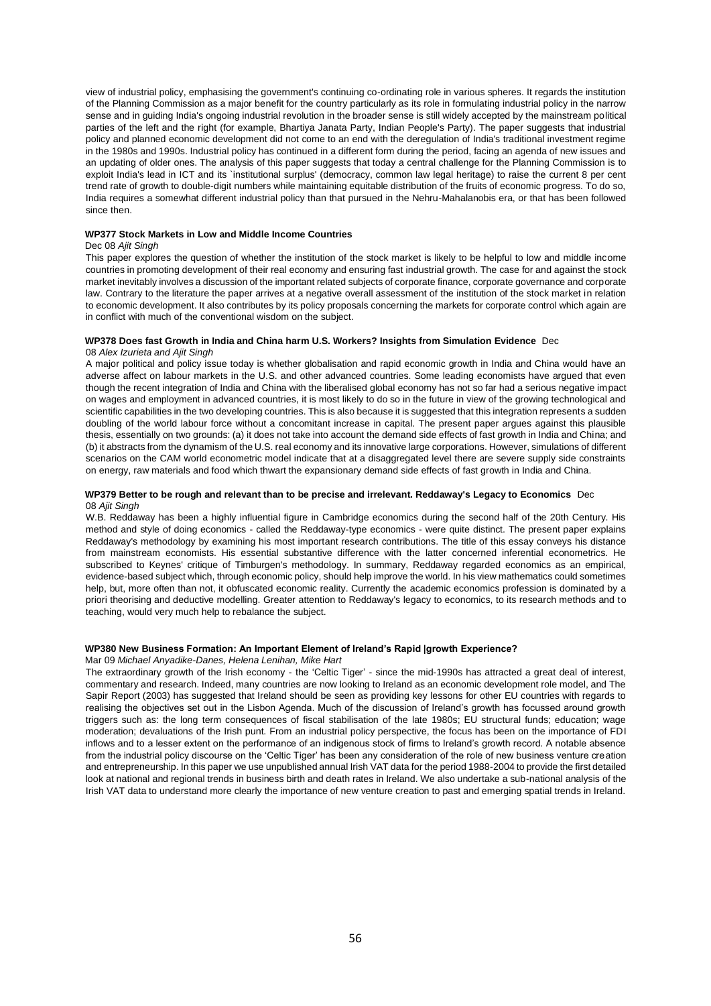view of industrial policy, emphasising the government's continuing co-ordinating role in various spheres. It regards the institution of the Planning Commission as a major benefit for the country particularly as its role in formulating industrial policy in the narrow sense and in guiding India's ongoing industrial revolution in the broader sense is still widely accepted by the mainstream political parties of the left and the right (for example, Bhartiya Janata Party, Indian People's Party). The paper suggests that industrial policy and planned economic development did not come to an end with the deregulation of India's traditional investment regime in the 1980s and 1990s. Industrial policy has continued in a different form during the period, facing an agenda of new issues and an updating of older ones. The analysis of this paper suggests that today a central challenge for the Planning Commission is to exploit India's lead in ICT and its `institutional surplus' (democracy, common law legal heritage) to raise the current 8 per cent trend rate of growth to double-digit numbers while maintaining equitable distribution of the fruits of economic progress. To do so, India requires a somewhat different industrial policy than that pursued in the Nehru-Mahalanobis era, or that has been followed since then.

### **WP377 Stock Markets in Low and Middle Income Countries**

# Dec 08 *Ajit Singh*

This paper explores the question of whether the institution of the stock market is likely to be helpful to low and middle income countries in promoting development of their real economy and ensuring fast industrial growth. The case for and against the stock market inevitably involves a discussion of the important related subjects of corporate finance, corporate governance and corporate law. Contrary to the literature the paper arrives at a negative overall assessment of the institution of the stock market in relation to economic development. It also contributes by its policy proposals concerning the markets for corporate control which again are in conflict with much of the conventional wisdom on the subject.

# **WP378 Does fast Growth in India and China harm U.S. Workers? Insights from Simulation Evidence** Dec

08 *Alex Izurieta and Ajit Singh* 

A major political and policy issue today is whether globalisation and rapid economic growth in India and China would have an adverse affect on labour markets in the U.S. and other advanced countries. Some leading economists have argued that even though the recent integration of India and China with the liberalised global economy has not so far had a serious negative impact on wages and employment in advanced countries, it is most likely to do so in the future in view of the growing technological and scientific capabilities in the two developing countries. This is also because it is suggested that this integration represents a sudden doubling of the world labour force without a concomitant increase in capital. The present paper argues against this plausible thesis, essentially on two grounds: (a) it does not take into account the demand side effects of fast growth in India and China; and (b) it abstracts from the dynamism of the U.S. real economy and its innovative large corporations. However, simulations of different scenarios on the CAM world econometric model indicate that at a disaggregated level there are severe supply side constraints on energy, raw materials and food which thwart the expansionary demand side effects of fast growth in India and China.

#### **WP379 Better to be rough and relevant than to be precise and irrelevant. Reddaway's Legacy to Economics** Dec 08 *Ajit Singh*

W.B. Reddaway has been a highly influential figure in Cambridge economics during the second half of the 20th Century. His method and style of doing economics - called the Reddaway-type economics - were quite distinct. The present paper explains Reddaway's methodology by examining his most important research contributions. The title of this essay conveys his distance from mainstream economists. His essential substantive difference with the latter concerned inferential econometrics. He subscribed to Keynes' critique of Timburgen's methodology. In summary, Reddaway regarded economics as an empirical, evidence-based subject which, through economic policy, should help improve the world. In his view mathematics could sometimes help, but, more often than not, it obfuscated economic reality. Currently the academic economics profession is dominated by a priori theorising and deductive modelling. Greater attention to Reddaway's legacy to economics, to its research methods and to teaching, would very much help to rebalance the subject.

# **WP380 New Business Formation: An Important Element of Ireland's Rapid |growth Experience?**

#### Mar 09 *Michael Anyadike-Danes, Helena Lenihan, Mike Hart*

The extraordinary growth of the Irish economy - the 'Celtic Tiger' - since the mid-1990s has attracted a great deal of interest, commentary and research. Indeed, many countries are now looking to Ireland as an economic development role model, and The Sapir Report (2003) has suggested that Ireland should be seen as providing key lessons for other EU countries with regards to realising the objectives set out in the Lisbon Agenda. Much of the discussion of Ireland's growth has focussed around growth triggers such as: the long term consequences of fiscal stabilisation of the late 1980s; EU structural funds; education; wage moderation; devaluations of the Irish punt. From an industrial policy perspective, the focus has been on the importance of FDI inflows and to a lesser extent on the performance of an indigenous stock of firms to Ireland's growth record. A notable absence from the industrial policy discourse on the 'Celtic Tiger' has been any consideration of the role of new business venture creation and entrepreneurship. In this paper we use unpublished annual Irish VAT data for the period 1988-2004 to provide the first detailed look at national and regional trends in business birth and death rates in Ireland. We also undertake a sub-national analysis of the Irish VAT data to understand more clearly the importance of new venture creation to past and emerging spatial trends in Ireland.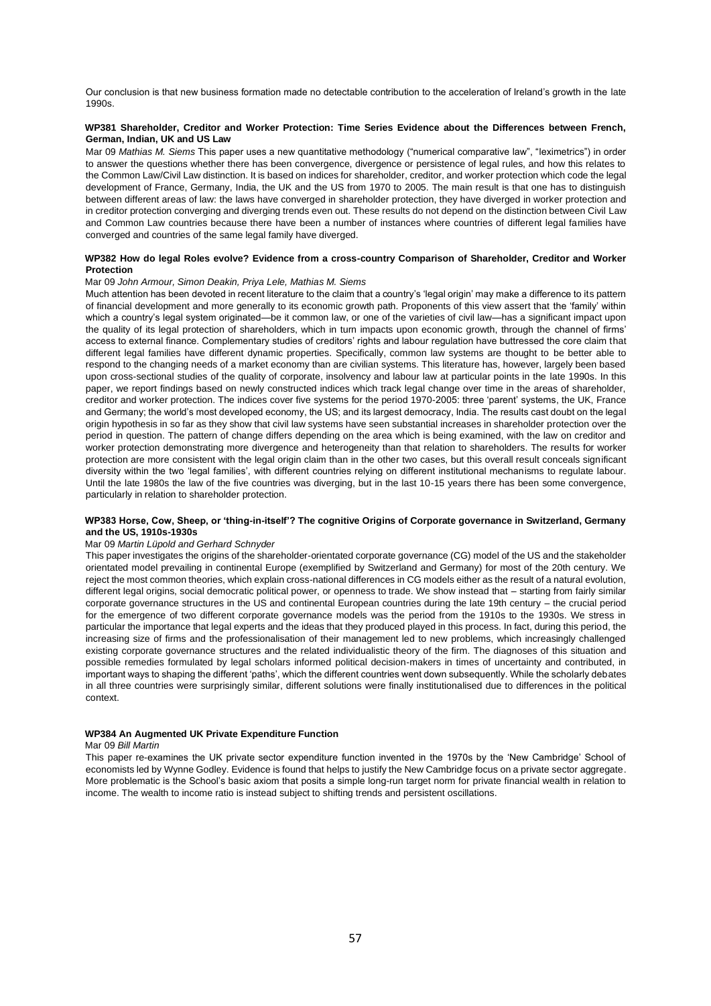Our conclusion is that new business formation made no detectable contribution to the acceleration of Ireland's growth in the late 1990s.

### **WP381 Shareholder, Creditor and Worker Protection: Time Series Evidence about the Differences between French, German, Indian, UK and US Law**

Mar 09 *Mathias M. Siems* This paper uses a new quantitative methodology ("numerical comparative law", "leximetrics") in order to answer the questions whether there has been convergence, divergence or persistence of legal rules, and how this relates to the Common Law/Civil Law distinction. It is based on indices for shareholder, creditor, and worker protection which code the legal development of France, Germany, India, the UK and the US from 1970 to 2005. The main result is that one has to distinguish between different areas of law: the laws have converged in shareholder protection, they have diverged in worker protection and in creditor protection converging and diverging trends even out. These results do not depend on the distinction between Civil Law and Common Law countries because there have been a number of instances where countries of different legal families have converged and countries of the same legal family have diverged.

### **WP382 How do legal Roles evolve? Evidence from a cross-country Comparison of Shareholder, Creditor and Worker Protection**

## Mar 09 *John Armour, Simon Deakin, Priya Lele, Mathias M. Siems*

Much attention has been devoted in recent literature to the claim that a country's 'legal origin' may make a difference to its pattern of financial development and more generally to its economic growth path. Proponents of this view assert that the 'family' within which a country's legal system originated—be it common law, or one of the varieties of civil law—has a significant impact upon the quality of its legal protection of shareholders, which in turn impacts upon economic growth, through the channel of firms' access to external finance. Complementary studies of creditors' rights and labour regulation have buttressed the core claim that different legal families have different dynamic properties. Specifically, common law systems are thought to be better able to respond to the changing needs of a market economy than are civilian systems. This literature has, however, largely been based upon cross-sectional studies of the quality of corporate, insolvency and labour law at particular points in the late 1990s. In this paper, we report findings based on newly constructed indices which track legal change over time in the areas of shareholder, creditor and worker protection. The indices cover five systems for the period 1970-2005: three 'parent' systems, the UK, France and Germany; the world's most developed economy, the US; and its largest democracy, India. The results cast doubt on the legal origin hypothesis in so far as they show that civil law systems have seen substantial increases in shareholder protection over the period in question. The pattern of change differs depending on the area which is being examined, with the law on creditor and worker protection demonstrating more divergence and heterogeneity than that relation to shareholders. The results for worker protection are more consistent with the legal origin claim than in the other two cases, but this overall result conceals significant diversity within the two 'legal families', with different countries relying on different institutional mechanisms to regulate labour. Until the late 1980s the law of the five countries was diverging, but in the last 10-15 years there has been some convergence, particularly in relation to shareholder protection.

### **WP383 Horse, Cow, Sheep, or 'thing-in-itself'? The cognitive Origins of Corporate governance in Switzerland, Germany and the US, 1910s-1930s**

#### Mar 09 *Martin Lüpold and Gerhard Schnyder*

This paper investigates the origins of the shareholder-orientated corporate governance (CG) model of the US and the stakeholder orientated model prevailing in continental Europe (exemplified by Switzerland and Germany) for most of the 20th century. We reject the most common theories, which explain cross-national differences in CG models either as the result of a natural evolution, different legal origins, social democratic political power, or openness to trade. We show instead that – starting from fairly similar corporate governance structures in the US and continental European countries during the late 19th century – the crucial period for the emergence of two different corporate governance models was the period from the 1910s to the 1930s. We stress in particular the importance that legal experts and the ideas that they produced played in this process. In fact, during this period, the increasing size of firms and the professionalisation of their management led to new problems, which increasingly challenged existing corporate governance structures and the related individualistic theory of the firm. The diagnoses of this situation and possible remedies formulated by legal scholars informed political decision-makers in times of uncertainty and contributed, in important ways to shaping the different 'paths', which the different countries went down subsequently. While the scholarly debates in all three countries were surprisingly similar, different solutions were finally institutionalised due to differences in the political context.

#### **WP384 An Augmented UK Private Expenditure Function**

#### Mar 09 *Bill Martin*

This paper re-examines the UK private sector expenditure function invented in the 1970s by the 'New Cambridge' School of economists led by Wynne Godley. Evidence is found that helps to justify the New Cambridge focus on a private sector aggregate. More problematic is the School's basic axiom that posits a simple long-run target norm for private financial wealth in relation to income. The wealth to income ratio is instead subject to shifting trends and persistent oscillations.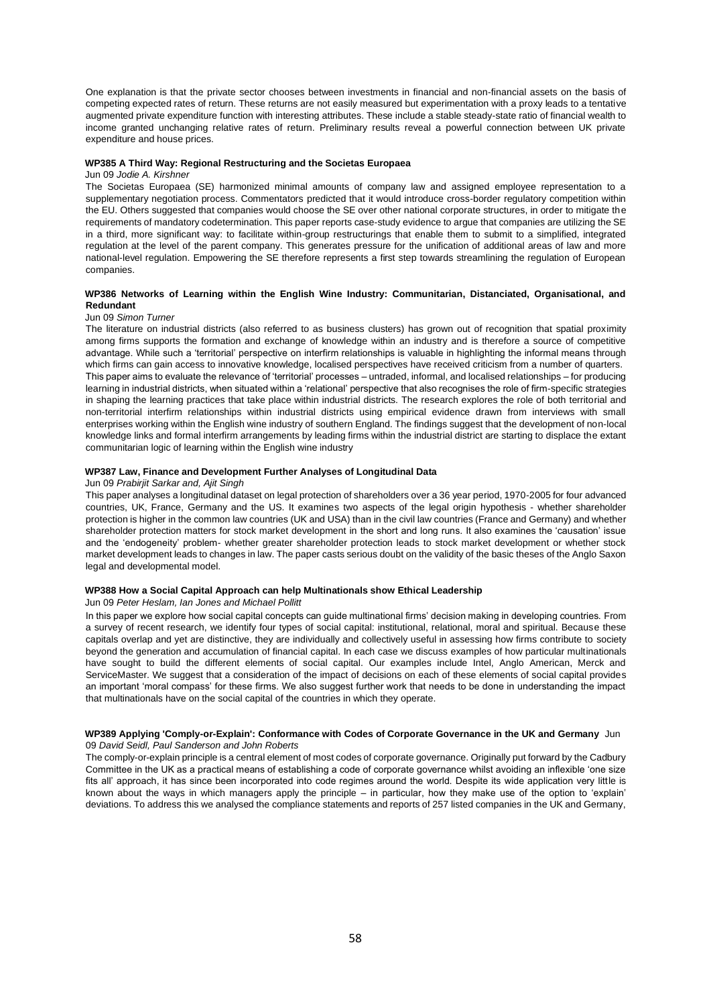One explanation is that the private sector chooses between investments in financial and non-financial assets on the basis of competing expected rates of return. These returns are not easily measured but experimentation with a proxy leads to a tentative augmented private expenditure function with interesting attributes. These include a stable steady-state ratio of financial wealth to income granted unchanging relative rates of return. Preliminary results reveal a powerful connection between UK private expenditure and house prices.

#### **WP385 A Third Way: Regional Restructuring and the Societas Europaea**

#### Jun 09 *Jodie A. Kirshner*

The Societas Europaea (SE) harmonized minimal amounts of company law and assigned employee representation to a supplementary negotiation process. Commentators predicted that it would introduce cross-border regulatory competition within the EU. Others suggested that companies would choose the SE over other national corporate structures, in order to mitigate the requirements of mandatory codetermination. This paper reports case-study evidence to argue that companies are utilizing the SE in a third, more significant way: to facilitate within-group restructurings that enable them to submit to a simplified, integrated regulation at the level of the parent company. This generates pressure for the unification of additional areas of law and more national-level regulation. Empowering the SE therefore represents a first step towards streamlining the regulation of European companies.

# **WP386 Networks of Learning within the English Wine Industry: Communitarian, Distanciated, Organisational, and Redundant**

#### Jun 09 *Simon Turner*

The literature on industrial districts (also referred to as business clusters) has grown out of recognition that spatial proximity among firms supports the formation and exchange of knowledge within an industry and is therefore a source of competitive advantage. While such a 'territorial' perspective on interfirm relationships is valuable in highlighting the informal means through which firms can gain access to innovative knowledge, localised perspectives have received criticism from a number of quarters. This paper aims to evaluate the relevance of 'territorial' processes – untraded, informal, and localised relationships – for producing learning in industrial districts, when situated within a 'relational' perspective that also recognises the role of firm-specific strategies in shaping the learning practices that take place within industrial districts. The research explores the role of both territorial and non-territorial interfirm relationships within industrial districts using empirical evidence drawn from interviews with small enterprises working within the English wine industry of southern England. The findings suggest that the development of non-local knowledge links and formal interfirm arrangements by leading firms within the industrial district are starting to displace the extant communitarian logic of learning within the English wine industry

### **WP387 Law, Finance and Development Further Analyses of Longitudinal Data**

#### Jun 09 *Prabirjit Sarkar and, Ajit Singh*

This paper analyses a longitudinal dataset on legal protection of shareholders over a 36 year period, 1970-2005 for four advanced countries, UK, France, Germany and the US. It examines two aspects of the legal origin hypothesis - whether shareholder protection is higher in the common law countries (UK and USA) than in the civil law countries (France and Germany) and whether shareholder protection matters for stock market development in the short and long runs. It also examines the 'causation' issue and the 'endogeneity' problem- whether greater shareholder protection leads to stock market development or whether stock market development leads to changes in law. The paper casts serious doubt on the validity of the basic theses of the Anglo Saxon legal and developmental model.

### **WP388 How a Social Capital Approach can help Multinationals show Ethical Leadership**

#### Jun 09 *Peter Heslam, Ian Jones and Michael Pollitt*

In this paper we explore how social capital concepts can guide multinational firms' decision making in developing countries. From a survey of recent research, we identify four types of social capital: institutional, relational, moral and spiritual. Because these capitals overlap and yet are distinctive, they are individually and collectively useful in assessing how firms contribute to society beyond the generation and accumulation of financial capital. In each case we discuss examples of how particular multinationals have sought to build the different elements of social capital. Our examples include Intel, Anglo American, Merck and ServiceMaster. We suggest that a consideration of the impact of decisions on each of these elements of social capital provides an important 'moral compass' for these firms. We also suggest further work that needs to be done in understanding the impact that multinationals have on the social capital of the countries in which they operate.

#### **WP389 Applying 'Comply-or-Explain': Conformance with Codes of Corporate Governance in the UK and Germany** Jun 09 *David Seidl, Paul Sanderson and John Roberts*

The comply-or-explain principle is a central element of most codes of corporate governance. Originally put forward by the Cadbury Committee in the UK as a practical means of establishing a code of corporate governance whilst avoiding an inflexible 'one size fits all' approach, it has since been incorporated into code regimes around the world. Despite its wide application very little is known about the ways in which managers apply the principle – in particular, how they make use of the option to 'explain' deviations. To address this we analysed the compliance statements and reports of 257 listed companies in the UK and Germany,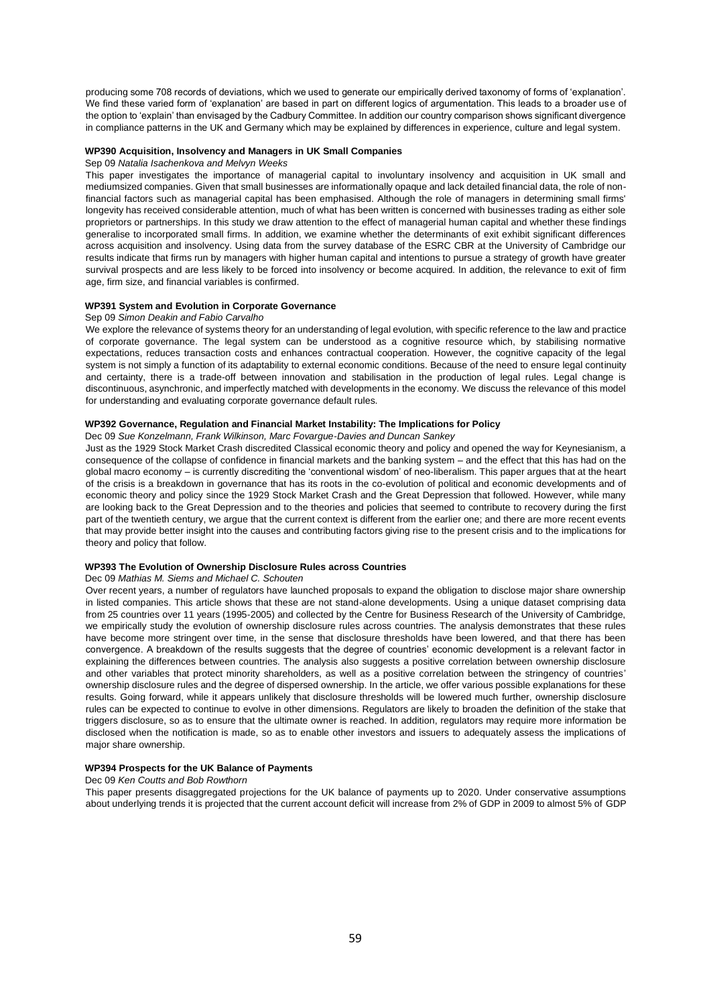producing some 708 records of deviations, which we used to generate our empirically derived taxonomy of forms of 'explanation'. We find these varied form of 'explanation' are based in part on different logics of argumentation. This leads to a broader use of the option to 'explain' than envisaged by the Cadbury Committee. In addition our country comparison shows significant divergence in compliance patterns in the UK and Germany which may be explained by differences in experience, culture and legal system.

### **WP390 Acquisition, Insolvency and Managers in UK Small Companies**

# Sep 09 *Natalia Isachenkova and Melvyn Weeks*

This paper investigates the importance of managerial capital to involuntary insolvency and acquisition in UK small and mediumsized companies. Given that small businesses are informationally opaque and lack detailed financial data, the role of nonfinancial factors such as managerial capital has been emphasised. Although the role of managers in determining small firms' longevity has received considerable attention, much of what has been written is concerned with businesses trading as either sole proprietors or partnerships. In this study we draw attention to the effect of managerial human capital and whether these findings generalise to incorporated small firms. In addition, we examine whether the determinants of exit exhibit significant differences across acquisition and insolvency. Using data from the survey database of the ESRC CBR at the University of Cambridge our results indicate that firms run by managers with higher human capital and intentions to pursue a strategy of growth have greater survival prospects and are less likely to be forced into insolvency or become acquired. In addition, the relevance to exit of firm age, firm size, and financial variables is confirmed.

### **WP391 System and Evolution in Corporate Governance**

#### Sep 09 *Simon Deakin and Fabio Carvalho*

We explore the relevance of systems theory for an understanding of legal evolution, with specific reference to the law and practice of corporate governance. The legal system can be understood as a cognitive resource which, by stabilising normative expectations, reduces transaction costs and enhances contractual cooperation. However, the cognitive capacity of the legal system is not simply a function of its adaptability to external economic conditions. Because of the need to ensure legal continuity and certainty, there is a trade-off between innovation and stabilisation in the production of legal rules. Legal change is discontinuous, asynchronic, and imperfectly matched with developments in the economy. We discuss the relevance of this model for understanding and evaluating corporate governance default rules.

### **WP392 Governance, Regulation and Financial Market Instability: The Implications for Policy**

Dec 09 *Sue Konzelmann, Frank Wilkinson, Marc Fovargue-Davies and Duncan Sankey* 

Just as the 1929 Stock Market Crash discredited Classical economic theory and policy and opened the way for Keynesianism, a consequence of the collapse of confidence in financial markets and the banking system – and the effect that this has had on the global macro economy – is currently discrediting the 'conventional wisdom' of neo-liberalism. This paper argues that at the heart of the crisis is a breakdown in governance that has its roots in the co-evolution of political and economic developments and of economic theory and policy since the 1929 Stock Market Crash and the Great Depression that followed. However, while many are looking back to the Great Depression and to the theories and policies that seemed to contribute to recovery during the first part of the twentieth century, we argue that the current context is different from the earlier one; and there are more recent events that may provide better insight into the causes and contributing factors giving rise to the present crisis and to the implications for theory and policy that follow.

# **WP393 The Evolution of Ownership Disclosure Rules across Countries**

#### Dec 09 *Mathias M. Siems and Michael C. Schouten*

Over recent years, a number of regulators have launched proposals to expand the obligation to disclose major share ownership in listed companies. This article shows that these are not stand-alone developments. Using a unique dataset comprising data from 25 countries over 11 years (1995-2005) and collected by the Centre for Business Research of the University of Cambridge, we empirically study the evolution of ownership disclosure rules across countries. The analysis demonstrates that these rules have become more stringent over time, in the sense that disclosure thresholds have been lowered, and that there has been convergence. A breakdown of the results suggests that the degree of countries' economic development is a relevant factor in explaining the differences between countries. The analysis also suggests a positive correlation between ownership disclosure and other variables that protect minority shareholders, as well as a positive correlation between the stringency of countries' ownership disclosure rules and the degree of dispersed ownership. In the article, we offer various possible explanations for these results. Going forward, while it appears unlikely that disclosure thresholds will be lowered much further, ownership disclosure rules can be expected to continue to evolve in other dimensions. Regulators are likely to broaden the definition of the stake that triggers disclosure, so as to ensure that the ultimate owner is reached. In addition, regulators may require more information be disclosed when the notification is made, so as to enable other investors and issuers to adequately assess the implications of major share ownership.

#### **WP394 Prospects for the UK Balance of Payments**

#### Dec 09 *Ken Coutts and Bob Rowthorn*

This paper presents disaggregated projections for the UK balance of payments up to 2020. Under conservative assumptions about underlying trends it is projected that the current account deficit will increase from 2% of GDP in 2009 to almost 5% of GDP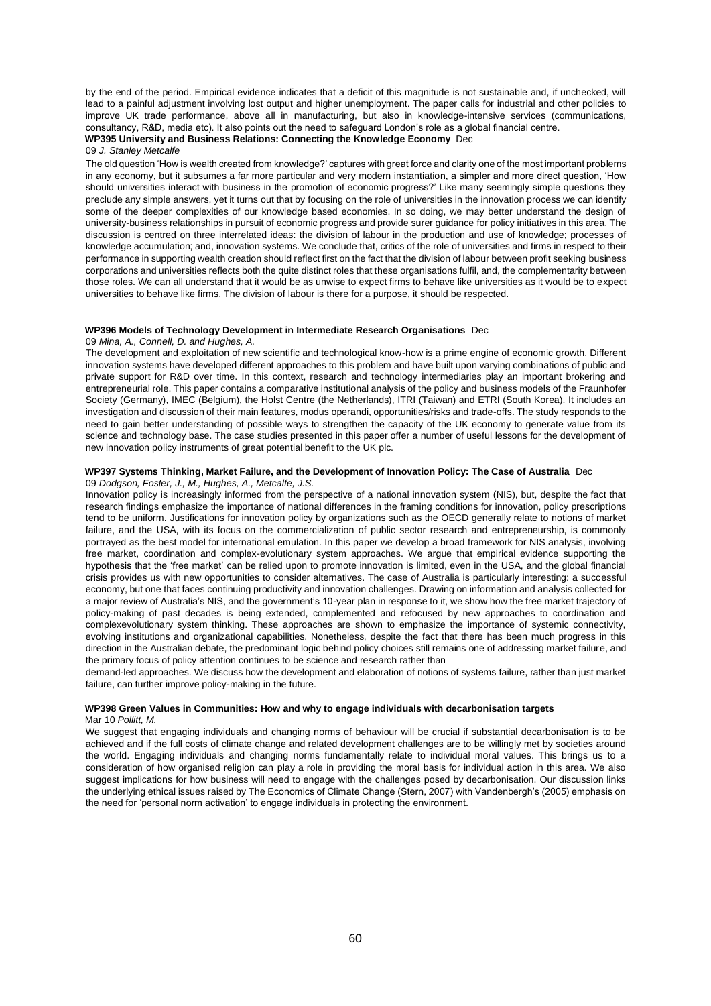by the end of the period. Empirical evidence indicates that a deficit of this magnitude is not sustainable and, if unchecked, will lead to a painful adjustment involving lost output and higher unemployment. The paper calls for industrial and other policies to improve UK trade performance, above all in manufacturing, but also in knowledge-intensive services (communications, consultancy, R&D, media etc). It also points out the need to safeguard London's role as a global financial centre.

**WP395 University and Business Relations: Connecting the Knowledge Economy** Dec

#### 09 *J. Stanley Metcalfe*

The old question 'How is wealth created from knowledge?' captures with great force and clarity one of the most important problems in any economy, but it subsumes a far more particular and very modern instantiation, a simpler and more direct question, 'How should universities interact with business in the promotion of economic progress?' Like many seemingly simple questions they preclude any simple answers, yet it turns out that by focusing on the role of universities in the innovation process we can identify some of the deeper complexities of our knowledge based economies. In so doing, we may better understand the design of university-business relationships in pursuit of economic progress and provide surer guidance for policy initiatives in this area. The discussion is centred on three interrelated ideas: the division of labour in the production and use of knowledge; processes of knowledge accumulation; and, innovation systems. We conclude that, critics of the role of universities and firms in respect to their performance in supporting wealth creation should reflect first on the fact that the division of labour between profit seeking business corporations and universities reflects both the quite distinct roles that these organisations fulfil, and, the complementarity between those roles. We can all understand that it would be as unwise to expect firms to behave like universities as it would be to expect universities to behave like firms. The division of labour is there for a purpose, it should be respected.

### **WP396 Models of Technology Development in Intermediate Research Organisations** Dec

#### 09 *Mina, A., Connell, D. and Hughes, A.*

The development and exploitation of new scientific and technological know-how is a prime engine of economic growth. Different innovation systems have developed different approaches to this problem and have built upon varying combinations of public and private support for R&D over time. In this context, research and technology intermediaries play an important brokering and entrepreneurial role. This paper contains a comparative institutional analysis of the policy and business models of the Fraunhofer Society (Germany), IMEC (Belgium), the Holst Centre (the Netherlands), ITRI (Taiwan) and ETRI (South Korea). It includes an investigation and discussion of their main features, modus operandi, opportunities/risks and trade-offs. The study responds to the need to gain better understanding of possible ways to strengthen the capacity of the UK economy to generate value from its science and technology base. The case studies presented in this paper offer a number of useful lessons for the development of new innovation policy instruments of great potential benefit to the UK plc.

# **WP397 Systems Thinking, Market Failure, and the Development of Innovation Policy: The Case of Australia** Dec

### 09 *Dodgson, Foster, J., M., Hughes, A., Metcalfe, J.S.*

Innovation policy is increasingly informed from the perspective of a national innovation system (NIS), but, despite the fact that research findings emphasize the importance of national differences in the framing conditions for innovation, policy prescriptions tend to be uniform. Justifications for innovation policy by organizations such as the OECD generally relate to notions of market failure, and the USA, with its focus on the commercialization of public sector research and entrepreneurship, is commonly portrayed as the best model for international emulation. In this paper we develop a broad framework for NIS analysis, involving free market, coordination and complex-evolutionary system approaches. We argue that empirical evidence supporting the hypothesis that the 'free market' can be relied upon to promote innovation is limited, even in the USA, and the global financial crisis provides us with new opportunities to consider alternatives. The case of Australia is particularly interesting: a successful economy, but one that faces continuing productivity and innovation challenges. Drawing on information and analysis collected for a major review of Australia's NIS, and the government's 10-year plan in response to it, we show how the free market trajectory of policy-making of past decades is being extended, complemented and refocused by new approaches to coordination and complexevolutionary system thinking. These approaches are shown to emphasize the importance of systemic connectivity, evolving institutions and organizational capabilities. Nonetheless, despite the fact that there has been much progress in this direction in the Australian debate, the predominant logic behind policy choices still remains one of addressing market failure, and the primary focus of policy attention continues to be science and research rather than

demand-led approaches. We discuss how the development and elaboration of notions of systems failure, rather than just market failure, can further improve policy-making in the future.

## **WP398 Green Values in Communities: How and why to engage individuals with decarbonisation targets**

#### Mar 10 *Pollitt, M.*

We suggest that engaging individuals and changing norms of behaviour will be crucial if substantial decarbonisation is to be achieved and if the full costs of climate change and related development challenges are to be willingly met by societies around the world. Engaging individuals and changing norms fundamentally relate to individual moral values. This brings us to a consideration of how organised religion can play a role in providing the moral basis for individual action in this area. We also suggest implications for how business will need to engage with the challenges posed by decarbonisation. Our discussion links the underlying ethical issues raised by The Economics of Climate Change (Stern, 2007) with Vandenbergh's (2005) emphasis on the need for 'personal norm activation' to engage individuals in protecting the environment.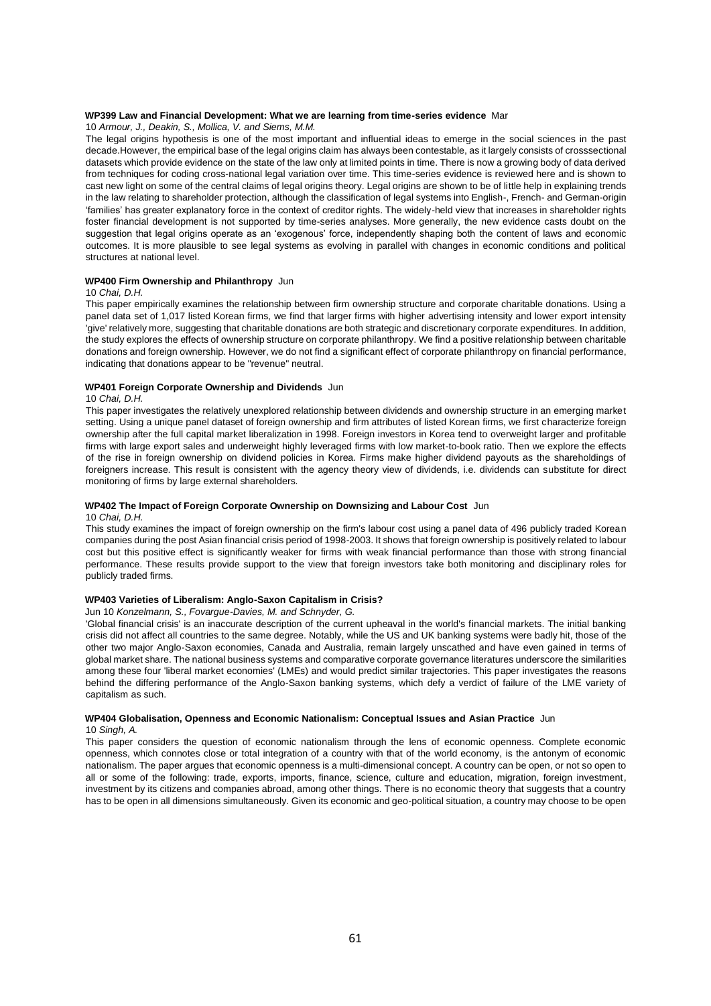#### **WP399 Law and Financial Development: What we are learning from time-series evidence** Mar

10 *Armour, J., Deakin, S., Mollica, V. and Siems, M.M.* 

The legal origins hypothesis is one of the most important and influential ideas to emerge in the social sciences in the past decade.However, the empirical base of the legal origins claim has always been contestable, as it largely consists of crosssectional datasets which provide evidence on the state of the law only at limited points in time. There is now a growing body of data derived from techniques for coding cross-national legal variation over time. This time-series evidence is reviewed here and is shown to cast new light on some of the central claims of legal origins theory. Legal origins are shown to be of little help in explaining trends in the law relating to shareholder protection, although the classification of legal systems into English-, French- and German-origin 'families' has greater explanatory force in the context of creditor rights. The widely-held view that increases in shareholder rights foster financial development is not supported by time-series analyses. More generally, the new evidence casts doubt on the suggestion that legal origins operate as an 'exogenous' force, independently shaping both the content of laws and economic outcomes. It is more plausible to see legal systems as evolving in parallel with changes in economic conditions and political structures at national level.

### **WP400 Firm Ownership and Philanthropy** Jun

10 *Chai, D.H.* 

This paper empirically examines the relationship between firm ownership structure and corporate charitable donations. Using a panel data set of 1,017 listed Korean firms, we find that larger firms with higher advertising intensity and lower export intensity 'give' relatively more, suggesting that charitable donations are both strategic and discretionary corporate expenditures. In addition, the study explores the effects of ownership structure on corporate philanthropy. We find a positive relationship between charitable donations and foreign ownership. However, we do not find a significant effect of corporate philanthropy on financial performance, indicating that donations appear to be "revenue" neutral.

#### **WP401 Foreign Corporate Ownership and Dividends** Jun

#### 10 *Chai, D.H.*

This paper investigates the relatively unexplored relationship between dividends and ownership structure in an emerging market setting. Using a unique panel dataset of foreign ownership and firm attributes of listed Korean firms, we first characterize foreign ownership after the full capital market liberalization in 1998. Foreign investors in Korea tend to overweight larger and profitable firms with large export sales and underweight highly leveraged firms with low market-to-book ratio. Then we explore the effects of the rise in foreign ownership on dividend policies in Korea. Firms make higher dividend payouts as the shareholdings of foreigners increase. This result is consistent with the agency theory view of dividends, i.e. dividends can substitute for direct monitoring of firms by large external shareholders.

# **WP402 The Impact of Foreign Corporate Ownership on Downsizing and Labour Cost** Jun

#### 10 *Chai, D.H.*

This study examines the impact of foreign ownership on the firm's labour cost using a panel data of 496 publicly traded Korean companies during the post Asian financial crisis period of 1998-2003. It shows that foreign ownership is positively related to labour cost but this positive effect is significantly weaker for firms with weak financial performance than those with strong financial performance. These results provide support to the view that foreign investors take both monitoring and disciplinary roles for publicly traded firms.

#### **WP403 Varieties of Liberalism: Anglo-Saxon Capitalism in Crisis?**

# Jun 10 *Konzelmann, S., Fovargue-Davies, M. and Schnyder, G.*

'Global financial crisis' is an inaccurate description of the current upheaval in the world's financial markets. The initial banking crisis did not affect all countries to the same degree. Notably, while the US and UK banking systems were badly hit, those of the other two major Anglo-Saxon economies, Canada and Australia, remain largely unscathed and have even gained in terms of global market share. The national business systems and comparative corporate governance literatures underscore the similarities among these four 'liberal market economies' (LMEs) and would predict similar trajectories. This paper investigates the reasons behind the differing performance of the Anglo-Saxon banking systems, which defy a verdict of failure of the LME variety of capitalism as such.

# **WP404 Globalisation, Openness and Economic Nationalism: Conceptual Issues and Asian Practice** Jun

# 10 *Singh, A.*

This paper considers the question of economic nationalism through the lens of economic openness. Complete economic openness, which connotes close or total integration of a country with that of the world economy, is the antonym of economic nationalism. The paper argues that economic openness is a multi-dimensional concept. A country can be open, or not so open to all or some of the following: trade, exports, imports, finance, science, culture and education, migration, foreign investment, investment by its citizens and companies abroad, among other things. There is no economic theory that suggests that a country has to be open in all dimensions simultaneously. Given its economic and geo-political situation, a country may choose to be open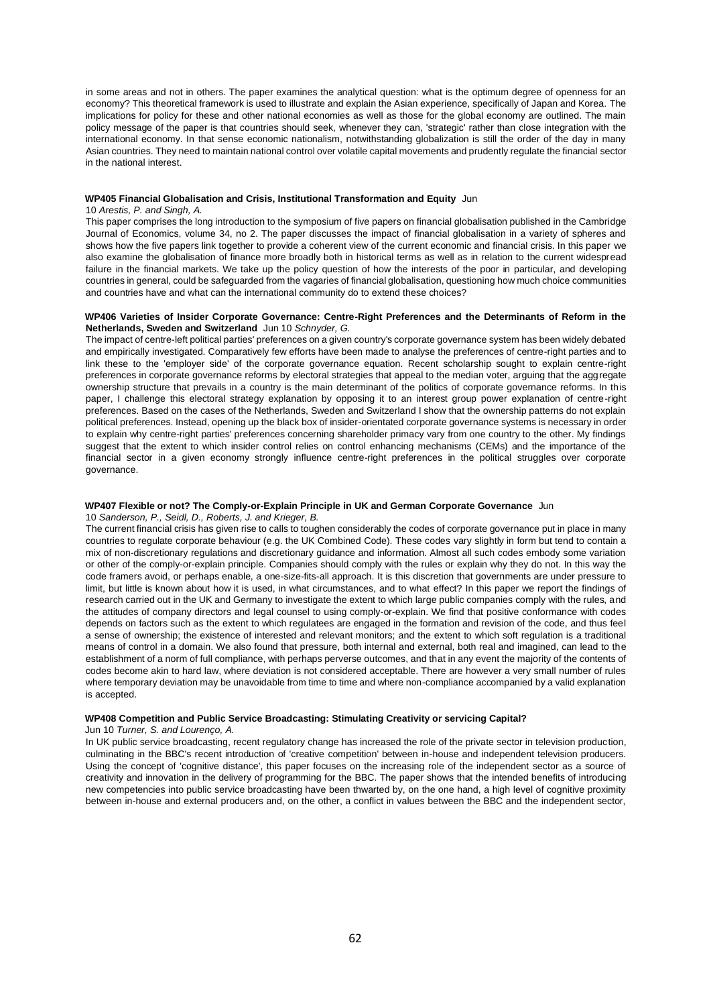in some areas and not in others. The paper examines the analytical question: what is the optimum degree of openness for an economy? This theoretical framework is used to illustrate and explain the Asian experience, specifically of Japan and Korea. The implications for policy for these and other national economies as well as those for the global economy are outlined. The main policy message of the paper is that countries should seek, whenever they can, 'strategic' rather than close integration with the international economy. In that sense economic nationalism, notwithstanding globalization is still the order of the day in many Asian countries. They need to maintain national control over volatile capital movements and prudently regulate the financial sector in the national interest.

#### **WP405 Financial Globalisation and Crisis, Institutional Transformation and Equity** Jun

#### 10 *Arestis, P. and Singh, A.*

This paper comprises the long introduction to the symposium of five papers on financial globalisation published in the Cambridge Journal of Economics, volume 34, no 2. The paper discusses the impact of financial globalisation in a variety of spheres and shows how the five papers link together to provide a coherent view of the current economic and financial crisis. In this paper we also examine the globalisation of finance more broadly both in historical terms as well as in relation to the current widespread failure in the financial markets. We take up the policy question of how the interests of the poor in particular, and developing countries in general, could be safeguarded from the vagaries of financial globalisation, questioning how much choice communities and countries have and what can the international community do to extend these choices?

#### **WP406 Varieties of Insider Corporate Governance: Centre-Right Preferences and the Determinants of Reform in the Netherlands, Sweden and Switzerland** Jun 10 *Schnyder, G.*

The impact of centre-left political parties' preferences on a given country's corporate governance system has been widely debated and empirically investigated. Comparatively few efforts have been made to analyse the preferences of centre-right parties and to link these to the 'employer side' of the corporate governance equation. Recent scholarship sought to explain centre-right preferences in corporate governance reforms by electoral strategies that appeal to the median voter, arguing that the aggregate ownership structure that prevails in a country is the main determinant of the politics of corporate governance reforms. In this paper, I challenge this electoral strategy explanation by opposing it to an interest group power explanation of centre-right preferences. Based on the cases of the Netherlands, Sweden and Switzerland I show that the ownership patterns do not explain political preferences. Instead, opening up the black box of insider-orientated corporate governance systems is necessary in order to explain why centre-right parties' preferences concerning shareholder primacy vary from one country to the other. My findings suggest that the extent to which insider control relies on control enhancing mechanisms (CEMs) and the importance of the financial sector in a given economy strongly influence centre-right preferences in the political struggles over corporate governance.

#### **WP407 Flexible or not? The Comply-or-Explain Principle in UK and German Corporate Governance** Jun 10 *Sanderson, P., Seidl, D., Roberts, J. and Krieger, B.*

The current financial crisis has given rise to calls to toughen considerably the codes of corporate governance put in place in many countries to regulate corporate behaviour (e.g. the UK Combined Code). These codes vary slightly in form but tend to contain a mix of non-discretionary regulations and discretionary guidance and information. Almost all such codes embody some variation or other of the comply-or-explain principle. Companies should comply with the rules or explain why they do not. In this way the code framers avoid, or perhaps enable, a one-size-fits-all approach. It is this discretion that governments are under pressure to limit, but little is known about how it is used, in what circumstances, and to what effect? In this paper we report the findings of research carried out in the UK and Germany to investigate the extent to which large public companies comply with the rules, and the attitudes of company directors and legal counsel to using comply-or-explain. We find that positive conformance with codes depends on factors such as the extent to which regulatees are engaged in the formation and revision of the code, and thus feel a sense of ownership; the existence of interested and relevant monitors; and the extent to which soft regulation is a traditional means of control in a domain. We also found that pressure, both internal and external, both real and imagined, can lead to the establishment of a norm of full compliance, with perhaps perverse outcomes, and that in any event the majority of the contents of codes become akin to hard law, where deviation is not considered acceptable. There are however a very small number of rules where temporary deviation may be unavoidable from time to time and where non-compliance accompanied by a valid explanation is accepted.

# **WP408 Competition and Public Service Broadcasting: Stimulating Creativity or servicing Capital?**

#### Jun 10 *Turner, S. and Lourenço, A.*

In UK public service broadcasting, recent regulatory change has increased the role of the private sector in television production, culminating in the BBC's recent introduction of 'creative competition' between in-house and independent television producers. Using the concept of 'cognitive distance', this paper focuses on the increasing role of the independent sector as a source of creativity and innovation in the delivery of programming for the BBC. The paper shows that the intended benefits of introducing new competencies into public service broadcasting have been thwarted by, on the one hand, a high level of cognitive proximity between in-house and external producers and, on the other, a conflict in values between the BBC and the independent sector,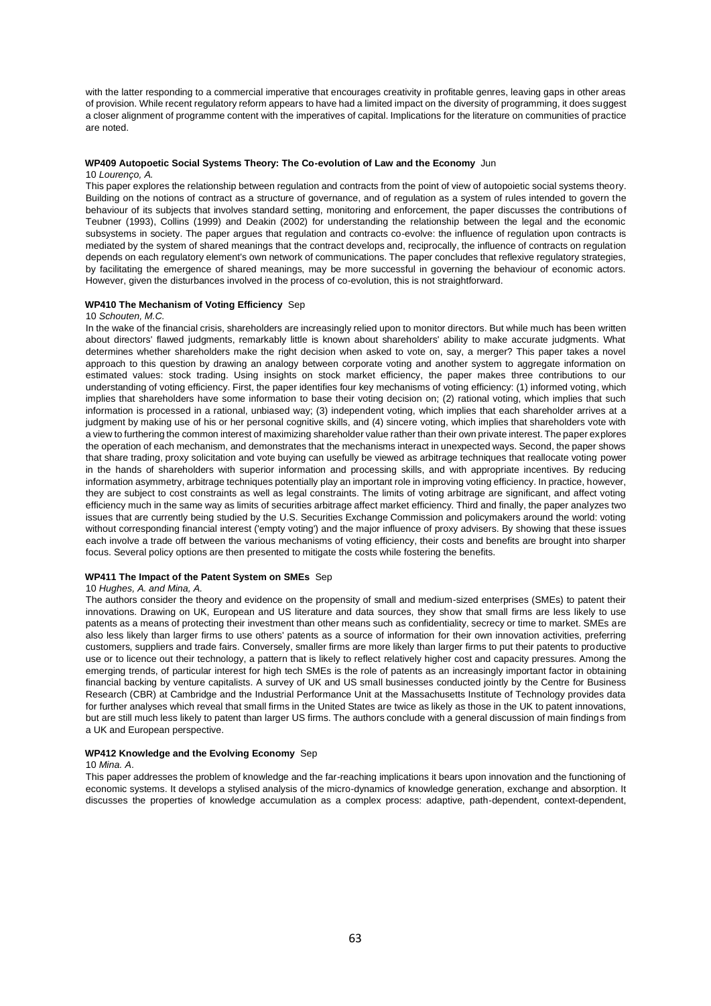with the latter responding to a commercial imperative that encourages creativity in profitable genres, leaving gaps in other areas of provision. While recent regulatory reform appears to have had a limited impact on the diversity of programming, it does suggest a closer alignment of programme content with the imperatives of capital. Implications for the literature on communities of practice are noted.

#### **WP409 Autopoetic Social Systems Theory: The Co-evolution of Law and the Economy** Jun

### 10 *Lourenço, A.*

This paper explores the relationship between regulation and contracts from the point of view of autopoietic social systems theory. Building on the notions of contract as a structure of governance, and of regulation as a system of rules intended to govern the behaviour of its subjects that involves standard setting, monitoring and enforcement, the paper discusses the contributions of Teubner (1993), Collins (1999) and Deakin (2002) for understanding the relationship between the legal and the economic subsystems in society. The paper argues that regulation and contracts co-evolve: the influence of regulation upon contracts is mediated by the system of shared meanings that the contract develops and, reciprocally, the influence of contracts on regulation depends on each regulatory element's own network of communications. The paper concludes that reflexive regulatory strategies, by facilitating the emergence of shared meanings, may be more successful in governing the behaviour of economic actors. However, given the disturbances involved in the process of co-evolution, this is not straightforward.

#### **WP410 The Mechanism of Voting Efficiency** Sep

#### 10 *Schouten, M.C.*

In the wake of the financial crisis, shareholders are increasingly relied upon to monitor directors. But while much has been written about directors' flawed judgments, remarkably little is known about shareholders' ability to make accurate judgments. What determines whether shareholders make the right decision when asked to vote on, say, a merger? This paper takes a novel approach to this question by drawing an analogy between corporate voting and another system to aggregate information on estimated values: stock trading. Using insights on stock market efficiency, the paper makes three contributions to our understanding of voting efficiency. First, the paper identifies four key mechanisms of voting efficiency: (1) informed voting, which implies that shareholders have some information to base their voting decision on; (2) rational voting, which implies that such information is processed in a rational, unbiased way; (3) independent voting, which implies that each shareholder arrives at a judgment by making use of his or her personal cognitive skills, and (4) sincere voting, which implies that shareholders vote with a view to furthering the common interest of maximizing shareholder value rather than their own private interest. The paper explores the operation of each mechanism, and demonstrates that the mechanisms interact in unexpected ways. Second, the paper shows that share trading, proxy solicitation and vote buying can usefully be viewed as arbitrage techniques that reallocate voting power in the hands of shareholders with superior information and processing skills, and with appropriate incentives. By reducing information asymmetry, arbitrage techniques potentially play an important role in improving voting efficiency. In practice, however, they are subject to cost constraints as well as legal constraints. The limits of voting arbitrage are significant, and affect voting efficiency much in the same way as limits of securities arbitrage affect market efficiency. Third and finally, the paper analyzes two issues that are currently being studied by the U.S. Securities Exchange Commission and policymakers around the world: voting without corresponding financial interest ('empty voting') and the major influence of proxy advisers. By showing that these issues each involve a trade off between the various mechanisms of voting efficiency, their costs and benefits are brought into sharper focus. Several policy options are then presented to mitigate the costs while fostering the benefits.

#### **WP411 The Impact of the Patent System on SMEs** Sep

#### 10 *Hughes, A. and Mina, A.*

The authors consider the theory and evidence on the propensity of small and medium-sized enterprises (SMEs) to patent their innovations. Drawing on UK, European and US literature and data sources, they show that small firms are less likely to use patents as a means of protecting their investment than other means such as confidentiality, secrecy or time to market. SMEs are also less likely than larger firms to use others' patents as a source of information for their own innovation activities, preferring customers, suppliers and trade fairs. Conversely, smaller firms are more likely than larger firms to put their patents to productive use or to licence out their technology, a pattern that is likely to reflect relatively higher cost and capacity pressures. Among the emerging trends, of particular interest for high tech SMEs is the role of patents as an increasingly important factor in obtaining financial backing by venture capitalists. A survey of UK and US small businesses conducted jointly by the Centre for Business Research (CBR) at Cambridge and the Industrial Performance Unit at the Massachusetts Institute of Technology provides data for further analyses which reveal that small firms in the United States are twice as likely as those in the UK to patent innovations, but are still much less likely to patent than larger US firms. The authors conclude with a general discussion of main findings from a UK and European perspective.

#### **WP412 Knowledge and the Evolving Economy** Sep

### 10 *Mina. A*.

This paper addresses the problem of knowledge and the far-reaching implications it bears upon innovation and the functioning of economic systems. It develops a stylised analysis of the micro-dynamics of knowledge generation, exchange and absorption. It discusses the properties of knowledge accumulation as a complex process: adaptive, path-dependent, context-dependent,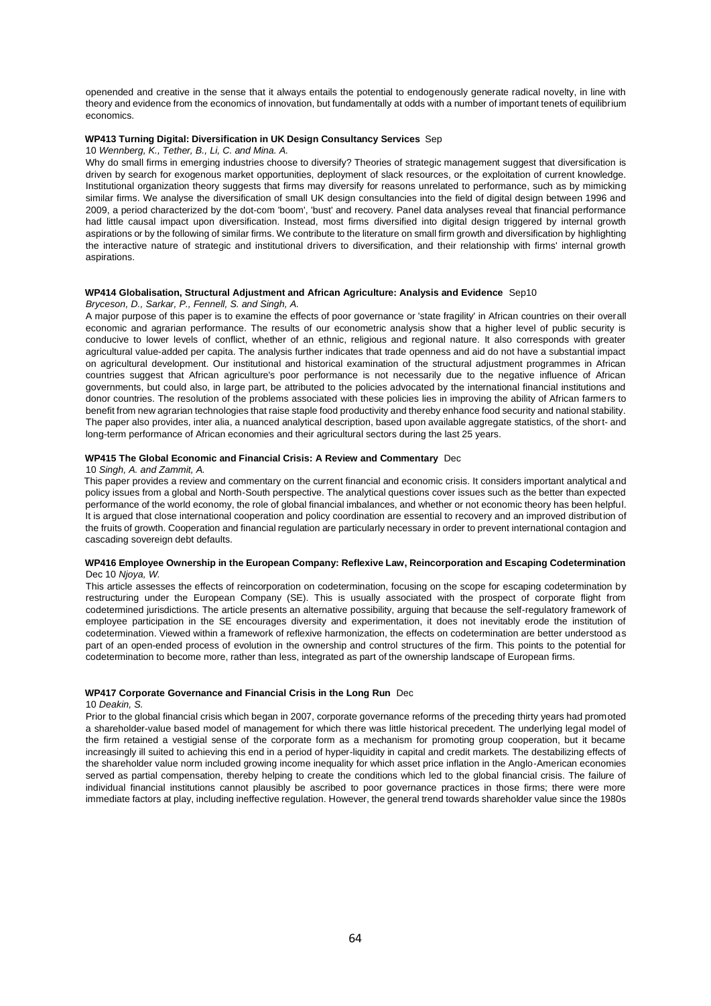openended and creative in the sense that it always entails the potential to endogenously generate radical novelty, in line with theory and evidence from the economics of innovation, but fundamentally at odds with a number of important tenets of equilibrium economics.

#### **WP413 Turning Digital: Diversification in UK Design Consultancy Services** Sep

### 10 *Wennberg, K., Tether, B., Li, C. and Mina. A.*

Why do small firms in emerging industries choose to diversify? Theories of strategic management suggest that diversification is driven by search for exogenous market opportunities, deployment of slack resources, or the exploitation of current knowledge. Institutional organization theory suggests that firms may diversify for reasons unrelated to performance, such as by mimicking similar firms. We analyse the diversification of small UK design consultancies into the field of digital design between 1996 and 2009, a period characterized by the dot-com 'boom', 'bust' and recovery. Panel data analyses reveal that financial performance had little causal impact upon diversification. Instead, most firms diversified into digital design triggered by internal growth aspirations or by the following of similar firms. We contribute to the literature on small firm growth and diversification by highlighting the interactive nature of strategic and institutional drivers to diversification, and their relationship with firms' internal growth aspirations.

# **WP414 Globalisation, Structural Adjustment and African Agriculture: Analysis and Evidence** Sep10

#### *Bryceson, D., Sarkar, P., Fennell, S. and Singh, A.*

A major purpose of this paper is to examine the effects of poor governance or 'state fragility' in African countries on their overall economic and agrarian performance. The results of our econometric analysis show that a higher level of public security is conducive to lower levels of conflict, whether of an ethnic, religious and regional nature. It also corresponds with greater agricultural value-added per capita. The analysis further indicates that trade openness and aid do not have a substantial impact on agricultural development. Our institutional and historical examination of the structural adjustment programmes in African countries suggest that African agriculture's poor performance is not necessarily due to the negative influence of African governments, but could also, in large part, be attributed to the policies advocated by the international financial institutions and donor countries. The resolution of the problems associated with these policies lies in improving the ability of African farmers to benefit from new agrarian technologies that raise staple food productivity and thereby enhance food security and national stability. The paper also provides, inter alia, a nuanced analytical description, based upon available aggregate statistics, of the short- and long-term performance of African economies and their agricultural sectors during the last 25 years.

#### **WP415 The Global Economic and Financial Crisis: A Review and Commentary** Dec

#### 10 *Singh, A. and Zammit, A.*

This paper provides a review and commentary on the current financial and economic crisis. It considers important analytical and policy issues from a global and North-South perspective. The analytical questions cover issues such as the better than expected performance of the world economy, the role of global financial imbalances, and whether or not economic theory has been helpful. It is argued that close international cooperation and policy coordination are essential to recovery and an improved distribution of the fruits of growth. Cooperation and financial regulation are particularly necessary in order to prevent international contagion and cascading sovereign debt defaults.

#### **WP416 Employee Ownership in the European Company: Reflexive Law, Reincorporation and Escaping Codetermination**  Dec 10 *Njoya, W.*

This article assesses the effects of reincorporation on codetermination, focusing on the scope for escaping codetermination by restructuring under the European Company (SE). This is usually associated with the prospect of corporate flight from codetermined jurisdictions. The article presents an alternative possibility, arguing that because the self-regulatory framework of employee participation in the SE encourages diversity and experimentation, it does not inevitably erode the institution of codetermination. Viewed within a framework of reflexive harmonization, the effects on codetermination are better understood as part of an open-ended process of evolution in the ownership and control structures of the firm. This points to the potential for codetermination to become more, rather than less, integrated as part of the ownership landscape of European firms.

# **WP417 Corporate Governance and Financial Crisis in the Long Run** Dec

### 10 *Deakin, S.*

Prior to the global financial crisis which began in 2007, corporate governance reforms of the preceding thirty years had promoted a shareholder-value based model of management for which there was little historical precedent. The underlying legal model of the firm retained a vestigial sense of the corporate form as a mechanism for promoting group cooperation, but it became increasingly ill suited to achieving this end in a period of hyper-liquidity in capital and credit markets. The destabilizing effects of the shareholder value norm included growing income inequality for which asset price inflation in the Anglo-American economies served as partial compensation, thereby helping to create the conditions which led to the global financial crisis. The failure of individual financial institutions cannot plausibly be ascribed to poor governance practices in those firms; there were more immediate factors at play, including ineffective regulation. However, the general trend towards shareholder value since the 1980s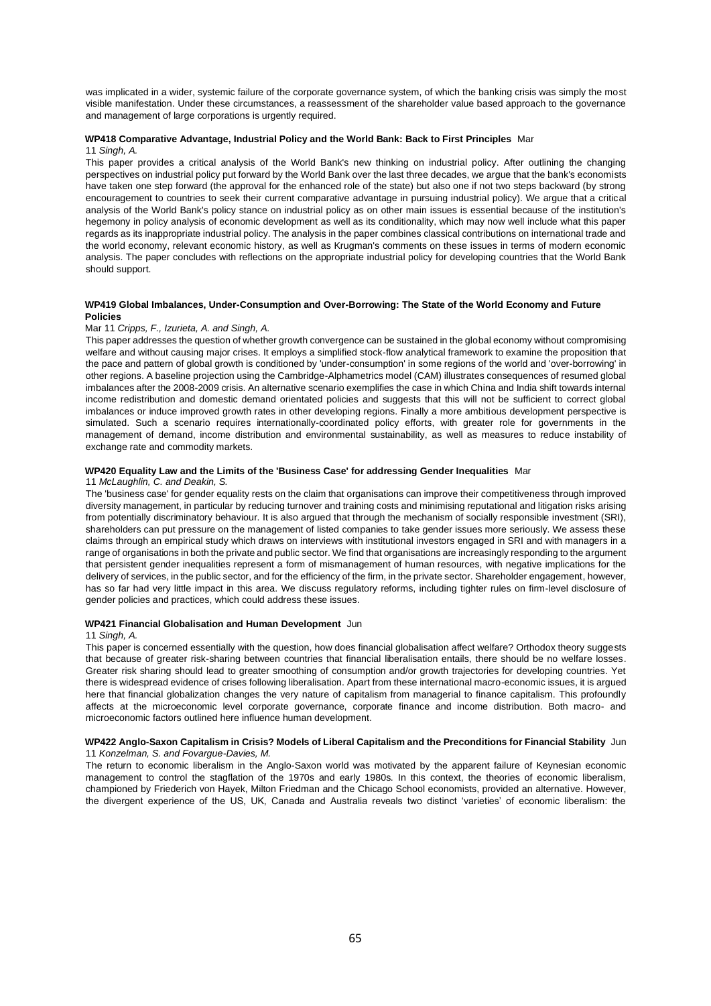was implicated in a wider, systemic failure of the corporate governance system, of which the banking crisis was simply the most visible manifestation. Under these circumstances, a reassessment of the shareholder value based approach to the governance and management of large corporations is urgently required.

# **WP418 Comparative Advantage, Industrial Policy and the World Bank: Back to First Principles** Mar

# 11 *Singh, A.*

This paper provides a critical analysis of the World Bank's new thinking on industrial policy. After outlining the changing perspectives on industrial policy put forward by the World Bank over the last three decades, we argue that the bank's economists have taken one step forward (the approval for the enhanced role of the state) but also one if not two steps backward (by strong encouragement to countries to seek their current comparative advantage in pursuing industrial policy). We argue that a critical analysis of the World Bank's policy stance on industrial policy as on other main issues is essential because of the institution's hegemony in policy analysis of economic development as well as its conditionality, which may now well include what this paper regards as its inappropriate industrial policy. The analysis in the paper combines classical contributions on international trade and the world economy, relevant economic history, as well as Krugman's comments on these issues in terms of modern economic analysis. The paper concludes with reflections on the appropriate industrial policy for developing countries that the World Bank should support.

#### **WP419 Global Imbalances, Under-Consumption and Over-Borrowing: The State of the World Economy and Future Policies**

#### Mar 11 *Cripps, F., Izurieta, A. and Singh, A.*

This paper addresses the question of whether growth convergence can be sustained in the global economy without compromising welfare and without causing major crises. It employs a simplified stock-flow analytical framework to examine the proposition that the pace and pattern of global growth is conditioned by 'under-consumption' in some regions of the world and 'over-borrowing' in other regions. A baseline projection using the Cambridge-Alphametrics model (CAM) illustrates consequences of resumed global imbalances after the 2008-2009 crisis. An alternative scenario exemplifies the case in which China and India shift towards internal income redistribution and domestic demand orientated policies and suggests that this will not be sufficient to correct global imbalances or induce improved growth rates in other developing regions. Finally a more ambitious development perspective is simulated. Such a scenario requires internationally-coordinated policy efforts, with greater role for governments in the management of demand, income distribution and environmental sustainability, as well as measures to reduce instability of exchange rate and commodity markets.

### **WP420 Equality Law and the Limits of the 'Business Case' for addressing Gender Inequalities** Mar

#### 11 *McLaughlin, C. and Deakin, S.*

The 'business case' for gender equality rests on the claim that organisations can improve their competitiveness through improved diversity management, in particular by reducing turnover and training costs and minimising reputational and litigation risks arising from potentially discriminatory behaviour. It is also argued that through the mechanism of socially responsible investment (SRI), shareholders can put pressure on the management of listed companies to take gender issues more seriously. We assess these claims through an empirical study which draws on interviews with institutional investors engaged in SRI and with managers in a range of organisations in both the private and public sector. We find that organisations are increasingly responding to the argument that persistent gender inequalities represent a form of mismanagement of human resources, with negative implications for the delivery of services, in the public sector, and for the efficiency of the firm, in the private sector. Shareholder engagement, however, has so far had very little impact in this area. We discuss regulatory reforms, including tighter rules on firm-level disclosure of gender policies and practices, which could address these issues.

#### **WP421 Financial Globalisation and Human Development** Jun

#### 11 *Singh, A.*

This paper is concerned essentially with the question, how does financial globalisation affect welfare? Orthodox theory suggests that because of greater risk-sharing between countries that financial liberalisation entails, there should be no welfare losses. Greater risk sharing should lead to greater smoothing of consumption and/or growth trajectories for developing countries. Yet there is widespread evidence of crises following liberalisation. Apart from these international macro-economic issues, it is argued here that financial globalization changes the very nature of capitalism from managerial to finance capitalism. This profoundly affects at the microeconomic level corporate governance, corporate finance and income distribution. Both macro- and microeconomic factors outlined here influence human development.

#### **WP422 Anglo-Saxon Capitalism in Crisis? Models of Liberal Capitalism and the Preconditions for Financial Stability** Jun 11 *Konzelman, S. and Fovargue-Davies, M.*

The return to economic liberalism in the Anglo-Saxon world was motivated by the apparent failure of Keynesian economic management to control the stagflation of the 1970s and early 1980s. In this context, the theories of economic liberalism, championed by Friederich von Hayek, Milton Friedman and the Chicago School economists, provided an alternative. However, the divergent experience of the US, UK, Canada and Australia reveals two distinct 'varieties' of economic liberalism: the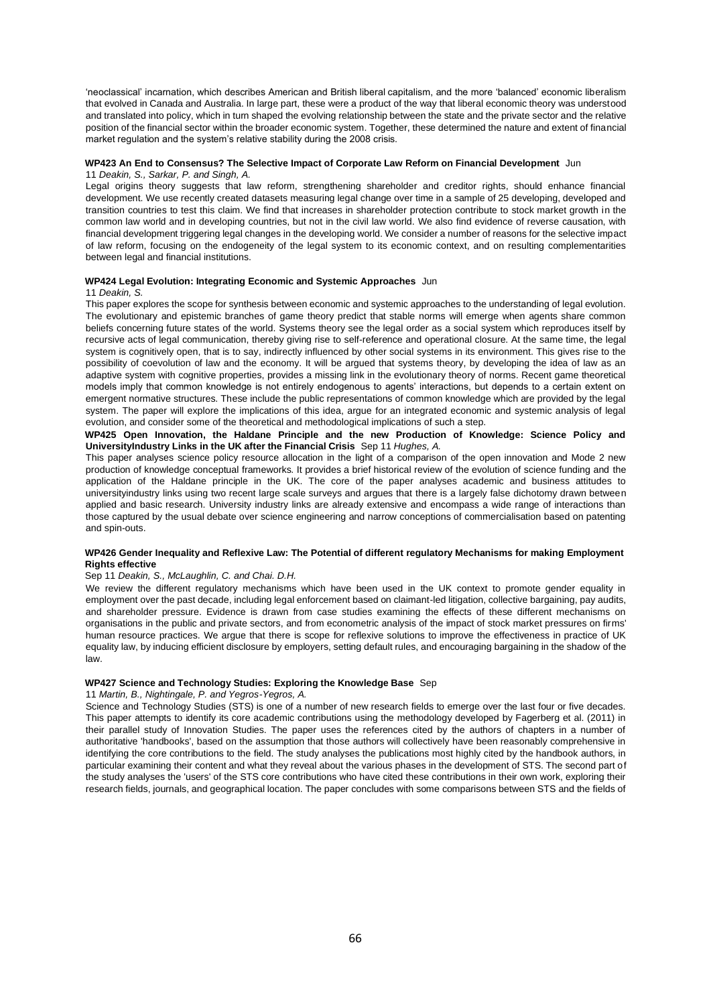'neoclassical' incarnation, which describes American and British liberal capitalism, and the more 'balanced' economic liberalism that evolved in Canada and Australia. In large part, these were a product of the way that liberal economic theory was understood and translated into policy, which in turn shaped the evolving relationship between the state and the private sector and the relative position of the financial sector within the broader economic system. Together, these determined the nature and extent of financial market regulation and the system's relative stability during the 2008 crisis.

### **WP423 An End to Consensus? The Selective Impact of Corporate Law Reform on Financial Development** Jun

#### 11 *Deakin, S., Sarkar, P. and Singh, A.*

Legal origins theory suggests that law reform, strengthening shareholder and creditor rights, should enhance financial development. We use recently created datasets measuring legal change over time in a sample of 25 developing, developed and transition countries to test this claim. We find that increases in shareholder protection contribute to stock market growth in the common law world and in developing countries, but not in the civil law world. We also find evidence of reverse causation, with financial development triggering legal changes in the developing world. We consider a number of reasons for the selective impact of law reform, focusing on the endogeneity of the legal system to its economic context, and on resulting complementarities between legal and financial institutions.

## **WP424 Legal Evolution: Integrating Economic and Systemic Approaches** Jun

11 *Deakin, S.* 

This paper explores the scope for synthesis between economic and systemic approaches to the understanding of legal evolution. The evolutionary and epistemic branches of game theory predict that stable norms will emerge when agents share common beliefs concerning future states of the world. Systems theory see the legal order as a social system which reproduces itself by recursive acts of legal communication, thereby giving rise to self-reference and operational closure. At the same time, the legal system is cognitively open, that is to say, indirectly influenced by other social systems in its environment. This gives rise to the possibility of coevolution of law and the economy. It will be argued that systems theory, by developing the idea of law as an adaptive system with cognitive properties, provides a missing link in the evolutionary theory of norms. Recent game theoretical models imply that common knowledge is not entirely endogenous to agents' interactions, but depends to a certain extent on emergent normative structures. These include the public representations of common knowledge which are provided by the legal system. The paper will explore the implications of this idea, argue for an integrated economic and systemic analysis of legal evolution, and consider some of the theoretical and methodological implications of such a step.

### **WP425 Open Innovation, the Haldane Principle and the new Production of Knowledge: Science Policy and UniversityIndustry Links in the UK after the Financial Crisis** Sep 11 *Hughes, A.*

This paper analyses science policy resource allocation in the light of a comparison of the open innovation and Mode 2 new production of knowledge conceptual frameworks. It provides a brief historical review of the evolution of science funding and the application of the Haldane principle in the UK. The core of the paper analyses academic and business attitudes to universityindustry links using two recent large scale surveys and argues that there is a largely false dichotomy drawn between applied and basic research. University industry links are already extensive and encompass a wide range of interactions than those captured by the usual debate over science engineering and narrow conceptions of commercialisation based on patenting and spin-outs.

#### **WP426 Gender Inequality and Reflexive Law: The Potential of different regulatory Mechanisms for making Employment Rights effective**

#### Sep 11 *Deakin, S., McLaughlin, C. and Chai. D.H.*

We review the different regulatory mechanisms which have been used in the UK context to promote gender equality in employment over the past decade, including legal enforcement based on claimant-led litigation, collective bargaining, pay audits, and shareholder pressure. Evidence is drawn from case studies examining the effects of these different mechanisms on organisations in the public and private sectors, and from econometric analysis of the impact of stock market pressures on firms' human resource practices. We argue that there is scope for reflexive solutions to improve the effectiveness in practice of UK equality law, by inducing efficient disclosure by employers, setting default rules, and encouraging bargaining in the shadow of the law.

## **WP427 Science and Technology Studies: Exploring the Knowledge Base** Sep

11 *Martin, B., Nightingale, P. and Yegros-Yegros, A.* 

Science and Technology Studies (STS) is one of a number of new research fields to emerge over the last four or five decades. This paper attempts to identify its core academic contributions using the methodology developed by Fagerberg et al. (2011) in their parallel study of Innovation Studies. The paper uses the references cited by the authors of chapters in a number of authoritative 'handbooks', based on the assumption that those authors will collectively have been reasonably comprehensive in identifying the core contributions to the field. The study analyses the publications most highly cited by the handbook authors, in particular examining their content and what they reveal about the various phases in the development of STS. The second part of the study analyses the 'users' of the STS core contributions who have cited these contributions in their own work, exploring their research fields, journals, and geographical location. The paper concludes with some comparisons between STS and the fields of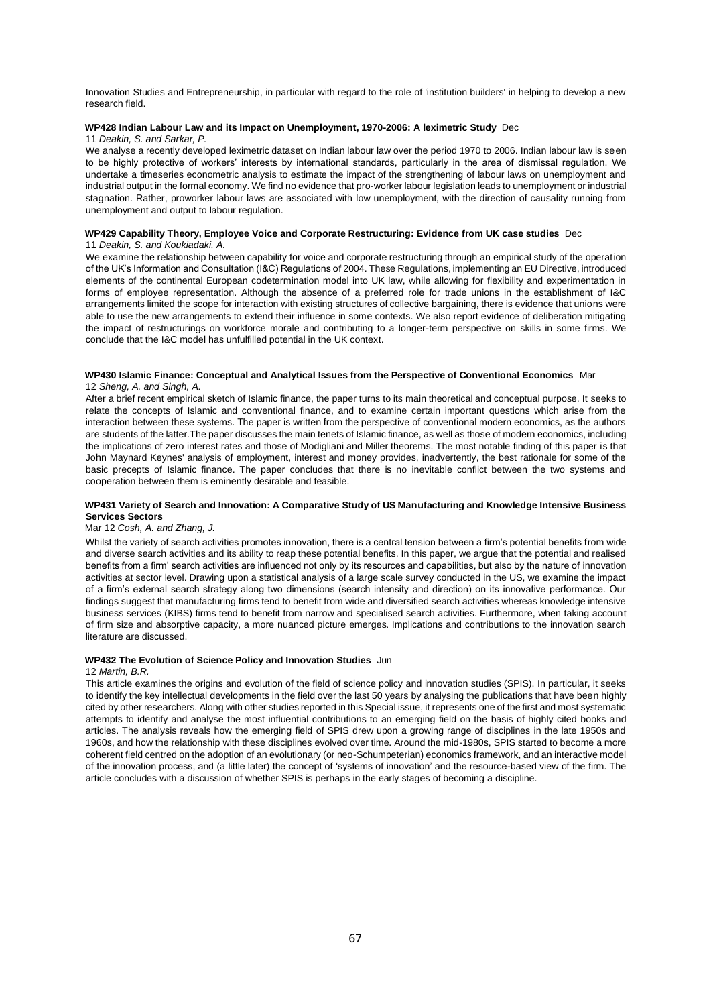Innovation Studies and Entrepreneurship, in particular with regard to the role of 'institution builders' in helping to develop a new research field.

## **WP428 Indian Labour Law and its Impact on Unemployment, 1970-2006: A leximetric Study** Dec

# 11 *Deakin, S. and Sarkar, P.*

We analyse a recently developed leximetric dataset on Indian labour law over the period 1970 to 2006. Indian labour law is seen to be highly protective of workers' interests by international standards, particularly in the area of dismissal regulation. We undertake a timeseries econometric analysis to estimate the impact of the strengthening of labour laws on unemployment and industrial output in the formal economy. We find no evidence that pro-worker labour legislation leads to unemployment or industrial stagnation. Rather, proworker labour laws are associated with low unemployment, with the direction of causality running from unemployment and output to labour regulation.

#### **WP429 Capability Theory, Employee Voice and Corporate Restructuring: Evidence from UK case studies** Dec 11 *Deakin, S. and Koukiadaki, A.*

We examine the relationship between capability for voice and corporate restructuring through an empirical study of the operation of the UK's Information and Consultation (I&C) Regulations of 2004. These Regulations, implementing an EU Directive, introduced elements of the continental European codetermination model into UK law, while allowing for flexibility and experimentation in forms of employee representation. Although the absence of a preferred role for trade unions in the establishment of I&C arrangements limited the scope for interaction with existing structures of collective bargaining, there is evidence that unions were able to use the new arrangements to extend their influence in some contexts. We also report evidence of deliberation mitigating the impact of restructurings on workforce morale and contributing to a longer-term perspective on skills in some firms. We conclude that the I&C model has unfulfilled potential in the UK context.

# **WP430 Islamic Finance: Conceptual and Analytical Issues from the Perspective of Conventional Economics** Mar

12 *Sheng, A. and Singh, A.* 

After a brief recent empirical sketch of Islamic finance, the paper turns to its main theoretical and conceptual purpose. It seeks to relate the concepts of Islamic and conventional finance, and to examine certain important questions which arise from the interaction between these systems. The paper is written from the perspective of conventional modern economics, as the authors are students of the latter.The paper discusses the main tenets of Islamic finance, as well as those of modern economics, including the implications of zero interest rates and those of Modigliani and Miller theorems. The most notable finding of this paper is that John Maynard Keynes' analysis of employment, interest and money provides, inadvertently, the best rationale for some of the basic precepts of Islamic finance. The paper concludes that there is no inevitable conflict between the two systems and cooperation between them is eminently desirable and feasible.

# **WP431 Variety of Search and Innovation: A Comparative Study of US Manufacturing and Knowledge Intensive Business Services Sectors**

# Mar 12 *Cosh, A. and Zhang, J.*

Whilst the variety of search activities promotes innovation, there is a central tension between a firm's potential benefits from wide and diverse search activities and its ability to reap these potential benefits. In this paper, we argue that the potential and realised benefits from a firm' search activities are influenced not only by its resources and capabilities, but also by the nature of innovation activities at sector level. Drawing upon a statistical analysis of a large scale survey conducted in the US, we examine the impact of a firm's external search strategy along two dimensions (search intensity and direction) on its innovative performance. Our findings suggest that manufacturing firms tend to benefit from wide and diversified search activities whereas knowledge intensive business services (KIBS) firms tend to benefit from narrow and specialised search activities. Furthermore, when taking account of firm size and absorptive capacity, a more nuanced picture emerges. Implications and contributions to the innovation search literature are discussed.

# **WP432 The Evolution of Science Policy and Innovation Studies** Jun

# 12 *Martin, B.R.*

This article examines the origins and evolution of the field of science policy and innovation studies (SPIS). In particular, it seeks to identify the key intellectual developments in the field over the last 50 years by analysing the publications that have been highly cited by other researchers. Along with other studies reported in this Special issue, it represents one of the first and most systematic attempts to identify and analyse the most influential contributions to an emerging field on the basis of highly cited books and articles. The analysis reveals how the emerging field of SPIS drew upon a growing range of disciplines in the late 1950s and 1960s, and how the relationship with these disciplines evolved over time. Around the mid-1980s, SPIS started to become a more coherent field centred on the adoption of an evolutionary (or neo-Schumpeterian) economics framework, and an interactive model of the innovation process, and (a little later) the concept of 'systems of innovation' and the resource-based view of the firm. The article concludes with a discussion of whether SPIS is perhaps in the early stages of becoming a discipline.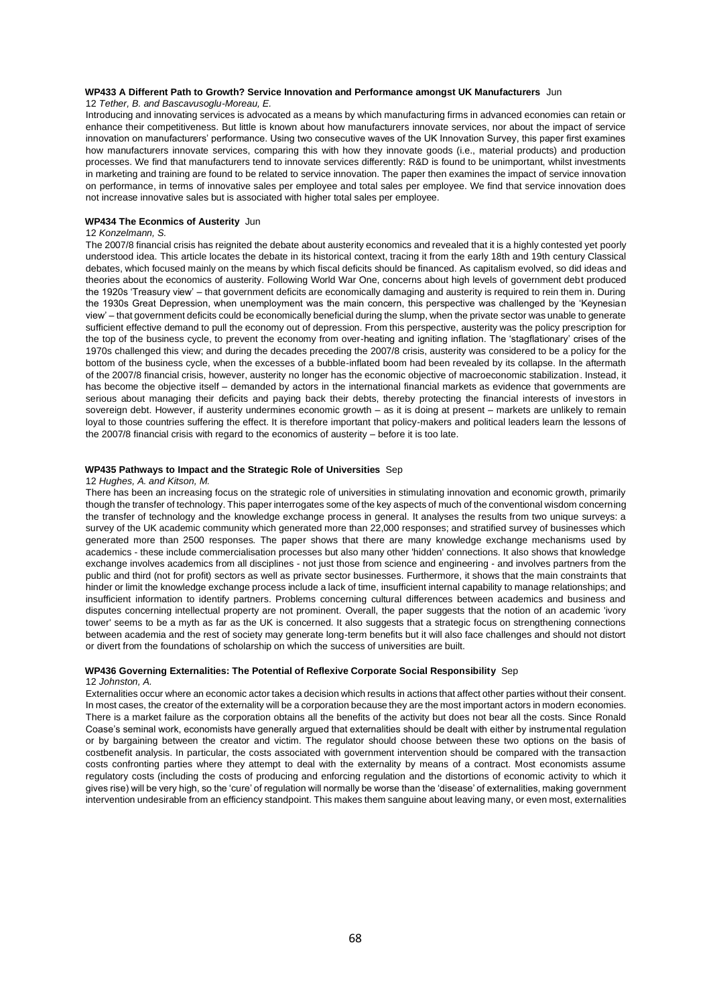# **WP433 A Different Path to Growth? Service Innovation and Performance amongst UK Manufacturers** Jun

12 *Tether, B. and Bascavusoglu-Moreau, E.* 

Introducing and innovating services is advocated as a means by which manufacturing firms in advanced economies can retain or enhance their competitiveness. But little is known about how manufacturers innovate services, nor about the impact of service innovation on manufacturers' performance. Using two consecutive waves of the UK Innovation Survey, this paper first examines how manufacturers innovate services, comparing this with how they innovate goods (i.e., material products) and production processes. We find that manufacturers tend to innovate services differently: R&D is found to be unimportant, whilst investments in marketing and training are found to be related to service innovation. The paper then examines the impact of service innovation on performance, in terms of innovative sales per employee and total sales per employee. We find that service innovation does not increase innovative sales but is associated with higher total sales per employee.

# **WP434 The Econmics of Austerity** Jun

# 12 *Konzelmann, S.*

The 2007/8 financial crisis has reignited the debate about austerity economics and revealed that it is a highly contested yet poorly understood idea. This article locates the debate in its historical context, tracing it from the early 18th and 19th century Classical debates, which focused mainly on the means by which fiscal deficits should be financed. As capitalism evolved, so did ideas and theories about the economics of austerity. Following World War One, concerns about high levels of government debt produced the 1920s 'Treasury view' – that government deficits are economically damaging and austerity is required to rein them in. During the 1930s Great Depression, when unemployment was the main concern, this perspective was challenged by the 'Keynesian view' – that government deficits could be economically beneficial during the slump, when the private sector was unable to generate sufficient effective demand to pull the economy out of depression. From this perspective, austerity was the policy prescription for the top of the business cycle, to prevent the economy from over-heating and igniting inflation. The 'stagflationary' crises of the 1970s challenged this view; and during the decades preceding the 2007/8 crisis, austerity was considered to be a policy for the bottom of the business cycle, when the excesses of a bubble-inflated boom had been revealed by its collapse. In the aftermath of the 2007/8 financial crisis, however, austerity no longer has the economic objective of macroeconomic stabilization. Instead, it has become the objective itself – demanded by actors in the international financial markets as evidence that governments are serious about managing their deficits and paying back their debts, thereby protecting the financial interests of investors in sovereign debt. However, if austerity undermines economic growth – as it is doing at present – markets are unlikely to remain loyal to those countries suffering the effect. It is therefore important that policy-makers and political leaders learn the lessons of the 2007/8 financial crisis with regard to the economics of austerity – before it is too late.

#### **WP435 Pathways to Impact and the Strategic Role of Universities** Sep

#### 12 *Hughes, A. and Kitson, M.*

There has been an increasing focus on the strategic role of universities in stimulating innovation and economic growth, primarily though the transfer of technology. This paper interrogates some of the key aspects of much of the conventional wisdom concerning the transfer of technology and the knowledge exchange process in general. It analyses the results from two unique surveys: a survey of the UK academic community which generated more than 22,000 responses; and stratified survey of businesses which generated more than 2500 responses. The paper shows that there are many knowledge exchange mechanisms used by academics - these include commercialisation processes but also many other 'hidden' connections. It also shows that knowledge exchange involves academics from all disciplines - not just those from science and engineering - and involves partners from the public and third (not for profit) sectors as well as private sector businesses. Furthermore, it shows that the main constraints that hinder or limit the knowledge exchange process include a lack of time, insufficient internal capability to manage relationships; and insufficient information to identify partners. Problems concerning cultural differences between academics and business and disputes concerning intellectual property are not prominent. Overall, the paper suggests that the notion of an academic 'ivory tower' seems to be a myth as far as the UK is concerned. It also suggests that a strategic focus on strengthening connections between academia and the rest of society may generate long-term benefits but it will also face challenges and should not distort or divert from the foundations of scholarship on which the success of universities are built.

# **WP436 Governing Externalities: The Potential of Reflexive Corporate Social Responsibility** Sep

#### 12 *Johnston, A.*

Externalities occur where an economic actor takes a decision which results in actions that affect other parties without their consent. In most cases, the creator of the externality will be a corporation because they are the most important actors in modern economies. There is a market failure as the corporation obtains all the benefits of the activity but does not bear all the costs. Since Ronald Coase's seminal work, economists have generally argued that externalities should be dealt with either by instrumental regulation or by bargaining between the creator and victim. The regulator should choose between these two options on the basis of costbenefit analysis. In particular, the costs associated with government intervention should be compared with the transaction costs confronting parties where they attempt to deal with the externality by means of a contract. Most economists assume regulatory costs (including the costs of producing and enforcing regulation and the distortions of economic activity to which it gives rise) will be very high, so the 'cure' of regulation will normally be worse than the 'disease' of externalities, making government intervention undesirable from an efficiency standpoint. This makes them sanguine about leaving many, or even most, externalities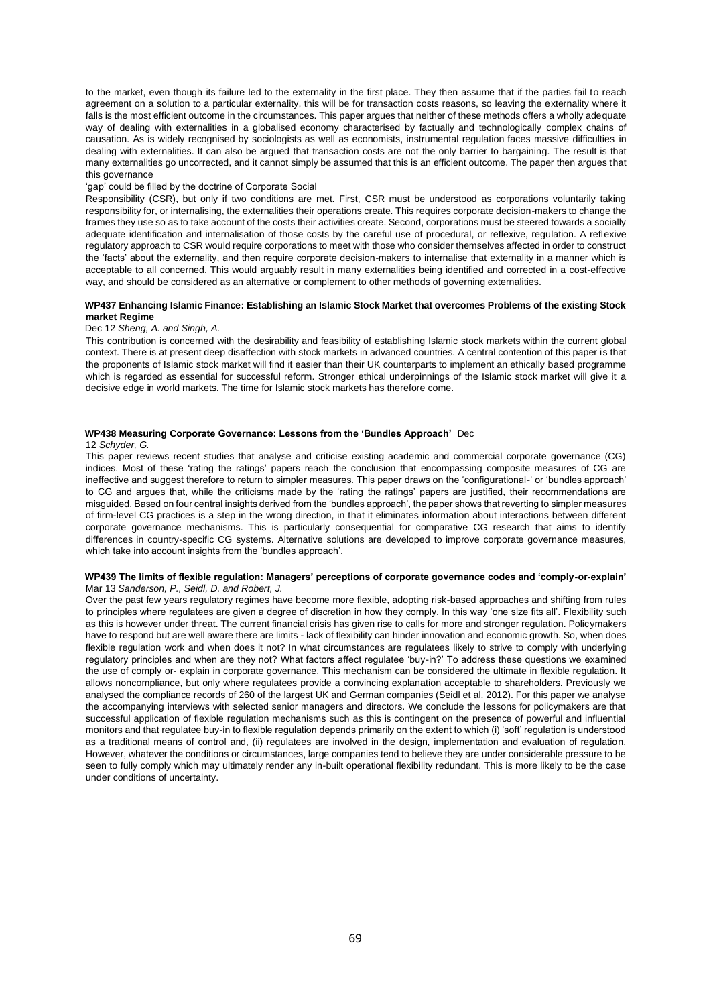to the market, even though its failure led to the externality in the first place. They then assume that if the parties fail to reach agreement on a solution to a particular externality, this will be for transaction costs reasons, so leaving the externality where it falls is the most efficient outcome in the circumstances. This paper argues that neither of these methods offers a wholly adequate way of dealing with externalities in a globalised economy characterised by factually and technologically complex chains of causation. As is widely recognised by sociologists as well as economists, instrumental regulation faces massive difficulties in dealing with externalities. It can also be argued that transaction costs are not the only barrier to bargaining. The result is that many externalities go uncorrected, and it cannot simply be assumed that this is an efficient outcome. The paper then argues that this governance

#### 'gap' could be filled by the doctrine of Corporate Social

Responsibility (CSR), but only if two conditions are met. First, CSR must be understood as corporations voluntarily taking responsibility for, or internalising, the externalities their operations create. This requires corporate decision-makers to change the frames they use so as to take account of the costs their activities create. Second, corporations must be steered towards a socially adequate identification and internalisation of those costs by the careful use of procedural, or reflexive, regulation. A reflexive regulatory approach to CSR would require corporations to meet with those who consider themselves affected in order to construct the 'facts' about the externality, and then require corporate decision-makers to internalise that externality in a manner which is acceptable to all concerned. This would arguably result in many externalities being identified and corrected in a cost-effective way, and should be considered as an alternative or complement to other methods of governing externalities.

### **WP437 Enhancing Islamic Finance: Establishing an Islamic Stock Market that overcomes Problems of the existing Stock market Regime**

#### Dec 12 *Sheng, A. and Singh, A.*

This contribution is concerned with the desirability and feasibility of establishing Islamic stock markets within the current global context. There is at present deep disaffection with stock markets in advanced countries. A central contention of this paper is that the proponents of Islamic stock market will find it easier than their UK counterparts to implement an ethically based programme which is regarded as essential for successful reform. Stronger ethical underpinnings of the Islamic stock market will give it a decisive edge in world markets. The time for Islamic stock markets has therefore come.

### **WP438 Measuring Corporate Governance: Lessons from the 'Bundles Approach'** Dec

#### 12 *Schyder, G.*

This paper reviews recent studies that analyse and criticise existing academic and commercial corporate governance (CG) indices. Most of these 'rating the ratings' papers reach the conclusion that encompassing composite measures of CG are ineffective and suggest therefore to return to simpler measures. This paper draws on the 'configurational-' or 'bundles approach' to CG and argues that, while the criticisms made by the 'rating the ratings' papers are justified, their recommendations are misguided. Based on four central insights derived from the 'bundles approach', the paper shows that reverting to simpler measures of firm-level CG practices is a step in the wrong direction, in that it eliminates information about interactions between different corporate governance mechanisms. This is particularly consequential for comparative CG research that aims to identify differences in country-specific CG systems. Alternative solutions are developed to improve corporate governance measures, which take into account insights from the 'bundles approach'.

#### **WP439 The limits of flexible regulation: Managers' perceptions of corporate governance codes and 'comply-or-explain'**  Mar 13 *Sanderson, P., Seidl, D. and Robert, J.*

Over the past few years regulatory regimes have become more flexible, adopting risk-based approaches and shifting from rules to principles where regulatees are given a degree of discretion in how they comply. In this way 'one size fits all'. Flexibility such as this is however under threat. The current financial crisis has given rise to calls for more and stronger regulation. Policymakers have to respond but are well aware there are limits - lack of flexibility can hinder innovation and economic growth. So, when does flexible regulation work and when does it not? In what circumstances are regulatees likely to strive to comply with underlying regulatory principles and when are they not? What factors affect regulatee 'buy-in?' To address these questions we examined the use of comply or- explain in corporate governance. This mechanism can be considered the ultimate in flexible regulation. It allows noncompliance, but only where regulatees provide a convincing explanation acceptable to shareholders. Previously we analysed the compliance records of 260 of the largest UK and German companies (Seidl et al. 2012). For this paper we analyse the accompanying interviews with selected senior managers and directors. We conclude the lessons for policymakers are that successful application of flexible regulation mechanisms such as this is contingent on the presence of powerful and influential monitors and that regulatee buy-in to flexible regulation depends primarily on the extent to which (i) 'soft' regulation is understood as a traditional means of control and, (ii) regulatees are involved in the design, implementation and evaluation of regulation. However, whatever the conditions or circumstances, large companies tend to believe they are under considerable pressure to be seen to fully comply which may ultimately render any in-built operational flexibility redundant. This is more likely to be the case under conditions of uncertainty.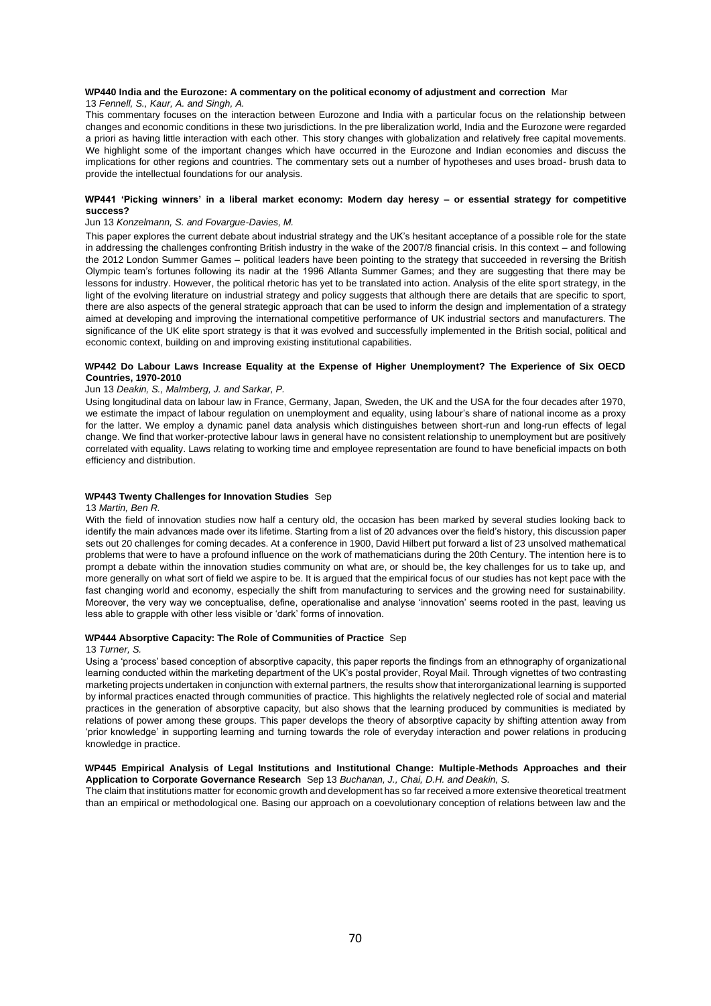## **WP440 India and the Eurozone: A commentary on the political economy of adjustment and correction** Mar

13 *Fennell, S., Kaur, A. and Singh, A.* 

This commentary focuses on the interaction between Eurozone and India with a particular focus on the relationship between changes and economic conditions in these two jurisdictions. In the pre liberalization world, India and the Eurozone were regarded a priori as having little interaction with each other. This story changes with globalization and relatively free capital movements. We highlight some of the important changes which have occurred in the Eurozone and Indian economies and discuss the implications for other regions and countries. The commentary sets out a number of hypotheses and uses broad- brush data to provide the intellectual foundations for our analysis.

#### **WP441 'Picking winners' in a liberal market economy: Modern day heresy – or essential strategy for competitive success?**

## Jun 13 *Konzelmann, S. and Fovargue-Davies, M.*

This paper explores the current debate about industrial strategy and the UK's hesitant acceptance of a possible role for the state in addressing the challenges confronting British industry in the wake of the 2007/8 financial crisis. In this context – and following the 2012 London Summer Games – political leaders have been pointing to the strategy that succeeded in reversing the British Olympic team's fortunes following its nadir at the 1996 Atlanta Summer Games; and they are suggesting that there may be lessons for industry. However, the political rhetoric has yet to be translated into action. Analysis of the elite sport strategy, in the light of the evolving literature on industrial strategy and policy suggests that although there are details that are specific to sport, there are also aspects of the general strategic approach that can be used to inform the design and implementation of a strategy aimed at developing and improving the international competitive performance of UK industrial sectors and manufacturers. The significance of the UK elite sport strategy is that it was evolved and successfully implemented in the British social, political and economic context, building on and improving existing institutional capabilities.

### **WP442 Do Labour Laws Increase Equality at the Expense of Higher Unemployment? The Experience of Six OECD Countries, 1970-2010**

# Jun 13 *Deakin, S., Malmberg, J. and Sarkar, P.*

Using longitudinal data on labour law in France, Germany, Japan, Sweden, the UK and the USA for the four decades after 1970, we estimate the impact of labour regulation on unemployment and equality, using labour's share of national income as a proxy for the latter. We employ a dynamic panel data analysis which distinguishes between short-run and long-run effects of legal change. We find that worker-protective labour laws in general have no consistent relationship to unemployment but are positively correlated with equality. Laws relating to working time and employee representation are found to have beneficial impacts on both efficiency and distribution.

#### **WP443 Twenty Challenges for Innovation Studies** Sep

### 13 *Martin, Ben R.*

With the field of innovation studies now half a century old, the occasion has been marked by several studies looking back to identify the main advances made over its lifetime. Starting from a list of 20 advances over the field's history, this discussion paper sets out 20 challenges for coming decades. At a conference in 1900, David Hilbert put forward a list of 23 unsolved mathematical problems that were to have a profound influence on the work of mathematicians during the 20th Century. The intention here is to prompt a debate within the innovation studies community on what are, or should be, the key challenges for us to take up, and more generally on what sort of field we aspire to be. It is argued that the empirical focus of our studies has not kept pace with the fast changing world and economy, especially the shift from manufacturing to services and the growing need for sustainability. Moreover, the very way we conceptualise, define, operationalise and analyse 'innovation' seems rooted in the past, leaving us less able to grapple with other less visible or 'dark' forms of innovation.

#### **WP444 Absorptive Capacity: The Role of Communities of Practice** Sep

#### 13 *Turner, S.*

Using a 'process' based conception of absorptive capacity, this paper reports the findings from an ethnography of organizational learning conducted within the marketing department of the UK's postal provider, Royal Mail. Through vignettes of two contrasting marketing projects undertaken in conjunction with external partners, the results show that interorganizational learning is supported by informal practices enacted through communities of practice. This highlights the relatively neglected role of social and material practices in the generation of absorptive capacity, but also shows that the learning produced by communities is mediated by relations of power among these groups. This paper develops the theory of absorptive capacity by shifting attention away from 'prior knowledge' in supporting learning and turning towards the role of everyday interaction and power relations in producing knowledge in practice.

#### **WP445 Empirical Analysis of Legal Institutions and Institutional Change: Multiple-Methods Approaches and their Application to Corporate Governance Research** Sep 13 *Buchanan, J., Chai, D.H. and Deakin, S.*

The claim that institutions matter for economic growth and development has so far received a more extensive theoretical treatment than an empirical or methodological one. Basing our approach on a coevolutionary conception of relations between law and the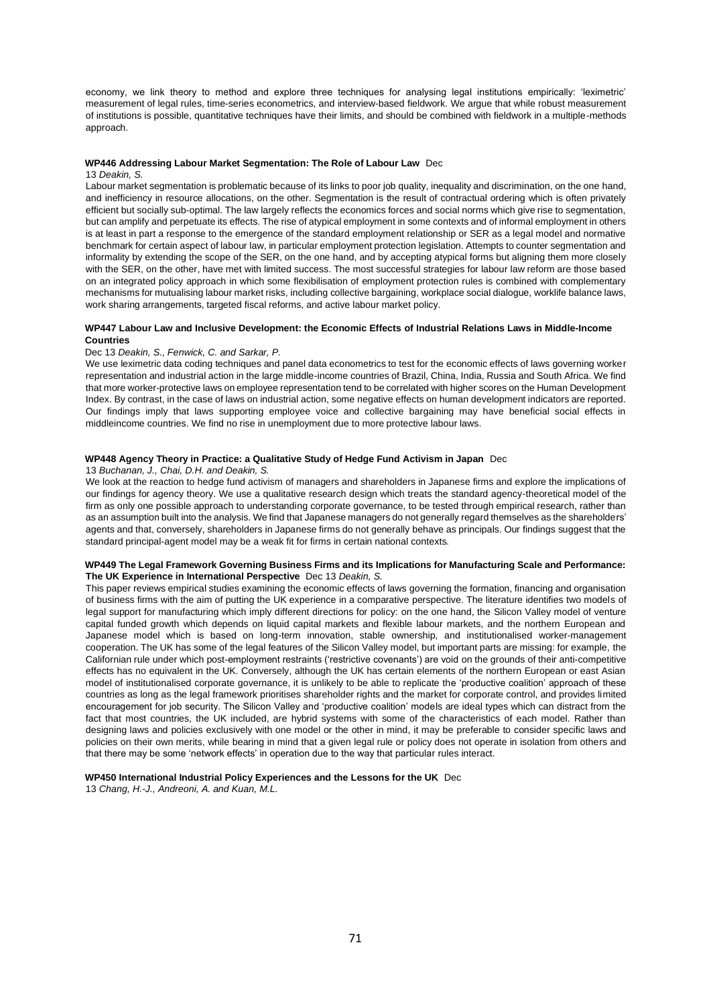economy, we link theory to method and explore three techniques for analysing legal institutions empirically: 'leximetric' measurement of legal rules, time-series econometrics, and interview-based fieldwork. We argue that while robust measurement of institutions is possible, quantitative techniques have their limits, and should be combined with fieldwork in a multiple-methods approach.

### **WP446 Addressing Labour Market Segmentation: The Role of Labour Law** Dec

13 *Deakin, S.* 

Labour market segmentation is problematic because of its links to poor job quality, inequality and discrimination, on the one hand, and inefficiency in resource allocations, on the other. Segmentation is the result of contractual ordering which is often privately efficient but socially sub-optimal. The law largely reflects the economics forces and social norms which give rise to segmentation, but can amplify and perpetuate its effects. The rise of atypical employment in some contexts and of informal employment in others is at least in part a response to the emergence of the standard employment relationship or SER as a legal model and normative benchmark for certain aspect of labour law, in particular employment protection legislation. Attempts to counter segmentation and informality by extending the scope of the SER, on the one hand, and by accepting atypical forms but aligning them more closely with the SER, on the other, have met with limited success. The most successful strategies for labour law reform are those based on an integrated policy approach in which some flexibilisation of employment protection rules is combined with complementary mechanisms for mutualising labour market risks, including collective bargaining, workplace social dialogue, worklife balance laws, work sharing arrangements, targeted fiscal reforms, and active labour market policy.

#### **WP447 Labour Law and Inclusive Development: the Economic Effects of Industrial Relations Laws in Middle-Income Countries**

#### Dec 13 *Deakin, S., Fenwick, C. and Sarkar, P.*

We use leximetric data coding techniques and panel data econometrics to test for the economic effects of laws governing worker representation and industrial action in the large middle-income countries of Brazil, China, India, Russia and South Africa. We find that more worker-protective laws on employee representation tend to be correlated with higher scores on the Human Development Index. By contrast, in the case of laws on industrial action, some negative effects on human development indicators are reported. Our findings imply that laws supporting employee voice and collective bargaining may have beneficial social effects in middleincome countries. We find no rise in unemployment due to more protective labour laws.

#### **WP448 Agency Theory in Practice: a Qualitative Study of Hedge Fund Activism in Japan** Dec

13 *Buchanan, J., Chai, D.H. and Deakin, S.* 

We look at the reaction to hedge fund activism of managers and shareholders in Japanese firms and explore the implications of our findings for agency theory. We use a qualitative research design which treats the standard agency-theoretical model of the firm as only one possible approach to understanding corporate governance, to be tested through empirical research, rather than as an assumption built into the analysis. We find that Japanese managers do not generally regard themselves as the shareholders' agents and that, conversely, shareholders in Japanese firms do not generally behave as principals. Our findings suggest that the standard principal-agent model may be a weak fit for firms in certain national contexts.

#### **WP449 The Legal Framework Governing Business Firms and its Implications for Manufacturing Scale and Performance: The UK Experience in International Perspective** Dec 13 *Deakin, S.*

This paper reviews empirical studies examining the economic effects of laws governing the formation, financing and organisation of business firms with the aim of putting the UK experience in a comparative perspective. The literature identifies two models of legal support for manufacturing which imply different directions for policy: on the one hand, the Silicon Valley model of venture capital funded growth which depends on liquid capital markets and flexible labour markets, and the northern European and Japanese model which is based on long-term innovation, stable ownership, and institutionalised worker-management cooperation. The UK has some of the legal features of the Silicon Valley model, but important parts are missing: for example, the Californian rule under which post-employment restraints ('restrictive covenants') are void on the grounds of their anti-competitive effects has no equivalent in the UK. Conversely, although the UK has certain elements of the northern European or east Asian model of institutionalised corporate governance, it is unlikely to be able to replicate the 'productive coalition' approach of these countries as long as the legal framework prioritises shareholder rights and the market for corporate control, and provides limited encouragement for job security. The Silicon Valley and 'productive coalition' models are ideal types which can distract from the fact that most countries, the UK included, are hybrid systems with some of the characteristics of each model. Rather than designing laws and policies exclusively with one model or the other in mind, it may be preferable to consider specific laws and policies on their own merits, while bearing in mind that a given legal rule or policy does not operate in isolation from others and that there may be some 'network effects' in operation due to the way that particular rules interact.

### **WP450 International Industrial Policy Experiences and the Lessons for the UK** Dec

13 *Chang, H.-J., Andreoni, A. and Kuan, M.L.*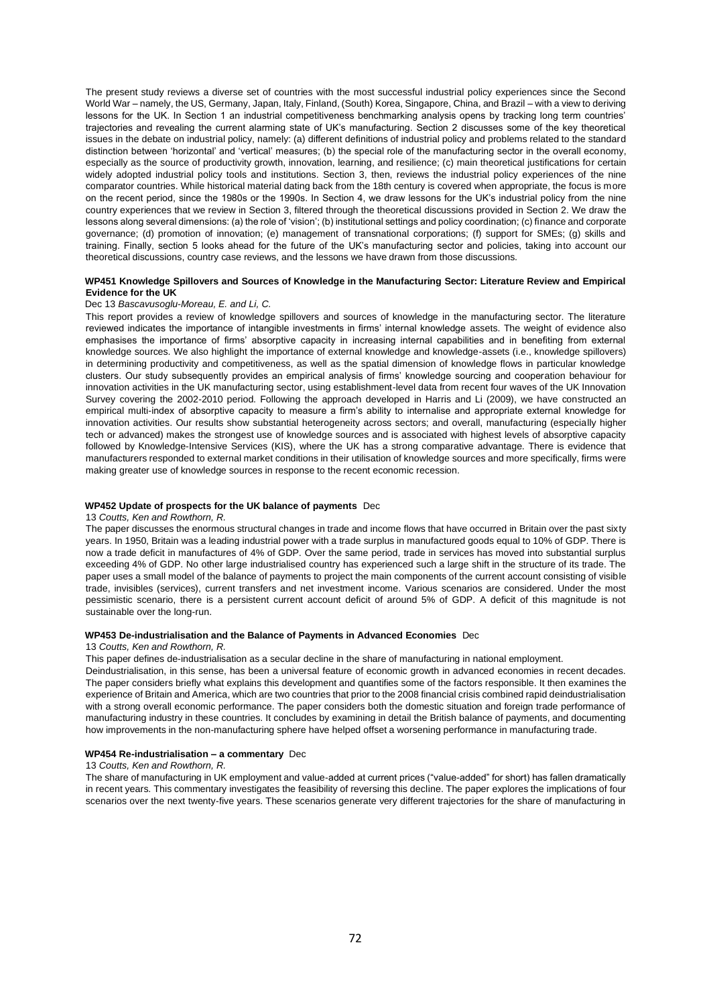The present study reviews a diverse set of countries with the most successful industrial policy experiences since the Second World War – namely, the US, Germany, Japan, Italy, Finland, (South) Korea, Singapore, China, and Brazil – with a view to deriving lessons for the UK. In Section 1 an industrial competitiveness benchmarking analysis opens by tracking long term countries' trajectories and revealing the current alarming state of UK's manufacturing. Section 2 discusses some of the key theoretical issues in the debate on industrial policy, namely: (a) different definitions of industrial policy and problems related to the standard distinction between 'horizontal' and 'vertical' measures; (b) the special role of the manufacturing sector in the overall economy, especially as the source of productivity growth, innovation, learning, and resilience; (c) main theoretical justifications for certain widely adopted industrial policy tools and institutions. Section 3, then, reviews the industrial policy experiences of the nine comparator countries. While historical material dating back from the 18th century is covered when appropriate, the focus is more on the recent period, since the 1980s or the 1990s. In Section 4, we draw lessons for the UK's industrial policy from the nine country experiences that we review in Section 3, filtered through the theoretical discussions provided in Section 2. We draw the lessons along several dimensions: (a) the role of 'vision'; (b) institutional settings and policy coordination; (c) finance and corporate governance; (d) promotion of innovation; (e) management of transnational corporations; (f) support for SMEs; (g) skills and training. Finally, section 5 looks ahead for the future of the UK's manufacturing sector and policies, taking into account our theoretical discussions, country case reviews, and the lessons we have drawn from those discussions.

#### **WP451 Knowledge Spillovers and Sources of Knowledge in the Manufacturing Sector: Literature Review and Empirical Evidence for the UK**

#### Dec 13 *Bascavusoglu-Moreau, E. and Li, C.*

This report provides a review of knowledge spillovers and sources of knowledge in the manufacturing sector. The literature reviewed indicates the importance of intangible investments in firms' internal knowledge assets. The weight of evidence also emphasises the importance of firms' absorptive capacity in increasing internal capabilities and in benefiting from external knowledge sources. We also highlight the importance of external knowledge and knowledge-assets (i.e., knowledge spillovers) in determining productivity and competitiveness, as well as the spatial dimension of knowledge flows in particular knowledge clusters. Our study subsequently provides an empirical analysis of firms' knowledge sourcing and cooperation behaviour for innovation activities in the UK manufacturing sector, using establishment-level data from recent four waves of the UK Innovation Survey covering the 2002-2010 period. Following the approach developed in Harris and Li (2009), we have constructed an empirical multi-index of absorptive capacity to measure a firm's ability to internalise and appropriate external knowledge for innovation activities. Our results show substantial heterogeneity across sectors; and overall, manufacturing (especially higher tech or advanced) makes the strongest use of knowledge sources and is associated with highest levels of absorptive capacity followed by Knowledge-Intensive Services (KIS), where the UK has a strong comparative advantage. There is evidence that manufacturers responded to external market conditions in their utilisation of knowledge sources and more specifically, firms were making greater use of knowledge sources in response to the recent economic recession.

### **WP452 Update of prospects for the UK balance of payments** Dec

### 13 *Coutts, Ken and Rowthorn, R.*

The paper discusses the enormous structural changes in trade and income flows that have occurred in Britain over the past sixty years. In 1950, Britain was a leading industrial power with a trade surplus in manufactured goods equal to 10% of GDP. There is now a trade deficit in manufactures of 4% of GDP. Over the same period, trade in services has moved into substantial surplus exceeding 4% of GDP. No other large industrialised country has experienced such a large shift in the structure of its trade. The paper uses a small model of the balance of payments to project the main components of the current account consisting of visible trade, invisibles (services), current transfers and net investment income. Various scenarios are considered. Under the most pessimistic scenario, there is a persistent current account deficit of around 5% of GDP. A deficit of this magnitude is not sustainable over the long-run.

#### **WP453 De-industrialisation and the Balance of Payments in Advanced Economies** Dec

#### 13 *Coutts, Ken and Rowthorn, R.*

This paper defines de-industrialisation as a secular decline in the share of manufacturing in national employment.

Deindustrialisation, in this sense, has been a universal feature of economic growth in advanced economies in recent decades. The paper considers briefly what explains this development and quantifies some of the factors responsible. It then examines the experience of Britain and America, which are two countries that prior to the 2008 financial crisis combined rapid deindustrialisation with a strong overall economic performance. The paper considers both the domestic situation and foreign trade performance of manufacturing industry in these countries. It concludes by examining in detail the British balance of payments, and documenting how improvements in the non-manufacturing sphere have helped offset a worsening performance in manufacturing trade.

#### **WP454 Re-industrialisation – a commentary** Dec

### 13 *Coutts, Ken and Rowthorn, R.*

The share of manufacturing in UK employment and value-added at current prices ("value-added" for short) has fallen dramatically in recent years. This commentary investigates the feasibility of reversing this decline. The paper explores the implications of four scenarios over the next twenty-five years. These scenarios generate very different trajectories for the share of manufacturing in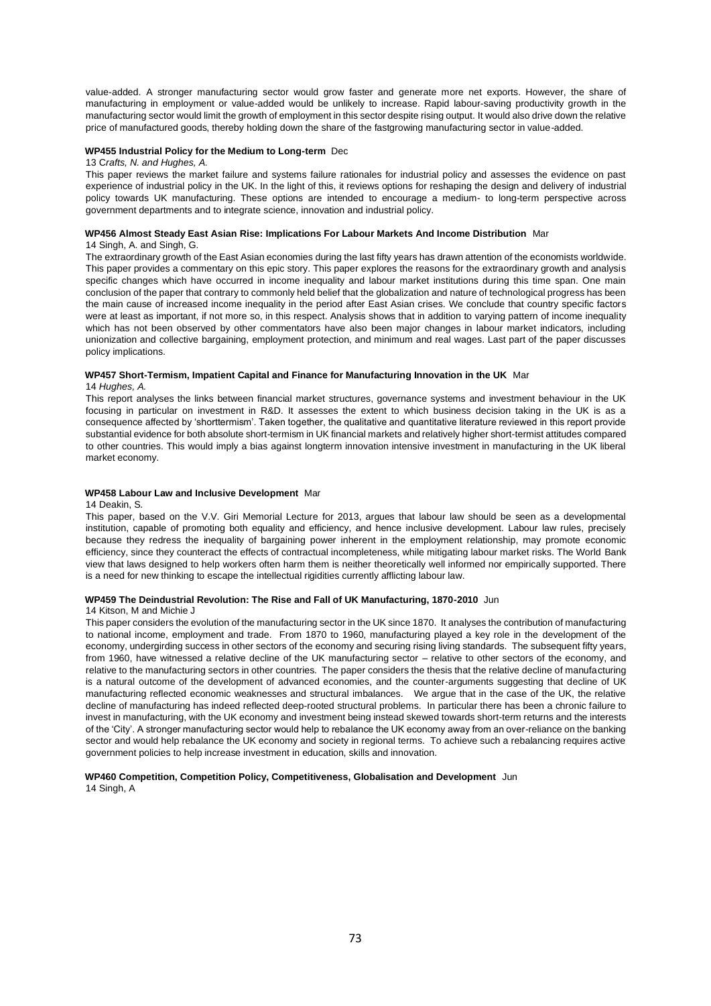value-added. A stronger manufacturing sector would grow faster and generate more net exports. However, the share of manufacturing in employment or value-added would be unlikely to increase. Rapid labour-saving productivity growth in the manufacturing sector would limit the growth of employment in this sector despite rising output. It would also drive down the relative price of manufactured goods, thereby holding down the share of the fastgrowing manufacturing sector in value-added.

## **WP455 Industrial Policy for the Medium to Long-term** Dec

# 13 C*rafts, N. and Hughes, A.*

This paper reviews the market failure and systems failure rationales for industrial policy and assesses the evidence on past experience of industrial policy in the UK. In the light of this, it reviews options for reshaping the design and delivery of industrial policy towards UK manufacturing. These options are intended to encourage a medium- to long-term perspective across government departments and to integrate science, innovation and industrial policy.

# **WP456 Almost Steady East Asian Rise: Implications For Labour Markets And Income Distribution** Mar

# 14 Singh, A. and Singh, G*.*

The extraordinary growth of the East Asian economies during the last fifty years has drawn attention of the economists worldwide. This paper provides a commentary on this epic story. This paper explores the reasons for the extraordinary growth and analysis specific changes which have occurred in income inequality and labour market institutions during this time span. One main conclusion of the paper that contrary to commonly held belief that the globalization and nature of technological progress has been the main cause of increased income inequality in the period after East Asian crises. We conclude that country specific factors were at least as important, if not more so, in this respect. Analysis shows that in addition to varying pattern of income inequality which has not been observed by other commentators have also been major changes in labour market indicators, including unionization and collective bargaining, employment protection, and minimum and real wages. Last part of the paper discusses policy implications.

## **WP457 Short-Termism, Impatient Capital and Finance for Manufacturing Innovation in the UK** Mar

14 *Hughes, A.* 

This report analyses the links between financial market structures, governance systems and investment behaviour in the UK focusing in particular on investment in R&D. It assesses the extent to which business decision taking in the UK is as a consequence affected by 'shorttermism'. Taken together, the qualitative and quantitative literature reviewed in this report provide substantial evidence for both absolute short-termism in UK financial markets and relatively higher short-termist attitudes compared to other countries. This would imply a bias against longterm innovation intensive investment in manufacturing in the UK liberal market economy.

## **WP458 Labour Law and Inclusive Development** Mar

#### 14 Deakin, S*.*

This paper, based on the V.V. Giri Memorial Lecture for 2013, argues that labour law should be seen as a developmental institution, capable of promoting both equality and efficiency, and hence inclusive development. Labour law rules, precisely because they redress the inequality of bargaining power inherent in the employment relationship, may promote economic efficiency, since they counteract the effects of contractual incompleteness, while mitigating labour market risks. The World Bank view that laws designed to help workers often harm them is neither theoretically well informed nor empirically supported. There is a need for new thinking to escape the intellectual rigidities currently afflicting labour law.

#### **WP459 The Deindustrial Revolution: The Rise and Fall of UK Manufacturing, 1870-2010** Jun

#### 14 Kitson, M and Michie J

This paper considers the evolution of the manufacturing sector in the UK since 1870. It analyses the contribution of manufacturing to national income, employment and trade. From 1870 to 1960, manufacturing played a key role in the development of the economy, undergirding success in other sectors of the economy and securing rising living standards. The subsequent fifty years, from 1960, have witnessed a relative decline of the UK manufacturing sector – relative to other sectors of the economy, and relative to the manufacturing sectors in other countries. The paper considers the thesis that the relative decline of manufacturing is a natural outcome of the development of advanced economies, and the counter-arguments suggesting that decline of UK manufacturing reflected economic weaknesses and structural imbalances. We argue that in the case of the UK, the relative decline of manufacturing has indeed reflected deep-rooted structural problems. In particular there has been a chronic failure to invest in manufacturing, with the UK economy and investment being instead skewed towards short-term returns and the interests of the 'City'. A stronger manufacturing sector would help to rebalance the UK economy away from an over-reliance on the banking sector and would help rebalance the UK economy and society in regional terms. To achieve such a rebalancing requires active government policies to help increase investment in education, skills and innovation.

## **WP460 Competition, Competition Policy, Competitiveness, Globalisation and Development** Jun 14 Singh, A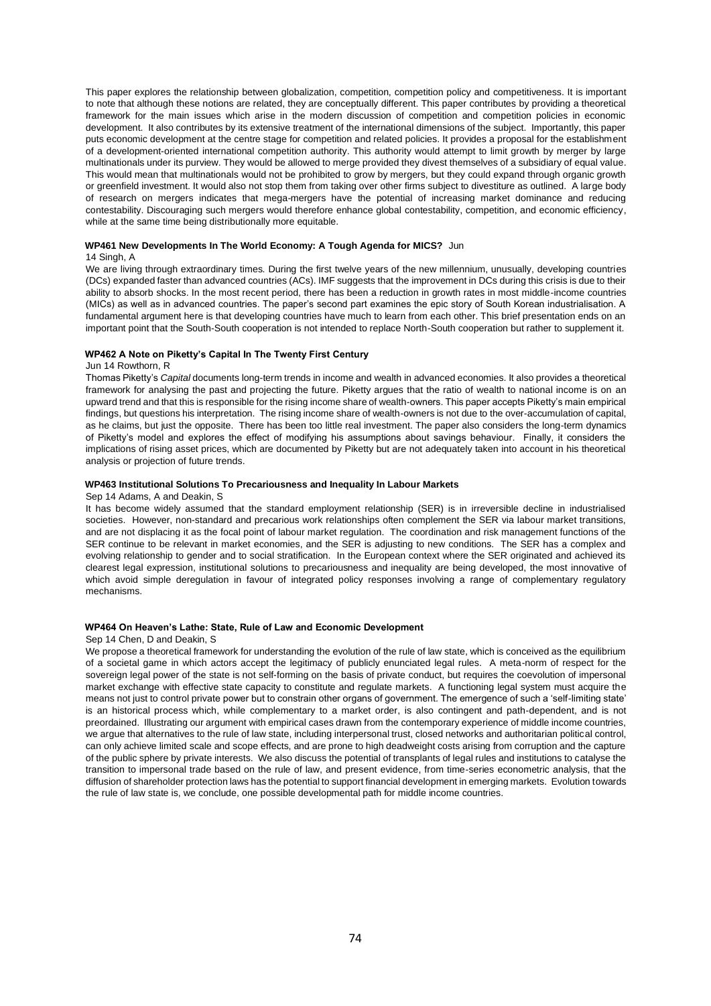This paper explores the relationship between globalization, competition, competition policy and competitiveness. It is important to note that although these notions are related, they are conceptually different. This paper contributes by providing a theoretical framework for the main issues which arise in the modern discussion of competition and competition policies in economic development. It also contributes by its extensive treatment of the international dimensions of the subject. Importantly, this paper puts economic development at the centre stage for competition and related policies. It provides a proposal for the establishment of a development-oriented international competition authority. This authority would attempt to limit growth by merger by large multinationals under its purview. They would be allowed to merge provided they divest themselves of a subsidiary of equal value. This would mean that multinationals would not be prohibited to grow by mergers, but they could expand through organic growth or greenfield investment. It would also not stop them from taking over other firms subject to divestiture as outlined. A large body of research on mergers indicates that mega-mergers have the potential of increasing market dominance and reducing contestability. Discouraging such mergers would therefore enhance global contestability, competition, and economic efficiency, while at the same time being distributionally more equitable.

#### **WP461 New Developments In The World Economy: A Tough Agenda for MICS?** Jun

#### 14 Singh, A

We are living through extraordinary times. During the first twelve years of the new millennium, unusually, developing countries (DCs) expanded faster than advanced countries (ACs). IMF suggests that the improvement in DCs during this crisis is due to their ability to absorb shocks. In the most recent period, there has been a reduction in growth rates in most middle-income countries (MICs) as well as in advanced countries. The paper's second part examines the epic story of South Korean industrialisation. A fundamental argument here is that developing countries have much to learn from each other. This brief presentation ends on an important point that the South-South cooperation is not intended to replace North-South cooperation but rather to supplement it.

#### **WP462 A Note on Piketty's Capital In The Twenty First Century**

#### Jun 14 Rowthorn, R

Thomas Piketty's *Capital* documents long-term trends in income and wealth in advanced economies. It also provides a theoretical framework for analysing the past and projecting the future. Piketty argues that the ratio of wealth to national income is on an upward trend and that this is responsible for the rising income share of wealth-owners. This paper accepts Piketty's main empirical findings, but questions his interpretation. The rising income share of wealth-owners is not due to the over-accumulation of capital, as he claims, but just the opposite. There has been too little real investment. The paper also considers the long-term dynamics of Piketty's model and explores the effect of modifying his assumptions about savings behaviour. Finally, it considers the implications of rising asset prices, which are documented by Piketty but are not adequately taken into account in his theoretical analysis or projection of future trends.

#### **WP463 Institutional Solutions To Precariousness and Inequality In Labour Markets**

#### Sep 14 Adams, A and Deakin, S

It has become widely assumed that the standard employment relationship (SER) is in irreversible decline in industrialised societies. However, non-standard and precarious work relationships often complement the SER via labour market transitions, and are not displacing it as the focal point of labour market regulation. The coordination and risk management functions of the SER continue to be relevant in market economies, and the SER is adjusting to new conditions. The SER has a complex and evolving relationship to gender and to social stratification. In the European context where the SER originated and achieved its clearest legal expression, institutional solutions to precariousness and inequality are being developed, the most innovative of which avoid simple deregulation in favour of integrated policy responses involving a range of complementary regulatory mechanisms.

## **WP464 On Heaven's Lathe: State, Rule of Law and Economic Development**

#### Sep 14 Chen, D and Deakin, S

We propose a theoretical framework for understanding the evolution of the rule of law state, which is conceived as the equilibrium of a societal game in which actors accept the legitimacy of publicly enunciated legal rules. A meta-norm of respect for the sovereign legal power of the state is not self-forming on the basis of private conduct, but requires the coevolution of impersonal market exchange with effective state capacity to constitute and regulate markets. A functioning legal system must acquire the means not just to control private power but to constrain other organs of government. The emergence of such a 'self-limiting state' is an historical process which, while complementary to a market order, is also contingent and path-dependent, and is not preordained. Illustrating our argument with empirical cases drawn from the contemporary experience of middle income countries, we argue that alternatives to the rule of law state, including interpersonal trust, closed networks and authoritarian political control, can only achieve limited scale and scope effects, and are prone to high deadweight costs arising from corruption and the capture of the public sphere by private interests. We also discuss the potential of transplants of legal rules and institutions to catalyse the transition to impersonal trade based on the rule of law, and present evidence, from time-series econometric analysis, that the diffusion of shareholder protection laws has the potential to support financial development in emerging markets. Evolution towards the rule of law state is, we conclude, one possible developmental path for middle income countries.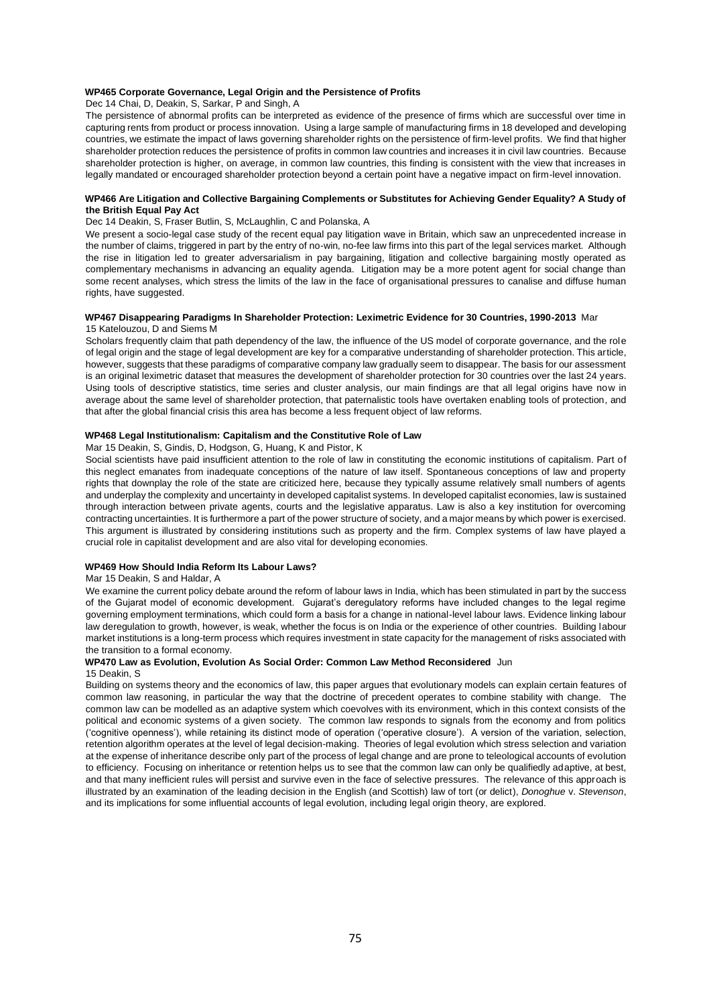## **WP465 Corporate Governance, Legal Origin and the Persistence of Profits**

Dec 14 Chai, D, Deakin, S, Sarkar, P and Singh, A

The persistence of abnormal profits can be interpreted as evidence of the presence of firms which are successful over time in capturing rents from product or process innovation. Using a large sample of manufacturing firms in 18 developed and developing countries, we estimate the impact of laws governing shareholder rights on the persistence of firm-level profits. We find that higher shareholder protection reduces the persistence of profits in common law countries and increases it in civil law countries. Because shareholder protection is higher, on average, in common law countries, this finding is consistent with the view that increases in legally mandated or encouraged shareholder protection beyond a certain point have a negative impact on firm-level innovation.

## **WP466 Are Litigation and Collective Bargaining Complements or Substitutes for Achieving Gender Equality? A Study of the British Equal Pay Act**

Dec 14 Deakin, S, Fraser Butlin, S, McLaughlin, C and Polanska, A

We present a socio-legal case study of the recent equal pay litigation wave in Britain, which saw an unprecedented increase in the number of claims, triggered in part by the entry of no-win, no-fee law firms into this part of the legal services market. Although the rise in litigation led to greater adversarialism in pay bargaining, litigation and collective bargaining mostly operated as complementary mechanisms in advancing an equality agenda. Litigation may be a more potent agent for social change than some recent analyses, which stress the limits of the law in the face of organisational pressures to canalise and diffuse human rights, have suggested.

#### **WP467 Disappearing Paradigms In Shareholder Protection: Leximetric Evidence for 30 Countries, 1990-2013** Mar 15 Katelouzou, D and Siems M

Scholars frequently claim that path dependency of the law, the influence of the US model of corporate governance, and the role of legal origin and the stage of legal development are key for a comparative understanding of shareholder protection. This article, however, suggests that these paradigms of comparative company law gradually seem to disappear. The basis for our assessment is an original leximetric dataset that measures the development of shareholder protection for 30 countries over the last 24 years. Using tools of descriptive statistics, time series and cluster analysis, our main findings are that all legal origins have now in average about the same level of shareholder protection, that paternalistic tools have overtaken enabling tools of protection, and that after the global financial crisis this area has become a less frequent object of law reforms.

#### **WP468 Legal Institutionalism: Capitalism and the Constitutive Role of Law**

Mar 15 Deakin, S, Gindis, D, Hodgson, G, Huang, K and Pistor, K

Social scientists have paid insufficient attention to the role of law in constituting the economic institutions of capitalism. Part of this neglect emanates from inadequate conceptions of the nature of law itself. Spontaneous conceptions of law and property rights that downplay the role of the state are criticized here, because they typically assume relatively small numbers of agents and underplay the complexity and uncertainty in developed capitalist systems. In developed capitalist economies, law is sustained through interaction between private agents, courts and the legislative apparatus. Law is also a key institution for overcoming contracting uncertainties. It is furthermore a part of the power structure of society, and a major means by which power is exercised. This argument is illustrated by considering institutions such as property and the firm. Complex systems of law have played a crucial role in capitalist development and are also vital for developing economies.

## **WP469 How Should India Reform Its Labour Laws?**

#### Mar 15 Deakin, S and Haldar, A

We examine the current policy debate around the reform of labour laws in India, which has been stimulated in part by the success of the Gujarat model of economic development. Gujarat's deregulatory reforms have included changes to the legal regime governing employment terminations, which could form a basis for a change in national-level labour laws. Evidence linking labour law deregulation to growth, however, is weak, whether the focus is on India or the experience of other countries. Building labour market institutions is a long-term process which requires investment in state capacity for the management of risks associated with the transition to a formal economy.

## **WP470 Law as Evolution, Evolution As Social Order: Common Law Method Reconsidered** Jun

#### 15 Deakin, S

Building on systems theory and the economics of law, this paper argues that evolutionary models can explain certain features of common law reasoning, in particular the way that the doctrine of precedent operates to combine stability with change. The common law can be modelled as an adaptive system which coevolves with its environment, which in this context consists of the political and economic systems of a given society. The common law responds to signals from the economy and from politics ('cognitive openness'), while retaining its distinct mode of operation ('operative closure'). A version of the variation, selection, retention algorithm operates at the level of legal decision-making. Theories of legal evolution which stress selection and variation at the expense of inheritance describe only part of the process of legal change and are prone to teleological accounts of evolution to efficiency. Focusing on inheritance or retention helps us to see that the common law can only be qualifiedly adaptive, at best, and that many inefficient rules will persist and survive even in the face of selective pressures. The relevance of this approach is illustrated by an examination of the leading decision in the English (and Scottish) law of tort (or delict), *Donoghue* v. *Stevenson*, and its implications for some influential accounts of legal evolution, including legal origin theory, are explored.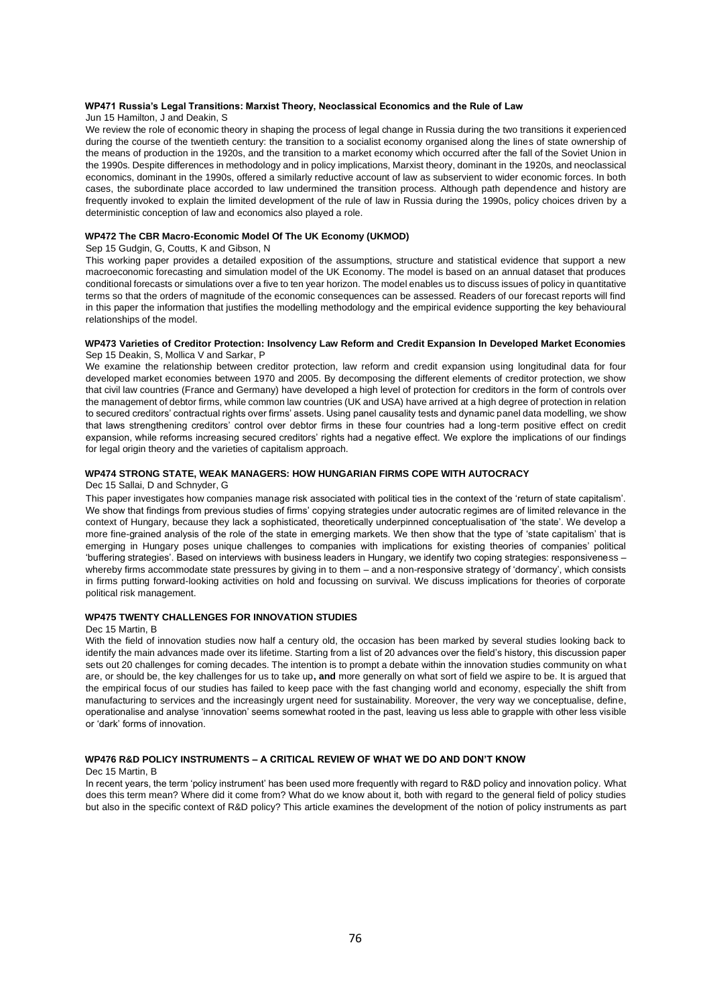#### **WP471 Russia's Legal Transitions: Marxist Theory, Neoclassical Economics and the Rule of Law**

# Jun 15 Hamilton, J and Deakin, S

We review the role of economic theory in shaping the process of legal change in Russia during the two transitions it experienced during the course of the twentieth century: the transition to a socialist economy organised along the lines of state ownership of the means of production in the 1920s, and the transition to a market economy which occurred after the fall of the Soviet Union in the 1990s. Despite differences in methodology and in policy implications, Marxist theory, dominant in the 1920s, and neoclassical economics, dominant in the 1990s, offered a similarly reductive account of law as subservient to wider economic forces. In both cases, the subordinate place accorded to law undermined the transition process. Although path dependence and history are frequently invoked to explain the limited development of the rule of law in Russia during the 1990s, policy choices driven by a deterministic conception of law and economics also played a role.

# **WP472 The CBR Macro-Economic Model Of The UK Economy (UKMOD)**

#### Sep 15 Gudgin, G, Coutts, K and Gibson, N

This working paper provides a detailed exposition of the assumptions, structure and statistical evidence that support a new macroeconomic forecasting and simulation model of the UK Economy. The model is based on an annual dataset that produces conditional forecasts or simulations over a five to ten year horizon. The model enables us to discuss issues of policy in quantitative terms so that the orders of magnitude of the economic consequences can be assessed. Readers of our forecast reports will find in this paper the information that justifies the modelling methodology and the empirical evidence supporting the key behavioural relationships of the model.

#### **WP473 Varieties of Creditor Protection: Insolvency Law Reform and Credit Expansion In Developed Market Economies**  Sep 15 Deakin, S, Mollica V and Sarkar, P

We examine the relationship between creditor protection, law reform and credit expansion using longitudinal data for four developed market economies between 1970 and 2005. By decomposing the different elements of creditor protection, we show that civil law countries (France and Germany) have developed a high level of protection for creditors in the form of controls over the management of debtor firms, while common law countries (UK and USA) have arrived at a high degree of protection in relation to secured creditors' contractual rights over firms' assets. Using panel causality tests and dynamic panel data modelling, we show that laws strengthening creditors' control over debtor firms in these four countries had a long-term positive effect on credit expansion, while reforms increasing secured creditors' rights had a negative effect. We explore the implications of our findings for legal origin theory and the varieties of capitalism approach.

#### **WP474 STRONG STATE, WEAK MANAGERS: HOW HUNGARIAN FIRMS COPE WITH AUTOCRACY**

#### Dec 15 Sallai, D and Schnyder, G

This paper investigates how companies manage risk associated with political ties in the context of the 'return of state capitalism'. We show that findings from previous studies of firms' copying strategies under autocratic regimes are of limited relevance in the context of Hungary, because they lack a sophisticated, theoretically underpinned conceptualisation of 'the state'. We develop a more fine-grained analysis of the role of the state in emerging markets. We then show that the type of 'state capitalism' that is emerging in Hungary poses unique challenges to companies with implications for existing theories of companies' political 'buffering strategies'. Based on interviews with business leaders in Hungary, we identify two coping strategies: responsiveness – whereby firms accommodate state pressures by giving in to them – and a non-responsive strategy of 'dormancy', which consists in firms putting forward-looking activities on hold and focussing on survival. We discuss implications for theories of corporate political risk management.

## **WP475 TWENTY CHALLENGES FOR INNOVATION STUDIES**

#### Dec 15 Martin, B

With the field of innovation studies now half a century old, the occasion has been marked by several studies looking back to identify the main advances made over its lifetime. Starting from a list of 20 advances over the field's history, this discussion paper sets out 20 challenges for coming decades. The intention is to prompt a debate within the innovation studies community on what are, or should be, the key challenges for us to take up**, and** more generally on what sort of field we aspire to be. It is argued that the empirical focus of our studies has failed to keep pace with the fast changing world and economy, especially the shift from manufacturing to services and the increasingly urgent need for sustainability. Moreover, the very way we conceptualise, define, operationalise and analyse 'innovation' seems somewhat rooted in the past, leaving us less able to grapple with other less visible or 'dark' forms of innovation.

# **WP476 R&D POLICY INSTRUMENTS – A CRITICAL REVIEW OF WHAT WE DO AND DON'T KNOW**

#### Dec 15 Martin, B

In recent years, the term 'policy instrument' has been used more frequently with regard to R&D policy and innovation policy. What does this term mean? Where did it come from? What do we know about it, both with regard to the general field of policy studies but also in the specific context of R&D policy? This article examines the development of the notion of policy instruments as part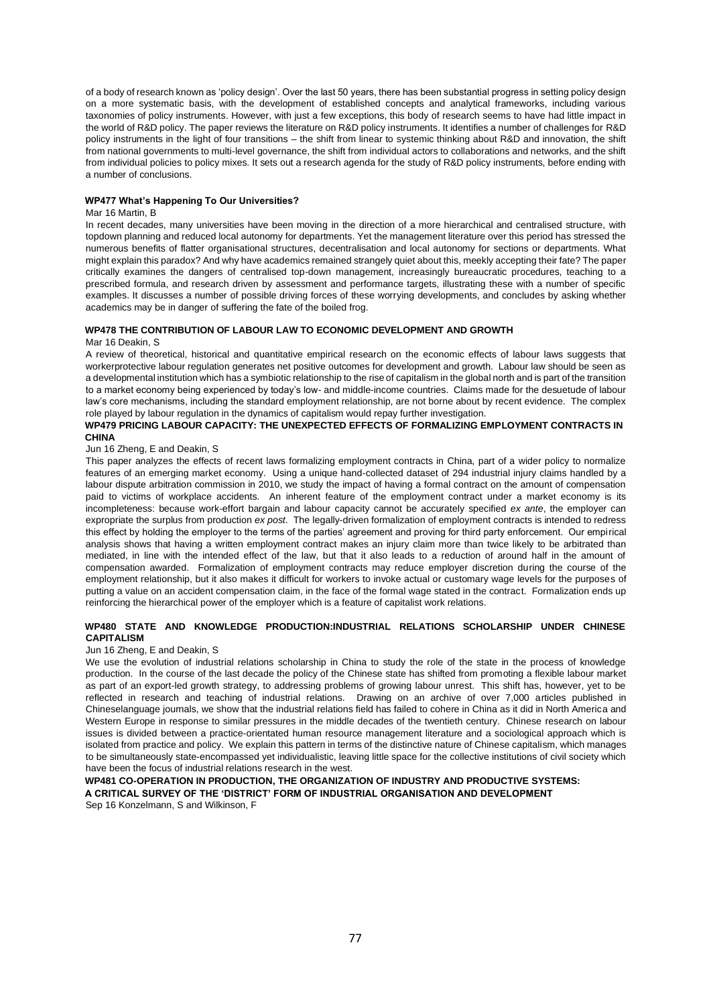of a body of research known as 'policy design'. Over the last 50 years, there has been substantial progress in setting policy design on a more systematic basis, with the development of established concepts and analytical frameworks, including various taxonomies of policy instruments. However, with just a few exceptions, this body of research seems to have had little impact in the world of R&D policy. The paper reviews the literature on R&D policy instruments. It identifies a number of challenges for R&D policy instruments in the light of four transitions – the shift from linear to systemic thinking about R&D and innovation, the shift from national governments to multi-level governance, the shift from individual actors to collaborations and networks, and the shift from individual policies to policy mixes. It sets out a research agenda for the study of R&D policy instruments, before ending with a number of conclusions.

## **WP477 What's Happening To Our Universities?**

# Mar 16 Martin, B

In recent decades, many universities have been moving in the direction of a more hierarchical and centralised structure, with topdown planning and reduced local autonomy for departments. Yet the management literature over this period has stressed the numerous benefits of flatter organisational structures, decentralisation and local autonomy for sections or departments. What might explain this paradox? And why have academics remained strangely quiet about this, meekly accepting their fate? The paper critically examines the dangers of centralised top-down management, increasingly bureaucratic procedures, teaching to a prescribed formula, and research driven by assessment and performance targets, illustrating these with a number of specific examples. It discusses a number of possible driving forces of these worrying developments, and concludes by asking whether academics may be in danger of suffering the fate of the boiled frog.

# **WP478 THE CONTRIBUTION OF LABOUR LAW TO ECONOMIC DEVELOPMENT AND GROWTH**

#### Mar 16 Deakin, S

A review of theoretical, historical and quantitative empirical research on the economic effects of labour laws suggests that workerprotective labour regulation generates net positive outcomes for development and growth. Labour law should be seen as a developmental institution which has a symbiotic relationship to the rise of capitalism in the global north and is part of the transition to a market economy being experienced by today's low- and middle-income countries. Claims made for the desuetude of labour law's core mechanisms, including the standard employment relationship, are not borne about by recent evidence. The complex role played by labour regulation in the dynamics of capitalism would repay further investigation.

# **WP479 PRICING LABOUR CAPACITY: THE UNEXPECTED EFFECTS OF FORMALIZING EMPLOYMENT CONTRACTS IN CHINA**

# Jun 16 Zheng, E and Deakin, S

This paper analyzes the effects of recent laws formalizing employment contracts in China, part of a wider policy to normalize features of an emerging market economy. Using a unique hand-collected dataset of 294 industrial injury claims handled by a labour dispute arbitration commission in 2010, we study the impact of having a formal contract on the amount of compensation paid to victims of workplace accidents. An inherent feature of the employment contract under a market economy is its incompleteness: because work-effort bargain and labour capacity cannot be accurately specified *ex ante*, the employer can expropriate the surplus from production *ex post*. The legally-driven formalization of employment contracts is intended to redress this effect by holding the employer to the terms of the parties' agreement and proving for third party enforcement. Our empirical analysis shows that having a written employment contract makes an injury claim more than twice likely to be arbitrated than mediated, in line with the intended effect of the law, but that it also leads to a reduction of around half in the amount of compensation awarded. Formalization of employment contracts may reduce employer discretion during the course of the employment relationship, but it also makes it difficult for workers to invoke actual or customary wage levels for the purposes of putting a value on an accident compensation claim, in the face of the formal wage stated in the contract. Formalization ends up reinforcing the hierarchical power of the employer which is a feature of capitalist work relations.

## **WP480 STATE AND KNOWLEDGE PRODUCTION:INDUSTRIAL RELATIONS SCHOLARSHIP UNDER CHINESE CAPITALISM**

#### Jun 16 Zheng, E and Deakin, S

We use the evolution of industrial relations scholarship in China to study the role of the state in the process of knowledge production. In the course of the last decade the policy of the Chinese state has shifted from promoting a flexible labour market as part of an export-led growth strategy, to addressing problems of growing labour unrest. This shift has, however, yet to be reflected in research and teaching of industrial relations. Drawing on an archive of over 7,000 articles published in Chineselanguage journals, we show that the industrial relations field has failed to cohere in China as it did in North America and Western Europe in response to similar pressures in the middle decades of the twentieth century. Chinese research on labour issues is divided between a practice-orientated human resource management literature and a sociological approach which is isolated from practice and policy. We explain this pattern in terms of the distinctive nature of Chinese capitalism, which manages to be simultaneously state-encompassed yet individualistic, leaving little space for the collective institutions of civil society which have been the focus of industrial relations research in the west.

# **WP481 CO-OPERATION IN PRODUCTION, THE ORGANIZATION OF INDUSTRY AND PRODUCTIVE SYSTEMS: A CRITICAL SURVEY OF THE 'DISTRICT' FORM OF INDUSTRIAL ORGANISATION AND DEVELOPMENT**

Sep 16 Konzelmann, S and Wilkinson, F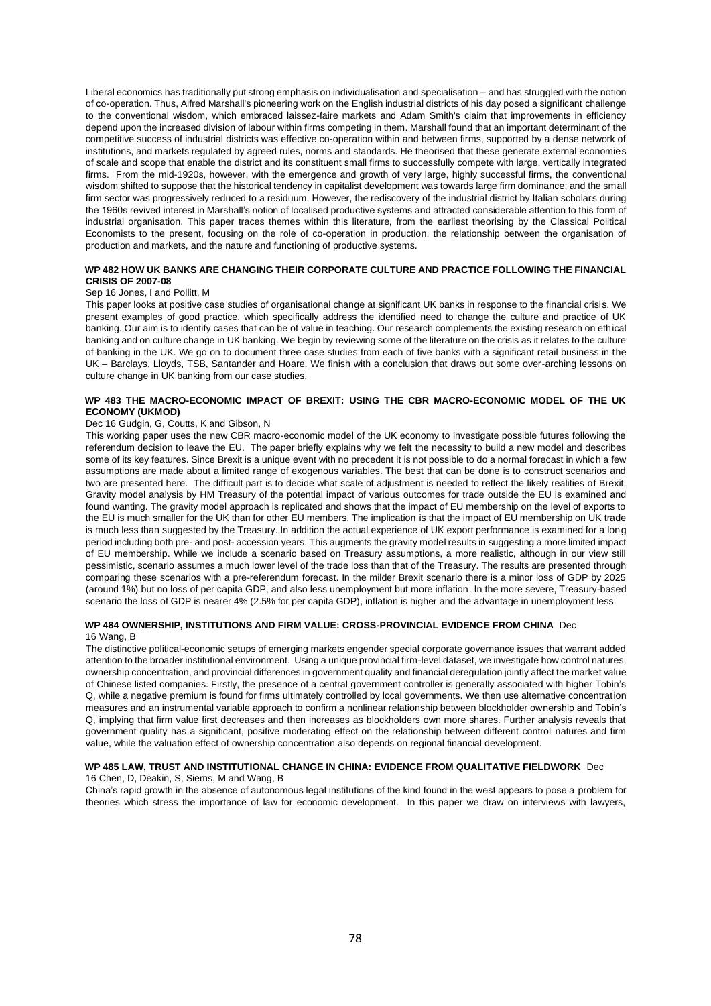Liberal economics has traditionally put strong emphasis on individualisation and specialisation – and has struggled with the notion of co-operation. Thus, Alfred Marshall's pioneering work on the English industrial districts of his day posed a significant challenge to the conventional wisdom, which embraced laissez-faire markets and Adam Smith's claim that improvements in efficiency depend upon the increased division of labour within firms competing in them. Marshall found that an important determinant of the competitive success of industrial districts was effective co-operation within and between firms, supported by a dense network of institutions, and markets regulated by agreed rules, norms and standards. He theorised that these generate external economies of scale and scope that enable the district and its constituent small firms to successfully compete with large, vertically integrated firms. From the mid-1920s, however, with the emergence and growth of very large, highly successful firms, the conventional wisdom shifted to suppose that the historical tendency in capitalist development was towards large firm dominance; and the small firm sector was progressively reduced to a residuum. However, the rediscovery of the industrial district by Italian scholars during the 1960s revived interest in Marshall's notion of localised productive systems and attracted considerable attention to this form of industrial organisation. This paper traces themes within this literature, from the earliest theorising by the Classical Political Economists to the present, focusing on the role of co-operation in production, the relationship between the organisation of production and markets, and the nature and functioning of productive systems.

## **WP 482 HOW UK BANKS ARE CHANGING THEIR CORPORATE CULTURE AND PRACTICE FOLLOWING THE FINANCIAL CRISIS OF 2007-08**

# Sep 16 Jones, I and Pollitt, M

This paper looks at positive case studies of organisational change at significant UK banks in response to the financial crisis. We present examples of good practice, which specifically address the identified need to change the culture and practice of UK banking. Our aim is to identify cases that can be of value in teaching. Our research complements the existing research on ethical banking and on culture change in UK banking. We begin by reviewing some of the literature on the crisis as it relates to the culture of banking in the UK. We go on to document three case studies from each of five banks with a significant retail business in the UK – Barclays, Lloyds, TSB, Santander and Hoare. We finish with a conclusion that draws out some over-arching lessons on culture change in UK banking from our case studies.

## **WP 483 THE MACRO-ECONOMIC IMPACT OF BREXIT: USING THE CBR MACRO-ECONOMIC MODEL OF THE UK ECONOMY (UKMOD)**

## Dec 16 Gudgin, G, Coutts, K and Gibson, N

This working paper uses the new CBR macro-economic model of the UK economy to investigate possible futures following the referendum decision to leave the EU. The paper briefly explains why we felt the necessity to build a new model and describes some of its key features. Since Brexit is a unique event with no precedent it is not possible to do a normal forecast in which a few assumptions are made about a limited range of exogenous variables. The best that can be done is to construct scenarios and two are presented here. The difficult part is to decide what scale of adjustment is needed to reflect the likely realities of Brexit. Gravity model analysis by HM Treasury of the potential impact of various outcomes for trade outside the EU is examined and found wanting. The gravity model approach is replicated and shows that the impact of EU membership on the level of exports to the EU is much smaller for the UK than for other EU members. The implication is that the impact of EU membership on UK trade is much less than suggested by the Treasury. In addition the actual experience of UK export performance is examined for a long period including both pre- and post- accession years. This augments the gravity model results in suggesting a more limited impact of EU membership. While we include a scenario based on Treasury assumptions, a more realistic, although in our view still pessimistic, scenario assumes a much lower level of the trade loss than that of the Treasury. The results are presented through comparing these scenarios with a pre-referendum forecast. In the milder Brexit scenario there is a minor loss of GDP by 2025 (around 1%) but no loss of per capita GDP, and also less unemployment but more inflation. In the more severe, Treasury-based scenario the loss of GDP is nearer 4% (2.5% for per capita GDP), inflation is higher and the advantage in unemployment less.

## **WP 484 OWNERSHIP, INSTITUTIONS AND FIRM VALUE: CROSS-PROVINCIAL EVIDENCE FROM CHINA** Dec 16 Wang, B

The distinctive political-economic setups of emerging markets engender special corporate governance issues that warrant added attention to the broader institutional environment. Using a unique provincial firm-level dataset, we investigate how control natures, ownership concentration, and provincial differences in government quality and financial deregulation jointly affect the market value of Chinese listed companies. Firstly, the presence of a central government controller is generally associated with higher Tobin's Q, while a negative premium is found for firms ultimately controlled by local governments. We then use alternative concentration measures and an instrumental variable approach to confirm a nonlinear relationship between blockholder ownership and Tobin's Q, implying that firm value first decreases and then increases as blockholders own more shares. Further analysis reveals that government quality has a significant, positive moderating effect on the relationship between different control natures and firm value, while the valuation effect of ownership concentration also depends on regional financial development.

# **WP 485 LAW, TRUST AND INSTITUTIONAL CHANGE IN CHINA: EVIDENCE FROM QUALITATIVE FIELDWORK** Dec

## 16 Chen, D, Deakin, S, Siems, M and Wang, B

China's rapid growth in the absence of autonomous legal institutions of the kind found in the west appears to pose a problem for theories which stress the importance of law for economic development. In this paper we draw on interviews with lawyers,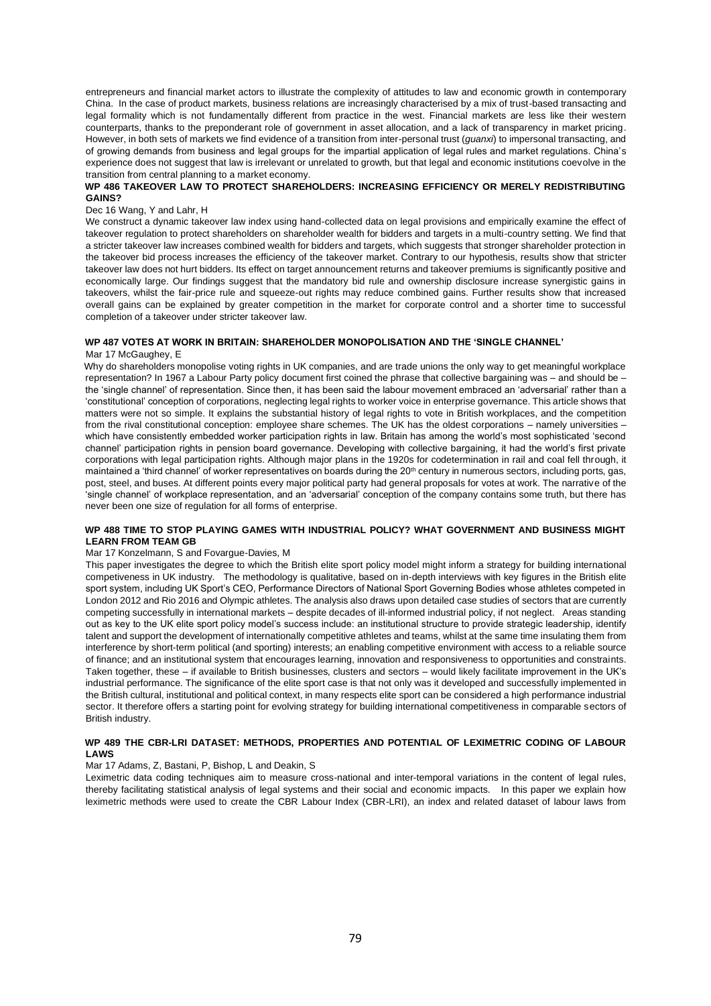entrepreneurs and financial market actors to illustrate the complexity of attitudes to law and economic growth in contemporary China. In the case of product markets, business relations are increasingly characterised by a mix of trust-based transacting and legal formality which is not fundamentally different from practice in the west. Financial markets are less like their western counterparts, thanks to the preponderant role of government in asset allocation, and a lack of transparency in market pricing. However, in both sets of markets we find evidence of a transition from inter-personal trust (*guanxi*) to impersonal transacting, and of growing demands from business and legal groups for the impartial application of legal rules and market regulations. China's experience does not suggest that law is irrelevant or unrelated to growth, but that legal and economic institutions coevolve in the transition from central planning to a market economy.

# **WP 486 TAKEOVER LAW TO PROTECT SHAREHOLDERS: INCREASING EFFICIENCY OR MERELY REDISTRIBUTING GAINS?**

## Dec 16 Wang, Y and Lahr, H

We construct a dynamic takeover law index using hand-collected data on legal provisions and empirically examine the effect of takeover regulation to protect shareholders on shareholder wealth for bidders and targets in a multi-country setting. We find that a stricter takeover law increases combined wealth for bidders and targets, which suggests that stronger shareholder protection in the takeover bid process increases the efficiency of the takeover market. Contrary to our hypothesis, results show that stricter takeover law does not hurt bidders. Its effect on target announcement returns and takeover premiums is significantly positive and economically large. Our findings suggest that the mandatory bid rule and ownership disclosure increase synergistic gains in takeovers, whilst the fair-price rule and squeeze-out rights may reduce combined gains. Further results show that increased overall gains can be explained by greater competition in the market for corporate control and a shorter time to successful completion of a takeover under stricter takeover law.

#### **WP 487 VOTES AT WORK IN BRITAIN: SHAREHOLDER MONOPOLISATION AND THE 'SINGLE CHANNEL'**

#### Mar 17 McGaughey, E

Why do shareholders monopolise voting rights in UK companies, and are trade unions the only way to get meaningful workplace representation? In 1967 a Labour Party policy document first coined the phrase that collective bargaining was – and should be – the 'single channel' of representation. Since then, it has been said the labour movement embraced an 'adversarial' rather than a 'constitutional' conception of corporations, neglecting legal rights to worker voice in enterprise governance. This article shows that matters were not so simple. It explains the substantial history of legal rights to vote in British workplaces, and the competition from the rival constitutional conception: employee share schemes. The UK has the oldest corporations – namely universities – which have consistently embedded worker participation rights in law. Britain has among the world's most sophisticated 'second channel' participation rights in pension board governance. Developing with collective bargaining, it had the world's first private corporations with legal participation rights. Although major plans in the 1920s for codetermination in rail and coal fell through, it maintained a 'third channel' of worker representatives on boards during the 20<sup>th</sup> century in numerous sectors, including ports, gas, post, steel, and buses. At different points every major political party had general proposals for votes at work. The narrative of the 'single channel' of workplace representation, and an 'adversarial' conception of the company contains some truth, but there has never been one size of regulation for all forms of enterprise.

# **WP 488 TIME TO STOP PLAYING GAMES WITH INDUSTRIAL POLICY? WHAT GOVERNMENT AND BUSINESS MIGHT LEARN FROM TEAM GB**

#### Mar 17 Konzelmann, S and Fovargue-Davies, M

This paper investigates the degree to which the British elite sport policy model might inform a strategy for building international competiveness in UK industry. The methodology is qualitative, based on in-depth interviews with key figures in the British elite sport system, including UK Sport's CEO, Performance Directors of National Sport Governing Bodies whose athletes competed in London 2012 and Rio 2016 and Olympic athletes. The analysis also draws upon detailed case studies of sectors that are currently competing successfully in international markets – despite decades of ill-informed industrial policy, if not neglect. Areas standing out as key to the UK elite sport policy model's success include: an institutional structure to provide strategic leadership, identify talent and support the development of internationally competitive athletes and teams, whilst at the same time insulating them from interference by short-term political (and sporting) interests; an enabling competitive environment with access to a reliable source of finance; and an institutional system that encourages learning, innovation and responsiveness to opportunities and constraints. Taken together, these – if available to British businesses, clusters and sectors – would likely facilitate improvement in the UK's industrial performance. The significance of the elite sport case is that not only was it developed and successfully implemented in the British cultural, institutional and political context, in many respects elite sport can be considered a high performance industrial sector. It therefore offers a starting point for evolving strategy for building international competitiveness in comparable sectors of British industry.

## **WP 489 THE CBR-LRI DATASET: METHODS, PROPERTIES AND POTENTIAL OF LEXIMETRIC CODING OF LABOUR LAWS**

# Mar 17 Adams, Z, Bastani, P, Bishop, L and Deakin, S

Leximetric data coding techniques aim to measure cross-national and inter-temporal variations in the content of legal rules, thereby facilitating statistical analysis of legal systems and their social and economic impacts. In this paper we explain how leximetric methods were used to create the CBR Labour Index (CBR-LRI), an index and related dataset of labour laws from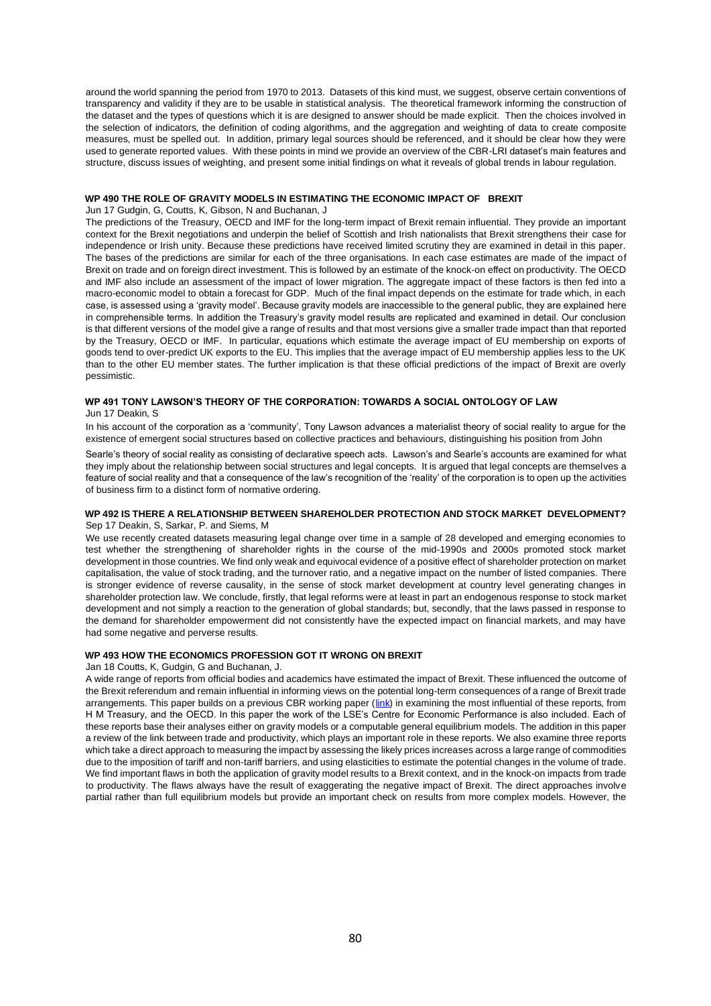around the world spanning the period from 1970 to 2013. Datasets of this kind must, we suggest, observe certain conventions of transparency and validity if they are to be usable in statistical analysis. The theoretical framework informing the construction of the dataset and the types of questions which it is are designed to answer should be made explicit. Then the choices involved in the selection of indicators, the definition of coding algorithms, and the aggregation and weighting of data to create composite measures, must be spelled out. In addition, primary legal sources should be referenced, and it should be clear how they were used to generate reported values. With these points in mind we provide an overview of the CBR-LRI dataset's main features and structure, discuss issues of weighting, and present some initial findings on what it reveals of global trends in labour regulation.

#### **WP 490 THE ROLE OF GRAVITY MODELS IN ESTIMATING THE ECONOMIC IMPACT OF BREXIT**

Jun 17 Gudgin, G, Coutts, K, Gibson, N and Buchanan, J

The predictions of the Treasury, OECD and IMF for the long-term impact of Brexit remain influential. They provide an important context for the Brexit negotiations and underpin the belief of Scottish and Irish nationalists that Brexit strengthens their case for independence or Irish unity. Because these predictions have received limited scrutiny they are examined in detail in this paper. The bases of the predictions are similar for each of the three organisations. In each case estimates are made of the impact of Brexit on trade and on foreign direct investment. This is followed by an estimate of the knock-on effect on productivity. The OECD and IMF also include an assessment of the impact of lower migration. The aggregate impact of these factors is then fed into a macro-economic model to obtain a forecast for GDP. Much of the final impact depends on the estimate for trade which, in each case, is assessed using a 'gravity model'. Because gravity models are inaccessible to the general public, they are explained here in comprehensible terms. In addition the Treasury's gravity model results are replicated and examined in detail. Our conclusion is that different versions of the model give a range of results and that most versions give a smaller trade impact than that reported by the Treasury, OECD or IMF. In particular, equations which estimate the average impact of EU membership on exports of goods tend to over-predict UK exports to the EU. This implies that the average impact of EU membership applies less to the UK than to the other EU member states. The further implication is that these official predictions of the impact of Brexit are overly pessimistic.

# **WP 491 TONY LAWSON'S THEORY OF THE CORPORATION: TOWARDS A SOCIAL ONTOLOGY OF LAW**

Jun 17 Deakin, S

In his account of the corporation as a 'community'. Tony Lawson advances a materialist theory of social reality to argue for the existence of emergent social structures based on collective practices and behaviours, distinguishing his position from John

Searle's theory of social reality as consisting of declarative speech acts. Lawson's and Searle's accounts are examined for what they imply about the relationship between social structures and legal concepts. It is argued that legal concepts are themselves a feature of social reality and that a consequence of the law's recognition of the 'reality' of the corporation is to open up the activities of business firm to a distinct form of normative ordering.

#### **WP 492 IS THERE A RELATIONSHIP BETWEEN SHAREHOLDER PROTECTION AND STOCK MARKET DEVELOPMENT?**  Sep 17 Deakin, S, Sarkar, P. and Siems, M

We use recently created datasets measuring legal change over time in a sample of 28 developed and emerging economies to test whether the strengthening of shareholder rights in the course of the mid-1990s and 2000s promoted stock market development in those countries. We find only weak and equivocal evidence of a positive effect of shareholder protection on market capitalisation, the value of stock trading, and the turnover ratio, and a negative impact on the number of listed companies. There is stronger evidence of reverse causality, in the sense of stock market development at country level generating changes in shareholder protection law. We conclude, firstly, that legal reforms were at least in part an endogenous response to stock market development and not simply a reaction to the generation of global standards; but, secondly, that the laws passed in response to the demand for shareholder empowerment did not consistently have the expected impact on financial markets, and may have had some negative and perverse results.

# **WP 493 HOW THE ECONOMICS PROFESSION GOT IT WRONG ON BREXIT**

Jan 18 Coutts, K, Gudgin, G and Buchanan, J.

A wide range of reports from official bodies and academics have estimated the impact of Brexit. These influenced the outcome of the Brexit referendum and remain influential in informing views on the potential long-term consequences of a range of Brexit trade arrangements. This paper builds on a previous CBR working paper [\(link\) in](https://www.cbr.cam.ac.uk/fileadmin/user_upload/centre-for-business-research/downloads/special-reports/specialreport-macroeconomicimpactofliberalpoliciesintheuk.pdf) examining the most influential of these reports, from H M Treasury, and the OECD. In this paper the work of the LSE's Centre for Economic Performance is also included. Each of these reports base their analyses either on gravity models or a computable general equilibrium models. The addition in this paper a review of the link between trade and productivity, which plays an important role in these reports. We also examine three reports which take a direct approach to measuring the impact by assessing the likely prices increases across a large range of commodities due to the imposition of tariff and non-tariff barriers, and using elasticities to estimate the potential changes in the volume of trade. We find important flaws in both the application of gravity model results to a Brexit context, and in the knock-on impacts from trade to productivity. The flaws always have the result of exaggerating the negative impact of Brexit. The direct approaches involve partial rather than full equilibrium models but provide an important check on results from more complex models. However, the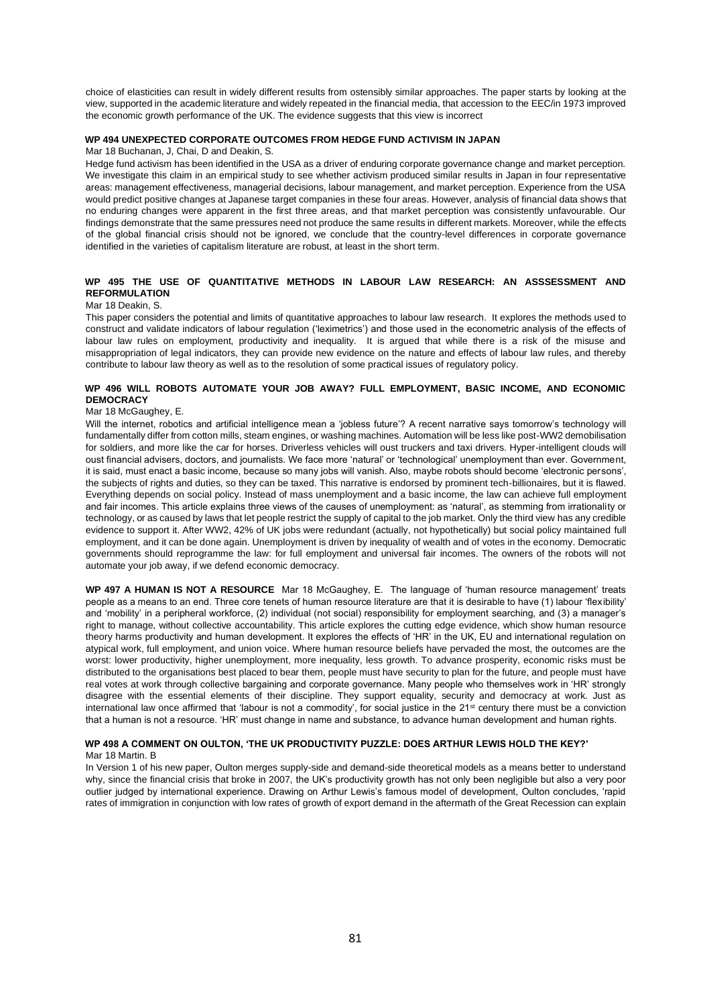choice of elasticities can result in widely different results from ostensibly similar approaches. The paper starts by looking at the view, supported in the academic literature and widely repeated in the financial media, that accession to the EEC/in 1973 improved the economic growth performance of the UK. The evidence suggests that this view is incorrect

#### **WP 494 UNEXPECTED CORPORATE OUTCOMES FROM HEDGE FUND ACTIVISM IN JAPAN**

Mar 18 Buchanan, J, Chai, D and Deakin, S.

Hedge fund activism has been identified in the USA as a driver of enduring corporate governance change and market perception. We investigate this claim in an empirical study to see whether activism produced similar results in Japan in four representative areas: management effectiveness, managerial decisions, labour management, and market perception. Experience from the USA would predict positive changes at Japanese target companies in these four areas. However, analysis of financial data shows that no enduring changes were apparent in the first three areas, and that market perception was consistently unfavourable. Our findings demonstrate that the same pressures need not produce the same results in different markets. Moreover, while the effects of the global financial crisis should not be ignored, we conclude that the country-level differences in corporate governance identified in the varieties of capitalism literature are robust, at least in the short term.

# **WP 495 THE USE OF QUANTITATIVE METHODS IN LABOUR LAW RESEARCH: AN ASSSESSMENT AND REFORMULATION**

## Mar 18 Deakin, S.

This paper considers the potential and limits of quantitative approaches to labour law research. It explores the methods used to construct and validate indicators of labour regulation ('leximetrics') and those used in the econometric analysis of the effects of labour law rules on employment, productivity and inequality. It is argued that while there is a risk of the misuse and misappropriation of legal indicators, they can provide new evidence on the nature and effects of labour law rules, and thereby contribute to labour law theory as well as to the resolution of some practical issues of regulatory policy.

## **WP 496 WILL ROBOTS AUTOMATE YOUR JOB AWAY? FULL EMPLOYMENT, BASIC INCOME, AND ECONOMIC DEMOCRACY**

# Mar 18 McGaughey, E.

Will the internet, robotics and artificial intelligence mean a 'jobless future'? A recent narrative says tomorrow's technology will fundamentally differ from cotton mills, steam engines, or washing machines. Automation will be less like post-WW2 demobilisation for soldiers, and more like the car for horses. Driverless vehicles will oust truckers and taxi drivers. Hyper-intelligent clouds will oust financial advisers, doctors, and journalists. We face more 'natural' or 'technological' unemployment than ever. Government, it is said, must enact a basic income, because so many jobs will vanish. Also, maybe robots should become 'electronic persons', the subjects of rights and duties, so they can be taxed. This narrative is endorsed by prominent tech-billionaires, but it is flawed. Everything depends on social policy. Instead of mass unemployment and a basic income, the law can achieve full employment and fair incomes. This article explains three views of the causes of unemployment: as 'natural', as stemming from irrationality or technology, or as caused by laws that let people restrict the supply of capital to the job market. Only the third view has any credible evidence to support it. After WW2, 42% of UK jobs were redundant (actually, not hypothetically) but social policy maintained full employment, and it can be done again. Unemployment is driven by inequality of wealth and of votes in the economy. Democratic governments should reprogramme the law: for full employment and universal fair incomes. The owners of the robots will not automate your job away, if we defend economic democracy.

**WP 497 A HUMAN IS NOT A RESOURCE** Mar 18 McGaughey, E. The language of 'human resource management' treats people as a means to an end. Three core tenets of human resource literature are that it is desirable to have (1) labour 'flexibility' and 'mobility' in a peripheral workforce, (2) individual (not social) responsibility for employment searching, and (3) a manager's right to manage, without collective accountability. This article explores the cutting edge evidence, which show human resource theory harms productivity and human development. It explores the effects of 'HR' in the UK, EU and international regulation on atypical work, full employment, and union voice. Where human resource beliefs have pervaded the most, the outcomes are the worst: lower productivity, higher unemployment, more inequality, less growth. To advance prosperity, economic risks must be distributed to the organisations best placed to bear them, people must have security to plan for the future, and people must have real votes at work through collective bargaining and corporate governance. Many people who themselves work in 'HR' strongly disagree with the essential elements of their discipline. They support equality, security and democracy at work. Just as international law once affirmed that 'labour is not a commodity', for social justice in the 21st century there must be a conviction that a human is not a resource. 'HR' must change in name and substance, to advance human development and human rights.

#### **WP 498 A COMMENT ON OULTON, 'THE UK PRODUCTIVITY PUZZLE: DOES ARTHUR LEWIS HOLD THE KEY?'**  Mar 18 Martin. B

In Version 1 of his new paper, Oulton merges supply-side and demand-side theoretical models as a means better to understand why, since the financial crisis that broke in 2007, the UK's productivity growth has not only been negligible but also a very poor outlier judged by international experience. Drawing on Arthur Lewis's famous model of development, Oulton concludes, 'rapid rates of immigration in conjunction with low rates of growth of export demand in the aftermath of the Great Recession can explain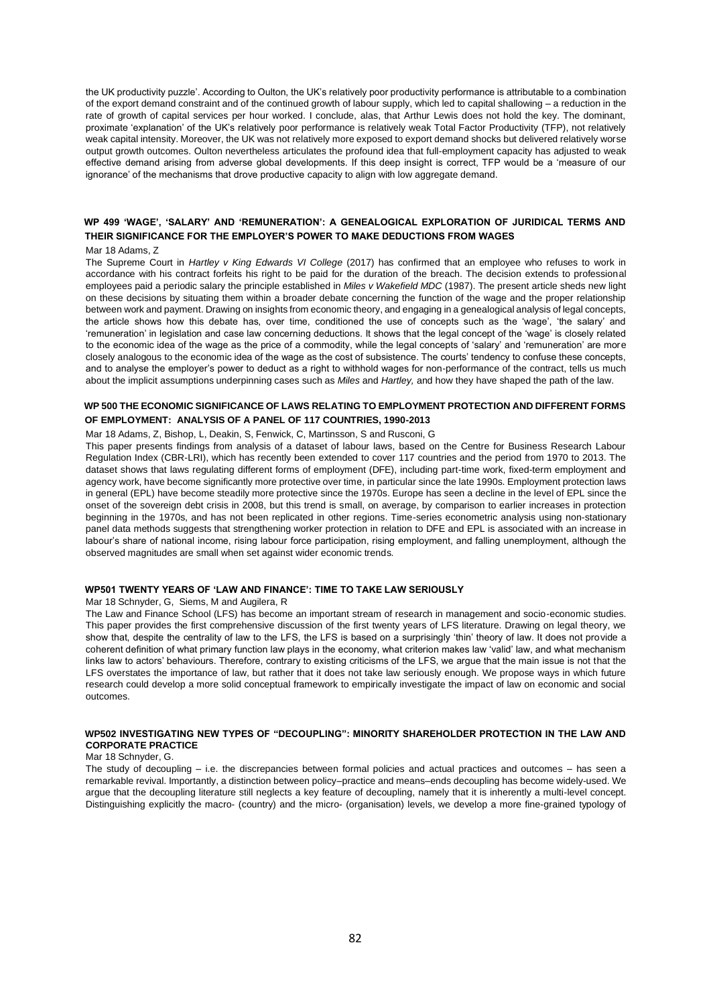the UK productivity puzzle'. According to Oulton, the UK's relatively poor productivity performance is attributable to a combination of the export demand constraint and of the continued growth of labour supply, which led to capital shallowing – a reduction in the rate of growth of capital services per hour worked. I conclude, alas, that Arthur Lewis does not hold the key. The dominant, proximate 'explanation' of the UK's relatively poor performance is relatively weak Total Factor Productivity (TFP), not relatively weak capital intensity. Moreover, the UK was not relatively more exposed to export demand shocks but delivered relatively worse output growth outcomes. Oulton nevertheless articulates the profound idea that full-employment capacity has adjusted to weak effective demand arising from adverse global developments. If this deep insight is correct, TFP would be a 'measure of our ignorance' of the mechanisms that drove productive capacity to align with low aggregate demand.

# **WP 499 'WAGE', 'SALARY' AND 'REMUNERATION': A GENEALOGICAL EXPLORATION OF JURIDICAL TERMS AND THEIR SIGNIFICANCE FOR THE EMPLOYER'S POWER TO MAKE DEDUCTIONS FROM WAGES**

#### Mar 18 Adams, **Z**

The Supreme Court in *Hartley v King Edwards VI College* (2017) has confirmed that an employee who refuses to work in accordance with his contract forfeits his right to be paid for the duration of the breach. The decision extends to professional employees paid a periodic salary the principle established in *Miles v Wakefield MDC* (1987). The present article sheds new light on these decisions by situating them within a broader debate concerning the function of the wage and the proper relationship between work and payment. Drawing on insights from economic theory, and engaging in a genealogical analysis of legal concepts, the article shows how this debate has, over time, conditioned the use of concepts such as the 'wage', 'the salary' and 'remuneration' in legislation and case law concerning deductions. It shows that the legal concept of the 'wage' is closely related to the economic idea of the wage as the price of a commodity, while the legal concepts of 'salary' and 'remuneration' are more closely analogous to the economic idea of the wage as the cost of subsistence. The courts' tendency to confuse these concepts, and to analyse the employer's power to deduct as a right to withhold wages for non-performance of the contract, tells us much about the implicit assumptions underpinning cases such as *Miles* and *Hartley,* and how they have shaped the path of the law.

# **WP 500 THE ECONOMIC SIGNIFICANCE OF LAWS RELATING TO EMPLOYMENT PROTECTION AND DIFFERENT FORMS OF EMPLOYMENT: ANALYSIS OF A PANEL OF 117 COUNTRIES, 1990-2013**

#### Mar 18 Adams, Z, Bishop, L, Deakin, S, Fenwick, C, Martinsson, S and Rusconi, G

This paper presents findings from analysis of a dataset of labour laws, based on the Centre for Business Research Labour Regulation Index (CBR-LRI), which has recently been extended to cover 117 countries and the period from 1970 to 2013. The dataset shows that laws regulating different forms of employment (DFE), including part-time work, fixed-term employment and agency work, have become significantly more protective over time, in particular since the late 1990s. Employment protection laws in general (EPL) have become steadily more protective since the 1970s. Europe has seen a decline in the level of EPL since the onset of the sovereign debt crisis in 2008, but this trend is small, on average, by comparison to earlier increases in protection beginning in the 1970s, and has not been replicated in other regions. Time-series econometric analysis using non-stationary panel data methods suggests that strengthening worker protection in relation to DFE and EPL is associated with an increase in labour's share of national income, rising labour force participation, rising employment, and falling unemployment, although the observed magnitudes are small when set against wider economic trends.

## **WP501 TWENTY YEARS OF 'LAW AND FINANCE': TIME TO TAKE LAW SERIOUSLY**

Mar 18 Schnyder, G, Siems, M and Augilera, R

The Law and Finance School (LFS) has become an important stream of research in management and socio-economic studies. This paper provides the first comprehensive discussion of the first twenty years of LFS literature. Drawing on legal theory, we show that, despite the centrality of law to the LFS, the LFS is based on a surprisingly 'thin' theory of law. It does not provide a coherent definition of what primary function law plays in the economy, what criterion makes law 'valid' law, and what mechanism links law to actors' behaviours. Therefore, contrary to existing criticisms of the LFS, we argue that the main issue is not that the LFS overstates the importance of law, but rather that it does not take law seriously enough. We propose ways in which future research could develop a more solid conceptual framework to empirically investigate the impact of law on economic and social outcomes.

## **WP502 INVESTIGATING NEW TYPES OF "DECOUPLING": MINORITY SHAREHOLDER PROTECTION IN THE LAW AND CORPORATE PRACTICE**

#### Mar 18 Schnyder, G.

The study of decoupling – i.e. the discrepancies between formal policies and actual practices and outcomes – has seen a remarkable revival. Importantly, a distinction between policy–practice and means–ends decoupling has become widely-used. We argue that the decoupling literature still neglects a key feature of decoupling, namely that it is inherently a multi-level concept. Distinguishing explicitly the macro- (country) and the micro- (organisation) levels, we develop a more fine-grained typology of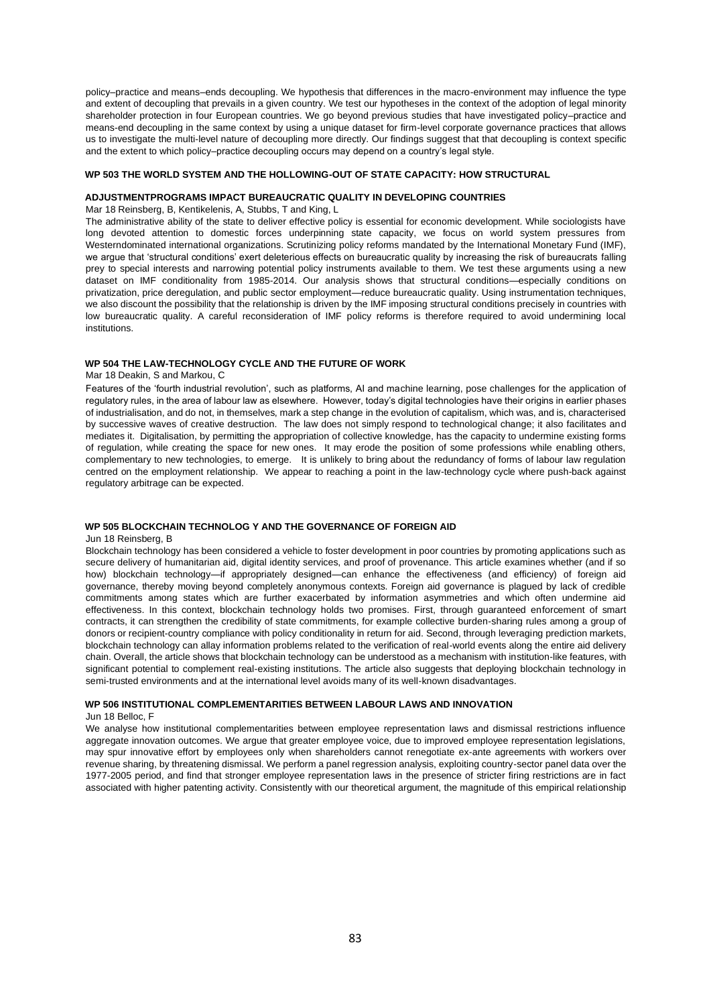policy–practice and means–ends decoupling. We hypothesis that differences in the macro-environment may influence the type and extent of decoupling that prevails in a given country. We test our hypotheses in the context of the adoption of legal minority shareholder protection in four European countries. We go beyond previous studies that have investigated policy–practice and means-end decoupling in the same context by using a unique dataset for firm-level corporate governance practices that allows us to investigate the multi-level nature of decoupling more directly. Our findings suggest that that decoupling is context specific and the extent to which policy–practice decoupling occurs may depend on a country's legal style.

#### **WP 503 THE WORLD SYSTEM AND THE HOLLOWING-OUT OF STATE CAPACITY: HOW STRUCTURAL**

#### **ADJUSTMENTPROGRAMS IMPACT BUREAUCRATIC QUALITY IN DEVELOPING COUNTRIES**

Mar 18 Reinsberg, B, Kentikelenis, A, Stubbs, T and King, L

The administrative ability of the state to deliver effective policy is essential for economic development. While sociologists have long devoted attention to domestic forces underpinning state capacity, we focus on world system pressures from Westerndominated international organizations. Scrutinizing policy reforms mandated by the International Monetary Fund (IMF), we argue that 'structural conditions' exert deleterious effects on bureaucratic quality by increasing the risk of bureaucrats falling prey to special interests and narrowing potential policy instruments available to them. We test these arguments using a new dataset on IMF conditionality from 1985-2014. Our analysis shows that structural conditions—especially conditions on privatization, price deregulation, and public sector employment—reduce bureaucratic quality. Using instrumentation techniques, we also discount the possibility that the relationship is driven by the IMF imposing structural conditions precisely in countries with low bureaucratic quality. A careful reconsideration of IMF policy reforms is therefore required to avoid undermining local institutions.

# **WP 504 THE LAW-TECHNOLOGY CYCLE AND THE FUTURE OF WORK**

# Mar 18 Deakin, S and Markou, C

Features of the 'fourth industrial revolution', such as platforms, AI and machine learning, pose challenges for the application of regulatory rules, in the area of labour law as elsewhere. However, today's digital technologies have their origins in earlier phases of industrialisation, and do not, in themselves, mark a step change in the evolution of capitalism, which was, and is, characterised by successive waves of creative destruction. The law does not simply respond to technological change; it also facilitates and mediates it. Digitalisation, by permitting the appropriation of collective knowledge, has the capacity to undermine existing forms of regulation, while creating the space for new ones. It may erode the position of some professions while enabling others, complementary to new technologies, to emerge. It is unlikely to bring about the redundancy of forms of labour law regulation centred on the employment relationship. We appear to reaching a point in the law-technology cycle where push-back against regulatory arbitrage can be expected.

## **WP 505 BLOCKCHAIN TECHNOLOG Y AND THE GOVERNANCE OF FOREIGN AID**

#### Jun 18 Reinsberg, B

Blockchain technology has been considered a vehicle to foster development in poor countries by promoting applications such as secure delivery of humanitarian aid, digital identity services, and proof of provenance. This article examines whether (and if so how) blockchain technology—if appropriately designed—can enhance the effectiveness (and efficiency) of foreign aid governance, thereby moving beyond completely anonymous contexts. Foreign aid governance is plagued by lack of credible commitments among states which are further exacerbated by information asymmetries and which often undermine aid effectiveness. In this context, blockchain technology holds two promises. First, through guaranteed enforcement of smart contracts, it can strengthen the credibility of state commitments, for example collective burden-sharing rules among a group of donors or recipient-country compliance with policy conditionality in return for aid. Second, through leveraging prediction markets, blockchain technology can allay information problems related to the verification of real-world events along the entire aid delivery chain. Overall, the article shows that blockchain technology can be understood as a mechanism with institution-like features, with significant potential to complement real-existing institutions. The article also suggests that deploying blockchain technology in semi-trusted environments and at the international level avoids many of its well-known disadvantages.

#### **WP 506 INSTITUTIONAL COMPLEMENTARITIES BETWEEN LABOUR LAWS AND INNOVATION**

#### Jun 18 Belloc, F

We analyse how institutional complementarities between employee representation laws and dismissal restrictions influence aggregate innovation outcomes. We argue that greater employee voice, due to improved employee representation legislations, may spur innovative effort by employees only when shareholders cannot renegotiate ex-ante agreements with workers over revenue sharing, by threatening dismissal. We perform a panel regression analysis, exploiting country-sector panel data over the 1977-2005 period, and find that stronger employee representation laws in the presence of stricter firing restrictions are in fact associated with higher patenting activity. Consistently with our theoretical argument, the magnitude of this empirical relationship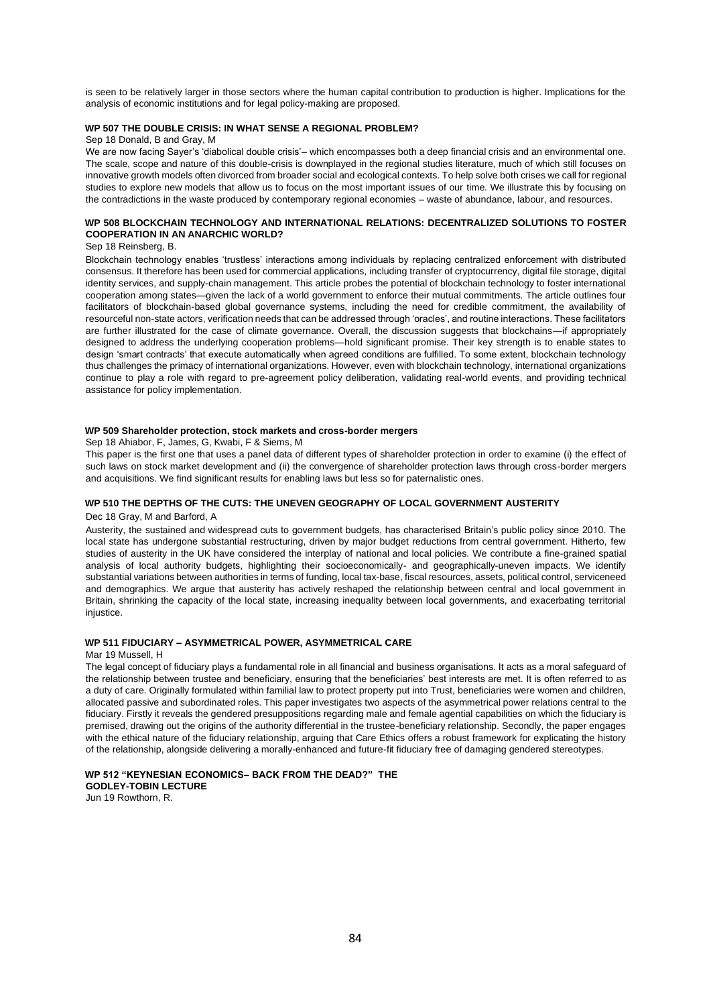is seen to be relatively larger in those sectors where the human capital contribution to production is higher. Implications for the analysis of economic institutions and for legal policy-making are proposed.

## **WP 507 THE DOUBLE CRISIS: IN WHAT SENSE A REGIONAL PROBLEM?**

#### Sep 18 Donald, B and Gray, M

We are now facing Sayer's 'diabolical double crisis'– which encompasses both a deep financial crisis and an environmental one. The scale, scope and nature of this double-crisis is downplayed in the regional studies literature, much of which still focuses on innovative growth models often divorced from broader social and ecological contexts. To help solve both crises we call for regional studies to explore new models that allow us to focus on the most important issues of our time. We illustrate this by focusing on the contradictions in the waste produced by contemporary regional economies – waste of abundance, labour, and resources.

## **WP 508 BLOCKCHAIN TECHNOLOGY AND INTERNATIONAL RELATIONS: DECENTRALIZED SOLUTIONS TO FOSTER COOPERATION IN AN ANARCHIC WORLD?**

## Sep 18 Reinsberg, B.

Blockchain technology enables 'trustless' interactions among individuals by replacing centralized enforcement with distributed consensus. It therefore has been used for commercial applications, including transfer of cryptocurrency, digital file storage, digital identity services, and supply-chain management. This article probes the potential of blockchain technology to foster international cooperation among states—given the lack of a world government to enforce their mutual commitments. The article outlines four facilitators of blockchain-based global governance systems, including the need for credible commitment, the availability of resourceful non-state actors, verification needs that can be addressed through 'oracles', and routine interactions. These facilitators are further illustrated for the case of climate governance. Overall, the discussion suggests that blockchains—if appropriately designed to address the underlying cooperation problems—hold significant promise. Their key strength is to enable states to design 'smart contracts' that execute automatically when agreed conditions are fulfilled. To some extent, blockchain technology thus challenges the primacy of international organizations. However, even with blockchain technology, international organizations continue to play a role with regard to pre-agreement policy deliberation, validating real-world events, and providing technical assistance for policy implementation.

## **WP 509 Shareholder protection, stock markets and cross-border mergers**

Sep 18 Ahiabor, F, James, G, Kwabi, F & Siems, M

This paper is the first one that uses a panel data of different types of shareholder protection in order to examine (i) the effect of such laws on stock market development and (ii) the convergence of shareholder protection laws through cross-border mergers and acquisitions. We find significant results for enabling laws but less so for paternalistic ones.

## **WP 510 THE DEPTHS OF THE CUTS: THE UNEVEN GEOGRAPHY OF LOCAL GOVERNMENT AUSTERITY**

#### Dec 18 Gray, M and Barford, A

Austerity, the sustained and widespread cuts to government budgets, has characterised Britain's public policy since 2010. The local state has undergone substantial restructuring, driven by major budget reductions from central government. Hitherto, few studies of austerity in the UK have considered the interplay of national and local policies. We contribute a fine-grained spatial analysis of local authority budgets, highlighting their socioeconomically- and geographically-uneven impacts. We identify substantial variations between authorities in terms of funding, local tax-base, fiscal resources, assets, political control, serviceneed and demographics. We argue that austerity has actively reshaped the relationship between central and local government in Britain, shrinking the capacity of the local state, increasing inequality between local governments, and exacerbating territorial injustice.

## **WP 511 FIDUCIARY – ASYMMETRICAL POWER, ASYMMETRICAL CARE**

#### Mar 19 Mussell, H

The legal concept of fiduciary plays a fundamental role in all financial and business organisations. It acts as a moral safeguard of the relationship between trustee and beneficiary, ensuring that the beneficiaries' best interests are met. It is often referred to as a duty of care. Originally formulated within familial law to protect property put into Trust, beneficiaries were women and children, allocated passive and subordinated roles. This paper investigates two aspects of the asymmetrical power relations central to the fiduciary. Firstly it reveals the gendered presuppositions regarding male and female agential capabilities on which the fiduciary is premised, drawing out the origins of the authority differential in the trustee-beneficiary relationship. Secondly, the paper engages with the ethical nature of the fiduciary relationship, arguing that Care Ethics offers a robust framework for explicating the history of the relationship, alongside delivering a morally-enhanced and future-fit fiduciary free of damaging gendered stereotypes.

#### **WP 512 "KEYNESIAN ECONOMICS– BACK FROM THE DEAD?" THE GODLEY-TOBIN LECTURE**

Jun 19 Rowthorn, R.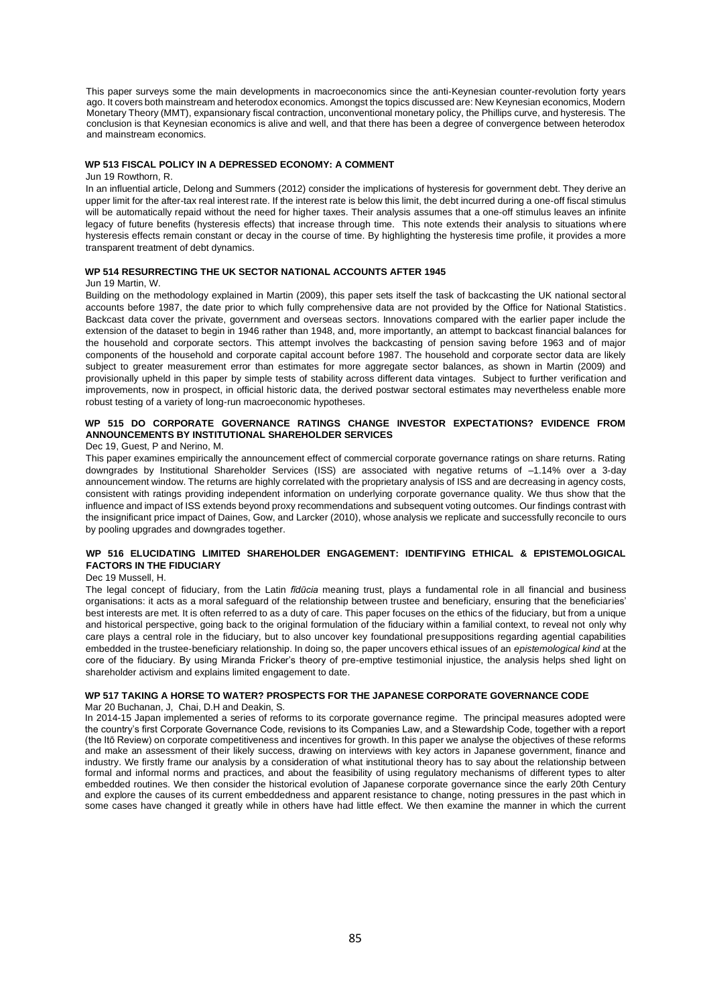This paper surveys some the main developments in macroeconomics since the anti-Keynesian counter-revolution forty years ago. It covers both mainstream and heterodox economics. Amongst the topics discussed are: New Keynesian economics, Modern Monetary Theory (MMT), expansionary fiscal contraction, unconventional monetary policy, the Phillips curve, and hysteresis. The conclusion is that Keynesian economics is alive and well, and that there has been a degree of convergence between heterodox and mainstream economics.

# **WP 513 FISCAL POLICY IN A DEPRESSED ECONOMY: A COMMENT**

#### Jun 19 Rowthorn, R.

In an influential article, Delong and Summers (2012) consider the implications of hysteresis for government debt. They derive an upper limit for the after-tax real interest rate. If the interest rate is below this limit, the debt incurred during a one-off fiscal stimulus will be automatically repaid without the need for higher taxes. Their analysis assumes that a one-off stimulus leaves an infinite legacy of future benefits (hysteresis effects) that increase through time. This note extends their analysis to situations where hysteresis effects remain constant or decay in the course of time. By highlighting the hysteresis time profile, it provides a more transparent treatment of debt dynamics.

## **WP 514 RESURRECTING THE UK SECTOR NATIONAL ACCOUNTS AFTER 1945**

## Jun 19 Martin, W.

Building on the methodology explained in Martin (2009), this paper sets itself the task of backcasting the UK national sectoral accounts before 1987, the date prior to which fully comprehensive data are not provided by the Office for National Statistics. Backcast data cover the private, government and overseas sectors. Innovations compared with the earlier paper include the extension of the dataset to begin in 1946 rather than 1948, and, more importantly, an attempt to backcast financial balances for the household and corporate sectors. This attempt involves the backcasting of pension saving before 1963 and of major components of the household and corporate capital account before 1987. The household and corporate sector data are likely subject to greater measurement error than estimates for more aggregate sector balances, as shown in Martin (2009) and provisionally upheld in this paper by simple tests of stability across different data vintages. Subject to further verification and improvements, now in prospect, in official historic data, the derived postwar sectoral estimates may nevertheless enable more robust testing of a variety of long-run macroeconomic hypotheses.

# **WP 515 DO CORPORATE GOVERNANCE RATINGS CHANGE INVESTOR EXPECTATIONS? EVIDENCE FROM ANNOUNCEMENTS BY INSTITUTIONAL SHAREHOLDER SERVICES**

## Dec 19, Guest, P and Nerino, M.

This paper examines empirically the announcement effect of commercial corporate governance ratings on share returns. Rating downgrades by Institutional Shareholder Services (ISS) are associated with negative returns of –1.14% over a 3-day announcement window. The returns are highly correlated with the proprietary analysis of ISS and are decreasing in agency costs, consistent with ratings providing independent information on underlying corporate governance quality. We thus show that the influence and impact of ISS extends beyond proxy recommendations and subsequent voting outcomes. Our findings contrast with the insignificant price impact of Daines, Gow, and Larcker (2010), whose analysis we replicate and successfully reconcile to ours by pooling upgrades and downgrades together.

# **WP 516 ELUCIDATING LIMITED SHAREHOLDER ENGAGEMENT: IDENTIFYING ETHICAL & EPISTEMOLOGICAL FACTORS IN THE FIDUCIARY**

# Dec 19 Mussell, H.

The legal concept of fiduciary, from the Latin *fīdūcia* meaning trust, plays a fundamental role in all financial and business organisations: it acts as a moral safeguard of the relationship between trustee and beneficiary, ensuring that the beneficiaries' best interests are met. It is often referred to as a duty of care. This paper focuses on the ethics of the fiduciary, but from a unique and historical perspective, going back to the original formulation of the fiduciary within a familial context, to reveal not only why care plays a central role in the fiduciary, but to also uncover key foundational presuppositions regarding agential capabilities embedded in the trustee-beneficiary relationship. In doing so, the paper uncovers ethical issues of an *epistemological kind* at the core of the fiduciary. By using Miranda Fricker's theory of pre-emptive testimonial injustice, the analysis helps shed light on shareholder activism and explains limited engagement to date.

## **WP 517 TAKING A HORSE TO WATER? PROSPECTS FOR THE JAPANESE CORPORATE GOVERNANCE CODE**

# Mar 20 Buchanan, J, Chai, D.H and Deakin, S.

In 2014-15 Japan implemented a series of reforms to its corporate governance regime. The principal measures adopted were the country's first Corporate Governance Code, revisions to its Companies Law, and a Stewardship Code, together with a report (the Itō Review) on corporate competitiveness and incentives for growth. In this paper we analyse the objectives of these reforms and make an assessment of their likely success, drawing on interviews with key actors in Japanese government, finance and industry. We firstly frame our analysis by a consideration of what institutional theory has to say about the relationship between formal and informal norms and practices, and about the feasibility of using regulatory mechanisms of different types to alter embedded routines. We then consider the historical evolution of Japanese corporate governance since the early 20th Century and explore the causes of its current embeddedness and apparent resistance to change, noting pressures in the past which in some cases have changed it greatly while in others have had little effect. We then examine the manner in which the current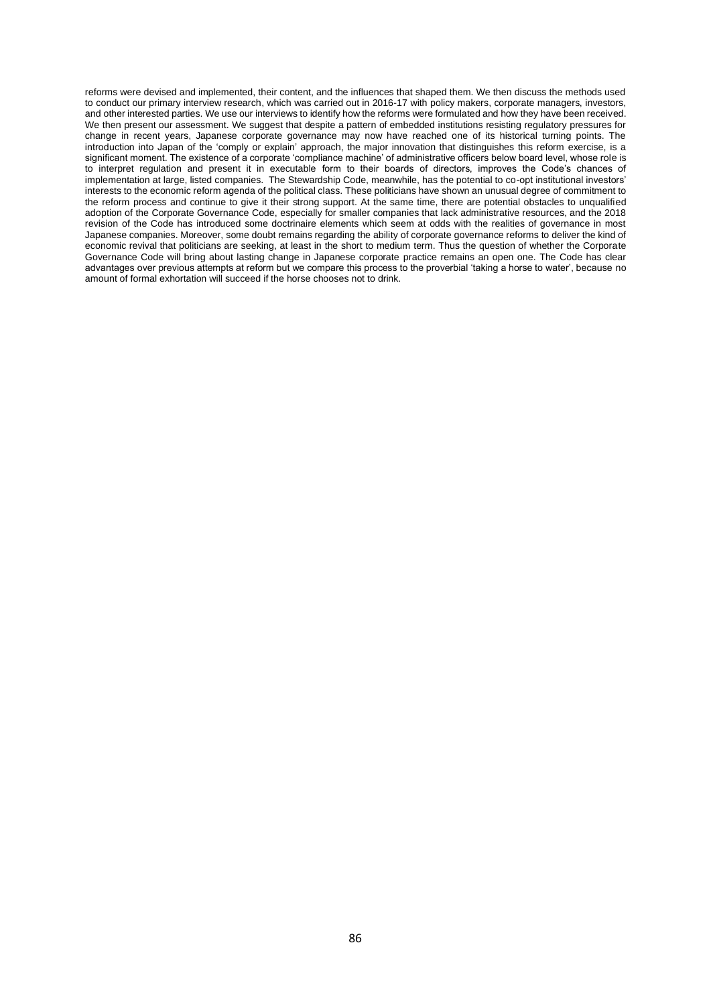reforms were devised and implemented, their content, and the influences that shaped them. We then discuss the methods used to conduct our primary interview research, which was carried out in 2016-17 with policy makers, corporate managers, investors, and other interested parties. We use our interviews to identify how the reforms were formulated and how they have been received. We then present our assessment. We suggest that despite a pattern of embedded institutions resisting regulatory pressures for change in recent years, Japanese corporate governance may now have reached one of its historical turning points. The introduction into Japan of the 'comply or explain' approach, the major innovation that distinguishes this reform exercise, is a significant moment. The existence of a corporate 'compliance machine' of administrative officers below board level, whose role is to interpret regulation and present it in executable form to their boards of directors, improves the Code's chances of implementation at large, listed companies. The Stewardship Code, meanwhile, has the potential to co-opt institutional investors' interests to the economic reform agenda of the political class. These politicians have shown an unusual degree of commitment to the reform process and continue to give it their strong support. At the same time, there are potential obstacles to unqualified adoption of the Corporate Governance Code, especially for smaller companies that lack administrative resources, and the 2018 revision of the Code has introduced some doctrinaire elements which seem at odds with the realities of governance in most Japanese companies. Moreover, some doubt remains regarding the ability of corporate governance reforms to deliver the kind of economic revival that politicians are seeking, at least in the short to medium term. Thus the question of whether the Corporate Governance Code will bring about lasting change in Japanese corporate practice remains an open one. The Code has clear advantages over previous attempts at reform but we compare this process to the proverbial 'taking a horse to water', because no amount of formal exhortation will succeed if the horse chooses not to drink.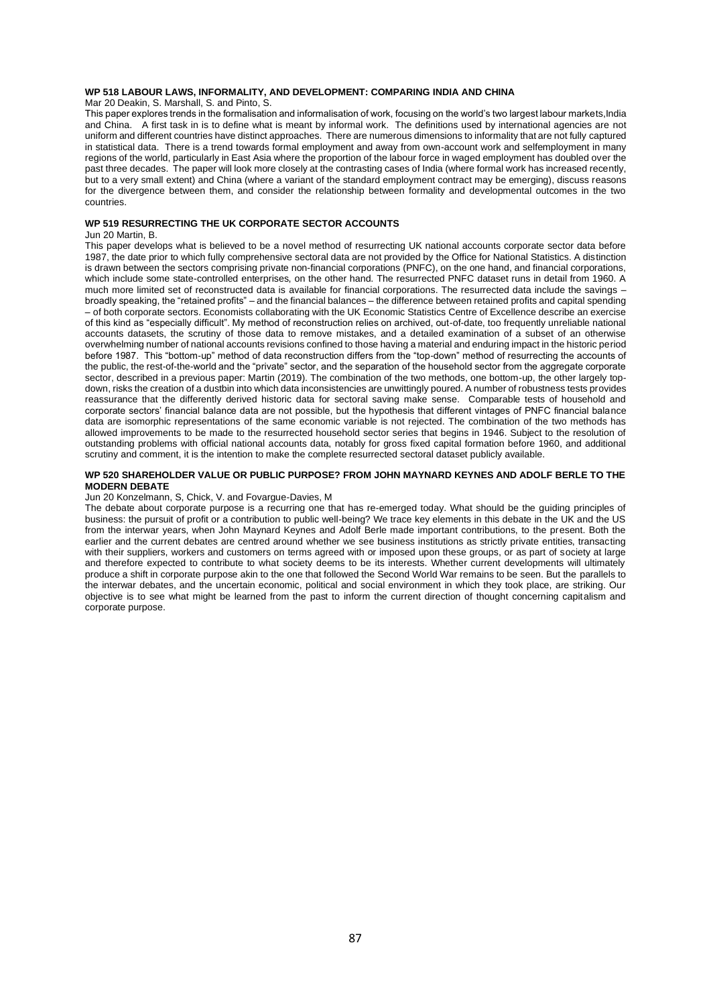## **WP 518 LABOUR LAWS, INFORMALITY, AND DEVELOPMENT: COMPARING INDIA AND CHINA**

Mar 20 Deakin, S. Marshall, S. and Pinto, S.

This paper explores trends in the formalisation and informalisation of work, focusing on the world's two largest labour markets, India and China. A first task in is to define what is meant by informal work. The definitions used by international agencies are not uniform and different countries have distinct approaches. There are numerous dimensions to informality that are not fully captured in statistical data. There is a trend towards formal employment and away from own-account work and selfemployment in many regions of the world, particularly in East Asia where the proportion of the labour force in waged employment has doubled over the past three decades. The paper will look more closely at the contrasting cases of India (where formal work has increased recently, but to a very small extent) and China (where a variant of the standard employment contract may be emerging), discuss reasons for the divergence between them, and consider the relationship between formality and developmental outcomes in the two countries.

#### **WP 519 RESURRECTING THE UK CORPORATE SECTOR ACCOUNTS**

#### Jun 20 Martin, B.

This paper develops what is believed to be a novel method of resurrecting UK national accounts corporate sector data before 1987, the date prior to which fully comprehensive sectoral data are not provided by the Office for National Statistics. A distinction is drawn between the sectors comprising private non-financial corporations (PNFC), on the one hand, and financial corporations, which include some state-controlled enterprises, on the other hand. The resurrected PNFC dataset runs in detail from 1960. A much more limited set of reconstructed data is available for financial corporations. The resurrected data include the savings – broadly speaking, the "retained profits" – and the financial balances – the difference between retained profits and capital spending – of both corporate sectors. Economists collaborating with the UK Economic Statistics Centre of Excellence describe an exercise of this kind as "especially difficult". My method of reconstruction relies on archived, out-of-date, too frequently unreliable national accounts datasets, the scrutiny of those data to remove mistakes, and a detailed examination of a subset of an otherwise overwhelming number of national accounts revisions confined to those having a material and enduring impact in the historic period before 1987. This "bottom-up" method of data reconstruction differs from the "top-down" method of resurrecting the accounts of the public, the rest-of-the-world and the "private" sector, and the separation of the household sector from the aggregate corporate sector, described in a previous paper: Martin (2019). The combination of the two methods, one bottom-up, the other largely topdown, risks the creation of a dustbin into which data inconsistencies are unwittingly poured. A number of robustness tests provides reassurance that the differently derived historic data for sectoral saving make sense. Comparable tests of household and corporate sectors' financial balance data are not possible, but the hypothesis that different vintages of PNFC financial balance data are isomorphic representations of the same economic variable is not rejected. The combination of the two methods has allowed improvements to be made to the resurrected household sector series that begins in 1946. Subject to the resolution of outstanding problems with official national accounts data, notably for gross fixed capital formation before 1960, and additional scrutiny and comment, it is the intention to make the complete resurrected sectoral dataset publicly available.

#### **WP 520 SHAREHOLDER VALUE OR PUBLIC PURPOSE? FROM JOHN MAYNARD KEYNES AND ADOLF BERLE TO THE MODERN DEBATE**

#### Jun 20 Konzelmann, S, Chick, V. and Fovargue-Davies, M

The debate about corporate purpose is a recurring one that has re-emerged today. What should be the guiding principles of business: the pursuit of profit or a contribution to public well-being? We trace key elements in this debate in the UK and the US from the interwar years, when John Maynard Keynes and Adolf Berle made important contributions, to the present. Both the earlier and the current debates are centred around whether we see business institutions as strictly private entities, transacting with their suppliers, workers and customers on terms agreed with or imposed upon these groups, or as part of society at large and therefore expected to contribute to what society deems to be its interests. Whether current developments will ultimately produce a shift in corporate purpose akin to the one that followed the Second World War remains to be seen. But the parallels to the interwar debates, and the uncertain economic, political and social environment in which they took place, are striking. Our objective is to see what might be learned from the past to inform the current direction of thought concerning capitalism and corporate purpose.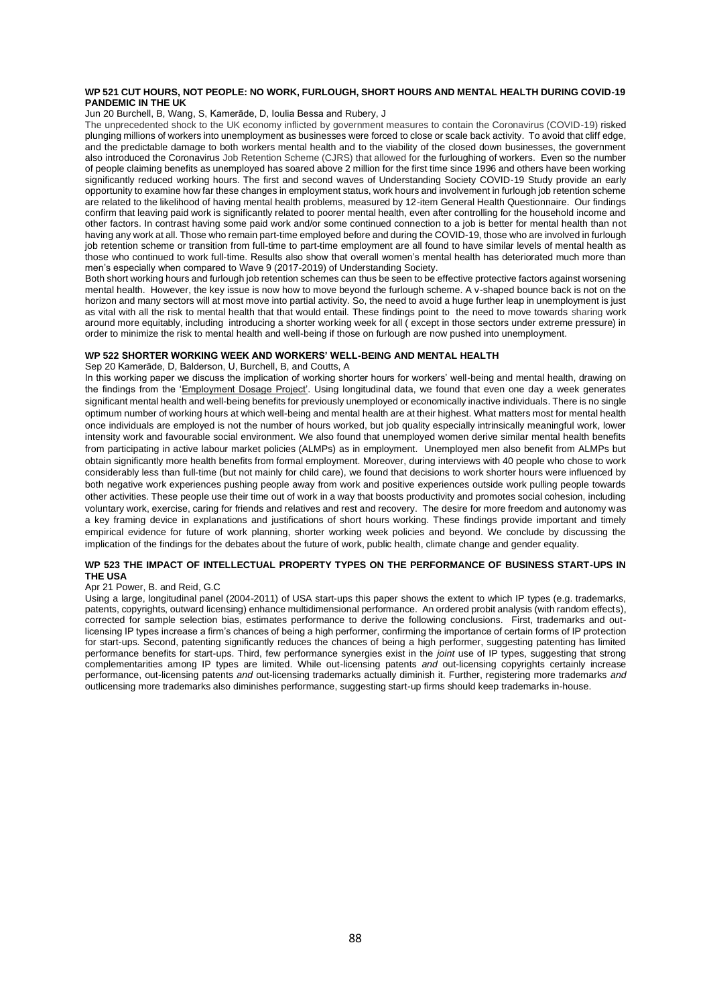#### **WP 521 CUT HOURS, NOT PEOPLE: NO WORK, FURLOUGH, SHORT HOURS AND MENTAL HEALTH DURING COVID-19 PANDEMIC IN THE UK**

Jun 20 Burchell, B, Wang, S, Kamerāde, D, Ioulia Bessa and Rubery, J

The unprecedented shock to the UK economy inflicted by government measures to contain the Coronavirus (COVID-19) risked plunging millions of workers into unemployment as businesses were forced to close or scale back activity. To avoid that cliff edge, and the predictable damage to both workers mental health and to the viability of the closed down businesses, the government also introduced the Coronavirus Job Retention Scheme (CJRS) that allowed for the furloughing of workers. Even so the number of people claiming benefits as unemployed has soared above 2 million for the first time since 1996 and others have been working significantly reduced working hours. The first and second waves of Understanding Society COVID-19 Study provide an early opportunity to examine how far these changes in employment status, work hours and involvement in furlough job retention scheme are related to the likelihood of having mental health problems, measured by 12-item General Health Questionnaire. Our findings confirm that leaving paid work is significantly related to poorer mental health, even after controlling for the household income and other factors. In contrast having some paid work and/or some continued connection to a job is better for mental health than not having any work at all. Those who remain part-time employed before and during the COVID-19, those who are involved in furlough job retention scheme or transition from full-time to part-time employment are all found to have similar levels of mental health as those who continued to work full-time. Results also show that overall women's mental health has deteriorated much more than men's especially when compared to Wave 9 (2017-2019) of Understanding Society.

Both short working hours and furlough job retention schemes can thus be seen to be effective protective factors against worsening mental health. However, the key issue is now how to move beyond the furlough scheme. A v-shaped bounce back is not on the horizon and many sectors will at most move into partial activity. So, the need to avoid a huge further leap in unemployment is just as vital with all the risk to mental health that that would entail. These findings point to the need to move towards sharing work around more equitably, including introducing a shorter working week for all ( except in those sectors under extreme pressure) in order to minimize the risk to mental health and well-being if those on furlough are now pushed into unemployment.

## **WP 522 SHORTER WORKING WEEK AND WORKERS' WELL-BEING AND MENTAL HEALTH**

Sep 20 Kamerāde, D, Balderson, U, Burchell, B, and Coutts, A

In this working paper we discuss the implication of working shorter hours for workers' well-being and mental health, drawing on the findings from the ['Employment Dosage Project'.](https://www.cbr.cam.ac.uk/research/research-projects/the-employment-dosage-how-much-work-is-needed-for-health-and-wellbeing/) Using longitudinal data, we found that even one day a week generates significant mental health and well-being benefits for previously unemployed or economically inactive individuals. There is no single optimum number of working hours at which well-being and mental health are at their highest. What matters most for mental health once individuals are employed is not the number of hours worked, but job quality especially intrinsically meaningful work, lower intensity work and favourable social environment. We also found that unemployed women derive similar mental health benefits from participating in active labour market policies (ALMPs) as in employment. Unemployed men also benefit from ALMPs but obtain significantly more health benefits from formal employment. Moreover, during interviews with 40 people who chose to work considerably less than full-time (but not mainly for child care), we found that decisions to work shorter hours were influenced by both negative work experiences pushing people away from work and positive experiences outside work pulling people towards other activities. These people use their time out of work in a way that boosts productivity and promotes social cohesion, including voluntary work, exercise, caring for friends and relatives and rest and recovery. The desire for more freedom and autonomy was a key framing device in explanations and justifications of short hours working. These findings provide important and timely empirical evidence for future of work planning, shorter working week policies and beyond. We conclude by discussing the implication of the findings for the debates about the future of work, public health, climate change and gender equality.

## **WP 523 THE IMPACT OF INTELLECTUAL PROPERTY TYPES ON THE PERFORMANCE OF BUSINESS START-UPS IN THE USA**

## Apr 21 Power, B. and Reid, G.C

Using a large, longitudinal panel (2004-2011) of USA start-ups this paper shows the extent to which IP types (e.g. trademarks, patents, copyrights, outward licensing) enhance multidimensional performance. An ordered probit analysis (with random effects), corrected for sample selection bias, estimates performance to derive the following conclusions. First, trademarks and outlicensing IP types increase a firm's chances of being a high performer, confirming the importance of certain forms of IP protection for start-ups. Second, patenting significantly reduces the chances of being a high performer, suggesting patenting has limited performance benefits for start-ups. Third, few performance synergies exist in the *joint* use of IP types, suggesting that strong complementarities among IP types are limited. While out-licensing patents *and* out-licensing copyrights certainly increase performance, out-licensing patents *and* out-licensing trademarks actually diminish it. Further, registering more trademarks *and* outlicensing more trademarks also diminishes performance, suggesting start-up firms should keep trademarks in-house.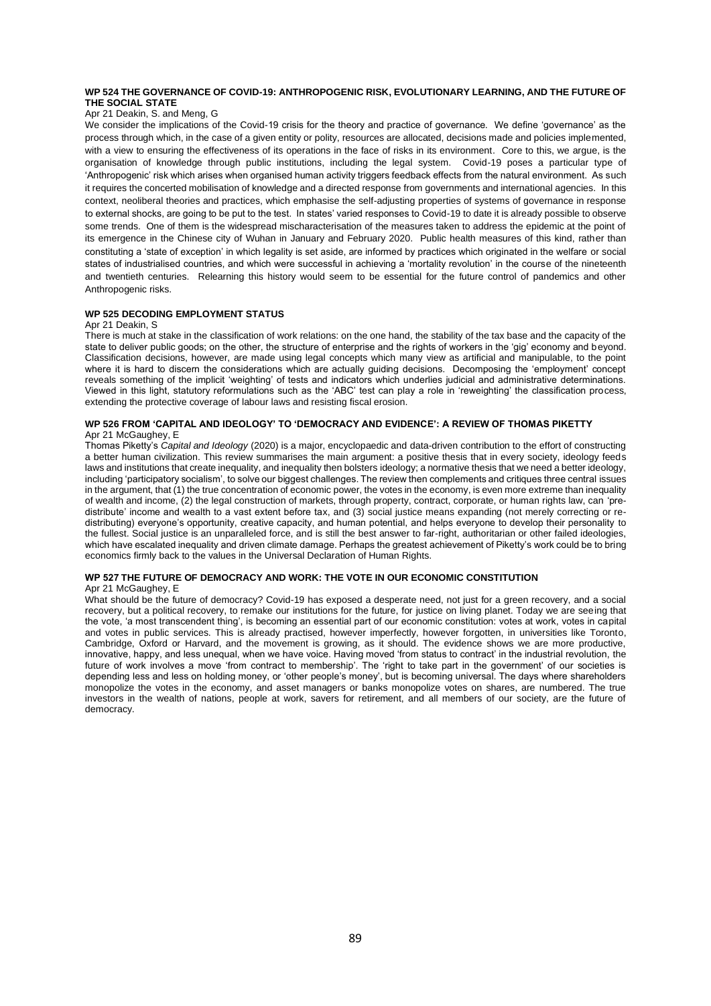## **WP 524 THE GOVERNANCE OF COVID-19: ANTHROPOGENIC RISK, EVOLUTIONARY LEARNING, AND THE FUTURE OF THE SOCIAL STATE**

# Apr 21 Deakin, S. and Meng, G

We consider the implications of the Covid-19 crisis for the theory and practice of governance. We define 'governance' as the process through which, in the case of a given entity or polity, resources are allocated, decisions made and policies implemented, with a view to ensuring the effectiveness of its operations in the face of risks in its environment. Core to this, we argue, is the organisation of knowledge through public institutions, including the legal system. Covid-19 poses a particular type of 'Anthropogenic' risk which arises when organised human activity triggers feedback effects from the natural environment. As such it requires the concerted mobilisation of knowledge and a directed response from governments and international agencies. In this context, neoliberal theories and practices, which emphasise the self-adjusting properties of systems of governance in response to external shocks, are going to be put to the test. In states' varied responses to Covid-19 to date it is already possible to observe some trends. One of them is the widespread mischaracterisation of the measures taken to address the epidemic at the point of its emergence in the Chinese city of Wuhan in January and February 2020. Public health measures of this kind, rather than constituting a 'state of exception' in which legality is set aside, are informed by practices which originated in the welfare or social states of industrialised countries, and which were successful in achieving a 'mortality revolution' in the course of the nineteenth and twentieth centuries. Relearning this history would seem to be essential for the future control of pandemics and other Anthropogenic risks.

#### **WP 525 DECODING EMPLOYMENT STATUS**

#### Apr 21 Deakin, S

There is much at stake in the classification of work relations: on the one hand, the stability of the tax base and the capacity of the state to deliver public goods; on the other, the structure of enterprise and the rights of workers in the 'gig' economy and beyond. Classification decisions, however, are made using legal concepts which many view as artificial and manipulable, to the point where it is hard to discern the considerations which are actually guiding decisions. Decomposing the 'employment' concept reveals something of the implicit 'weighting' of tests and indicators which underlies judicial and administrative determinations. Viewed in this light, statutory reformulations such as the 'ABC' test can play a role in 'reweighting' the classification process, extending the protective coverage of labour laws and resisting fiscal erosion.

#### **WP 526 FROM 'CAPITAL AND IDEOLOGY' TO 'DEMOCRACY AND EVIDENCE': A REVIEW OF THOMAS PIKETTY** Apr 21 McGaughey, E

Thomas Piketty's *Capital and Ideology* (2020) is a major, encyclopaedic and data-driven contribution to the effort of constructing a better human civilization. This review summarises the main argument: a positive thesis that in every society, ideology feeds laws and institutions that create inequality, and inequality then bolsters ideology; a normative thesis that we need a better ideology, including 'participatory socialism', to solve our biggest challenges. The review then complements and critiques three central issues in the argument, that (1) the true concentration of economic power, the votes in the economy, is even more extreme than inequality of wealth and income, (2) the legal construction of markets, through property, contract, corporate, or human rights law, can 'predistribute' income and wealth to a vast extent before tax, and (3) social justice means expanding (not merely correcting or redistributing) everyone's opportunity, creative capacity, and human potential, and helps everyone to develop their personality to the fullest. Social justice is an unparalleled force, and is still the best answer to far-right, authoritarian or other failed ideologies, which have escalated inequality and driven climate damage. Perhaps the greatest achievement of Piketty's work could be to bring economics firmly back to the values in the Universal Declaration of Human Rights.

# **WP 527 THE FUTURE OF DEMOCRACY AND WORK: THE VOTE IN OUR ECONOMIC CONSTITUTION**

# Apr 21 McGaughey, E

What should be the future of democracy? Covid-19 has exposed a desperate need, not just for a green recovery, and a social recovery, but a political recovery, to remake our institutions for the future, for justice on living planet. Today we are seeing that the vote, 'a most transcendent thing', is becoming an essential part of our economic constitution: votes at work, votes in capital and votes in public services. This is already practised, however imperfectly, however forgotten, in universities like Toronto, Cambridge, Oxford or Harvard, and the movement is growing, as it should. The evidence shows we are more productive, innovative, happy, and less unequal, when we have voice. Having moved 'from status to contract' in the industrial revolution, the future of work involves a move 'from contract to membership'. The 'right to take part in the government' of our societies is depending less and less on holding money, or 'other people's money', but is becoming universal. The days where shareholders monopolize the votes in the economy, and asset managers or banks monopolize votes on shares, are numbered. The true investors in the wealth of nations, people at work, savers for retirement, and all members of our society, are the future of democracy.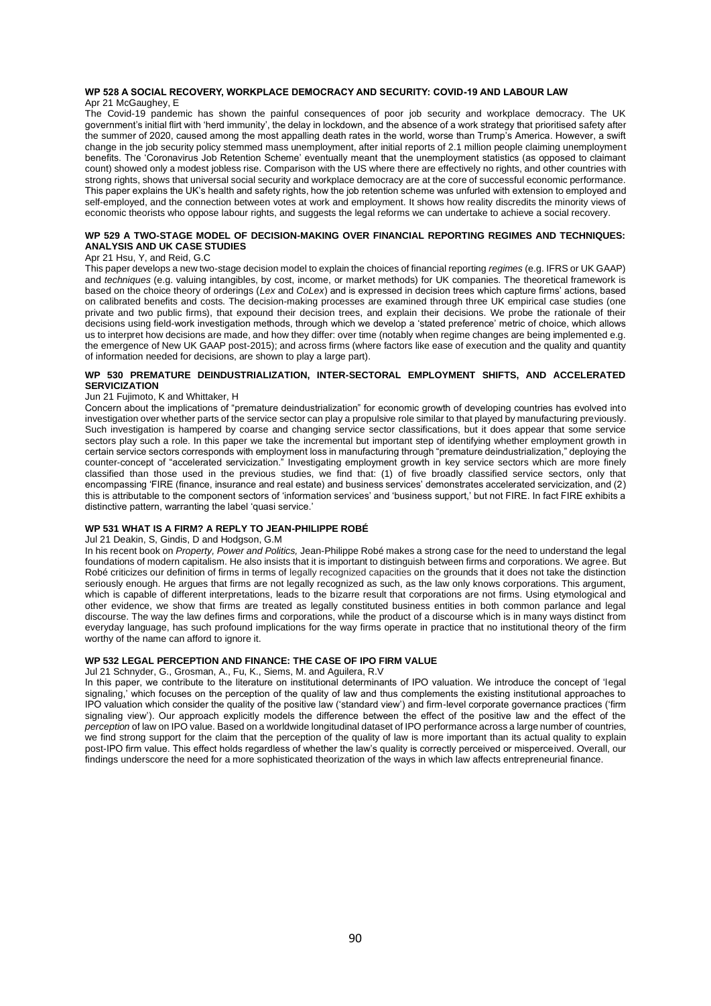#### **WP 528 A SOCIAL RECOVERY, WORKPLACE DEMOCRACY AND SECURITY: COVID-19 AND LABOUR LAW** Apr 21 McGaughey, E

The Covid-19 pandemic has shown the painful consequences of poor job security and workplace democracy. The UK government's initial flirt with 'herd immunity', the delay in lockdown, and the absence of a work strategy that prioritised safety after the summer of 2020, caused among the most appalling death rates in the world, worse than Trump's America. However, a swift change in the job security policy stemmed mass unemployment, after initial reports of 2.1 million people claiming unemployment benefits. The 'Coronavirus Job Retention Scheme' eventually meant that the unemployment statistics (as opposed to claimant count) showed only a modest jobless rise. Comparison with the US where there are effectively no rights, and other countries with strong rights, shows that universal social security and workplace democracy are at the core of successful economic performance. This paper explains the UK's health and safety rights, how the job retention scheme was unfurled with extension to employed and self-employed, and the connection between votes at work and employment. It shows how reality discredits the minority views of economic theorists who oppose labour rights, and suggests the legal reforms we can undertake to achieve a social recovery.

## **WP 529 A TWO-STAGE MODEL OF DECISION-MAKING OVER FINANCIAL REPORTING REGIMES AND TECHNIQUES: ANALYSIS AND UK CASE STUDIES**

## Apr 21 Hsu, Y, and Reid, G.C

This paper develops a new two-stage decision model to explain the choices of financial reporting *regimes* (e.g. IFRS or UK GAAP) and *techniques* (e.g. valuing intangibles, by cost, income, or market methods) for UK companies. The theoretical framework is based on the choice theory of orderings (*Lex* and *CoLex*) and is expressed in decision trees which capture firms' actions, based on calibrated benefits and costs. The decision-making processes are examined through three UK empirical case studies (one private and two public firms), that expound their decision trees, and explain their decisions. We probe the rationale of their decisions using field-work investigation methods, through which we develop a 'stated preference' metric of choice, which allows us to interpret how decisions are made, and how they differ: over time (notably when regime changes are being implemented e.g. the emergence of New UK GAAP post-2015); and across firms (where factors like ease of execution and the quality and quantity of information needed for decisions, are shown to play a large part).

# **WP 530 PREMATURE DEINDUSTRIALIZATION, INTER-SECTORAL EMPLOYMENT SHIFTS, AND ACCELERATED SERVICIZATION**

## Jun 21 Fujimoto, K and Whittaker, H

Concern about the implications of "premature deindustrialization" for economic growth of developing countries has evolved into investigation over whether parts of the service sector can play a propulsive role similar to that played by manufacturing previously. Such investigation is hampered by coarse and changing service sector classifications, but it does appear that some service sectors play such a role. In this paper we take the incremental but important step of identifying whether employment growth in certain service sectors corresponds with employment loss in manufacturing through "premature deindustrialization," deploying the counter-concept of "accelerated servicization." Investigating employment growth in key service sectors which are more finely classified than those used in the previous studies, we find that: (1) of five broadly classified service sectors, only that encompassing 'FIRE (finance, insurance and real estate) and business services' demonstrates accelerated servicization, and (2) this is attributable to the component sectors of 'information services' and 'business support,' but not FIRE. In fact FIRE exhibits a distinctive pattern, warranting the label 'quasi service.'

# **WP 531 WHAT IS A FIRM? A REPLY TO JEAN-PHILIPPE ROBÉ**

#### Jul 21 Deakin, S, Gindis, D and Hodgson, G.M

In his recent book on *Property, Power and Politics,* Jean-Philippe Robé makes a strong case for the need to understand the legal foundations of modern capitalism. He also insists that it is important to distinguish between firms and corporations. We agree. But Robé criticizes our definition of firms in terms of legally recognized capacities on the grounds that it does not take the distinction seriously enough. He argues that firms are not legally recognized as such, as the law only knows corporations. This argument, which is capable of different interpretations, leads to the bizarre result that corporations are not firms. Using etymological and other evidence, we show that firms are treated as legally constituted business entities in both common parlance and legal discourse. The way the law defines firms and corporations, while the product of a discourse which is in many ways distinct from everyday language, has such profound implications for the way firms operate in practice that no institutional theory of the firm worthy of the name can afford to ignore it.

# **WP 532 LEGAL PERCEPTION AND FINANCE: THE CASE OF IPO FIRM VALUE**

Jul 21 Schnyder, G., Grosman, A., Fu, K., Siems, M. and Aguilera, R.V

In this paper, we contribute to the literature on institutional determinants of IPO valuation. We introduce the concept of 'legal signaling,' which focuses on the perception of the quality of law and thus complements the existing institutional approaches to IPO valuation which consider the quality of the positive law ('standard view') and firm-level corporate governance practices ('firm signaling view'). Our approach explicitly models the difference between the effect of the positive law and the effect of the *perception* of law on IPO value. Based on a worldwide longitudinal dataset of IPO performance across a large number of countries, we find strong support for the claim that the perception of the quality of law is more important than its actual quality to explain post-IPO firm value. This effect holds regardless of whether the law's quality is correctly perceived or misperceived. Overall, our findings underscore the need for a more sophisticated theorization of the ways in which law affects entrepreneurial finance.